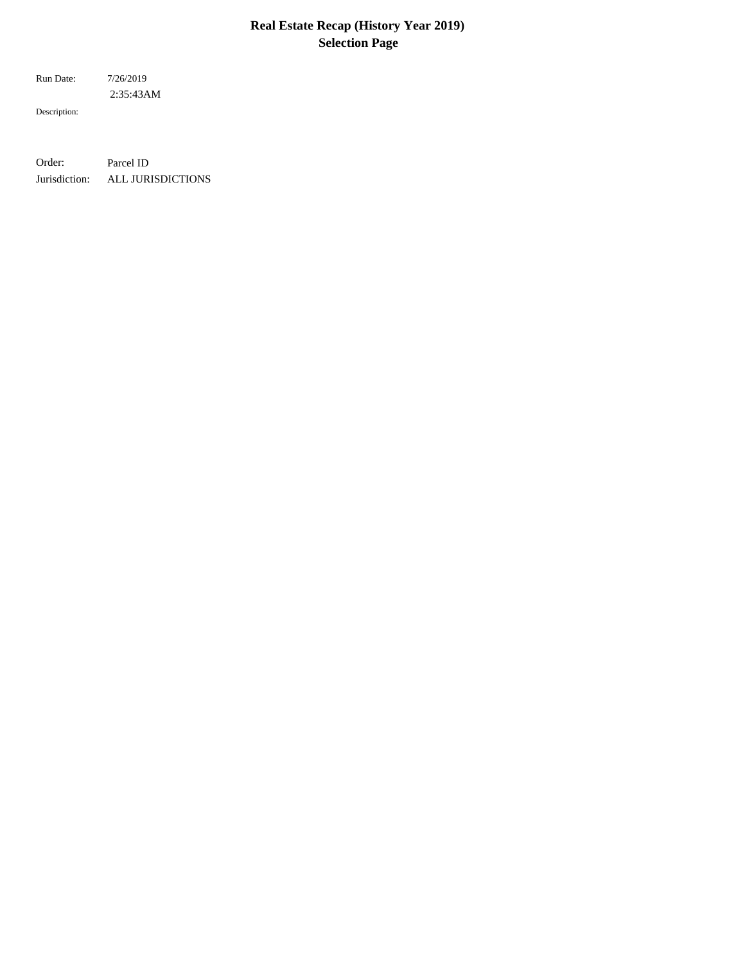# **Real Estate Recap (History Year 2019) Selection Page**

 2:35:43AM Run Date: 7/26/2019

Description:

Order: Parcel ID Jurisdiction: ALL JURISDICTIONS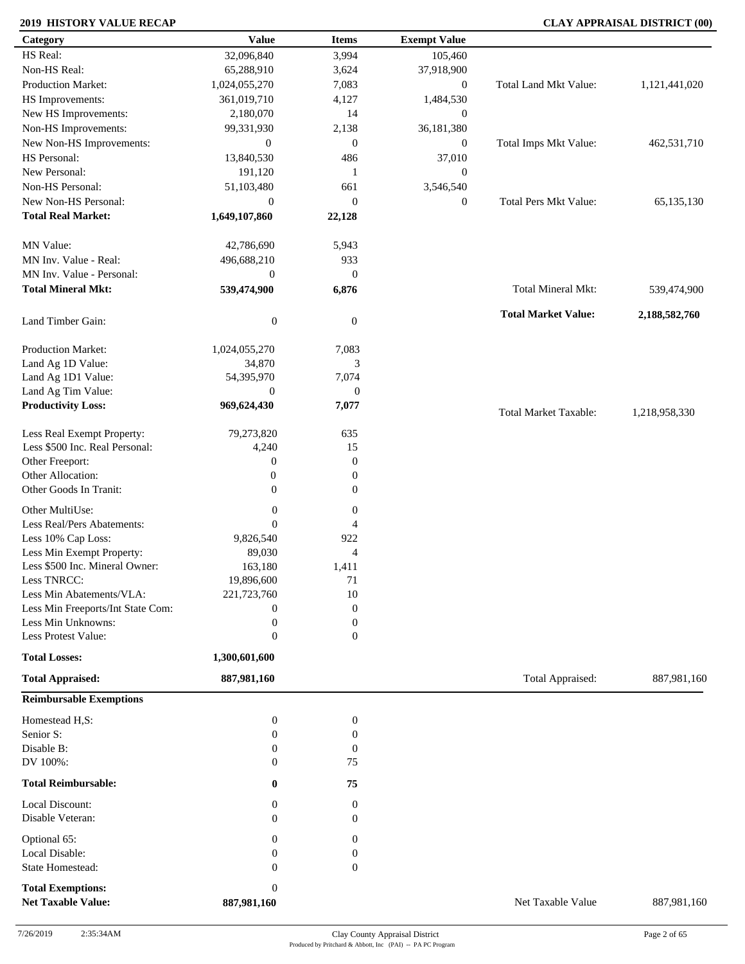| Category                          | <b>Value</b>        | <b>Items</b>     | <b>Exempt Value</b> |                              |               |
|-----------------------------------|---------------------|------------------|---------------------|------------------------------|---------------|
| HS Real:                          | 32,096,840          | 3,994            | 105,460             |                              |               |
| Non-HS Real:                      | 65,288,910          | 3,624            | 37,918,900          |                              |               |
| Production Market:                | 1,024,055,270       | 7,083            | $\overline{0}$      | Total Land Mkt Value:        | 1,121,441,020 |
| HS Improvements:                  | 361,019,710         | 4,127            | 1,484,530           |                              |               |
| New HS Improvements:              | 2,180,070           | 14               | $\mathbf{0}$        |                              |               |
| Non-HS Improvements:              | 99,331,930          | 2,138            | 36,181,380          |                              |               |
| New Non-HS Improvements:          | $\boldsymbol{0}$    | $\boldsymbol{0}$ | $\overline{0}$      | Total Imps Mkt Value:        | 462,531,710   |
| HS Personal:                      | 13,840,530          | 486              | 37,010              |                              |               |
| New Personal:                     | 191,120             | 1                |                     |                              |               |
|                                   |                     |                  | $\overline{0}$      |                              |               |
| Non-HS Personal:                  | 51,103,480          | 661              | 3,546,540           |                              |               |
| New Non-HS Personal:              | $\mathbf{0}$        | $\boldsymbol{0}$ | $\overline{0}$      | <b>Total Pers Mkt Value:</b> | 65,135,130    |
| <b>Total Real Market:</b>         | 1,649,107,860       | 22,128           |                     |                              |               |
| MN Value:                         | 42,786,690          | 5,943            |                     |                              |               |
| MN Inv. Value - Real:             | 496,688,210         | 933              |                     |                              |               |
| MN Inv. Value - Personal:         | $\boldsymbol{0}$    | $\boldsymbol{0}$ |                     |                              |               |
| <b>Total Mineral Mkt:</b>         | 539,474,900         | 6,876            |                     | Total Mineral Mkt:           | 539,474,900   |
| Land Timber Gain:                 | $\boldsymbol{0}$    | $\boldsymbol{0}$ |                     | <b>Total Market Value:</b>   | 2,188,582,760 |
|                                   |                     |                  |                     |                              |               |
| Production Market:                | 1,024,055,270       | 7,083            |                     |                              |               |
| Land Ag 1D Value:                 | 34,870              | 3                |                     |                              |               |
| Land Ag 1D1 Value:                | 54,395,970          | 7,074            |                     |                              |               |
| Land Ag Tim Value:                | $\theta$            | $\boldsymbol{0}$ |                     |                              |               |
| <b>Productivity Loss:</b>         | 969,624,430         | 7,077            |                     | <b>Total Market Taxable:</b> | 1,218,958,330 |
| Less Real Exempt Property:        | 79,273,820          | 635              |                     |                              |               |
| Less \$500 Inc. Real Personal:    | 4,240               | 15               |                     |                              |               |
| Other Freeport:                   | $\boldsymbol{0}$    | $\boldsymbol{0}$ |                     |                              |               |
| Other Allocation:                 | $\mathbf{0}$        | $\boldsymbol{0}$ |                     |                              |               |
| Other Goods In Tranit:            | $\overline{0}$      | $\boldsymbol{0}$ |                     |                              |               |
| Other MultiUse:                   | $\boldsymbol{0}$    | $\boldsymbol{0}$ |                     |                              |               |
| Less Real/Pers Abatements:        | $\mathbf{0}$        |                  |                     |                              |               |
|                                   |                     | $\overline{4}$   |                     |                              |               |
| Less 10% Cap Loss:                | 9,826,540<br>89,030 | 922              |                     |                              |               |
| Less Min Exempt Property:         |                     | $\overline{4}$   |                     |                              |               |
| Less \$500 Inc. Mineral Owner:    | 163,180             | 1,411            |                     |                              |               |
| Less TNRCC:                       | 19,896,600          | 71               |                     |                              |               |
| Less Min Abatements/VLA:          | 221,723,760         | 10               |                     |                              |               |
| Less Min Freeports/Int State Com: | $\boldsymbol{0}$    | $\boldsymbol{0}$ |                     |                              |               |
| Less Min Unknowns:                | $\boldsymbol{0}$    | $\boldsymbol{0}$ |                     |                              |               |
| Less Protest Value:               | $\mathbf{0}$        | $\boldsymbol{0}$ |                     |                              |               |
| <b>Total Losses:</b>              | 1,300,601,600       |                  |                     |                              |               |
| <b>Total Appraised:</b>           | 887,981,160         |                  |                     | Total Appraised:             | 887,981,160   |
| <b>Reimbursable Exemptions</b>    |                     |                  |                     |                              |               |
| Homestead H,S:                    | $\boldsymbol{0}$    | $\boldsymbol{0}$ |                     |                              |               |
| Senior S:                         | $\boldsymbol{0}$    | $\boldsymbol{0}$ |                     |                              |               |
| Disable B:                        | $\mathbf{0}$        | $\boldsymbol{0}$ |                     |                              |               |
| DV 100%:                          | $\mathbf{0}$        | 75               |                     |                              |               |
| <b>Total Reimbursable:</b>        | $\bf{0}$            | 75               |                     |                              |               |
| Local Discount:                   | $\mathbf{0}$        | $\boldsymbol{0}$ |                     |                              |               |
| Disable Veteran:                  | $\Omega$            | $\mathbf{0}$     |                     |                              |               |
| Optional 65:                      | $\theta$            | 0                |                     |                              |               |
| Local Disable:                    | $\theta$            | $\boldsymbol{0}$ |                     |                              |               |
| State Homestead:                  | $\mathbf{0}$        | $\boldsymbol{0}$ |                     |                              |               |
| <b>Total Exemptions:</b>          | $\boldsymbol{0}$    |                  |                     |                              |               |
| <b>Net Taxable Value:</b>         | 887,981,160         |                  |                     | Net Taxable Value            | 887,981,160   |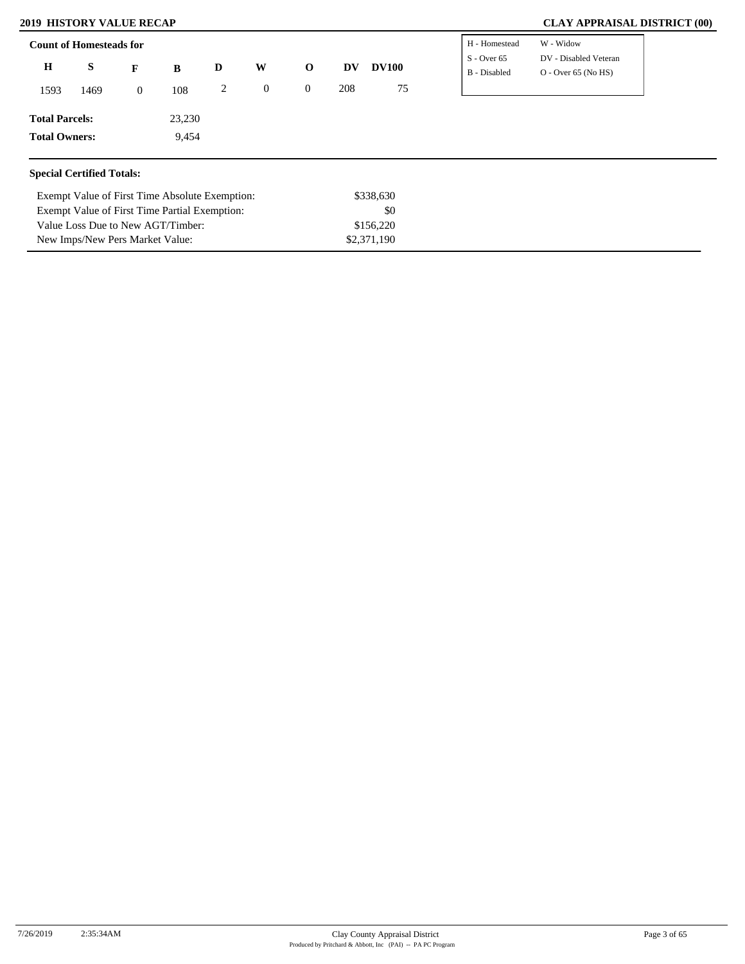| $S - Over 65$<br>$\bf H$<br>S<br>W<br>D<br><b>DV100</b><br>$\mathbf{o}$<br><b>DV</b><br>B<br>F<br>B - Disabled<br>208<br>75<br>0<br>$\overline{0}$<br>2<br>108<br>1469<br>1593<br>$\overline{0}$ |                                                |
|--------------------------------------------------------------------------------------------------------------------------------------------------------------------------------------------------|------------------------------------------------|
|                                                                                                                                                                                                  | DV - Disabled Veteran<br>$O - Over 65 (No HS)$ |
|                                                                                                                                                                                                  |                                                |
| 23,230<br><b>Total Parcels:</b>                                                                                                                                                                  |                                                |
| <b>Total Owners:</b><br>9,454                                                                                                                                                                    |                                                |

| Exempt Value of First Time Absolute Exemption: | \$338,630   |
|------------------------------------------------|-------------|
| Exempt Value of First Time Partial Exemption:  | \$0         |
| Value Loss Due to New AGT/Timber:              | \$156.220   |
| New Imps/New Pers Market Value:                | \$2,371,190 |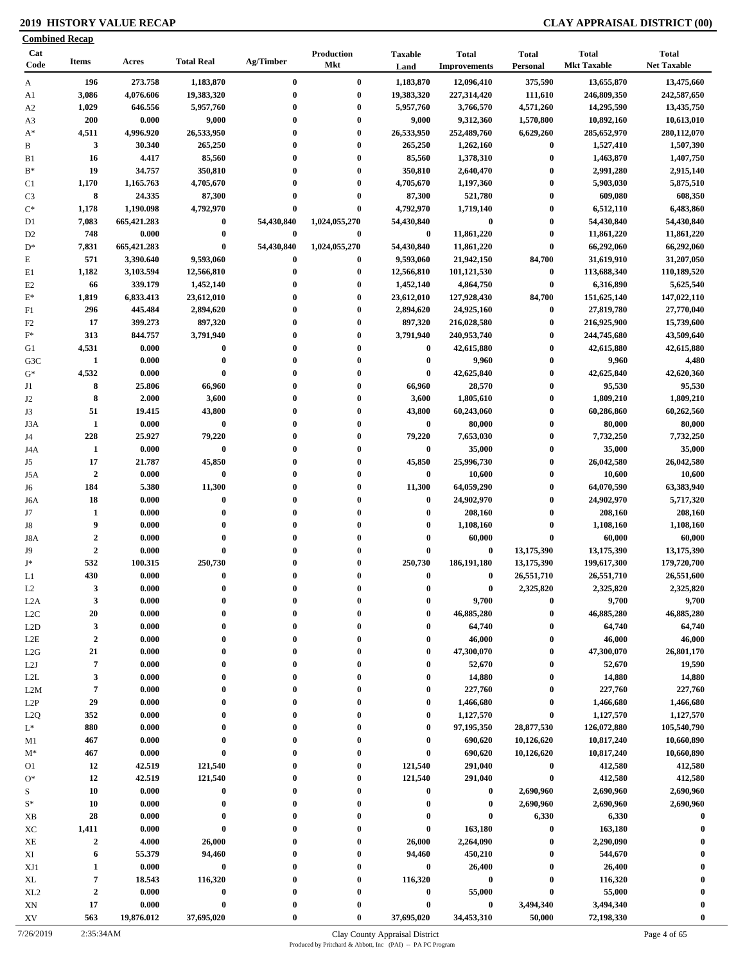|                 | <b>Combined Recap</b> |             |                   |              |                          |                        |                                     |                          |                                    |                                    |
|-----------------|-----------------------|-------------|-------------------|--------------|--------------------------|------------------------|-------------------------------------|--------------------------|------------------------------------|------------------------------------|
| Cat<br>Code     | <b>Items</b>          | Acres       | <b>Total Real</b> | Ag/Timber    | Production<br><b>Mkt</b> | <b>Taxable</b><br>Land | <b>Total</b><br><b>Improvements</b> | <b>Total</b><br>Personal | <b>Total</b><br><b>Mkt Taxable</b> | <b>Total</b><br><b>Net Taxable</b> |
| A               | 196                   | 273.758     | 1,183,870         | $\bf{0}$     | $\bf{0}$                 | 1,183,870              | 12,096,410                          | 375,590                  | 13,655,870                         | 13,475,660                         |
| A1              | 3,086                 | 4,076.606   | 19,383,320        | $\bf{0}$     | $\bf{0}$                 | 19,383,320             | 227,314,420                         | 111,610                  | 246,809,350                        | 242,587,650                        |
| A <sub>2</sub>  | 1,029                 | 646.556     | 5,957,760         | $\bf{0}$     | $\bf{0}$                 | 5,957,760              | 3,766,570                           | 4,571,260                | 14,295,590                         | 13,435,750                         |
| A <sub>3</sub>  | 200                   | 0.000       | 9,000             | $\bf{0}$     | $\bf{0}$                 | 9,000                  | 9,312,360                           | 1,570,800                | 10,892,160                         | 10,613,010                         |
| $A^*$           | 4,511                 | 4,996.920   | 26,533,950        | $\bf{0}$     | $\bf{0}$                 | 26,533,950             | 252,489,760                         | 6,629,260                | 285,652,970                        | 280,112,070                        |
| B               | 3                     | 30.340      | 265,250           | $\bf{0}$     | $\bf{0}$                 | 265,250                | 1,262,160                           | $\boldsymbol{0}$         | 1,527,410                          | 1,507,390                          |
| B1              | 16                    | 4.417       | 85,560            | $\mathbf{0}$ | $\bf{0}$                 | 85,560                 | 1,378,310                           | $\boldsymbol{0}$         | 1,463,870                          | 1,407,750                          |
| $B^*$           | 19                    | 34.757      | 350,810           | $\bf{0}$     | $\bf{0}$                 | 350,810                | 2,640,470                           | $\bf{0}$                 | 2,991,280                          | 2,915,140                          |
| C1              | 1,170                 | 1,165.763   | 4,705,670         | $\bf{0}$     | $\bf{0}$                 | 4,705,670              | 1,197,360                           | $\bf{0}$                 | 5,903,030                          | 5,875,510                          |
| C <sub>3</sub>  | 8                     | 24.335      | 87,300            | $\bf{0}$     | $\bf{0}$                 | 87,300                 | 521,780                             | $\bf{0}$                 | 609,080                            | 608,350                            |
| $C^*$           | 1,178                 | 1,190.098   | 4,792,970         | 0            | $\bf{0}$                 | 4,792,970              | 1,719,140                           | $\bf{0}$                 | 6,512,110                          | 6,483,860                          |
| D1              | 7,083                 | 665,421.283 | $\boldsymbol{0}$  | 54,430,840   | 1,024,055,270            | 54,430,840             | $\bf{0}$                            | $\bf{0}$                 | 54,430,840                         | 54,430,840                         |
| D <sub>2</sub>  | 748                   | 0.000       | $\bf{0}$          | $\bf{0}$     | $\bf{0}$                 | $\bf{0}$               | 11,861,220                          | $\bf{0}$                 | 11,861,220                         | 11,861,220                         |
| $D^*$           | 7,831                 | 665,421.283 | $\bf{0}$          | 54,430,840   | 1,024,055,270            | 54,430,840             | 11,861,220                          | $\bf{0}$                 | 66,292,060                         | 66,292,060                         |
| E               | 571                   | 3,390.640   | 9,593,060         | $\bf{0}$     | $\bf{0}$                 | 9,593,060              | 21,942,150                          | 84,700                   | 31,619,910                         | 31,207,050                         |
| E1              | 1,182                 | 3,103.594   | 12,566,810        | $\bf{0}$     | $\bf{0}$                 | 12,566,810             | 101,121,530                         | $\boldsymbol{0}$         | 113,688,340                        | 110,189,520                        |
| E2              | 66                    | 339.179     | 1,452,140         | $\bf{0}$     | $\bf{0}$                 | 1,452,140              | 4,864,750                           | $\bf{0}$                 | 6,316,890                          | 5,625,540                          |
| $E^*$           | 1,819                 | 6,833.413   | 23,612,010        | $\mathbf{0}$ | $\bf{0}$                 | 23,612,010             | 127,928,430                         | 84,700                   | 151,625,140                        | 147,022,110                        |
| F1              | 296                   | 445.484     | 2,894,620         | $\bf{0}$     | $\bf{0}$                 | 2,894,620              | 24,925,160                          | $\bf{0}$                 | 27,819,780                         | 27,770,040                         |
| F <sub>2</sub>  | 17                    | 399.273     | 897,320           | $\bf{0}$     | $\bf{0}$                 | 897,320                | 216,028,580                         | $\bf{0}$                 | 216,925,900                        | 15,739,600                         |
| $\mathbf{F}^*$  | 313                   | 844.757     | 3,791,940         | $\mathbf{0}$ | $\bf{0}$                 | 3,791,940              | 240,953,740                         | $\bf{0}$                 | 244,745,680                        | 43,509,640                         |
| G1              | 4,531                 | 0.000       | $\bf{0}$          | $\bf{0}$     | $\bf{0}$                 | $\bf{0}$               | 42,615,880                          | $\bf{0}$                 | 42,615,880                         | 42,615,880                         |
| G3C             | $\mathbf{1}$          | 0.000       | $\bf{0}$          | $\bf{0}$     | $\bf{0}$                 | $\bf{0}$               | 9,960                               | $\bf{0}$                 | 9,960                              | 4,480                              |
| $G^*$<br>J1     | 4,532                 | 0.000       | $\bf{0}$          | $\bf{0}$     | $\bf{0}$                 | $\bf{0}$               | 42,625,840                          | $\bf{0}$                 | 42,625,840                         | 42,620,360                         |
|                 | 8                     | 25.806      | 66,960            |              | $\bf{0}$                 | 66,960                 | 28,570                              | $\bf{0}$                 | 95,530                             | 95,530                             |
|                 | 8                     | 2.000       | 3,600             | 0            | $\bf{0}$                 | 3,600                  | 1,805,610                           | $\boldsymbol{0}$         | 1,809,210                          | 1,809,210                          |
|                 | 51                    | 19.415      | 43,800            | $\bf{0}$     | $\bf{0}$                 | 43,800                 | 60,243,060                          | $\bf{0}$                 | 60,286,860                         | 60,262,560                         |
| J3A             | $\mathbf{1}$          | 0.000       | $\bf{0}$          | $\bf{0}$     | $\bf{0}$                 | $\bf{0}$               | 80,000                              | $\bf{0}$                 | 80,000                             | 80,000                             |
|                 | 228                   | 25.927      | 79,220            | $\bf{0}$     | $\bf{0}$                 | 79,220                 | 7,653,030                           | $\bf{0}$                 | 7,732,250                          | 7,732,250                          |
| J4A             | $\mathbf{1}$          | 0.000       | $\bf{0}$          | $\mathbf{0}$ | $\bf{0}$                 | $\bf{0}$               | 35,000                              | $\bf{0}$                 | 35,000                             | 35,000                             |
|                 | 17                    | 21.787      | 45,850            | $\bf{0}$     | $\bf{0}$                 | 45,850                 | 25,996,730                          | $\bf{0}$                 | 26,042,580                         | 26,042,580                         |
| J5A             | $\boldsymbol{2}$      | 0.000       | $\pmb{0}$         |              | $\bf{0}$                 | $\bf{0}$               | 10,600                              | $\bf{0}$                 | 10,600                             | 10,600                             |
|                 | 184                   | 5.380       | 11,300            | $\bf{0}$     | $\bf{0}$                 | 11,300                 | 64,059,290                          | $\bf{0}$                 | 64,070,590                         | 63,383,940                         |
| J6A             | 18                    | 0.000       | $\bf{0}$          | $\bf{0}$     | $\bf{0}$                 | $\bf{0}$               | 24,902,970                          | $\bf{0}$                 | 24,902,970                         | 5,717,320                          |
| J7              | 1                     | 0.000       | $\bf{0}$          | $\bf{0}$     | $\bf{0}$                 | $\boldsymbol{0}$       | 208,160                             | $\bf{0}$                 | 208,160                            | 208,160                            |
| J8              | 9                     | 0.000       | $\bf{0}$          | $\bf{0}$     | $\bf{0}$                 | $\boldsymbol{0}$       | 1,108,160                           | $\bf{0}$                 | 1,108,160                          | 1,108,160                          |
| J8A             | $\boldsymbol{2}$      | 0.000       | $\bf{0}$          | $\mathbf{0}$ | $\bf{0}$                 | $\mathbf 0$            | 60,000                              | $\boldsymbol{0}$         | 60,000                             | 60,000                             |
|                 | $\boldsymbol{2}$      | 0.000       | $\bf{0}$          | 0            | $\mathbf{0}$             | $\mathbf 0$            | $\bf{0}$                            | 13,175,390               | 13,175,390                         | 13,175,390                         |
|                 | 532                   | 100.315     | 250,730           | $\bf{0}$     | $\bf{0}$                 | 250,730                | 186,191,180                         | 13,175,390               | 199,617,300                        | 179,720,700                        |
| L1              | 430                   | 0.000       | $\theta$          |              | $\theta$                 | $\theta$               | $\bf{0}$                            | 26,551,710               | 26,551,710                         | 26,551,600                         |
| L2              | 3                     | 0.000       | $\mathbf 0$       | 0            | $\mathbf{0}$             | 0                      | $\bf{0}$                            | 2,325,820                | 2,325,820                          | 2,325,820                          |
| L2A             | 3                     | 0.000       | $\bf{0}$          | $\bf{0}$     | $\bf{0}$                 | 0                      | 9,700                               | $\boldsymbol{0}$         | 9,700                              | 9,700                              |
| L2C             | 20                    | 0.000       | $\bf{0}$          | 0            | $\boldsymbol{0}$         | $\bf{0}$               | 46,885,280                          | $\bf{0}$                 | 46,885,280                         | 46,885,280                         |
| L2D             | 3                     | 0.000       | $\bf{0}$          | $\bf{0}$     | $\mathbf{0}$             | $\boldsymbol{0}$       | 64,740                              | $\boldsymbol{0}$         | 64,740                             | 64,740                             |
| L2E             | $\boldsymbol{2}$      | 0.000       | $\bf{0}$          | $\bf{0}$     | $\bf{0}$                 | $\bf{0}$               | 46,000                              | $\bf{0}$                 | 46,000                             | 46,000                             |
| L2G             | 21                    | 0.000       | $\bf{0}$          | $\bf{0}$     | $\bf{0}$                 | $\bf{0}$               | 47,300,070                          | $\bf{0}$                 | 47,300,070                         | 26,801,170                         |
| L2J             | $\overline{7}$        | 0.000       | $\bf{0}$          | $\bf{0}$     | $\bf{0}$                 | $\boldsymbol{0}$       | 52,670                              | $\bf{0}$                 | 52,670                             | 19,590                             |
| L2L             | 3                     | 0.000       | $\bf{0}$          | $\bf{0}$     | $\bf{0}$                 | $\boldsymbol{0}$       | 14,880                              | $\bf{0}$                 | 14,880                             | 14,880                             |
| L2M             | $\overline{7}$        | 0.000       | $\bf{0}$          | $\bf{0}$     | $\bf{0}$                 | $\bf{0}$               | 227,760                             | $\bf{0}$                 | 227,760                            | 227,760                            |
| L2P             | 29                    | 0.000       | $\bf{0}$          | $\bf{0}$     | $\bf{0}$                 | $\bf{0}$               | 1,466,680                           | $\bf{0}$                 | 1,466,680                          | 1,466,680                          |
| L2Q<br>$L^*$    | 352                   | 0.000       | $\bf{0}$          | $\bf{0}$     | $\bf{0}$                 | $\boldsymbol{0}$       | 1,127,570                           | $\bf{0}$                 | 1,127,570                          | 1,127,570                          |
|                 | 880                   | 0.000       | $\bf{0}$          | $\bf{0}$     | $\bf{0}$                 | $\bf{0}$               | 97,195,350                          | 28,877,530               | 126,072,880                        | 105,540,790                        |
| M1              | 467                   | 0.000       | $\bf{0}$          | 0            | $\bf{0}$                 | $\bf{0}$               | 690,620                             | 10,126,620               | 10,817,240                         | 10,660,890                         |
| $M^*$           | 467                   | 0.000       | $\bf{0}$          |              | $\bf{0}$                 | $\bf{0}$               | 690,620                             | 10,126,620               | 10,817,240                         | 10,660,890                         |
|                 | 12                    | 42.519      | 121,540           | 0            | $\bf{0}$                 | 121,540                | 291,040                             | $\bf{0}$                 | 412,580                            | 412,580                            |
|                 | 12                    | 42.519      | 121,540           | $\bf{0}$     | $\bf{0}$                 | 121,540                | 291,040                             | $\boldsymbol{0}$         | 412,580                            | 412,580                            |
|                 | 10                    | 0.000       | $\bf{0}$          | $\bf{0}$     | $\bf{0}$                 | $\boldsymbol{0}$       | 0                                   | 2,690,960                | 2,690,960                          | 2,690,960                          |
|                 | 10                    | 0.000       | $\bf{0}$          | 0            | $\bf{0}$                 | $\bf{0}$               | 0                                   | 2,690,960                | 2,690,960                          | 2,690,960                          |
| XB              | 28                    | 0.000       | $\boldsymbol{0}$  | 0            | $\bf{0}$                 | $\boldsymbol{0}$       | $\bf{0}$                            | 6,330                    | 6,330                              | $\bf{0}$                           |
| XC              | 1,411                 | 0.000       | $\bf{0}$          |              | $\bf{0}$                 | $\bf{0}$               | 163,180                             | $\pmb{0}$                | 163,180                            | 0                                  |
| XЕ              | $\boldsymbol{2}$      | 4.000       | 26,000            | $\bf{0}$     | $\bf{0}$                 | 26,000                 | 2,264,090                           | $\bf{0}$                 | 2,290,090                          |                                    |
| XI              | 6                     | 55.379      | 94,460            | $\bf{0}$     | $\bf{0}$                 | 94,460                 | 450,210                             | $\bf{0}$                 | 544,670                            |                                    |
| XJ1             | $\mathbf{1}$          | 0.000       | $\pmb{0}$         | $\bf{0}$     | $\bf{0}$                 | $\bf{0}$               | 26,400                              | $\bf{0}$                 | 26,400                             | $\bf{0}$                           |
| XL              | $\pmb{7}$             | 18.543      | 116,320           | $\bf{0}$     | $\bf{0}$                 | 116,320                | $\bf{0}$                            | $\boldsymbol{0}$         | 116,320                            | $\mathbf 0$                        |
| XL <sub>2</sub> | $\boldsymbol{2}$      | 0.000       | $\pmb{0}$         | $\bf{0}$     | $\bf{0}$                 | $\bf{0}$               | 55,000                              | $\pmb{0}$                | 55,000                             | $\mathbf 0$                        |
| XN              | 17                    | 0.000       | $\pmb{0}$         |              | $\bf{0}$                 | $\bf{0}$               | $\bf{0}$                            | 3,494,340                | 3,494,340                          |                                    |
| XV              | 563                   | 19,876.012  | 37,695,020        |              | $\bf{0}$                 | 37,695,020             | 34,453,310                          | 50,000                   | 72,198,330                         | $\bf{0}$                           |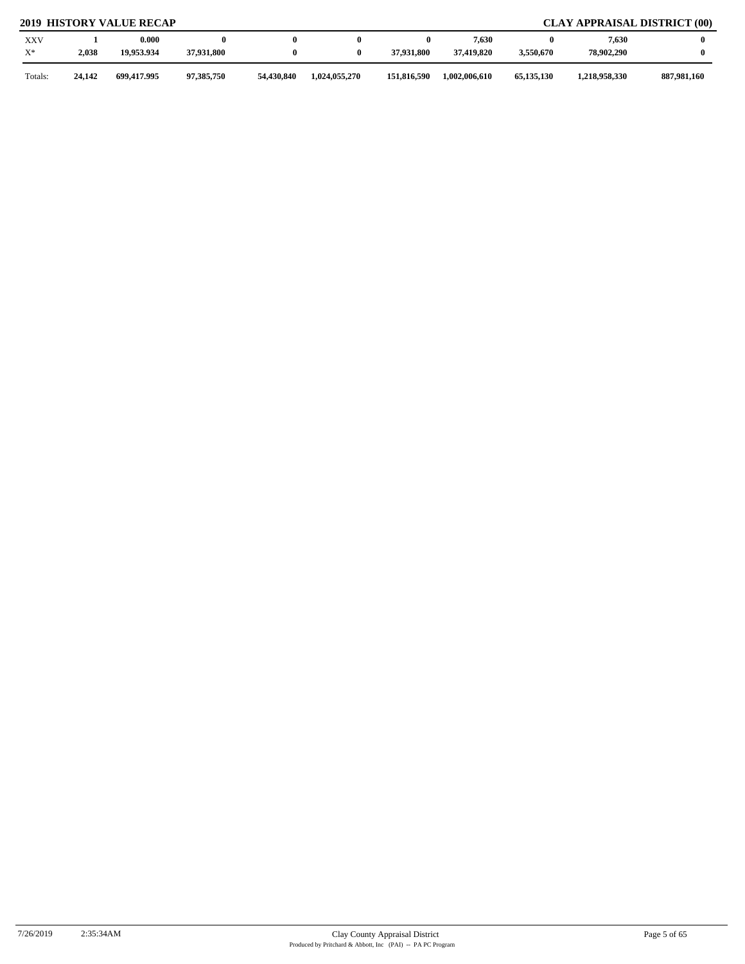| <b>XXV</b><br>$X^*$ | 2,038  | 0.000<br>19,953.934 | 37,931,800 |            |               | 37.931.800  | 7,630<br>37,419,820 | 3,550,670    | 7,630<br>78,902,290 |             |
|---------------------|--------|---------------------|------------|------------|---------------|-------------|---------------------|--------------|---------------------|-------------|
| Totals:             | 24,142 | 699,417.995         | 97,385,750 | 54,430,840 | 1,024,055,270 | 151,816,590 | 1,002,006,610       | 65, 135, 130 | 1,218,958,330       | 887,981,160 |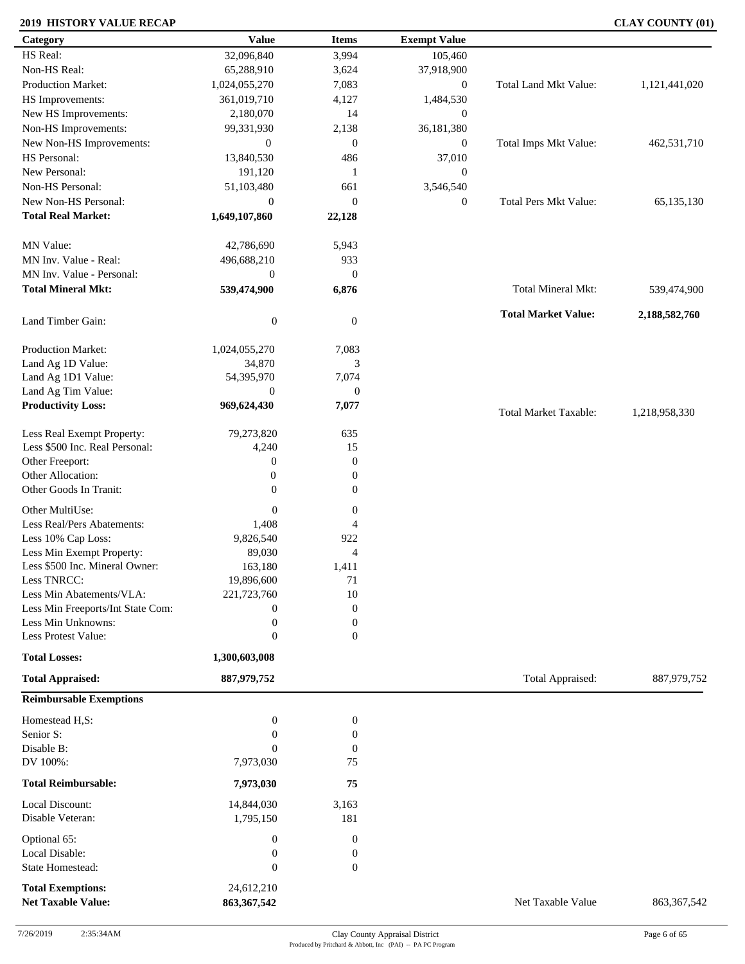### **2019 HISTORY VALUE RECAP CLAY COUNTY (01)**

| Category                                     | <b>Value</b>               | <b>Items</b>     | <b>Exempt Value</b> |                              |               |
|----------------------------------------------|----------------------------|------------------|---------------------|------------------------------|---------------|
| HS Real:                                     | 32,096,840                 | 3,994            | 105,460             |                              |               |
| Non-HS Real:                                 | 65,288,910                 | 3,624            | 37,918,900          |                              |               |
| Production Market:                           | 1,024,055,270              | 7,083            | $\mathbf{0}$        | Total Land Mkt Value:        | 1,121,441,020 |
| HS Improvements:                             | 361,019,710                | 4,127            | 1,484,530           |                              |               |
| New HS Improvements:                         | 2,180,070                  | 14               | $\overline{0}$      |                              |               |
| Non-HS Improvements:                         | 99,331,930                 | 2,138            | 36,181,380          |                              |               |
| New Non-HS Improvements:                     | $\boldsymbol{0}$           | $\mathbf{0}$     | $\mathbf{0}$        | Total Imps Mkt Value:        | 462,531,710   |
| HS Personal:                                 | 13,840,530                 | 486              | 37,010              |                              |               |
| New Personal:                                | 191,120                    | -1               | $\boldsymbol{0}$    |                              |               |
| Non-HS Personal:                             |                            |                  |                     |                              |               |
|                                              | 51,103,480                 | 661              | 3,546,540           |                              |               |
| New Non-HS Personal:                         | $\mathbf{0}$               | $\overline{0}$   | $\boldsymbol{0}$    | <b>Total Pers Mkt Value:</b> | 65,135,130    |
| <b>Total Real Market:</b>                    | 1,649,107,860              | 22,128           |                     |                              |               |
| MN Value:                                    | 42,786,690                 | 5,943            |                     |                              |               |
| MN Inv. Value - Real:                        | 496,688,210                | 933              |                     |                              |               |
| MN Inv. Value - Personal:                    | $\overline{0}$             | $\mathbf{0}$     |                     |                              |               |
| <b>Total Mineral Mkt:</b>                    | 539,474,900                | 6,876            |                     | Total Mineral Mkt:           | 539,474,900   |
| Land Timber Gain:                            | $\boldsymbol{0}$           | $\mathbf{0}$     |                     | <b>Total Market Value:</b>   | 2,188,582,760 |
| Production Market:                           | 1,024,055,270              |                  |                     |                              |               |
|                                              |                            | 7,083<br>3       |                     |                              |               |
| Land Ag 1D Value:                            | 34,870                     |                  |                     |                              |               |
| Land Ag 1D1 Value:                           | 54,395,970                 | 7,074            |                     |                              |               |
| Land Ag Tim Value:                           | $\overline{0}$             | $\boldsymbol{0}$ |                     |                              |               |
| <b>Productivity Loss:</b>                    | 969,624,430                | 7,077            |                     | <b>Total Market Taxable:</b> | 1,218,958,330 |
| Less Real Exempt Property:                   | 79,273,820                 | 635              |                     |                              |               |
| Less \$500 Inc. Real Personal:               | 4,240                      | 15               |                     |                              |               |
| Other Freeport:                              | $\boldsymbol{0}$           | $\mathbf{0}$     |                     |                              |               |
| Other Allocation:                            | $\boldsymbol{0}$           | $\boldsymbol{0}$ |                     |                              |               |
| Other Goods In Tranit:                       | $\theta$                   | $\overline{0}$   |                     |                              |               |
|                                              |                            |                  |                     |                              |               |
| Other MultiUse:                              | $\boldsymbol{0}$           | $\boldsymbol{0}$ |                     |                              |               |
| Less Real/Pers Abatements:                   | 1,408                      | 4                |                     |                              |               |
| Less 10% Cap Loss:                           | 9,826,540                  | 922              |                     |                              |               |
| Less Min Exempt Property:                    | 89,030                     | $\overline{4}$   |                     |                              |               |
| Less \$500 Inc. Mineral Owner:               | 163,180                    | 1,411            |                     |                              |               |
| Less TNRCC:                                  | 19,896,600                 | $71\,$           |                     |                              |               |
| Less Min Abatements/VLA:                     | 221,723,760                | 10               |                     |                              |               |
| Less Min Freeports/Int State Com:            | $\mathbf{0}$               | $\boldsymbol{0}$ |                     |                              |               |
| Less Min Unknowns:                           | $\boldsymbol{0}$           | $\boldsymbol{0}$ |                     |                              |               |
| Less Protest Value:                          | $\theta$                   | $\overline{0}$   |                     |                              |               |
| <b>Total Losses:</b>                         | 1,300,603,008              |                  |                     |                              |               |
| <b>Total Appraised:</b>                      | 887,979,752                |                  |                     | Total Appraised:             | 887,979,752   |
| <b>Reimbursable Exemptions</b>               |                            |                  |                     |                              |               |
| Homestead H,S:                               | $\boldsymbol{0}$           | $\boldsymbol{0}$ |                     |                              |               |
| Senior S:                                    | $\boldsymbol{0}$           | $\boldsymbol{0}$ |                     |                              |               |
| Disable B:                                   | $\Omega$                   | $\boldsymbol{0}$ |                     |                              |               |
| DV 100%:                                     | 7,973,030                  | 75               |                     |                              |               |
| <b>Total Reimbursable:</b>                   | 7,973,030                  | 75               |                     |                              |               |
| Local Discount:                              | 14,844,030                 | 3,163            |                     |                              |               |
| Disable Veteran:                             | 1,795,150                  | 181              |                     |                              |               |
|                                              |                            |                  |                     |                              |               |
|                                              |                            |                  |                     |                              |               |
| Optional 65:                                 | $\boldsymbol{0}$           | $\mathbf{0}$     |                     |                              |               |
| Local Disable:                               | $\boldsymbol{0}$           | $\boldsymbol{0}$ |                     |                              |               |
| State Homestead:<br><b>Total Exemptions:</b> | $\mathbf{0}$<br>24,612,210 | $\mathbf{0}$     |                     |                              |               |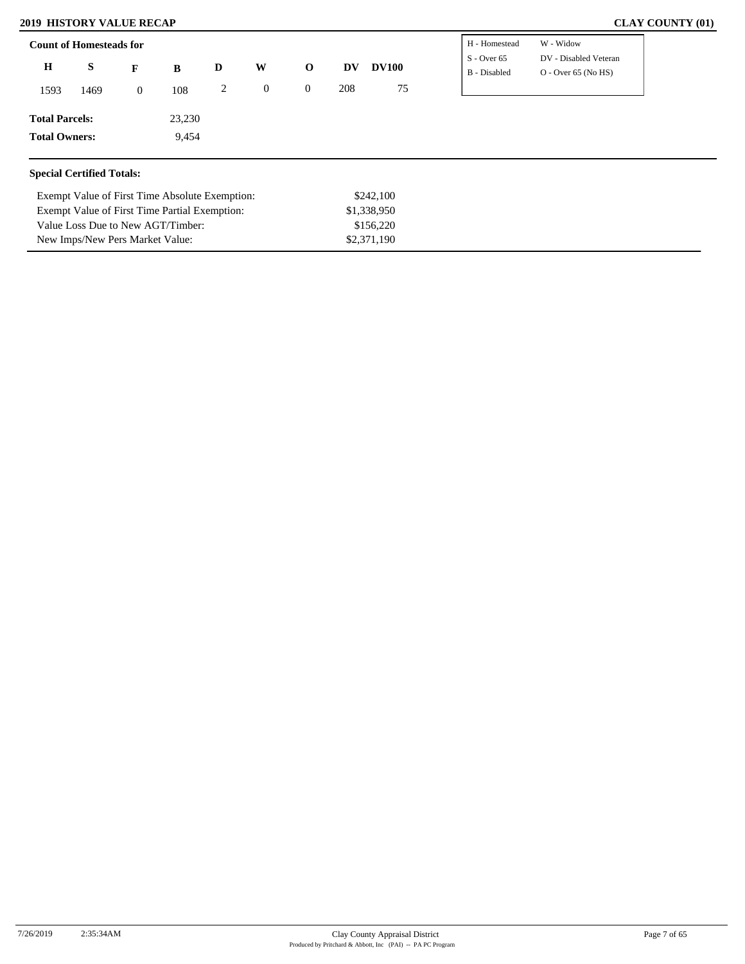#### **2019 HISTORY VALUE RECAP**

Exempt Value of First Time Partial Exemption:

Value Loss Due to New AGT/Timber: New Imps/New Pers Market Value:

| <b>CLAY COUNTY (01)</b> |  |  |
|-------------------------|--|--|
|-------------------------|--|--|

|                       | <b>Count of Homesteads for</b>   |                  |                                                |   |              |                |     |              | H - Homestead                 | W - Widow                                      |
|-----------------------|----------------------------------|------------------|------------------------------------------------|---|--------------|----------------|-----|--------------|-------------------------------|------------------------------------------------|
| $\bf H$               | S                                | F                | B                                              | D | W            | $\mathbf 0$    | DV  | <b>DV100</b> | $S -$ Over 65<br>B - Disabled | DV - Disabled Veteran<br>$O -$ Over 65 (No HS) |
| 1593                  | 1469                             | $\boldsymbol{0}$ | 108                                            | 2 | $\mathbf{0}$ | $\overline{0}$ | 208 | 75           |                               |                                                |
| <b>Total Parcels:</b> |                                  |                  | 23,230                                         |   |              |                |     |              |                               |                                                |
| <b>Total Owners:</b>  |                                  |                  | 9,454                                          |   |              |                |     |              |                               |                                                |
|                       |                                  |                  |                                                |   |              |                |     |              |                               |                                                |
|                       | <b>Special Certified Totals:</b> |                  |                                                |   |              |                |     |              |                               |                                                |
|                       |                                  |                  | Exempt Value of First Time Absolute Exemption: |   |              |                |     | \$242,100    |                               |                                                |

\$1,338,950 \$156,220 \$2,371,190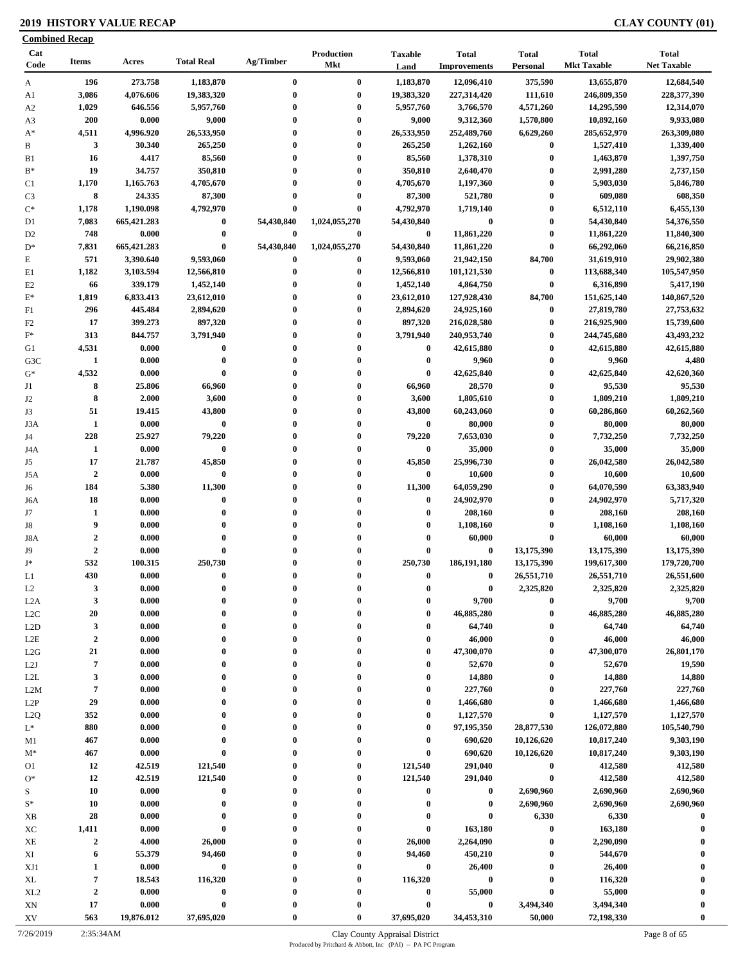### **2019 HISTORY VALUE RECAP CLAY COUNTY (01)**

|                  | <b>Combined Recap</b> |                      |                              |                        |                           |                        |                                     |                              |                                    |                                    |
|------------------|-----------------------|----------------------|------------------------------|------------------------|---------------------------|------------------------|-------------------------------------|------------------------------|------------------------------------|------------------------------------|
| Cat<br>Code      | <b>Items</b>          | Acres                | <b>Total Real</b>            | Ag/Timber              | Production<br>Mkt         | <b>Taxable</b><br>Land | <b>Total</b><br><b>Improvements</b> | <b>Total</b><br>Personal     | <b>Total</b><br><b>Mkt Taxable</b> | <b>Total</b><br><b>Net Taxable</b> |
| A                | 196                   | 273.758              | 1,183,870                    | $\bf{0}$               | $\bf{0}$                  | 1,183,870              | 12,096,410                          | 375,590                      | 13,655,870                         | 12,684,540                         |
| A1               | 3,086                 | 4,076.606            | 19,383,320                   | $\bf{0}$               | $\bf{0}$                  | 19,383,320             | 227,314,420                         | 111,610                      | 246,809,350                        | 228,377,390                        |
| A <sub>2</sub>   | 1,029                 | 646.556              | 5,957,760                    | $\bf{0}$               | $\bf{0}$                  | 5,957,760              | 3,766,570                           | 4,571,260                    | 14,295,590                         | 12,314,070                         |
| A3               | <b>200</b>            | 0.000                | 9,000                        | 0                      | $\bf{0}$                  | 9,000                  | 9,312,360                           | 1,570,800                    | 10,892,160                         | 9,933,080                          |
| $A^*$            | 4,511                 | 4,996.920            | 26,533,950                   | $\mathbf{0}$           | $\bf{0}$                  | 26,533,950             | 252,489,760                         | 6,629,260                    | 285,652,970                        | 263,309,080                        |
|                  | 3                     | 30.340               | 265,250                      | $\bf{0}$               | $\bf{0}$                  | 265,250                | 1,262,160                           | $\bf{0}$                     | 1,527,410                          | 1,339,400                          |
|                  | 16                    | 4.417                | 85,560                       | $\mathbf{0}$           | $\bf{0}$                  | 85,560                 | 1,378,310                           | $\boldsymbol{0}$             | 1,463,870                          | 1,397,750                          |
|                  | 19                    | 34.757               | 350,810                      | $\bf{0}$               | $\bf{0}$                  | 350,810                | 2,640,470                           | $\boldsymbol{0}$             | 2,991,280                          | 2,737,150                          |
|                  | 1,170                 | 1,165.763            | 4,705,670                    | $\bf{0}$               | $\bf{0}$                  | 4,705,670              | 1,197,360                           | $\bf{0}$                     | 5,903,030                          | 5,846,780                          |
|                  | 8                     | 24.335               | 87,300                       | $\bf{0}$               | $\bf{0}$                  | 87,300                 | 521,780                             | $\boldsymbol{0}$             | 609,080                            | 608,350                            |
|                  | 1,178                 | 1,190.098            | 4,792,970                    |                        | $\bf{0}$                  | 4,792,970              | 1,719,140                           | $\bf{0}$                     | 6,512,110                          | 6,455,130                          |
|                  | 7,083<br>748          | 665,421.283<br>0.000 | $\boldsymbol{0}$<br>$\bf{0}$ | 54,430,840<br>$\bf{0}$ | 1,024,055,270<br>$\bf{0}$ | 54,430,840<br>$\bf{0}$ | $\bf{0}$<br>11,861,220              | $\boldsymbol{0}$<br>$\bf{0}$ | 54,430,840<br>11,861,220           | 54,376,550<br>11,840,300           |
|                  | 7,831                 | 665,421.283          | $\bf{0}$                     | 54,430,840             | 1,024,055,270             | 54,430,840             | 11,861,220                          | $\boldsymbol{0}$             | 66,292,060                         | 66,216,850                         |
|                  | 571                   | 3,390.640            | 9,593,060                    | $\bf{0}$               | $\bf{0}$                  | 9,593,060              | 21,942,150                          | 84,700                       | 31,619,910                         | 29,902,380                         |
|                  | 1,182                 | 3,103.594            | 12,566,810                   | $\bf{0}$               | $\bf{0}$                  | 12,566,810             | 101,121,530                         | $\boldsymbol{0}$             | 113,688,340                        | 105,547,950                        |
|                  | 66                    | 339.179              | 1,452,140                    | $\bf{0}$               | $\bf{0}$                  | 1,452,140              | 4,864,750                           | $\boldsymbol{0}$             | 6,316,890                          | 5,417,190                          |
|                  | 1,819                 | 6,833.413            | 23,612,010                   | $\bf{0}$               | $\bf{0}$                  | 23,612,010             | 127,928,430                         | 84,700                       | 151,625,140                        | 140,867,520                        |
|                  | 296                   | 445.484              | 2,894,620                    | $\bf{0}$               | $\bf{0}$                  | 2,894,620              | 24,925,160                          | $\boldsymbol{0}$             | 27,819,780                         | 27,753,632                         |
|                  | 17                    | 399.273              | 897,320                      | $\bf{0}$               | $\bf{0}$                  | 897,320                | 216,028,580                         | $\bf{0}$                     | 216,925,900                        | 15,739,600                         |
|                  | 313                   | 844.757              | 3,791,940                    | $\bf{0}$               | $\bf{0}$                  | 3,791,940              | 240,953,740                         | $\bf{0}$                     | 244,745,680                        | 43,493,232                         |
|                  | 4,531                 | 0.000                | $\bf{0}$                     | $\bf{0}$               | $\bf{0}$                  | $\bf{0}$               | 42,615,880                          | $\bf{0}$                     | 42,615,880                         | 42,615,880                         |
| G3C              | $\mathbf{1}$          | 0.000                | $\bf{0}$                     | $\bf{0}$               | $\bf{0}$                  | $\bf{0}$               | 9,960                               | $\boldsymbol{0}$             | 9,960                              | 4,480                              |
|                  | 4,532                 | 0.000                | $\bf{0}$                     | $\bf{0}$               | $\bf{0}$                  | $\bf{0}$               | 42,625,840                          | $\bf{0}$                     | 42,625,840                         | 42,620,360                         |
|                  | 8                     | 25.806               | 66,960                       | $\bf{0}$               | $\bf{0}$                  | 66,960                 | 28,570                              | $\bf{0}$                     | 95,530                             | 95,530                             |
|                  | 8                     | 2.000                | 3,600                        | $\bf{0}$               | $\boldsymbol{0}$          | 3,600                  | 1,805,610                           | $\bf{0}$                     | 1,809,210                          | 1,809,210                          |
|                  | 51                    | 19.415               | 43,800                       | 0                      | $\boldsymbol{0}$          | 43,800                 | 60,243,060                          | $\boldsymbol{0}$             | 60,286,860                         | 60,262,560                         |
|                  | 1                     | 0.000                | $\bf{0}$                     | $\mathbf{0}$           | $\boldsymbol{0}$          | $\bf{0}$               | 80,000                              | $\bf{0}$                     | 80,000                             | 80,000                             |
|                  | 228                   | 25.927               | 79,220                       | $\bf{0}$               | $\bf{0}$                  | 79,220                 | 7,653,030                           | $\boldsymbol{0}$             | 7,732,250                          | 7,732,250                          |
|                  | 1                     | 0.000                | $\bf{0}$                     | $\bf{0}$               | $\bf{0}$                  | $\bf{0}$               | 35,000                              | $\bf{0}$                     | 35,000                             | 35,000                             |
|                  | 17                    | 21.787               | 45,850                       | $\bf{0}$               | $\bf{0}$                  | 45,850                 | 25,996,730                          | $\bf{0}$                     | 26,042,580                         | 26,042,580                         |
|                  | $\overline{2}$        | 0.000                | $\bf{0}$                     | $\bf{0}$               | $\bf{0}$                  | $\bf{0}$               | 10,600                              | $\bf{0}$                     | 10,600                             | 10,600                             |
|                  | 184                   | 5.380                | 11,300                       | $\bf{0}$               | $\bf{0}$                  | 11,300                 | 64,059,290                          | $\boldsymbol{0}$             | 64,070,590                         | 63,383,940                         |
|                  | 18                    | 0.000                | $\bf{0}$                     | 0                      | $\bf{0}$                  | $\bf{0}$               | 24,902,970                          | $\boldsymbol{0}$             | 24,902,970                         | 5,717,320                          |
|                  | 1                     | 0.000                | $\bf{0}$                     | $\bf{0}$               | $\bf{0}$                  | $\bf{0}$               | 208,160                             | $\bf{0}$                     | 208,160                            | 208,160                            |
|                  | 9                     | 0.000                | $\bf{0}$                     | $\bf{0}$               | $\bf{0}$                  | $\bf{0}$               | 1,108,160                           | $\boldsymbol{0}$             | 1,108,160                          | 1,108,160                          |
|                  | $\mathbf 2$           | 0.000                | $\mathbf{0}$                 | $\mathbf{0}$           | $\bf{0}$                  | $\mathbf 0$            | 60,000                              | $\bf{0}$                     | 60,000                             | 60,000                             |
|                  | $\boldsymbol{2}$      | 0.000                | $\bf{0}$                     | 0                      | $\mathbf{0}$              | $\mathbf 0$            | $\bf{0}$                            | 13,175,390                   | 13,175,390                         | 13,175,390                         |
|                  | 532                   | 100.315              | 250,730                      | $\bf{0}$               | $\bf{0}$                  | 250,730                | 186,191,180                         | 13,175,390                   | 199,617,300                        | 179,720,700                        |
|                  | 430                   | 0.000                | $\mathbf{0}$                 | 0                      | $\mathbf{0}$              | $\mathbf{0}$           | $\mathbf{0}$                        | 26,551,710                   | 26,551,710                         | 26,551,600                         |
|                  | 3                     | 0.000                | $\mathbf 0$                  |                        | $\boldsymbol{0}$          | $\boldsymbol{0}$       | $\bf{0}$                            | 2,325,820                    | 2,325,820                          | 2,325,820                          |
| L <sub>2</sub> A | 3                     | 0.000                | $\bf{0}$                     | $\bf{0}$               | $\bf{0}$                  | $\bf{0}$               | 9,700                               | $\bf{0}$                     | 9,700                              | 9,700                              |
|                  | 20                    | 0.000                | $\bf{0}$                     | $\bf{0}$               | $\bf{0}$                  | $\bf{0}$               | 46,885,280                          | $\boldsymbol{0}$             | 46,885,280                         | 46,885,280                         |
| L2D              | $\mathbf{3}$          | 0.000                | $\bf{0}$                     | $\bf{0}$               | $\bf{0}$                  | $\boldsymbol{0}$       | 64,740                              | $\bf{0}$                     | 64,740                             | 64,740                             |
| L2E              | $\boldsymbol{2}$      | 0.000                | $\bf{0}$                     | $\bf{0}$               | $\boldsymbol{0}$          | $\bf{0}$               | 46,000                              | $\bf{0}$                     | 46,000                             | 46,000                             |
| L2G              | 21                    | 0.000                | $\bf{0}$                     | $\bf{0}$               | $\bf{0}$                  | $\mathbf 0$            | 47,300,070                          | $\bf{0}$                     | 47,300,070                         | 26,801,170                         |
|                  | $\overline{7}$        | 0.000                | $\bf{0}$                     | $\bf{0}$               | $\mathbf{0}$              | $\mathbf 0$            | 52,670                              | $\bf{0}$                     | 52,670                             | 19,590                             |
|                  | $\mathbf{3}$          | 0.000                | $\mathbf{0}$                 | $\bf{0}$               | $\mathbf{0}$              | $\mathbf 0$            | 14,880                              | $\bf{0}$                     | 14,880                             | 14,880                             |
| L2M              | 7                     | 0.000                | $\bf{0}$                     | 0                      | $\mathbf{0}$              | $\mathbf 0$            | 227,760                             | $\bf{0}$                     | 227,760                            | 227,760                            |
|                  | 29                    | 0.000                | $\mathbf{0}$                 |                        | $\mathbf{0}$              | $\bf{0}$               | 1,466,680                           | $\bf{0}$                     | 1,466,680                          | 1,466,680                          |
|                  | 352                   | 0.000                | $\bf{0}$                     | $\bf{0}$               | $\mathbf{0}$              | $\mathbf 0$            | 1,127,570                           | $\bf{0}$                     | 1,127,570                          | 1,127,570                          |
|                  | 880                   | 0.000                | $\mathbf{0}$                 | 0                      | $\mathbf{0}$              | $\bf{0}$               | 97,195,350                          | 28,877,530                   | 126,072,880                        | 105,540,790                        |
|                  | 467                   | 0.000                | $\bf{0}$                     | $\bf{0}$               | $\boldsymbol{0}$          | $\mathbf 0$            | 690,620                             | 10,126,620                   | 10,817,240                         | 9,303,190                          |
|                  | 467                   | 0.000                | $\bf{0}$                     | $\bf{0}$               | $\bf{0}$                  | $\bf{0}$               | 690,620                             | 10,126,620                   | 10,817,240                         | 9,303,190                          |
|                  | 12                    | 42.519               | 121,540                      | $\bf{0}$               | $\bf{0}$                  | 121,540                | 291,040                             | $\boldsymbol{0}$             | 412,580                            | 412,580                            |
|                  | 12                    | 42.519               | 121,540                      | $\bf{0}$               | $\bf{0}$                  | 121,540                | 291,040                             | $\boldsymbol{0}$             | 412,580                            | 412,580                            |
|                  | 10                    | 0.000                | $\bf{0}$                     | $\bf{0}$               | $\bf{0}$                  | $\boldsymbol{0}$       | 0                                   | 2,690,960                    | 2,690,960                          | 2,690,960                          |
|                  | 10                    | 0.000                | $\bf{0}$                     | $\bf{0}$               | $\bf{0}$                  | $\boldsymbol{0}$       | $\bf{0}$                            | 2,690,960                    | 2,690,960                          | 2,690,960                          |
|                  | 28                    | 0.000                | $\bf{0}$                     | $\bf{0}$               | $\bf{0}$                  | $\boldsymbol{0}$       | $\bf{0}$                            | 6,330                        | 6,330                              | $\bf{0}$                           |
|                  | 1,411                 | 0.000                | $\bf{0}$                     | $\bf{0}$               | $\bf{0}$                  | $\bf{0}$               | 163,180                             | $\boldsymbol{0}$             | 163,180                            | $\bf{0}$                           |
|                  | $\boldsymbol{2}$      | 4.000                | 26,000                       | $\bf{0}$               | $\bf{0}$                  | 26,000                 | 2,264,090                           | $\bf{0}$                     | 2,290,090                          |                                    |
|                  | 6                     | 55.379               | 94,460                       | $\bf{0}$               | $\bf{0}$                  | 94,460                 | 450,210                             | $\bf{0}$                     | 544,670                            | $\mathbf 0$                        |
| XJ1              | $\mathbf{1}$          | 0.000                | $\pmb{0}$                    | $\bf{0}$               | $\bf{0}$                  | $\bf{0}$               | 26,400                              | $\bf{0}$                     | 26,400                             | $\bf{0}$                           |
| XL <sub>2</sub>  | 7                     | 18.543               | 116,320                      | $\bf{0}$               | $\bf{0}$                  | 116,320                | $\bf{0}$                            | $\boldsymbol{0}$             | 116,320                            | $\mathbf 0$                        |
|                  | $\boldsymbol{2}$      | 0.000                | $\pmb{0}$                    | $\bf{0}$               | $\bf{0}$                  | $\bf{0}$               | 55,000                              | $\bf{0}$                     | 55,000                             | $\mathbf 0$                        |
|                  | 17                    | 0.000                | $\bf{0}$                     |                        | $\boldsymbol{0}$          | $\bf{0}$               | $\bf{0}$                            | 3,494,340                    | 3,494,340                          | $\mathbf 0$                        |
| XV               | 563                   | 19,876.012           | 37,695,020                   |                        | $\bf{0}$                  | 37,695,020             | 34,453,310                          | 50,000                       | 72,198,330                         | $\bf{0}$                           |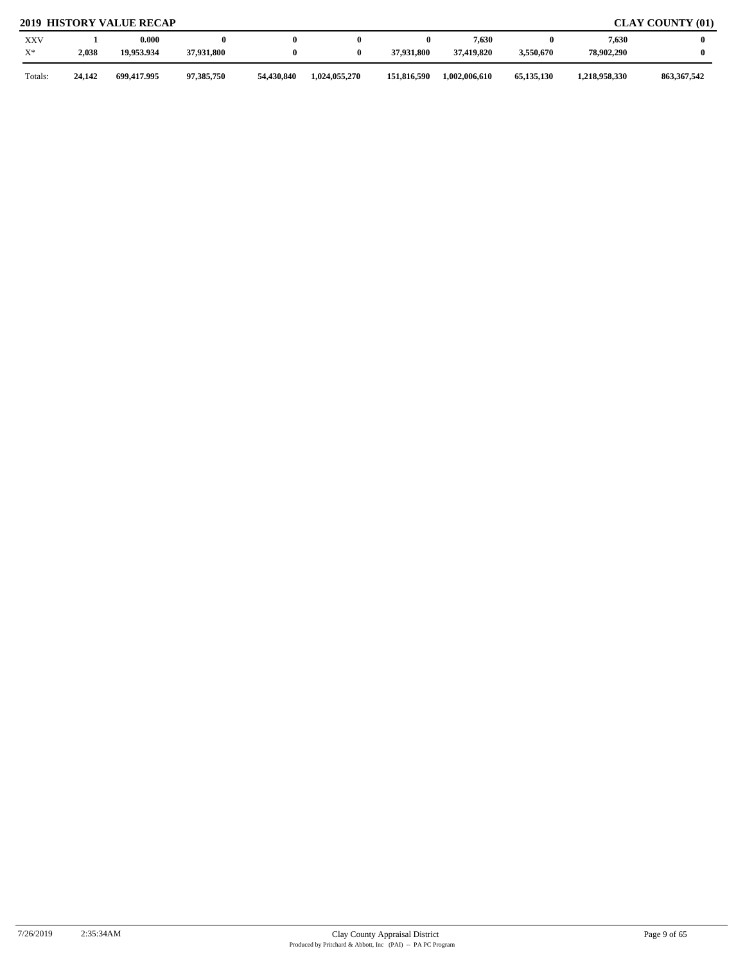# **2019 HISTORY VALUE RECAP CLAY COUNTY (01)**

| <b>XXV</b><br>$X^*$ | 2,038  | 0.000<br>19.953.934 | 37,931,800 |            |               | 37.931.800  | 7,630<br>37.419.820 | 0<br>3,550,670 | 7,630<br>78.902.290 |               |
|---------------------|--------|---------------------|------------|------------|---------------|-------------|---------------------|----------------|---------------------|---------------|
| Totals:             | 24.142 | 699,417,995         | 97,385,750 | 54,430,840 | 1,024,055,270 | 151,816,590 | 1,002,006,610       | 65,135,130     | 1,218,958,330       | 863, 367, 542 |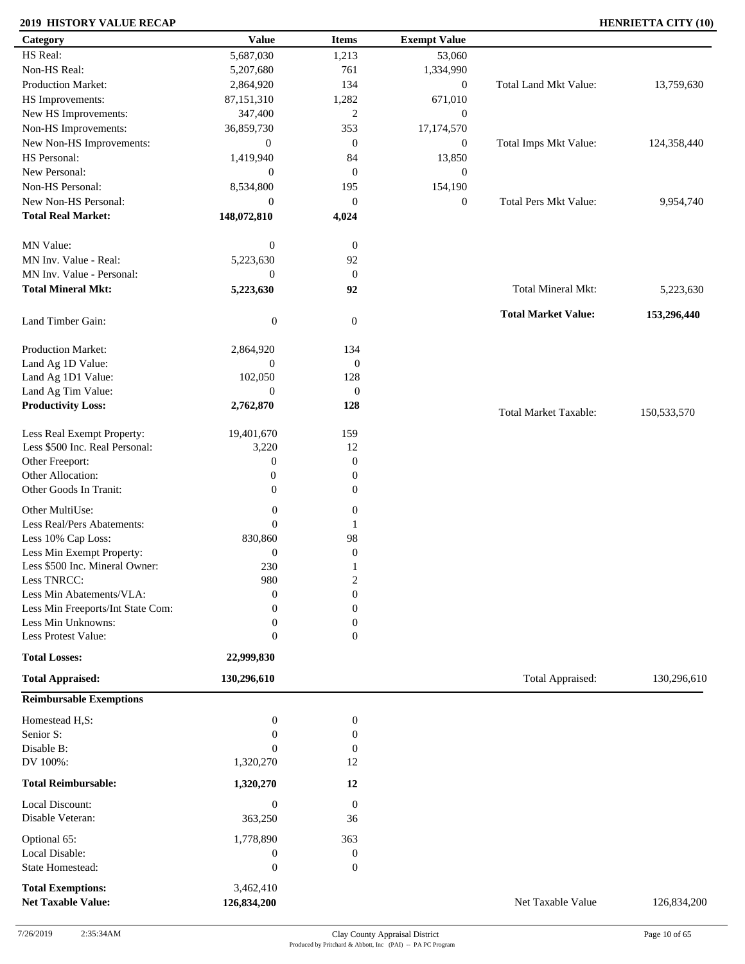### **2019 HISTORY VALUE RECAP HENRIETTA CITY (10)**

| Category                          | <b>Value</b>     | <b>Items</b>     | <b>Exempt Value</b> |                              |             |
|-----------------------------------|------------------|------------------|---------------------|------------------------------|-------------|
| HS Real:                          | 5,687,030        | 1,213            | 53,060              |                              |             |
| Non-HS Real:                      | 5,207,680        | 761              | 1,334,990           |                              |             |
| Production Market:                | 2,864,920        | 134              | $\boldsymbol{0}$    | Total Land Mkt Value:        | 13,759,630  |
| HS Improvements:                  | 87,151,310       | 1,282            | 671,010             |                              |             |
| New HS Improvements:              | 347,400          | $\mathbf{2}$     | $\boldsymbol{0}$    |                              |             |
| Non-HS Improvements:              | 36,859,730       | 353              | 17,174,570          |                              |             |
| New Non-HS Improvements:          | $\mathbf{0}$     | $\mathbf{0}$     | $\boldsymbol{0}$    | Total Imps Mkt Value:        | 124,358,440 |
| HS Personal:                      | 1,419,940        | 84               | 13,850              |                              |             |
| New Personal:                     | $\boldsymbol{0}$ | $\mathbf{0}$     | $\mathbf{0}$        |                              |             |
| Non-HS Personal:                  |                  |                  |                     |                              |             |
| New Non-HS Personal:              | 8,534,800        | 195              | 154,190             |                              |             |
|                                   | $\boldsymbol{0}$ | $\mathbf{0}$     | $\boldsymbol{0}$    | <b>Total Pers Mkt Value:</b> | 9,954,740   |
| <b>Total Real Market:</b>         | 148,072,810      | 4,024            |                     |                              |             |
| MN Value:                         | $\boldsymbol{0}$ | $\boldsymbol{0}$ |                     |                              |             |
| MN Inv. Value - Real:             | 5,223,630        | 92               |                     |                              |             |
| MN Inv. Value - Personal:         | $\boldsymbol{0}$ | $\mathbf{0}$     |                     |                              |             |
| <b>Total Mineral Mkt:</b>         |                  |                  |                     | Total Mineral Mkt:           |             |
|                                   | 5,223,630        | 92               |                     |                              | 5,223,630   |
| Land Timber Gain:                 | $\boldsymbol{0}$ | $\mathbf{0}$     |                     | <b>Total Market Value:</b>   | 153,296,440 |
|                                   |                  |                  |                     |                              |             |
| Production Market:                | 2,864,920        | 134              |                     |                              |             |
| Land Ag 1D Value:                 | $\boldsymbol{0}$ | $\boldsymbol{0}$ |                     |                              |             |
| Land Ag 1D1 Value:                | 102,050          | 128              |                     |                              |             |
| Land Ag Tim Value:                | $\mathbf{0}$     | $\boldsymbol{0}$ |                     |                              |             |
| <b>Productivity Loss:</b>         | 2,762,870        | 128              |                     | <b>Total Market Taxable:</b> | 150,533,570 |
| Less Real Exempt Property:        | 19,401,670       | 159              |                     |                              |             |
| Less \$500 Inc. Real Personal:    | 3,220            | 12               |                     |                              |             |
| Other Freeport:                   | $\boldsymbol{0}$ | $\mathbf{0}$     |                     |                              |             |
| Other Allocation:                 | $\boldsymbol{0}$ | $\boldsymbol{0}$ |                     |                              |             |
| Other Goods In Tranit:            | $\overline{0}$   | $\boldsymbol{0}$ |                     |                              |             |
|                                   |                  |                  |                     |                              |             |
| Other MultiUse:                   | $\boldsymbol{0}$ | $\boldsymbol{0}$ |                     |                              |             |
| Less Real/Pers Abatements:        | $\boldsymbol{0}$ | -1               |                     |                              |             |
| Less 10% Cap Loss:                | 830,860          | 98               |                     |                              |             |
| Less Min Exempt Property:         | $\boldsymbol{0}$ | $\boldsymbol{0}$ |                     |                              |             |
| Less \$500 Inc. Mineral Owner:    | 230              | 1                |                     |                              |             |
| Less TNRCC:                       | 980              | $\overline{2}$   |                     |                              |             |
| Less Min Abatements/VLA:          | $\boldsymbol{0}$ | $\boldsymbol{0}$ |                     |                              |             |
| Less Min Freeports/Int State Com: | $\theta$         | $\Omega$         |                     |                              |             |
| Less Min Unknowns:                | $\mathbf{0}$     | $\Omega$         |                     |                              |             |
| Less Protest Value:               | $\boldsymbol{0}$ | $\mathbf{0}$     |                     |                              |             |
| <b>Total Losses:</b>              | 22,999,830       |                  |                     |                              |             |
| <b>Total Appraised:</b>           | 130,296,610      |                  |                     | Total Appraised:             | 130,296,610 |
| <b>Reimbursable Exemptions</b>    |                  |                  |                     |                              |             |
| Homestead H,S:                    | $\boldsymbol{0}$ | $\boldsymbol{0}$ |                     |                              |             |
| Senior S:                         | $\boldsymbol{0}$ | $\boldsymbol{0}$ |                     |                              |             |
| Disable B:                        | $\mathbf{0}$     | $\mathbf{0}$     |                     |                              |             |
| DV 100%:                          | 1,320,270        | 12               |                     |                              |             |
|                                   |                  |                  |                     |                              |             |
| <b>Total Reimbursable:</b>        | 1,320,270        | 12               |                     |                              |             |
| Local Discount:                   | $\boldsymbol{0}$ | $\overline{0}$   |                     |                              |             |
| Disable Veteran:                  | 363,250          | 36               |                     |                              |             |
| Optional 65:                      | 1,778,890        | 363              |                     |                              |             |
| Local Disable:                    | $\boldsymbol{0}$ | $\boldsymbol{0}$ |                     |                              |             |
| State Homestead:                  | $\boldsymbol{0}$ | $\mathbf{0}$     |                     |                              |             |
| <b>Total Exemptions:</b>          | 3,462,410        |                  |                     |                              |             |
| <b>Net Taxable Value:</b>         | 126,834,200      |                  |                     | Net Taxable Value            | 126,834,200 |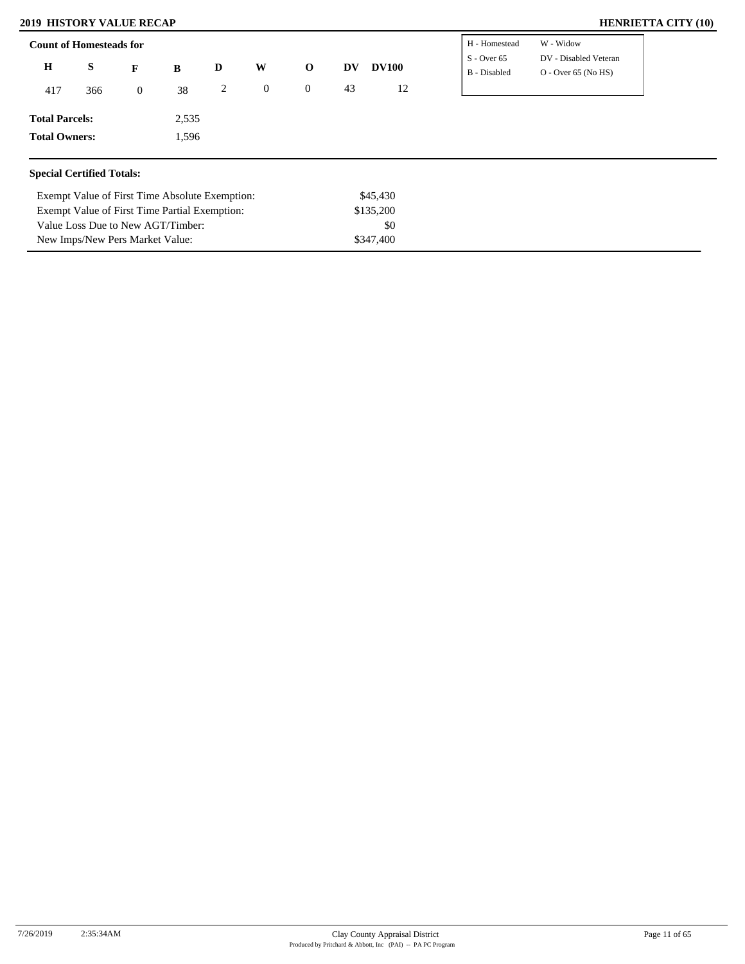### **2019 HISTORY VALUE RECAP HENRIETTA CITY (10)**

Exempt Value of First Time Partial Exemption: Value Loss Due to New AGT/Timber: New Imps/New Pers Market Value:

| <b>Count of Homesteads for</b>   |                                                |                  |       |   |                  |                |    |              | H - Homestead                 | W - Widow                                      |
|----------------------------------|------------------------------------------------|------------------|-------|---|------------------|----------------|----|--------------|-------------------------------|------------------------------------------------|
| $\bf H$                          | S                                              | $\mathbf{F}$     | B     | D | W                | $\mathbf 0$    | DV | <b>DV100</b> | $S - Over 65$<br>B - Disabled | DV - Disabled Veteran<br>$O - Over 65 (No HS)$ |
| 417<br>366                       |                                                | $\boldsymbol{0}$ | 38    | 2 | $\boldsymbol{0}$ | $\overline{0}$ | 43 | 12           |                               |                                                |
| <b>Total Parcels:</b>            |                                                |                  | 2,535 |   |                  |                |    |              |                               |                                                |
| <b>Total Owners:</b>             |                                                |                  | 1,596 |   |                  |                |    |              |                               |                                                |
| <b>Special Certified Totals:</b> |                                                |                  |       |   |                  |                |    |              |                               |                                                |
|                                  | Exempt Value of First Time Absolute Exemption: |                  |       |   |                  |                |    | \$45,430     |                               |                                                |
|                                  | Exempt Value of First Time Partial Exemption:  |                  |       |   |                  |                |    | \$135,200    |                               |                                                |

\$0 \$347,400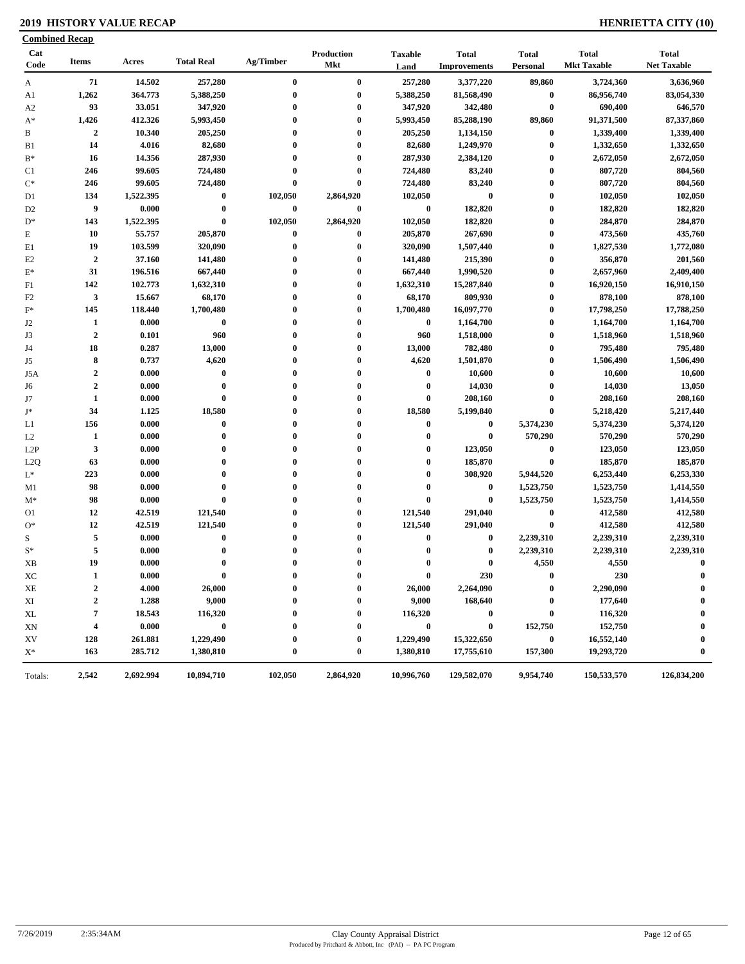### **2019 HISTORY VALUE RECAP HENRIETTA CITY (10)**

| <b>Combined Recap</b> |                         |           |                      |                      |                          |                         |                                     |                              |                                    |                                    |
|-----------------------|-------------------------|-----------|----------------------|----------------------|--------------------------|-------------------------|-------------------------------------|------------------------------|------------------------------------|------------------------------------|
| Cat<br>Code           | <b>Items</b>            | Acres     | <b>Total Real</b>    | Ag/Timber            | Production<br><b>Mkt</b> | <b>Taxable</b><br>Land  | <b>Total</b><br><b>Improvements</b> | <b>Total</b><br>Personal     | <b>Total</b><br><b>Mkt Taxable</b> | <b>Total</b><br><b>Net Taxable</b> |
| $\mathbf{A}$          | 71                      | 14.502    | 257,280              | $\bf{0}$             | $\bf{0}$                 | 257,280                 | 3,377,220                           | 89,860                       | 3,724,360                          | 3,636,960                          |
| A1                    | 1,262                   | 364.773   | 5,388,250            | 0                    | $\bf{0}$                 | 5,388,250               | 81,568,490                          | $\pmb{0}$                    | 86,956,740                         | 83,054,330                         |
| A <sub>2</sub>        | 93                      | 33.051    | 347,920              | $\bf{0}$             | $\bf{0}$                 | 347,920                 | 342,480                             | $\bf{0}$                     | 690,400                            | 646,570                            |
| $A^*$                 | 1,426                   | 412.326   | 5,993,450            | 0                    | $\bf{0}$                 | 5,993,450               | 85,288,190                          | 89,860                       | 91,371,500                         | 87,337,860                         |
| B                     | $\mathbf{2}$            | 10.340    | 205,250              | $\bf{0}$             | $\bf{0}$                 | 205,250                 | 1,134,150                           | $\boldsymbol{0}$             | 1,339,400                          | 1,339,400                          |
| B1                    | 14                      | 4.016     | 82,680               | $\bf{0}$             | $\bf{0}$                 | 82,680                  | 1,249,970                           | $\boldsymbol{0}$             | 1,332,650                          | 1,332,650                          |
| $B^*$                 | 16                      | 14.356    | 287,930              | $\bf{0}$             | $\bf{0}$                 | 287,930                 | 2,384,120                           | $\boldsymbol{0}$             | 2,672,050                          | 2,672,050                          |
| C <sub>1</sub>        | 246                     | 99.605    | 724,480              | 0                    | $\bf{0}$                 | 724,480                 | 83,240                              | $\bf{0}$                     | 807,720                            | 804,560                            |
| $C^*$                 | 246                     | 99.605    | 724,480              | $\bf{0}$             | $\bf{0}$                 | 724,480                 | 83,240                              | $\boldsymbol{0}$             | 807,720                            | 804,560                            |
| D1                    | 134                     | 1,522.395 | $\bf{0}$             | 102,050              | 2,864,920                | 102,050                 | $\bf{0}$                            | $\boldsymbol{0}$             | 102,050                            | 102,050                            |
| D <sub>2</sub>        | 9                       | 0.000     | $\pmb{0}$            | $\bf{0}$             | $\bf{0}$                 | $\bf{0}$                | 182,820                             | $\boldsymbol{0}$             | 182,820                            | 182,820                            |
| $D^*$                 | 143                     | 1,522.395 | $\pmb{0}$            | 102,050              | 2,864,920                | 102,050                 | 182,820                             | $\boldsymbol{0}$             | 284,870                            | 284,870                            |
| $\mathbf E$           | 10                      | 55.757    | 205,870              | 0                    | $\bf{0}$                 | 205,870                 | 267,690                             | $\bf{0}$                     | 473,560                            | 435,760                            |
| E1                    | 19                      | 103.599   | 320,090              | $\bf{0}$             | $\bf{0}$                 | 320,090                 | 1,507,440                           | $\boldsymbol{0}$             | 1,827,530                          | 1,772,080                          |
| E2                    | $\boldsymbol{2}$        | 37.160    | 141,480              | 0                    | $\bf{0}$                 | 141,480                 | 215,390                             | $\bf{0}$                     | 356,870                            | 201,560                            |
| $\mathbf{E}^*$        | 31                      | 196.516   | 667,440              | 0                    | $\bf{0}$                 | 667,440                 | 1,990,520                           | $\bf{0}$                     | 2,657,960                          | 2,409,400                          |
| F1                    | 142                     | 102.773   | 1,632,310            | $\bf{0}$             | $\bf{0}$                 | 1,632,310               | 15,287,840                          | $\bf{0}$                     | 16,920,150                         | 16,910,150                         |
| F <sub>2</sub>        | $\mathbf{3}$            | 15.667    | 68,170               | $\bf{0}$             | $\bf{0}$                 | 68,170                  | 809,930                             | $\boldsymbol{0}$             | 878,100                            | 878,100                            |
| $\mathbf{F}^*$        | 145                     | 118.440   | 1,700,480            | 0                    | $\bf{0}$                 | 1,700,480               | 16,097,770                          | $\bf{0}$                     | 17,798,250                         | 17,788,250                         |
| J2                    | 1                       | 0.000     | $\bf{0}$             | 0                    | $\bf{0}$                 | $\bf{0}$                | 1,164,700                           | $\bf{0}$                     | 1,164,700                          | 1,164,700                          |
| J3                    | $\boldsymbol{2}$        | 0.101     | 960                  | 0                    | $\bf{0}$                 | 960                     | 1,518,000                           | $\bf{0}$                     | 1,518,960                          | 1,518,960                          |
| J4                    | 18                      | 0.287     | 13,000               | $\bf{0}$             | $\bf{0}$                 | 13,000                  | 782,480                             | $\boldsymbol{0}$             | 795,480                            | 795,480                            |
| J5                    | 8                       | 0.737     | 4,620                | 0                    | $\bf{0}$                 | 4,620                   | 1,501,870                           | $\bf{0}$                     | 1,506,490                          | 1,506,490                          |
| J5A                   | $\boldsymbol{2}$        | 0.000     | $\bf{0}$             | 0                    | $\bf{0}$                 | $\boldsymbol{0}$        | 10,600                              | $\boldsymbol{0}$             | 10,600                             | 10,600                             |
|                       | $\mathbf{2}$            | 0.000     | $\bf{0}$             | $\bf{0}$             | $\bf{0}$                 | $\bf{0}$                | 14,030                              | $\boldsymbol{0}$             | 14,030                             | 13,050                             |
| J6                    | $\mathbf{1}$            | 0.000     | $\bf{0}$             | $\bf{0}$             | $\bf{0}$                 | $\bf{0}$                | 208,160                             | $\pmb{0}$                    | 208,160                            | 208,160                            |
| J7<br>$\mathbf{J}^*$  | 34                      | 1.125     | 18,580               | 0                    | $\boldsymbol{0}$         | 18,580                  | 5,199,840                           | $\bf{0}$                     | 5,218,420                          | 5,217,440                          |
|                       | 156                     | 0.000     | $\pmb{0}$            | 0                    | $\bf{0}$                 | $\bf{0}$                | $\bf{0}$                            |                              |                                    |                                    |
| L1                    |                         |           | $\bf{0}$             | 0                    | $\bf{0}$                 | $\bf{0}$                | $\bf{0}$                            | 5,374,230<br>570,290         | 5,374,230                          | 5,374,120<br>570,290               |
| L2                    | $\mathbf{1}$            | 0.000     |                      |                      |                          |                         |                                     |                              | 570,290                            |                                    |
| L <sub>2</sub> P      | 3                       | 0.000     | $\bf{0}$<br>$\bf{0}$ | $\bf{0}$<br>$\bf{0}$ | $\bf{0}$<br>$\bf{0}$     | $\bf{0}$<br>$\bf{0}$    | 123,050                             | $\boldsymbol{0}$<br>$\bf{0}$ | 123,050                            | 123,050                            |
| L2Q                   | 63                      | 0.000     | $\bf{0}$             | $\bf{0}$             | $\bf{0}$                 |                         | 185,870                             |                              | 185,870                            | 185,870                            |
| $\mathrm{L}^*$        | 223                     | 0.000     |                      |                      | $\bf{0}$                 | $\bf{0}$<br>$\mathbf 0$ | 308,920                             | 5,944,520                    | 6,253,440                          | 6,253,330                          |
| M1                    | 98                      | 0.000     | $\bf{0}$             | $\bf{0}$             |                          |                         | $\bf{0}$                            | 1,523,750                    | 1,523,750                          | 1,414,550                          |
| $M^*$                 | 98                      | 0.000     | $\bf{0}$             | 0                    | $\bf{0}$                 | $\bf{0}$                | $\bf{0}$                            | 1,523,750                    | 1,523,750                          | 1,414,550                          |
| O1                    | 12                      | 42.519    | 121,540              | 0                    | $\bf{0}$                 | 121,540                 | 291,040                             | $\pmb{0}$                    | 412,580                            | 412,580                            |
| $O*$                  | 12                      | 42.519    | 121,540              | $\bf{0}$             | $\bf{0}$                 | 121,540                 | 291,040                             | $\bf{0}$                     | 412,580                            | 412,580                            |
| S                     | 5                       | 0.000     | $\bf{0}$             | $\bf{0}$             | $\bf{0}$                 | $\bf{0}$                | $\bf{0}$                            | 2,239,310                    | 2,239,310                          | 2,239,310                          |
| $S^*$                 | $\sqrt{5}$              | 0.000     | $\bf{0}$             | 0                    | $\bf{0}$                 | $\boldsymbol{0}$        | $\bf{0}$                            | 2,239,310                    | 2,239,310                          | 2,239,310                          |
| XB                    | 19                      | 0.000     | $\bf{0}$             | 0                    | $\bf{0}$                 | $\bf{0}$                | $\bf{0}$                            | 4,550                        | 4,550                              | $\bf{0}$                           |
| ХC                    | 1                       | 0.000     | $\bf{0}$             | 0                    | $\mathbf{0}$             | $\bf{0}$                | 230                                 | $\mathbf{0}$                 | 230                                | $\mathbf{0}$                       |
| XE                    | $\overline{2}$          | 4.000     | 26,000               | 0                    | $\bf{0}$                 | 26,000                  | 2,264,090                           | $\bf{0}$                     | 2,290,090                          | $\bf{0}$                           |
| XI                    | $\mathbf{2}$            | 1.288     | 9,000                |                      | 0                        | 9,000                   | 168,640                             | $\bf{0}$                     | 177,640                            | $\boldsymbol{0}$                   |
| XL                    | 7                       | 18.543    | 116,320              |                      | $\bf{0}$                 | 116,320                 | $\bf{0}$                            | $\bf{0}$                     | 116,320                            |                                    |
| XN                    | $\overline{\mathbf{4}}$ | 0.000     | $\bf{0}$             |                      | $\bf{0}$                 | $\bf{0}$                | $\bf{0}$                            | 152,750                      | 152,750                            | 0                                  |
| XV                    | 128                     | 261.881   | 1,229,490            |                      | $\bf{0}$                 | 1,229,490               | 15,322,650                          | $\bf{0}$                     | 16,552,140                         | 0                                  |
| $X^*$                 | 163                     | 285.712   | 1,380,810            | 0                    | $\bf{0}$                 | 1,380,810               | 17,755,610                          | 157,300                      | 19,293,720                         | $\bf{0}$                           |
| Totals:               | 2,542                   | 2,692.994 | 10,894,710           | 102,050              | 2,864,920                | 10,996,760              | 129,582,070                         | 9,954,740                    | 150,533,570                        | 126,834,200                        |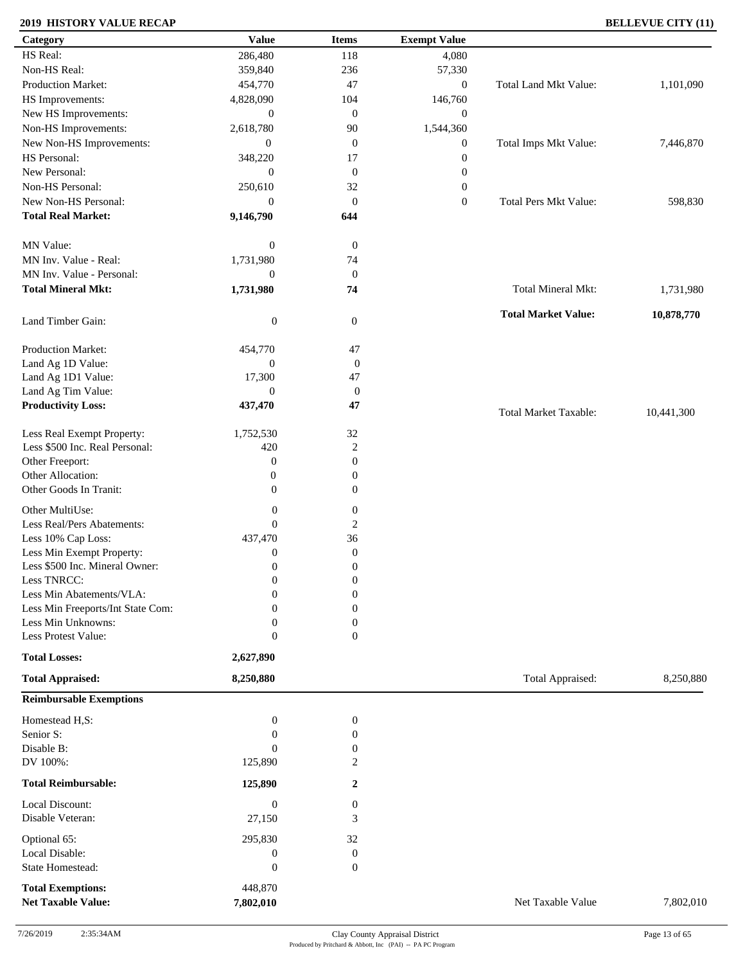### **2019 HISTORY VALUE RECAP BELLEVUE CITY (11)**

| Category                          | <b>Value</b>     | <b>Items</b>     | <b>Exempt Value</b> |                              |            |
|-----------------------------------|------------------|------------------|---------------------|------------------------------|------------|
| HS Real:                          | 286,480          | 118              | 4,080               |                              |            |
| Non-HS Real:                      | 359,840          | 236              | 57,330              |                              |            |
| Production Market:                | 454,770          | 47               | $\boldsymbol{0}$    | Total Land Mkt Value:        | 1,101,090  |
| HS Improvements:                  | 4,828,090        | 104              | 146,760             |                              |            |
| New HS Improvements:              | $\boldsymbol{0}$ | $\mathbf{0}$     | $\mathbf{0}$        |                              |            |
| Non-HS Improvements:              | 2,618,780        | 90               | 1,544,360           |                              |            |
| New Non-HS Improvements:          | $\mathbf{0}$     | $\mathbf{0}$     | $\boldsymbol{0}$    | Total Imps Mkt Value:        | 7,446,870  |
| HS Personal:                      | 348,220          | 17               | $\boldsymbol{0}$    |                              |            |
| New Personal:                     | $\overline{0}$   | $\boldsymbol{0}$ | $\boldsymbol{0}$    |                              |            |
| Non-HS Personal:                  | 250,610          | 32               | $\boldsymbol{0}$    |                              |            |
| New Non-HS Personal:              | $\overline{0}$   | $\theta$         | $\boldsymbol{0}$    | <b>Total Pers Mkt Value:</b> | 598,830    |
| <b>Total Real Market:</b>         | 9,146,790        | 644              |                     |                              |            |
| MN Value:                         | $\boldsymbol{0}$ | $\boldsymbol{0}$ |                     |                              |            |
| MN Inv. Value - Real:             | 1,731,980        | 74               |                     |                              |            |
| MN Inv. Value - Personal:         | $\boldsymbol{0}$ | $\mathbf{0}$     |                     |                              |            |
| <b>Total Mineral Mkt:</b>         | 1,731,980        | 74               |                     | <b>Total Mineral Mkt:</b>    | 1,731,980  |
| Land Timber Gain:                 | $\boldsymbol{0}$ | $\boldsymbol{0}$ |                     | <b>Total Market Value:</b>   | 10,878,770 |
| Production Market:                | 454,770          | 47               |                     |                              |            |
| Land Ag 1D Value:                 | $\boldsymbol{0}$ | $\boldsymbol{0}$ |                     |                              |            |
| Land Ag 1D1 Value:                | 17,300           | 47               |                     |                              |            |
| Land Ag Tim Value:                | $\boldsymbol{0}$ | $\boldsymbol{0}$ |                     |                              |            |
| <b>Productivity Loss:</b>         | 437,470          | 47               |                     | <b>Total Market Taxable:</b> | 10,441,300 |
| Less Real Exempt Property:        | 1,752,530        | $32\,$           |                     |                              |            |
| Less \$500 Inc. Real Personal:    | 420              | $\overline{2}$   |                     |                              |            |
| Other Freeport:                   | $\boldsymbol{0}$ | $\mathbf{0}$     |                     |                              |            |
| Other Allocation:                 | $\boldsymbol{0}$ | $\boldsymbol{0}$ |                     |                              |            |
| Other Goods In Tranit:            | $\overline{0}$   | $\boldsymbol{0}$ |                     |                              |            |
| Other MultiUse:                   | $\boldsymbol{0}$ | $\boldsymbol{0}$ |                     |                              |            |
| Less Real/Pers Abatements:        | $\boldsymbol{0}$ | $\boldsymbol{2}$ |                     |                              |            |
| Less 10% Cap Loss:                | 437,470          | 36               |                     |                              |            |
| Less Min Exempt Property:         | $\boldsymbol{0}$ | $\mathbf{0}$     |                     |                              |            |
| Less \$500 Inc. Mineral Owner:    | $\boldsymbol{0}$ | $\boldsymbol{0}$ |                     |                              |            |
| Less TNRCC:                       | $\mathbf{0}$     | $\boldsymbol{0}$ |                     |                              |            |
| Less Min Abatements/VLA:          | $\boldsymbol{0}$ | $\boldsymbol{0}$ |                     |                              |            |
| Less Min Freeports/Int State Com: | $\Omega$         | $\Omega$         |                     |                              |            |
| Less Min Unknowns:                | $\mathbf{0}$     | $\Omega$         |                     |                              |            |
| Less Protest Value:               | $\boldsymbol{0}$ | $\overline{0}$   |                     |                              |            |
| <b>Total Losses:</b>              | 2,627,890        |                  |                     |                              |            |
| <b>Total Appraised:</b>           | 8,250,880        |                  |                     | Total Appraised:             | 8,250,880  |
| <b>Reimbursable Exemptions</b>    |                  |                  |                     |                              |            |
| Homestead H,S:                    | $\boldsymbol{0}$ | $\boldsymbol{0}$ |                     |                              |            |
| Senior S:                         | $\boldsymbol{0}$ | $\boldsymbol{0}$ |                     |                              |            |
| Disable B:                        | $\mathbf{0}$     | 0                |                     |                              |            |
| DV 100%:                          | 125,890          | 2                |                     |                              |            |
| <b>Total Reimbursable:</b>        | 125,890          | $\overline{2}$   |                     |                              |            |
| Local Discount:                   | $\boldsymbol{0}$ | $\boldsymbol{0}$ |                     |                              |            |
| Disable Veteran:                  | 27,150           | 3                |                     |                              |            |
| Optional 65:                      | 295,830          | 32               |                     |                              |            |
| Local Disable:                    | $\boldsymbol{0}$ | $\boldsymbol{0}$ |                     |                              |            |
| State Homestead:                  | $\boldsymbol{0}$ | $\mathbf{0}$     |                     |                              |            |
| <b>Total Exemptions:</b>          | 448,870          |                  |                     |                              |            |
| <b>Net Taxable Value:</b>         | 7,802,010        |                  |                     | Net Taxable Value            | 7,802,010  |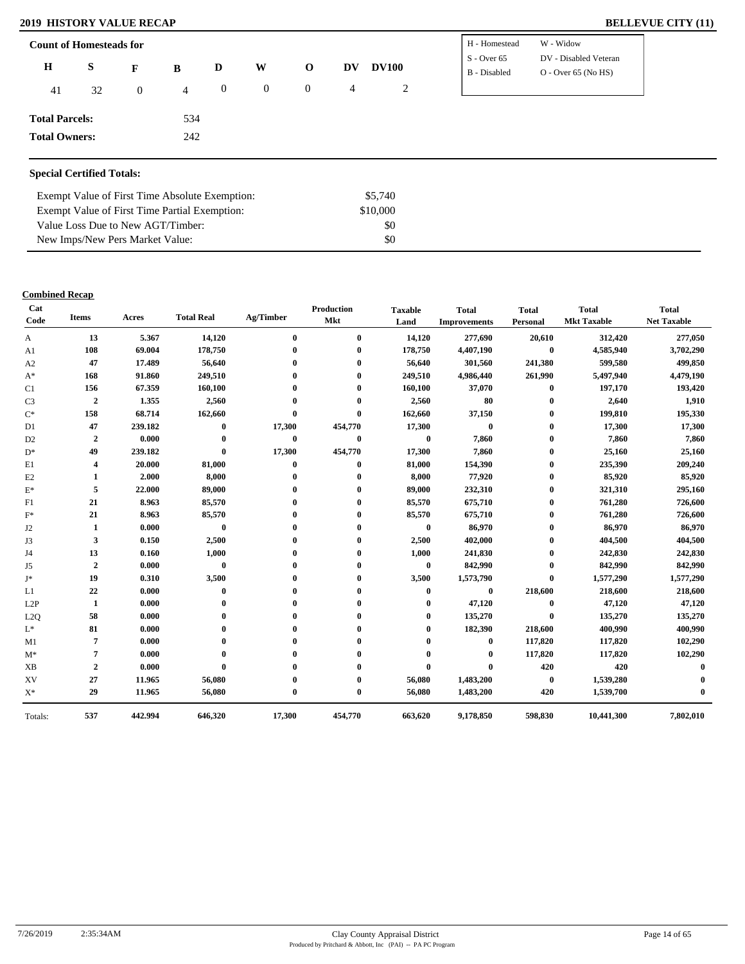#### **2019 HISTORY VALUE RECAP**

| <b>BELLEVUE CITY (11)</b> |  |  |
|---------------------------|--|--|
|---------------------------|--|--|

| <b>Count of Homesteads for</b> |    |                |                |              |                |                |    |              | H - Homestead                 | W - Widow                                      |
|--------------------------------|----|----------------|----------------|--------------|----------------|----------------|----|--------------|-------------------------------|------------------------------------------------|
| $\mathbf H$                    | S  | $\mathbf{F}$   | B              | D            | W              | $\mathbf 0$    | DV | <b>DV100</b> | $S - Over 65$<br>B - Disabled | DV - Disabled Veteran<br>$O - Over 65 (No HS)$ |
| 41                             | 32 | $\overline{0}$ | $\overline{4}$ | $\mathbf{0}$ | $\overline{0}$ | $\overline{0}$ | 4  | 2            |                               |                                                |
| <b>Total Parcels:</b>          |    |                | 534            |              |                |                |    |              |                               |                                                |
| <b>Total Owners:</b>           |    |                | 242            |              |                |                |    |              |                               |                                                |
|                                |    |                |                |              |                |                |    |              |                               |                                                |

### **Special Certified Totals:**

| Exempt Value of First Time Absolute Exemption: | \$5.740  |  |
|------------------------------------------------|----------|--|
| Exempt Value of First Time Partial Exemption:  | \$10,000 |  |
| Value Loss Due to New AGT/Timber:              | \$0      |  |
| New Imps/New Pers Market Value:                | \$0      |  |

| Cat<br>Code    | <b>Items</b>     | Acres   | <b>Total Real</b> | Ag/Timber    | Production<br><b>Mkt</b> | <b>Taxable</b><br>Land | <b>Total</b><br><b>Improvements</b> | <b>Total</b><br>Personal | <b>Total</b><br><b>Mkt Taxable</b> | <b>Total</b><br><b>Net Taxable</b> |
|----------------|------------------|---------|-------------------|--------------|--------------------------|------------------------|-------------------------------------|--------------------------|------------------------------------|------------------------------------|
| A              | 13               | 5.367   | 14,120            | $\mathbf{0}$ | $\bf{0}$                 | 14,120                 | 277,690                             | 20,610                   | 312,420                            | 277,050                            |
| A1             | 108              | 69.004  | 178,750           |              | $\mathbf{0}$             | 178,750                | 4,407,190                           | $\bf{0}$                 | 4,585,940                          | 3,702,290                          |
| A2             | 47               | 17.489  | 56,640            |              |                          | 56,640                 | 301,560                             | 241,380                  | 599,580                            | 499,850                            |
| $A^*$          | 168              | 91.860  | 249,510           |              |                          | 249,510                | 4,986,440                           | 261,990                  | 5,497,940                          | 4,479,190                          |
| C1             | 156              | 67.359  | 160,100           |              |                          | 160,100                | 37,070                              | $\bf{0}$                 | 197,170                            | 193,420                            |
| C <sub>3</sub> | $\overline{2}$   | 1.355   | 2,560             |              |                          | 2,560                  | 80                                  | $\bf{0}$                 | 2,640                              | 1,910                              |
| $\mathrm{C}^*$ | 158              | 68.714  | 162,660           | $\mathbf{0}$ | $\bf{0}$                 | 162,660                | 37,150                              | $\bf{0}$                 | 199,810                            | 195,330                            |
| D <sub>1</sub> | 47               | 239.182 | $\bf{0}$          | 17,300       | 454,770                  | 17,300                 | $\bf{0}$                            | $\bf{0}$                 | 17,300                             | 17,300                             |
| D <sub>2</sub> | $\overline{2}$   | 0.000   | $\bf{0}$          | $\bf{0}$     | $\bf{0}$                 | $\bf{0}$               | 7,860                               | $\mathbf{0}$             | 7,860                              | 7,860                              |
| $D^*$          | 49               | 239.182 | $\bf{0}$          | 17,300       | 454,770                  | 17,300                 | 7,860                               | $\bf{0}$                 | 25,160                             | 25,160                             |
| E1             | 4                | 20.000  | 81,000            | $\bf{0}$     | $\bf{0}$                 | 81,000                 | 154,390                             | $\bf{0}$                 | 235,390                            | 209,240                            |
| E2             |                  | 2.000   | 8,000             | 0            | $\bf{0}$                 | 8,000                  | 77,920                              | $\bf{0}$                 | 85,920                             | 85,920                             |
| $\mathbf{E}^*$ | 5                | 22.000  | 89,000            |              |                          | 89,000                 | 232,310                             | $\bf{0}$                 | 321,310                            | 295,160                            |
| F1             | 21               | 8.963   | 85,570            |              |                          | 85,570                 | 675,710                             | $\bf{0}$                 | 761,280                            | 726,600                            |
| $F^*$          | 21               | 8.963   | 85,570            |              |                          | 85,570                 | 675,710                             | $\bf{0}$                 | 761,280                            | 726,600                            |
| J2             | 1                | 0.000   | $\bf{0}$          |              | 0                        | $\bf{0}$               | 86,970                              | $\mathbf{0}$             | 86,970                             | 86,970                             |
| J3             | 3                | 0.150   | 2,500             |              |                          | 2,500                  | 402,000                             | $\mathbf{0}$             | 404,500                            | 404,500                            |
| J4             | 13               | 0.160   | 1,000             |              |                          | 1,000                  | 241,830                             | $\bf{0}$                 | 242,830                            | 242,830                            |
| J5             | $\boldsymbol{2}$ | 0.000   | $\bf{0}$          |              |                          | $\bf{0}$               | 842,990                             | $\bf{0}$                 | 842,990                            | 842,990                            |
| J*             | 19               | 0.310   | 3,500             |              |                          | 3,500                  | 1,573,790                           | $\bf{0}$                 | 1,577,290                          | 1,577,290                          |
| L1             | 22               | 0.000   | $\bf{0}$          |              |                          | $\bf{0}$               | $\bf{0}$                            | 218,600                  | 218,600                            | 218,600                            |
| L2P            | 1                | 0.000   | 0                 |              |                          | 0                      | 47,120                              | $\mathbf{0}$             | 47,120                             | 47,120                             |
| L2Q            | 58               | 0.000   |                   |              |                          | 0                      | 135,270                             | $\bf{0}$                 | 135,270                            | 135,270                            |
| $L^*$          | 81               | 0.000   |                   |              |                          | $\mathbf 0$            | 182,390                             | 218,600                  | 400,990                            | 400,990                            |
| M1             | 7                | 0.000   |                   |              |                          |                        | $\mathbf{0}$                        | 117,820                  | 117,820                            | 102,290                            |
| $M^*$          | 7                | 0.000   |                   |              |                          | $\mathbf 0$            | $\mathbf{0}$                        | 117,820                  | 117,820                            | 102,290                            |
| <b>XB</b>      | $\boldsymbol{2}$ | 0.000   | $\mathbf{0}$      |              |                          | $\bf{0}$               | $\mathbf{0}$                        | 420                      | 420                                | $\mathbf 0$                        |
| XV             | 27               | 11.965  | 56,080            |              |                          | 56,080                 | 1,483,200                           | $\bf{0}$                 | 1,539,280                          |                                    |
| $X^*$          | 29               | 11.965  | 56,080            | $\bf{0}$     | $\bf{0}$                 | 56,080                 | 1,483,200                           | 420                      | 1,539,700                          |                                    |
| Totals:        | 537              | 442.994 | 646,320           | 17,300       | 454,770                  | 663,620                | 9,178,850                           | 598,830                  | 10,441,300                         | 7,802,010                          |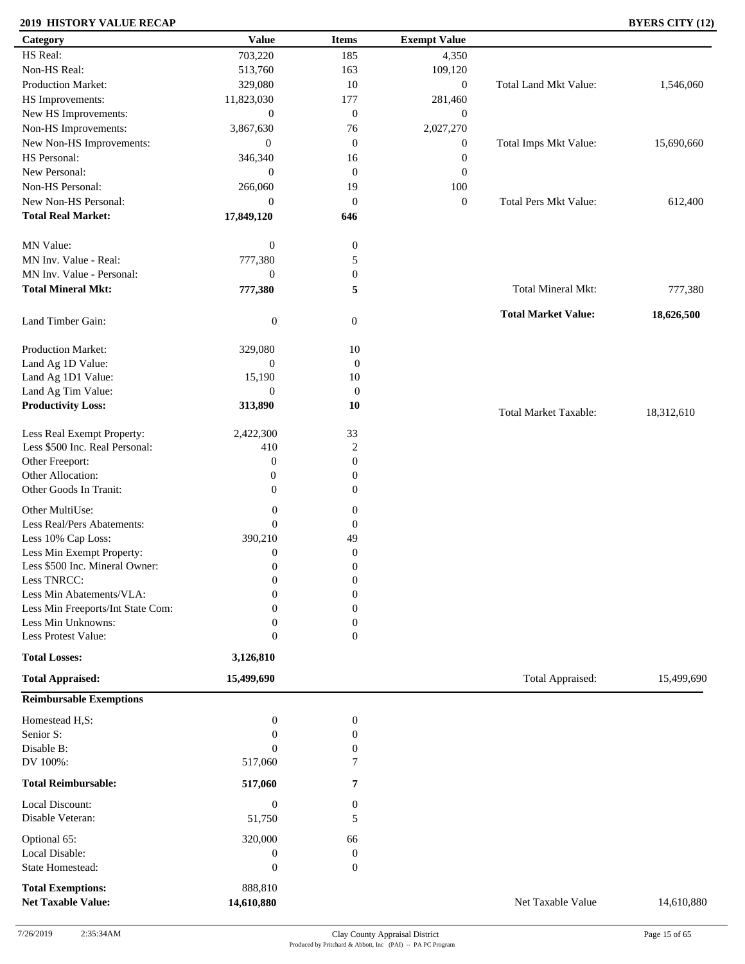### **2019 HISTORY VALUE RECAP BYERS CITY (12)**

| Category                            | <b>Value</b>               | <b>Items</b>        | <b>Exempt Value</b> |                              |            |
|-------------------------------------|----------------------------|---------------------|---------------------|------------------------------|------------|
| HS Real:                            | 703,220                    | 185                 | 4,350               |                              |            |
| Non-HS Real:                        | 513,760                    | 163                 | 109,120             |                              |            |
| Production Market:                  | 329,080                    | 10                  | $\boldsymbol{0}$    | Total Land Mkt Value:        | 1,546,060  |
| HS Improvements:                    | 11,823,030                 | 177                 | 281,460             |                              |            |
| New HS Improvements:                | $\mathbf{0}$               | $\overline{0}$      | $\mathbf{0}$        |                              |            |
| Non-HS Improvements:                | 3,867,630                  | 76                  | 2,027,270           |                              |            |
| New Non-HS Improvements:            | $\overline{0}$             | $\mathbf{0}$        |                     | Total Imps Mkt Value:        |            |
|                                     |                            |                     | $\boldsymbol{0}$    |                              | 15,690,660 |
| HS Personal:                        | 346,340                    | 16                  | $\boldsymbol{0}$    |                              |            |
| New Personal:                       | $\overline{0}$             | $\mathbf{0}$        | $\boldsymbol{0}$    |                              |            |
| Non-HS Personal:                    | 266,060                    | 19                  | 100                 |                              |            |
| New Non-HS Personal:                | $\overline{0}$             | $\mathbf{0}$        | $\boldsymbol{0}$    | <b>Total Pers Mkt Value:</b> | 612,400    |
| <b>Total Real Market:</b>           | 17,849,120                 | 646                 |                     |                              |            |
| MN Value:                           | $\boldsymbol{0}$           | $\boldsymbol{0}$    |                     |                              |            |
| MN Inv. Value - Real:               | 777,380                    | 5                   |                     |                              |            |
| MN Inv. Value - Personal:           | $\mathbf{0}$               | $\boldsymbol{0}$    |                     |                              |            |
| <b>Total Mineral Mkt:</b>           | 777,380                    | 5                   |                     | Total Mineral Mkt:           | 777,380    |
|                                     |                            |                     |                     |                              |            |
| Land Timber Gain:                   | $\boldsymbol{0}$           | $\mathbf{0}$        |                     | <b>Total Market Value:</b>   | 18,626,500 |
| Production Market:                  | 329,080                    | 10                  |                     |                              |            |
| Land Ag 1D Value:                   | $\boldsymbol{0}$           | $\boldsymbol{0}$    |                     |                              |            |
| Land Ag 1D1 Value:                  | 15,190                     | 10                  |                     |                              |            |
| Land Ag Tim Value:                  | $\mathbf{0}$               | $\boldsymbol{0}$    |                     |                              |            |
| <b>Productivity Loss:</b>           | 313,890                    | 10                  |                     |                              |            |
|                                     |                            |                     |                     | <b>Total Market Taxable:</b> | 18,312,610 |
| Less Real Exempt Property:          | 2,422,300                  | 33                  |                     |                              |            |
| Less \$500 Inc. Real Personal:      | 410                        | $\sqrt{2}$          |                     |                              |            |
| Other Freeport:                     | $\boldsymbol{0}$           | $\theta$            |                     |                              |            |
| Other Allocation:                   | $\boldsymbol{0}$           | $\theta$            |                     |                              |            |
| Other Goods In Tranit:              | $\overline{0}$             | $\boldsymbol{0}$    |                     |                              |            |
| Other MultiUse:                     | $\boldsymbol{0}$           | $\boldsymbol{0}$    |                     |                              |            |
| Less Real/Pers Abatements:          | $\mathbf{0}$               | $\boldsymbol{0}$    |                     |                              |            |
| Less 10% Cap Loss:                  | 390,210                    | 49                  |                     |                              |            |
| Less Min Exempt Property:           | $\boldsymbol{0}$           | $\boldsymbol{0}$    |                     |                              |            |
| Less \$500 Inc. Mineral Owner:      | $\mathbf{0}$               | $\boldsymbol{0}$    |                     |                              |            |
| Less TNRCC:                         | $\mathbf{0}$               | $\boldsymbol{0}$    |                     |                              |            |
| Less Min Abatements/VLA:            | $\boldsymbol{0}$           | $\boldsymbol{0}$    |                     |                              |            |
| Less Min Freeports/Int State Com:   | 0                          | $\Omega$            |                     |                              |            |
| Less Min Unknowns:                  | $\theta$                   | $\mathbf{0}$        |                     |                              |            |
| Less Protest Value:                 | $\boldsymbol{0}$           | $\theta$            |                     |                              |            |
| <b>Total Losses:</b>                | 3,126,810                  |                     |                     |                              |            |
| <b>Total Appraised:</b>             | 15,499,690                 |                     |                     | Total Appraised:             | 15,499,690 |
| <b>Reimbursable Exemptions</b>      |                            |                     |                     |                              |            |
| Homestead H,S:                      | $\boldsymbol{0}$           | $\boldsymbol{0}$    |                     |                              |            |
| Senior S:                           | $\mathbf{0}$               | $\boldsymbol{0}$    |                     |                              |            |
| Disable B:                          | $\mathbf{0}$               | $\boldsymbol{0}$    |                     |                              |            |
| DV 100%:                            | 517,060                    | 7                   |                     |                              |            |
| <b>Total Reimbursable:</b>          | 517,060                    | 7                   |                     |                              |            |
|                                     |                            |                     |                     |                              |            |
| Local Discount:<br>Disable Veteran: | $\boldsymbol{0}$<br>51,750 | $\overline{0}$<br>5 |                     |                              |            |
| Optional 65:                        | 320,000                    | 66                  |                     |                              |            |
| Local Disable:                      | $\boldsymbol{0}$           | $\boldsymbol{0}$    |                     |                              |            |
| State Homestead:                    | $\boldsymbol{0}$           | $\mathbf{0}$        |                     |                              |            |
| <b>Total Exemptions:</b>            | 888,810                    |                     |                     |                              |            |
| <b>Net Taxable Value:</b>           | 14,610,880                 |                     |                     | Net Taxable Value            | 14,610,880 |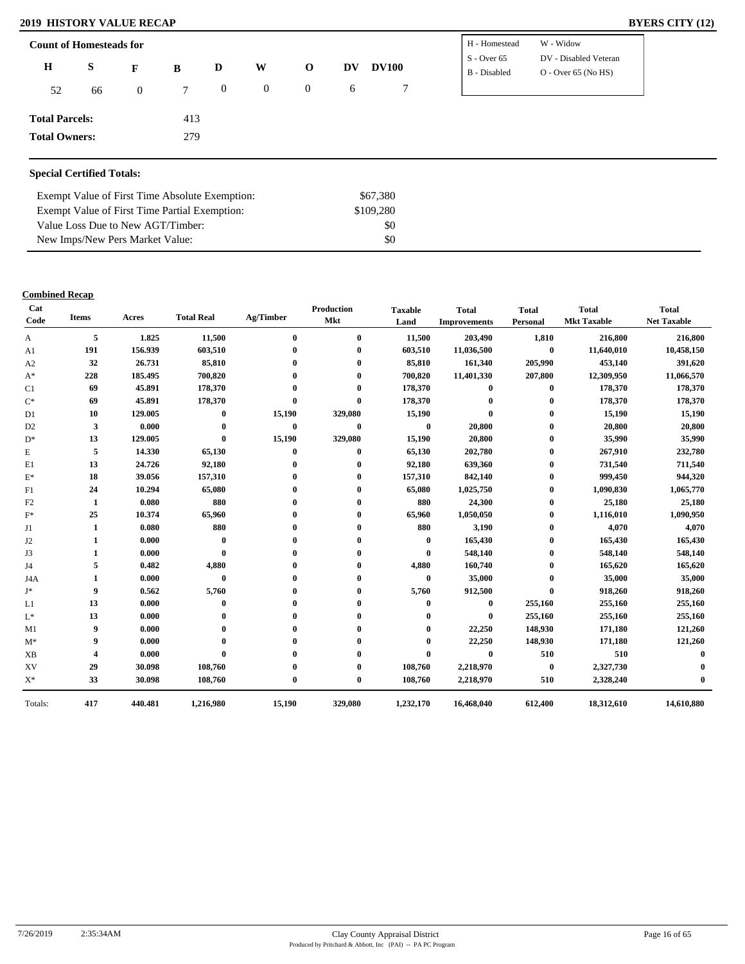| <b>2019 HISTORY VALUE RECAP</b> | <b>BYERS CITY (12)</b>                                                                                                                                                                                                                                     |
|---------------------------------|------------------------------------------------------------------------------------------------------------------------------------------------------------------------------------------------------------------------------------------------------------|
| <b>Count of Homesteads for</b>  | W - Widow<br>I - Homestead                                                                                                                                                                                                                                 |
|                                 | $T_1$ $T_2$ $T_3$ $T_1$ $T_2$ $T_3$ $T_4$ $T_5$ $T_6$ $T_7$ $T_8$ $T_9$ $T_9$ $T_9$ $T_9$ $T_9$ $T_9$ $T_9$ $T_9$ $T_9$ $T_9$ $T_9$ $T_9$ $T_9$ $T_9$ $T_9$ $T_9$ $T_9$ $T_9$ $T_9$ $T_9$ $T_9$ $T_9$ $T_9$ $T_9$ $T_9$ $T_9$<br>$\alpha$ $\alpha$ $\beta$ |

| <b>Count of Homesteads for</b> |    |          |        |                |          |                                   |   |              | H - Homestead | W - Widow             |
|--------------------------------|----|----------|--------|----------------|----------|-----------------------------------|---|--------------|---------------|-----------------------|
|                                |    |          |        |                |          |                                   |   |              | $S - Over 65$ | DV - Disabled Veteran |
| Н                              | S  | F        | B      | D              | W        | <b>DV100</b><br>$\mathbf 0$<br>DV |   | B - Disabled |               | $O - Over 65 (No HS)$ |
| 52                             | 66 | $\Omega$ | $\tau$ | $\overline{0}$ | $\theta$ | $\theta$                          | 6 |              |               |                       |
|                                |    |          |        |                |          |                                   |   |              |               |                       |
| <b>Total Parcels:</b>          |    |          | 413    |                |          |                                   |   |              |               |                       |
| <b>Total Owners:</b>           |    |          | 279    |                |          |                                   |   |              |               |                       |
|                                |    |          |        |                |          |                                   |   |              |               |                       |

### **Special Certified Totals:**

| Exempt Value of First Time Absolute Exemption: | \$67,380  |
|------------------------------------------------|-----------|
| Exempt Value of First Time Partial Exemption:  | \$109.280 |
| Value Loss Due to New AGT/Timber:              | SO.       |
| New Imps/New Pers Market Value:                | SO.       |

| Cat<br>Code    | Items | Acres   | <b>Total Real</b> | Ag/Timber    | <b>Production</b><br><b>Mkt</b> | <b>Taxable</b><br>Land | <b>Total</b><br><b>Improvements</b> | <b>Total</b><br>Personal | <b>Total</b><br><b>Mkt Taxable</b> | <b>Total</b><br><b>Net Taxable</b> |
|----------------|-------|---------|-------------------|--------------|---------------------------------|------------------------|-------------------------------------|--------------------------|------------------------------------|------------------------------------|
| A              | 5     | 1.825   | 11,500            | $\mathbf{0}$ | $\mathbf{0}$                    | 11,500                 | 203,490                             | 1,810                    | 216,800                            | 216,800                            |
| A1             | 191   | 156.939 | 603,510           |              |                                 | 603,510                | 11,036,500                          | $\bf{0}$                 | 11,640,010                         | 10,458,150                         |
| A2             | 32    | 26.731  | 85,810            |              | 0                               | 85,810                 | 161,340                             | 205,990                  | 453,140                            | 391,620                            |
| $A^*$          | 228   | 185.495 | 700,820           |              |                                 | 700,820                | 11,401,330                          | 207,800                  | 12,309,950                         | 11,066,570                         |
| C1             | 69    | 45.891  | 178,370           |              |                                 | 178,370                | $\mathbf{0}$                        | $\bf{0}$                 | 178,370                            | 178,370                            |
| $\mathrm{C}^*$ | 69    | 45.891  | 178,370           | $\mathbf{0}$ | $\mathbf{0}$                    | 178,370                | $\mathbf{0}$                        | $\bf{0}$                 | 178,370                            | 178,370                            |
| D1             | 10    | 129.005 | $\bf{0}$          | 15,190       | 329,080                         | 15,190                 | $\mathbf{0}$                        | $\bf{0}$                 | 15,190                             | 15,190                             |
| D <sub>2</sub> | 3     | 0.000   | $\bf{0}$          | $\bf{0}$     | $\bf{0}$                        | $\bf{0}$               | 20,800                              | $\bf{0}$                 | 20,800                             | 20,800                             |
| $D^*$          | 13    | 129.005 | $\bf{0}$          | 15,190       | 329,080                         | 15,190                 | 20,800                              | 0                        | 35,990                             | 35,990                             |
| E              | 5     | 14.330  | 65,130            | $\bf{0}$     | $\bf{0}$                        | 65,130                 | 202,780                             | $\bf{0}$                 | 267,910                            | 232,780                            |
| E1             | 13    | 24.726  | 92,180            | $\bf{0}$     | $\mathbf{0}$                    | 92,180                 | 639,360                             | $\bf{0}$                 | 731,540                            | 711,540                            |
| $\mathbf{E}^*$ | 18    | 39.056  | 157,310           |              |                                 | 157,310                | 842,140                             | $\bf{0}$                 | 999,450                            | 944,320                            |
| F1             | 24    | 10.294  | 65,080            |              | $\mathbf 0$                     | 65,080                 | 1,025,750                           | $\bf{0}$                 | 1,090,830                          | 1,065,770                          |
| F <sub>2</sub> | 1     | 0.080   | 880               |              | 0                               | 880                    | 24,300                              | $\bf{0}$                 | 25,180                             | 25,180                             |
| $F^*$          | 25    | 10.374  | 65,960            |              |                                 | 65,960                 | 1,050,050                           | $\bf{0}$                 | 1,116,010                          | 1,090,950                          |
| J1             | 1     | 0.080   | 880               |              |                                 | 880                    | 3,190                               | $\bf{0}$                 | 4,070                              | 4,070                              |
| J2             |       | 0.000   | $\bf{0}$          |              |                                 | $\bf{0}$               | 165,430                             | $\bf{0}$                 | 165,430                            | 165,430                            |
| J3             |       | 0.000   | $\mathbf{0}$      |              |                                 | $\mathbf{0}$           | 548,140                             | $\bf{0}$                 | 548,140                            | 548,140                            |
| J4             | 5     | 0.482   | 4,880             |              |                                 | 4,880                  | 160,740                             | 0                        | 165,620                            | 165,620                            |
| J4A            | 1     | 0.000   | $\bf{0}$          |              |                                 | $\bf{0}$               | 35,000                              | $\mathbf{0}$             | 35,000                             | 35,000                             |
| J*             | 9     | 0.562   | 5,760             |              | 0                               | 5,760                  | 912,500                             | $\mathbf{0}$             | 918,260                            | 918,260                            |
| L1             | 13    | 0.000   | $\mathbf{0}$      |              |                                 | $\mathbf{0}$           | $\bf{0}$                            | 255,160                  | 255,160                            | 255,160                            |
| $\mathbf{L}^*$ | 13    | 0.000   |                   |              |                                 |                        | $\bf{0}$                            | 255,160                  | 255,160                            | 255,160                            |
| M1             | 9     | 0.000   |                   |              |                                 | $\mathbf 0$            | 22,250                              | 148,930                  | 171,180                            | 121,260                            |
| $M^*$          | 9     | 0.000   |                   |              |                                 | $\mathbf{0}$           | 22,250                              | 148,930                  | 171,180                            | 121,260                            |
| <b>XB</b>      | 4     | 0.000   | $\mathbf{0}$      |              |                                 | $\mathbf 0$            | $\bf{0}$                            | 510                      | 510                                | $\mathbf 0$                        |
| XV             | 29    | 30.098  | 108,760           |              |                                 | 108,760                | 2,218,970                           | $\mathbf{0}$             | 2,327,730                          |                                    |
| $X^*$          | 33    | 30.098  | 108,760           | $\mathbf{0}$ | $\mathbf{0}$                    | 108,760                | 2,218,970                           | 510                      | 2,328,240                          |                                    |
| Totals:        | 417   | 440.481 | 1,216,980         | 15,190       | 329,080                         | 1,232,170              | 16,468,040                          | 612,400                  | 18,312,610                         | 14,610,880                         |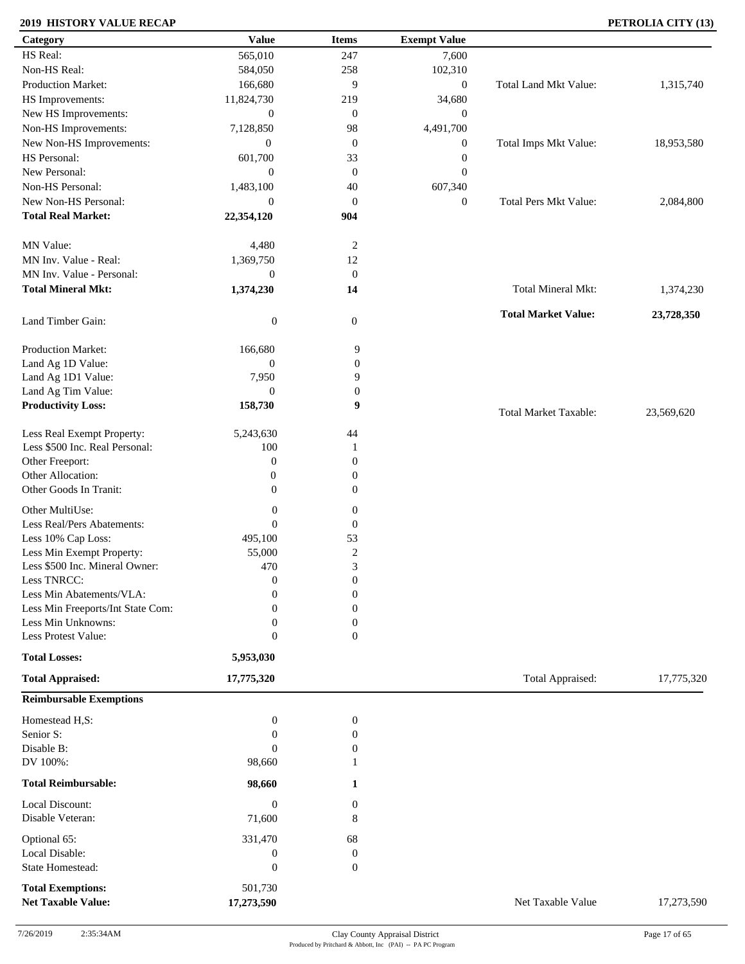### **2019 HISTORY VALUE RECAP PETROLIA CITY (13)**

| Category                            | <b>Value</b>                     | <b>Items</b>                         | <b>Exempt Value</b> |                              |            |
|-------------------------------------|----------------------------------|--------------------------------------|---------------------|------------------------------|------------|
| HS Real:                            | 565,010                          | 247                                  | 7,600               |                              |            |
| Non-HS Real:                        | 584,050                          | 258                                  | 102,310             |                              |            |
| Production Market:                  | 166,680                          | 9                                    | $\boldsymbol{0}$    | Total Land Mkt Value:        | 1,315,740  |
| HS Improvements:                    | 11,824,730                       | 219                                  | 34,680              |                              |            |
| New HS Improvements:                | $\mathbf{0}$                     | $\mathbf{0}$                         | $\mathbf{0}$        |                              |            |
| Non-HS Improvements:                | 7,128,850                        | 98                                   | 4,491,700           |                              |            |
| New Non-HS Improvements:            | $\boldsymbol{0}$                 | $\mathbf{0}$                         | $\boldsymbol{0}$    | Total Imps Mkt Value:        | 18,953,580 |
| HS Personal:                        | 601,700                          | 33                                   | $\boldsymbol{0}$    |                              |            |
| New Personal:                       | $\boldsymbol{0}$                 | $\mathbf{0}$                         | $\boldsymbol{0}$    |                              |            |
| Non-HS Personal:                    |                                  |                                      |                     |                              |            |
|                                     | 1,483,100                        | 40                                   | 607,340             |                              |            |
| New Non-HS Personal:                | $\mathbf{0}$                     | $\boldsymbol{0}$                     | $\boldsymbol{0}$    | <b>Total Pers Mkt Value:</b> | 2,084,800  |
| <b>Total Real Market:</b>           | 22,354,120                       | 904                                  |                     |                              |            |
| MN Value:                           | 4,480                            | $\overline{2}$                       |                     |                              |            |
| MN Inv. Value - Real:               | 1,369,750                        | 12                                   |                     |                              |            |
| MN Inv. Value - Personal:           | $\boldsymbol{0}$                 | $\mathbf{0}$                         |                     |                              |            |
| <b>Total Mineral Mkt:</b>           | 1,374,230                        | 14                                   |                     | Total Mineral Mkt:           | 1,374,230  |
|                                     |                                  |                                      |                     |                              |            |
| Land Timber Gain:                   | $\boldsymbol{0}$                 | $\mathbf{0}$                         |                     | <b>Total Market Value:</b>   | 23,728,350 |
| Production Market:                  | 166,680                          | 9                                    |                     |                              |            |
| Land Ag 1D Value:                   | $\boldsymbol{0}$                 | $\boldsymbol{0}$                     |                     |                              |            |
| Land Ag 1D1 Value:                  | 7,950                            | 9                                    |                     |                              |            |
| Land Ag Tim Value:                  | $\mathbf{0}$                     | $\boldsymbol{0}$                     |                     |                              |            |
| <b>Productivity Loss:</b>           | 158,730                          | 9                                    |                     | <b>Total Market Taxable:</b> | 23,569,620 |
| Less Real Exempt Property:          | 5,243,630                        | 44                                   |                     |                              |            |
| Less \$500 Inc. Real Personal:      | 100                              | -1                                   |                     |                              |            |
| Other Freeport:                     | $\boldsymbol{0}$                 | $\boldsymbol{0}$                     |                     |                              |            |
| Other Allocation:                   |                                  |                                      |                     |                              |            |
| Other Goods In Tranit:              | $\boldsymbol{0}$<br>$\mathbf{0}$ | $\boldsymbol{0}$<br>$\boldsymbol{0}$ |                     |                              |            |
|                                     |                                  |                                      |                     |                              |            |
| Other MultiUse:                     | $\boldsymbol{0}$                 | $\boldsymbol{0}$                     |                     |                              |            |
| Less Real/Pers Abatements:          | $\mathbf{0}$                     | $\boldsymbol{0}$                     |                     |                              |            |
| Less 10% Cap Loss:                  | 495,100                          | 53                                   |                     |                              |            |
| Less Min Exempt Property:           | 55,000                           | $\sqrt{2}$                           |                     |                              |            |
| Less \$500 Inc. Mineral Owner:      | 470                              | 3                                    |                     |                              |            |
| Less TNRCC:                         | $\mathbf{0}$                     | $\boldsymbol{0}$                     |                     |                              |            |
| Less Min Abatements/VLA:            | $\mathbf{0}$                     | $\boldsymbol{0}$                     |                     |                              |            |
| Less Min Freeports/Int State Com:   | 0                                | $\theta$                             |                     |                              |            |
| Less Min Unknowns:                  | 0                                | $\boldsymbol{0}$                     |                     |                              |            |
| Less Protest Value:                 | $\mathbf{0}$                     | $\overline{0}$                       |                     |                              |            |
| <b>Total Losses:</b>                | 5,953,030                        |                                      |                     |                              |            |
| <b>Total Appraised:</b>             | 17,775,320                       |                                      |                     | Total Appraised:             | 17,775,320 |
| <b>Reimbursable Exemptions</b>      |                                  |                                      |                     |                              |            |
| Homestead H,S:                      | $\boldsymbol{0}$                 | $\boldsymbol{0}$                     |                     |                              |            |
| Senior S:                           | $\Omega$                         | $\boldsymbol{0}$                     |                     |                              |            |
| Disable B:                          | $\mathbf{0}$                     | $\boldsymbol{0}$                     |                     |                              |            |
| DV 100%:                            | 98,660                           |                                      |                     |                              |            |
| <b>Total Reimbursable:</b>          | 98,660                           | 1                                    |                     |                              |            |
|                                     |                                  |                                      |                     |                              |            |
| Local Discount:<br>Disable Veteran: | $\boldsymbol{0}$<br>71,600       | 0<br>8                               |                     |                              |            |
| Optional 65:                        | 331,470                          | 68                                   |                     |                              |            |
| Local Disable:                      | $\boldsymbol{0}$                 | $\boldsymbol{0}$                     |                     |                              |            |
| State Homestead:                    | $\boldsymbol{0}$                 | $\boldsymbol{0}$                     |                     |                              |            |
| <b>Total Exemptions:</b>            | 501,730                          |                                      |                     |                              |            |
| <b>Net Taxable Value:</b>           | 17,273,590                       |                                      |                     | Net Taxable Value            | 17,273,590 |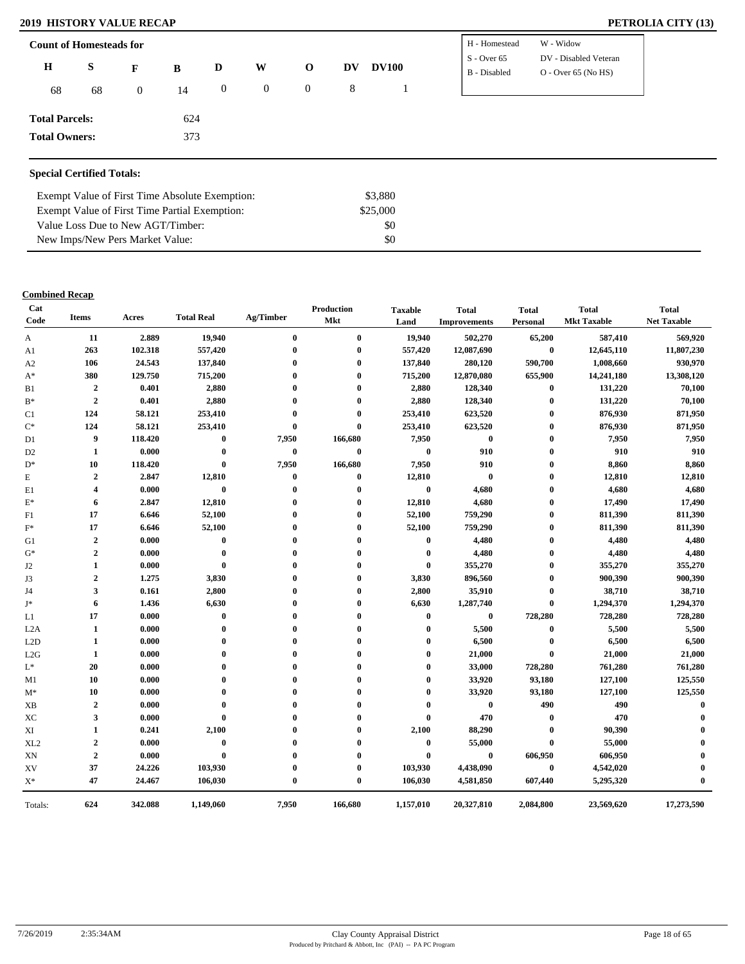#### **2019 HISTORY VALUE RECAP**

| PETROLIA CITY (13) |  |  |
|--------------------|--|--|
|--------------------|--|--|

| <b>Count of Homesteads for</b> |    |                | H - Homestead | W - Widow      |          |                |    |              |                               |                                                |
|--------------------------------|----|----------------|---------------|----------------|----------|----------------|----|--------------|-------------------------------|------------------------------------------------|
| $\mathbf H$                    | S  | F              | B             | D              | W        | $\mathbf 0$    | DV | <b>DV100</b> | $S - Over 65$<br>B - Disabled | DV - Disabled Veteran<br>$O -$ Over 65 (No HS) |
| 68                             | 68 | $\overline{0}$ | 14            | $\overline{0}$ | $\bf{0}$ | $\overline{0}$ | 8  |              |                               |                                                |
| <b>Total Parcels:</b>          |    |                | 624           |                |          |                |    |              |                               |                                                |
| <b>Total Owners:</b>           |    |                | 373           |                |          |                |    |              |                               |                                                |
|                                |    |                |               |                |          |                |    |              |                               |                                                |

### **Special Certified Totals:**

| Exempt Value of First Time Absolute Exemption: | \$3,880  |  |
|------------------------------------------------|----------|--|
| Exempt Value of First Time Partial Exemption:  | \$25,000 |  |
| Value Loss Due to New AGT/Timber:              | \$0      |  |
| New Imps/New Pers Market Value:                | \$0      |  |

| Cat<br>Code     | <b>Items</b>            | Acres   | <b>Total Real</b> | Ag/Timber        | Production<br>Mkt | <b>Taxable</b><br>Land | <b>Total</b><br><b>Improvements</b> | <b>Total</b><br>Personal | <b>Total</b><br><b>Mkt Taxable</b> | <b>Total</b><br><b>Net Taxable</b> |
|-----------------|-------------------------|---------|-------------------|------------------|-------------------|------------------------|-------------------------------------|--------------------------|------------------------------------|------------------------------------|
| A               | 11                      | 2.889   | 19,940            | $\bf{0}$         | $\bf{0}$          | 19,940                 | 502,270                             | 65,200                   | 587,410                            | 569,920                            |
| A1              | 263                     | 102.318 | 557,420           | $\mathbf{0}$     | $\bf{0}$          | 557,420                | 12,087,690                          | $\bf{0}$                 | 12,645,110                         | 11,807,230                         |
| A2              | 106                     | 24.543  | 137,840           | $\mathbf{0}$     | $\mathbf{0}$      | 137,840                | 280,120                             | 590,700                  | 1,008,660                          | 930,970                            |
| $A^*$           | 380                     | 129.750 | 715,200           | $\mathbf{0}$     | $\mathbf{0}$      | 715,200                | 12,870,080                          | 655,900                  | 14,241,180                         | 13,308,120                         |
| B1              | $\mathbf{2}$            | 0.401   | 2,880             | $\mathbf{0}$     | $\mathbf{0}$      | 2,880                  | 128,340                             | $\bf{0}$                 | 131,220                            | 70,100                             |
| $B^*$           | $\overline{2}$          | 0.401   | 2,880             | $\mathbf{0}$     | $\mathbf{0}$      | 2,880                  | 128,340                             | $\bf{0}$                 | 131,220                            | 70,100                             |
| C1              | 124                     | 58.121  | 253,410           | $\theta$         | $\theta$          | 253,410                | 623,520                             | $\bf{0}$                 | 876,930                            | 871,950                            |
| $C^*$           | 124                     | 58.121  | 253,410           | $\bf{0}$         | $\bf{0}$          | 253,410                | 623,520                             | $\bf{0}$                 | 876,930                            | 871,950                            |
| D1              | 9                       | 118.420 | $\bf{0}$          | 7,950            | 166,680           | 7,950                  | $\bf{0}$                            | $\bf{0}$                 | 7,950                              | 7,950                              |
| D <sub>2</sub>  | 1                       | 0.000   | $\bf{0}$          | $\bf{0}$         | $\bf{0}$          | $\bf{0}$               | 910                                 | $\bf{0}$                 | 910                                | 910                                |
| $D^*$           | 10                      | 118.420 | $\bf{0}$          | 7,950            | 166,680           | 7,950                  | 910                                 | $\bf{0}$                 | 8,860                              | 8,860                              |
| E               | $\overline{2}$          | 2.847   | 12,810            | $\bf{0}$         | $\bf{0}$          | 12,810                 | $\bf{0}$                            | $\bf{0}$                 | 12,810                             | 12,810                             |
| E1              | $\overline{\mathbf{4}}$ | 0.000   | $\bf{0}$          | $\bf{0}$         | $\bf{0}$          | $\bf{0}$               | 4,680                               | $\bf{0}$                 | 4,680                              | 4,680                              |
| $\mathbf{E}^*$  | 6                       | 2.847   | 12,810            | $\bf{0}$         | $\boldsymbol{0}$  | 12,810                 | 4,680                               | $\bf{0}$                 | 17,490                             | 17,490                             |
| F1              | 17                      | 6.646   | 52,100            | $\mathbf{0}$     | $\mathbf{0}$      | 52,100                 | 759,290                             | $\bf{0}$                 | 811,390                            | 811,390                            |
| $F^*$           | 17                      | 6.646   | 52,100            | $\mathbf{0}$     | $\boldsymbol{0}$  | 52,100                 | 759,290                             | $\bf{0}$                 | 811,390                            | 811,390                            |
| G1              | 2                       | 0.000   | $\bf{0}$          | $\boldsymbol{0}$ | $\boldsymbol{0}$  | $\bf{0}$               | 4,480                               | $\bf{0}$                 | 4,480                              | 4,480                              |
| $G^*$           | 2                       | 0.000   | $\bf{0}$          | $\mathbf{0}$     | $\boldsymbol{0}$  | $\bf{0}$               | 4,480                               | $\bf{0}$                 | 4,480                              | 4,480                              |
| J2              | 1                       | 0.000   | $\bf{0}$          | $\Omega$         | $\mathbf{0}$      | $\bf{0}$               | 355,270                             | $\bf{0}$                 | 355,270                            | 355,270                            |
| J3              | $\overline{2}$          | 1.275   | 3,830             | $\mathbf{0}$     | $\mathbf{0}$      | 3,830                  | 896,560                             | $\bf{0}$                 | 900,390                            | 900,390                            |
| J4              | 3                       | 0.161   | 2,800             | $\mathbf{0}$     | $\boldsymbol{0}$  | 2,800                  | 35,910                              | $\bf{0}$                 | 38,710                             | 38,710                             |
| J*              | 6                       | 1.436   | 6,630             | 0                | $\boldsymbol{0}$  | 6,630                  | 1,287,740                           | $\bf{0}$                 | 1,294,370                          | 1,294,370                          |
| L1              | 17                      | 0.000   | $\bf{0}$          | $\mathbf{0}$     | $\mathbf{0}$      | $\bf{0}$               | $\bf{0}$                            | 728,280                  | 728,280                            | 728,280                            |
| L2A             | 1                       | 0.000   | $\bf{0}$          | $\mathbf{0}$     | $\mathbf{0}$      | $\bf{0}$               | 5,500                               | $\bf{0}$                 | 5,500                              | 5,500                              |
| L2D             | $\mathbf{1}$            | 0.000   | $\mathbf 0$       | $\mathbf{0}$     | $\mathbf{0}$      | $\mathbf{0}$           | 6,500                               | $\bf{0}$                 | 6,500                              | 6,500                              |
| L2G             | $\mathbf{1}$            | 0.000   | $\mathbf 0$       | $\mathbf{0}$     | $\mathbf{0}$      | $\mathbf{0}$           | 21,000                              | $\bf{0}$                 | 21,000                             | 21,000                             |
| $\mathbf{L}^*$  | 20                      | 0.000   | $\mathbf 0$       | $\mathbf 0$      | $\mathbf{0}$      | 0                      | 33,000                              | 728,280                  | 761,280                            | 761,280                            |
| M1              | 10                      | 0.000   | $\mathbf 0$       | $\mathbf 0$      | $\mathbf{0}$      | 0                      | 33,920                              | 93,180                   | 127,100                            | 125,550                            |
| $M^*$           | 10                      | 0.000   | $\mathbf{0}$      |                  | 0                 | 0                      | 33,920                              | 93,180                   | 127,100                            | 125,550                            |
| <b>XB</b>       | $\overline{2}$          | 0.000   | $\mathbf 0$       | $\theta$         | $\bf{0}$          | $\mathbf{0}$           | $\bf{0}$                            | 490                      | 490                                | $\boldsymbol{0}$                   |
| XC              | 3                       | 0.000   | $\mathbf 0$       | $\mathbf{0}$     | $\mathbf{0}$      | $\bf{0}$               | 470                                 | $\bf{0}$                 | 470                                |                                    |
| XI              | 1                       | 0.241   | 2,100             | $\Omega$         | $\mathbf{0}$      | 2,100                  | 88,290                              | $\mathbf{0}$             | 90,390                             |                                    |
| XL <sub>2</sub> | 2                       | 0.000   | $\bf{0}$          | $\mathbf{0}$     | $\mathbf{0}$      | $\bf{0}$               | 55,000                              | $\bf{0}$                 | 55,000                             |                                    |
| XN              | $\overline{2}$          | 0.000   | $\bf{0}$          |                  | $\mathbf{0}$      | $\mathbf{0}$           | $\bf{0}$                            | 606,950                  | 606,950                            |                                    |
| XV              | 37                      | 24.226  | 103,930           |                  | 0                 | 103,930                | 4,438,090                           | $\bf{0}$                 | 4,542,020                          |                                    |
| $\mathbf{X}^*$  | 47                      | 24.467  | 106,030           | $\bf{0}$         | $\bf{0}$          | 106,030                | 4,581,850                           | 607,440                  | 5,295,320                          | $\mathbf 0$                        |
| Totals:         | 624                     | 342.088 | 1,149,060         | 7,950            | 166,680           | 1,157,010              | 20,327,810                          | 2,084,800                | 23,569,620                         | 17,273,590                         |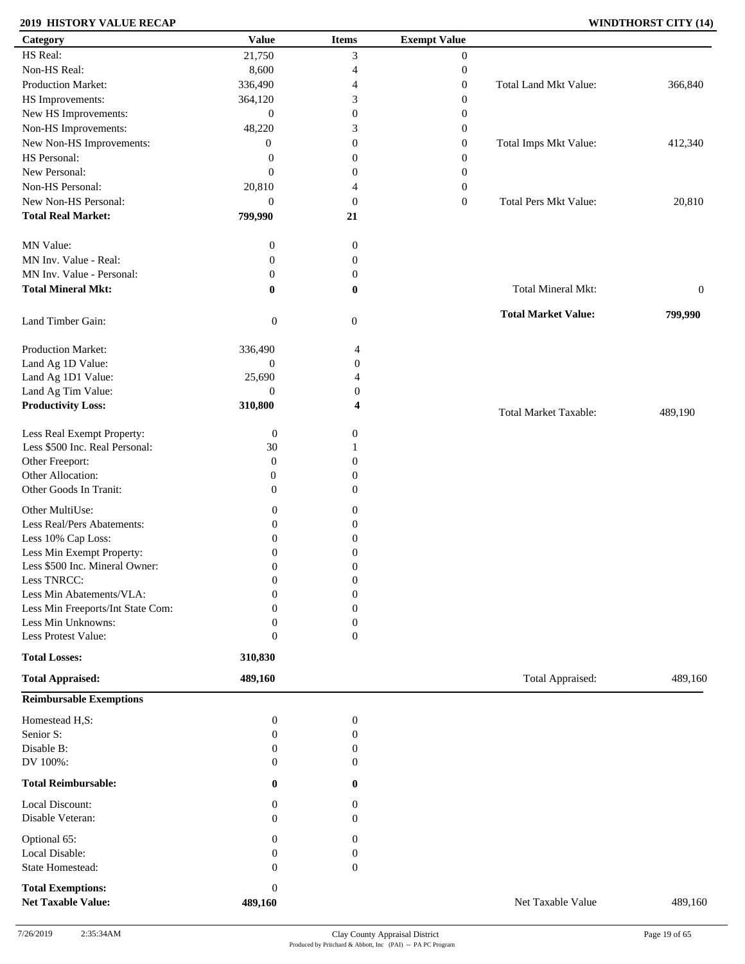### **2019 HISTORY VALUE RECAP WINDTHORST CITY (14)**

| Category                                              | <b>Value</b>                | <b>Items</b>     | <b>Exempt Value</b> |                            |                  |
|-------------------------------------------------------|-----------------------------|------------------|---------------------|----------------------------|------------------|
| HS Real:                                              | 21,750                      | 3                | $\overline{0}$      |                            |                  |
| Non-HS Real:                                          | 8,600                       | 4                | $\boldsymbol{0}$    |                            |                  |
| Production Market:                                    | 336,490                     | 4                | $\boldsymbol{0}$    | Total Land Mkt Value:      | 366,840          |
| HS Improvements:                                      | 364,120                     | 3                | $\boldsymbol{0}$    |                            |                  |
| New HS Improvements:                                  | $\mathbf{0}$                | $\boldsymbol{0}$ | $\boldsymbol{0}$    |                            |                  |
| Non-HS Improvements:                                  | 48,220                      | 3                | $\boldsymbol{0}$    |                            |                  |
| New Non-HS Improvements:                              | $\boldsymbol{0}$            | $\boldsymbol{0}$ | $\boldsymbol{0}$    | Total Imps Mkt Value:      | 412,340          |
| HS Personal:                                          |                             |                  |                     |                            |                  |
|                                                       | $\boldsymbol{0}$            | $\boldsymbol{0}$ | $\boldsymbol{0}$    |                            |                  |
| New Personal:                                         | $\mathbf{0}$                | $\theta$         | $\boldsymbol{0}$    |                            |                  |
| Non-HS Personal:                                      | 20,810                      | $\overline{4}$   | $\boldsymbol{0}$    |                            |                  |
| New Non-HS Personal:                                  | $\mathbf{0}$                | $\mathbf{0}$     | $\boldsymbol{0}$    | Total Pers Mkt Value:      | 20,810           |
| <b>Total Real Market:</b>                             | 799,990                     | 21               |                     |                            |                  |
| MN Value:                                             | $\boldsymbol{0}$            | $\boldsymbol{0}$ |                     |                            |                  |
| MN Inv. Value - Real:                                 | $\boldsymbol{0}$            | $\mathbf{0}$     |                     |                            |                  |
| MN Inv. Value - Personal:                             | $\boldsymbol{0}$            | $\mathbf{0}$     |                     |                            |                  |
| <b>Total Mineral Mkt:</b>                             | $\bf{0}$                    | $\bf{0}$         |                     | Total Mineral Mkt:         | $\boldsymbol{0}$ |
| Land Timber Gain:                                     | $\boldsymbol{0}$            | $\boldsymbol{0}$ |                     | <b>Total Market Value:</b> | 799,990          |
| Production Market:                                    | 336,490                     | 4                |                     |                            |                  |
| Land Ag 1D Value:                                     | $\boldsymbol{0}$            | $\boldsymbol{0}$ |                     |                            |                  |
| Land Ag 1D1 Value:                                    | 25,690                      | 4                |                     |                            |                  |
| Land Ag Tim Value:                                    | $\overline{0}$              | 0                |                     |                            |                  |
|                                                       |                             |                  |                     |                            |                  |
| <b>Productivity Loss:</b>                             | 310,800                     | 4                |                     | Total Market Taxable:      | 489,190          |
| Less Real Exempt Property:                            | $\boldsymbol{0}$            | $\boldsymbol{0}$ |                     |                            |                  |
| Less \$500 Inc. Real Personal:                        | $30\,$                      |                  |                     |                            |                  |
| Other Freeport:                                       | $\boldsymbol{0}$            | $\Omega$         |                     |                            |                  |
| Other Allocation:                                     | 0                           | $\mathbf{0}$     |                     |                            |                  |
| Other Goods In Tranit:                                | $\boldsymbol{0}$            | $\mathbf{0}$     |                     |                            |                  |
| Other MultiUse:                                       |                             | $\boldsymbol{0}$ |                     |                            |                  |
|                                                       | $\boldsymbol{0}$            |                  |                     |                            |                  |
| Less Real/Pers Abatements:                            | $\boldsymbol{0}$            | $\boldsymbol{0}$ |                     |                            |                  |
| Less 10% Cap Loss:                                    | $\boldsymbol{0}$            | 0                |                     |                            |                  |
| Less Min Exempt Property:                             | $\overline{0}$              | $\theta$         |                     |                            |                  |
| Less \$500 Inc. Mineral Owner:                        | $\boldsymbol{0}$            | $\boldsymbol{0}$ |                     |                            |                  |
| Less TNRCC:                                           | $\boldsymbol{0}$            | $\boldsymbol{0}$ |                     |                            |                  |
| Less Min Abatements/VLA:                              | $\mathbf{0}$                | $\boldsymbol{0}$ |                     |                            |                  |
| Less Min Freeports/Int State Com:                     | $\Omega$                    | $\mathbf{0}$     |                     |                            |                  |
| Less Min Unknowns:                                    | $\theta$                    | $\mathbf{0}$     |                     |                            |                  |
| Less Protest Value:                                   | $\mathbf{0}$                | $\theta$         |                     |                            |                  |
| <b>Total Losses:</b>                                  | 310,830                     |                  |                     |                            |                  |
| <b>Total Appraised:</b>                               | 489,160                     |                  |                     | Total Appraised:           | 489,160          |
| <b>Reimbursable Exemptions</b>                        |                             |                  |                     |                            |                  |
| Homestead H,S:                                        | $\boldsymbol{0}$            | $\boldsymbol{0}$ |                     |                            |                  |
| Senior S:                                             | $\boldsymbol{0}$            | $\mathbf{0}$     |                     |                            |                  |
| Disable B:                                            | $\boldsymbol{0}$            | $\boldsymbol{0}$ |                     |                            |                  |
| DV 100%:                                              | $\theta$                    | $\Omega$         |                     |                            |                  |
| <b>Total Reimbursable:</b>                            | $\bf{0}$                    | $\bf{0}$         |                     |                            |                  |
| Local Discount:                                       | $\bf{0}$                    | $\theta$         |                     |                            |                  |
| Disable Veteran:                                      | $\theta$                    | $\theta$         |                     |                            |                  |
| Optional 65:                                          | $\mathbf{0}$                | $\boldsymbol{0}$ |                     |                            |                  |
| Local Disable:                                        | $\mathbf{0}$                | $\mathbf{0}$     |                     |                            |                  |
| State Homestead:                                      | $\mathbf{0}$                | $\mathbf{0}$     |                     |                            |                  |
|                                                       |                             |                  |                     |                            |                  |
| <b>Total Exemptions:</b><br><b>Net Taxable Value:</b> | $\boldsymbol{0}$<br>489,160 |                  |                     | Net Taxable Value          | 489,160          |
|                                                       |                             |                  |                     |                            |                  |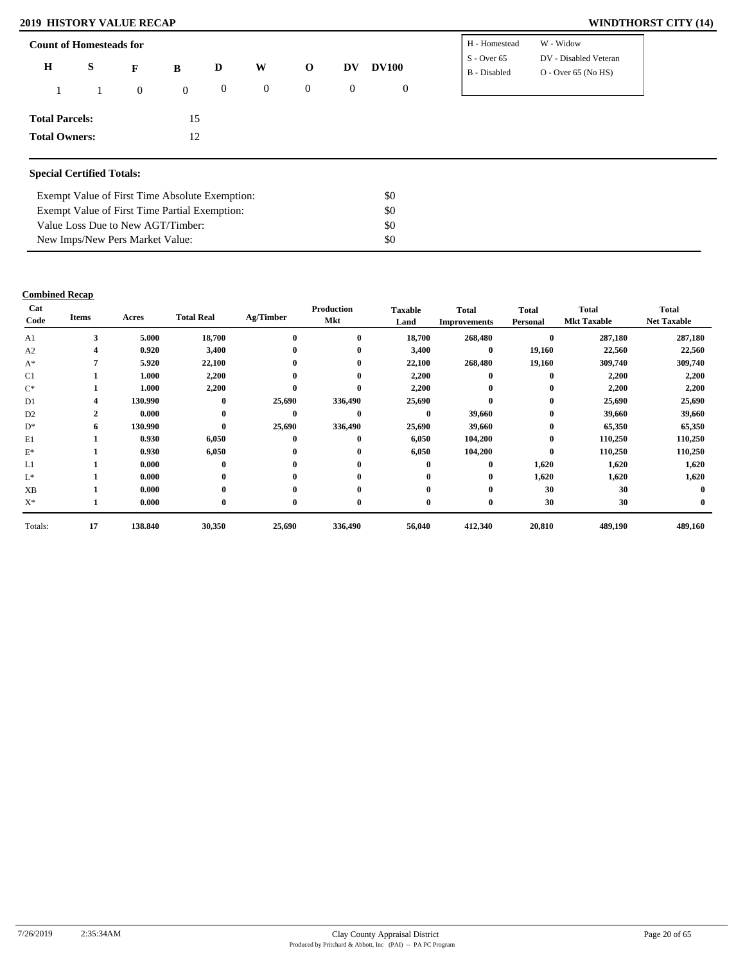### **2019 HISTORY VALUE RECAP WINDTHORST CITY (14)**

| DV - Disabled Veteran<br>$S -$ Over 65<br>S<br>$\bf H$<br><b>DV100</b><br>W<br>DV<br>D<br>$\mathbf{o}$<br>B<br>$\mathbf{F}$<br>$O -$ Over 65 (No HS)<br>B - Disabled<br>$\mathbf{0}$<br>$\overline{0}$<br>$\bf{0}$<br>$\boldsymbol{0}$<br>$\mathbf{0}$<br>$\overline{0}$<br>$\overline{0}$<br>15 |                      |  |
|--------------------------------------------------------------------------------------------------------------------------------------------------------------------------------------------------------------------------------------------------------------------------------------------------|----------------------|--|
| <b>Total Parcels:</b>                                                                                                                                                                                                                                                                            |                      |  |
|                                                                                                                                                                                                                                                                                                  |                      |  |
|                                                                                                                                                                                                                                                                                                  |                      |  |
|                                                                                                                                                                                                                                                                                                  |                      |  |
| 12                                                                                                                                                                                                                                                                                               | <b>Total Owners:</b> |  |

#### **Special Certified Totals:**

| Exempt Value of First Time Absolute Exemption: | \$0 |
|------------------------------------------------|-----|
| Exempt Value of First Time Partial Exemption:  | \$0 |
| Value Loss Due to New AGT/Timber:              | SO. |
| New Imps/New Pers Market Value:                | SO. |

| Cat<br>Code    | <b>Items</b> | Acres   | <b>Total Real</b> | Ag/Timber | Production<br>Mkt | <b>Taxable</b><br>Land | <b>Total</b><br><b>Improvements</b> | <b>Total</b><br>Personal | Total<br><b>Mkt Taxable</b> | <b>Total</b><br><b>Net Taxable</b> |
|----------------|--------------|---------|-------------------|-----------|-------------------|------------------------|-------------------------------------|--------------------------|-----------------------------|------------------------------------|
| A1             | 3            | 5.000   | 18,700            | $\bf{0}$  | $\bf{0}$          | 18,700                 | 268,480                             | $\bf{0}$                 | 287,180                     | 287,180                            |
| A2             | 4            | 0.920   | 3,400             | $\bf{0}$  | $\bf{0}$          | 3,400                  | $\bf{0}$                            | 19,160                   | 22,560                      | 22,560                             |
| $A^*$          |              | 5.920   | 22,100            | $\bf{0}$  | $\bf{0}$          | 22,100                 | 268,480                             | 19,160                   | 309,740                     | 309,740                            |
| C <sub>1</sub> |              | 1.000   | 2,200             | $\bf{0}$  | $\bf{0}$          | 2,200                  | $\mathbf{0}$                        | $\bf{0}$                 | 2,200                       | 2,200                              |
| $C^*$          |              | 1.000   | 2,200             | $\bf{0}$  | $\mathbf{0}$      | 2,200                  | $\bf{0}$                            | $\bf{0}$                 | 2,200                       | 2,200                              |
| D <sub>1</sub> | 4            | 130.990 | $\bf{0}$          | 25,690    | 336,490           | 25,690                 | $\mathbf{0}$                        | $\bf{0}$                 | 25,690                      | 25,690                             |
| D <sub>2</sub> | $\mathbf{2}$ | 0.000   | $\bf{0}$          | $\bf{0}$  | $\mathbf{0}$      | $\bf{0}$               | 39,660                              | $\bf{0}$                 | 39,660                      | 39,660                             |
| $D^*$          | 6            | 130.990 | $\bf{0}$          | 25,690    | 336,490           | 25,690                 | 39,660                              | $\bf{0}$                 | 65,350                      | 65,350                             |
| E1             |              | 0.930   | 6,050             | $\bf{0}$  | $\bf{0}$          | 6,050                  | 104,200                             | $\bf{0}$                 | 110,250                     | 110,250                            |
| $E^*$          |              | 0.930   | 6,050             | $\bf{0}$  | $\bf{0}$          | 6,050                  | 104,200                             | $\bf{0}$                 | 110,250                     | 110,250                            |
| L1             |              | 0.000   | $\bf{0}$          | $\bf{0}$  | $\bf{0}$          | $\bf{0}$               | $\bf{0}$                            | 1,620                    | 1,620                       | 1,620                              |
| L*             |              | 0.000   | $\bf{0}$          | $\bf{0}$  | $\mathbf{0}$      | $\mathbf{0}$           | $\bf{0}$                            | 1,620                    | 1,620                       | 1,620                              |
| XB             |              | 0.000   | $\bf{0}$          | $\bf{0}$  | $\mathbf{0}$      | $\mathbf{0}$           | $\bf{0}$                            | 30                       | 30                          | $\mathbf 0$                        |
| $X^*$          |              | 0.000   | $\bf{0}$          | $\bf{0}$  | $\bf{0}$          | $\bf{0}$               | $\bf{0}$                            | 30                       | 30                          |                                    |
| Totals:        | 17           | 138.840 | 30,350            | 25,690    | 336,490           | 56,040                 | 412,340                             | 20,810                   | 489,190                     | 489,160                            |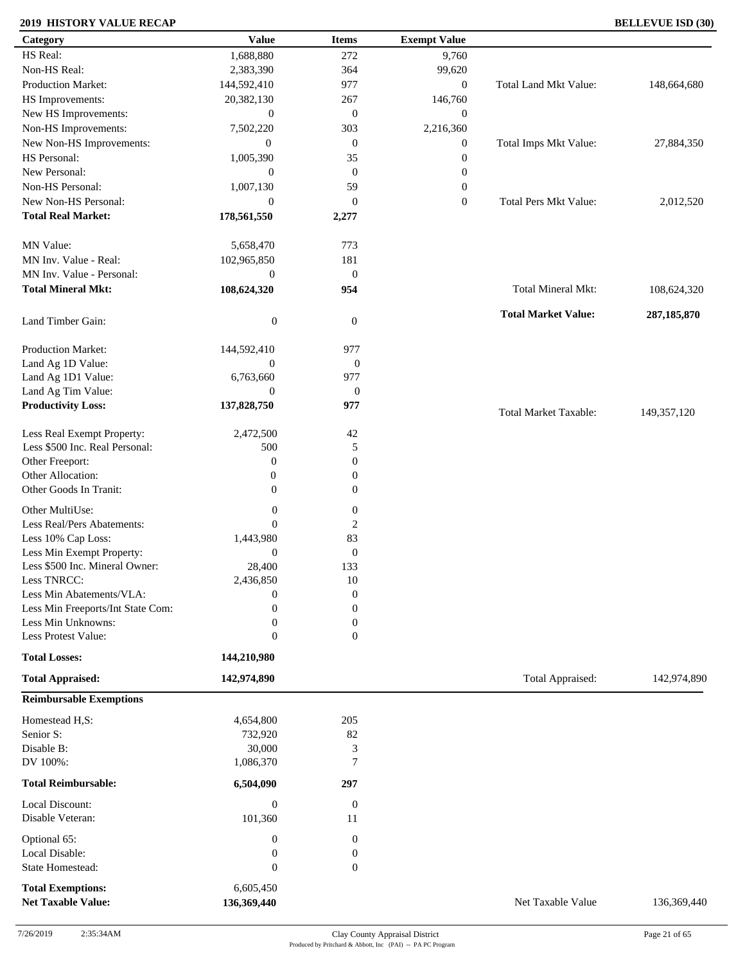### **2019 HISTORY VALUE RECAP BELLEVUE ISD (30)**

| Category                          | <b>Value</b>                     | <b>Items</b>                         | <b>Exempt Value</b> |                              |               |
|-----------------------------------|----------------------------------|--------------------------------------|---------------------|------------------------------|---------------|
| HS Real:                          | 1,688,880                        | 272                                  | 9,760               |                              |               |
| Non-HS Real:                      | 2,383,390                        | 364                                  | 99,620              |                              |               |
| Production Market:                | 144,592,410                      | 977                                  | $\boldsymbol{0}$    | Total Land Mkt Value:        | 148,664,680   |
| HS Improvements:                  | 20,382,130                       | 267                                  | 146,760             |                              |               |
| New HS Improvements:              | $\mathbf{0}$                     | $\mathbf{0}$                         | $\boldsymbol{0}$    |                              |               |
| Non-HS Improvements:              | 7,502,220                        | 303                                  | 2,216,360           |                              |               |
| New Non-HS Improvements:          | $\overline{0}$                   | $\mathbf{0}$                         | $\boldsymbol{0}$    | Total Imps Mkt Value:        | 27,884,350    |
| HS Personal:                      | 1,005,390                        | 35                                   | $\boldsymbol{0}$    |                              |               |
| New Personal:                     | $\mathbf{0}$                     | $\mathbf{0}$                         | $\boldsymbol{0}$    |                              |               |
| Non-HS Personal:                  | 1,007,130                        | 59                                   | $\boldsymbol{0}$    |                              |               |
| New Non-HS Personal:              | $\mathbf{0}$                     | $\boldsymbol{0}$                     | $\mathbf{0}$        | Total Pers Mkt Value:        | 2,012,520     |
| <b>Total Real Market:</b>         |                                  |                                      |                     |                              |               |
|                                   | 178,561,550                      | 2,277                                |                     |                              |               |
| MN Value:                         | 5,658,470                        | 773                                  |                     |                              |               |
| MN Inv. Value - Real:             | 102,965,850                      | 181                                  |                     |                              |               |
| MN Inv. Value - Personal:         | $\mathbf{0}$                     |                                      |                     |                              |               |
| <b>Total Mineral Mkt:</b>         |                                  | $\boldsymbol{0}$                     |                     | Total Mineral Mkt:           |               |
|                                   | 108,624,320                      | 954                                  |                     |                              | 108,624,320   |
|                                   |                                  |                                      |                     | <b>Total Market Value:</b>   | 287, 185, 870 |
| Land Timber Gain:                 | $\boldsymbol{0}$                 | $\boldsymbol{0}$                     |                     |                              |               |
| Production Market:                | 144,592,410                      | 977                                  |                     |                              |               |
| Land Ag 1D Value:                 | $\mathbf{0}$                     | $\boldsymbol{0}$                     |                     |                              |               |
| Land Ag 1D1 Value:                | 6,763,660                        | 977                                  |                     |                              |               |
| Land Ag Tim Value:                | $\mathbf{0}$                     | $\boldsymbol{0}$                     |                     |                              |               |
| <b>Productivity Loss:</b>         | 137,828,750                      | 977                                  |                     |                              |               |
|                                   |                                  |                                      |                     | <b>Total Market Taxable:</b> | 149,357,120   |
| Less Real Exempt Property:        | 2,472,500                        | $42\,$                               |                     |                              |               |
| Less \$500 Inc. Real Personal:    | 500                              | 5                                    |                     |                              |               |
| Other Freeport:                   | $\boldsymbol{0}$                 | $\boldsymbol{0}$                     |                     |                              |               |
| Other Allocation:                 | $\boldsymbol{0}$                 | $\boldsymbol{0}$                     |                     |                              |               |
| Other Goods In Tranit:            | $\theta$                         | $\boldsymbol{0}$                     |                     |                              |               |
| Other MultiUse:                   | $\boldsymbol{0}$                 | $\boldsymbol{0}$                     |                     |                              |               |
| Less Real/Pers Abatements:        | $\mathbf{0}$                     | $\mathbf{2}$                         |                     |                              |               |
| Less 10% Cap Loss:                | 1,443,980                        | 83                                   |                     |                              |               |
| Less Min Exempt Property:         | $\theta$                         | $\boldsymbol{0}$                     |                     |                              |               |
| Less \$500 Inc. Mineral Owner:    | 28,400                           | 133                                  |                     |                              |               |
| Less TNRCC:                       |                                  | $10\,$                               |                     |                              |               |
| Less Min Abatements/VLA:          | 2,436,850<br>$\overline{0}$      | $\boldsymbol{0}$                     |                     |                              |               |
| Less Min Freeports/Int State Com: | $\boldsymbol{0}$                 | $\boldsymbol{0}$                     |                     |                              |               |
| Less Min Unknowns:                |                                  |                                      |                     |                              |               |
| Less Protest Value:               | $\boldsymbol{0}$<br>$\mathbf{0}$ | $\boldsymbol{0}$<br>$\boldsymbol{0}$ |                     |                              |               |
|                                   |                                  |                                      |                     |                              |               |
| <b>Total Losses:</b>              | 144,210,980                      |                                      |                     |                              |               |
| <b>Total Appraised:</b>           | 142,974,890                      |                                      |                     | Total Appraised:             | 142,974,890   |
| <b>Reimbursable Exemptions</b>    |                                  |                                      |                     |                              |               |
| Homestead H,S:                    | 4,654,800                        | 205                                  |                     |                              |               |
| Senior S:                         | 732,920                          | 82                                   |                     |                              |               |
| Disable B:                        | 30,000                           | $\mathfrak 3$                        |                     |                              |               |
| DV 100%:                          | 1,086,370                        | $\overline{7}$                       |                     |                              |               |
|                                   |                                  |                                      |                     |                              |               |
| <b>Total Reimbursable:</b>        | 6,504,090                        | 297                                  |                     |                              |               |
| Local Discount:                   | $\boldsymbol{0}$                 | $\boldsymbol{0}$                     |                     |                              |               |
| Disable Veteran:                  | 101,360                          | 11                                   |                     |                              |               |
| Optional 65:                      | $\boldsymbol{0}$                 | $\boldsymbol{0}$                     |                     |                              |               |
| Local Disable:                    | $\boldsymbol{0}$                 | $\boldsymbol{0}$                     |                     |                              |               |
| <b>State Homestead:</b>           | $\mathbf{0}$                     | $\boldsymbol{0}$                     |                     |                              |               |
|                                   |                                  |                                      |                     |                              |               |
| <b>Total Exemptions:</b>          | 6,605,450                        |                                      |                     |                              |               |
| <b>Net Taxable Value:</b>         | 136,369,440                      |                                      |                     | Net Taxable Value            | 136,369,440   |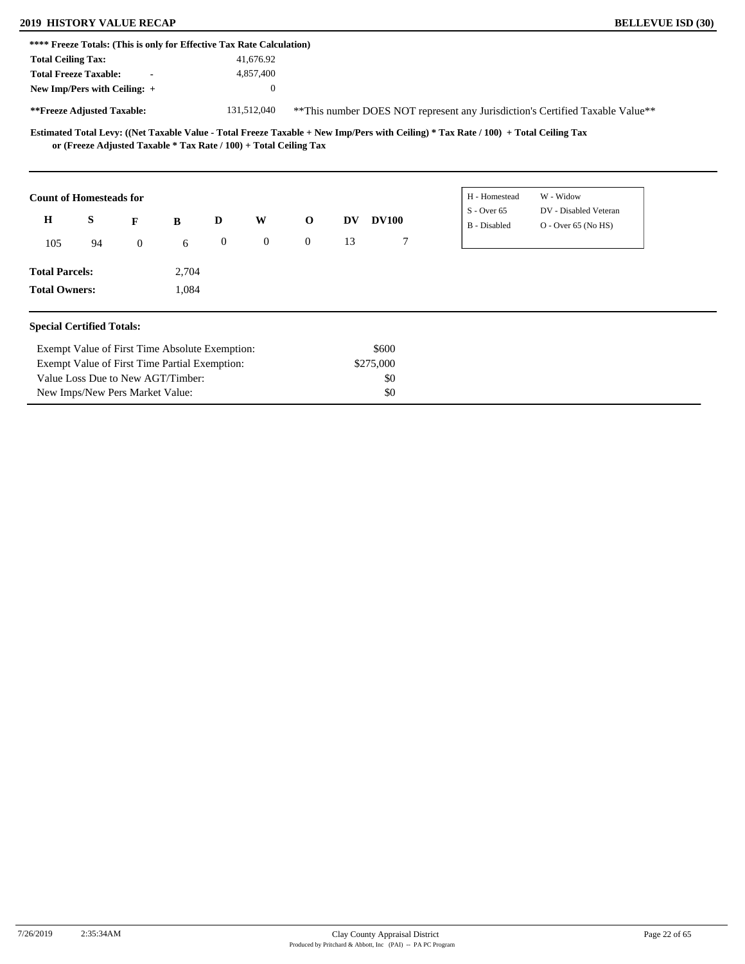# **2019 HISTORY VALUE RECAP BELLEVUE ISD (30)**

New Imps/New Pers Market Value:

|                                  |    | **** Freeze Totals: (This is only for Effective Tax Rate Calculation) |       |                  |              |              |           |              |                                                                                                                                     |                                                                               |  |  |
|----------------------------------|----|-----------------------------------------------------------------------|-------|------------------|--------------|--------------|-----------|--------------|-------------------------------------------------------------------------------------------------------------------------------------|-------------------------------------------------------------------------------|--|--|
| <b>Total Ceiling Tax:</b>        |    |                                                                       |       |                  | 41,676.92    |              |           |              |                                                                                                                                     |                                                                               |  |  |
| <b>Total Freeze Taxable:</b>     |    |                                                                       |       |                  | 4,857,400    |              |           |              |                                                                                                                                     |                                                                               |  |  |
| New Imp/Pers with Ceiling: +     |    |                                                                       |       |                  |              |              |           |              |                                                                                                                                     |                                                                               |  |  |
| **Freeze Adjusted Taxable:       |    |                                                                       |       |                  | 131,512,040  |              |           |              |                                                                                                                                     | **This number DOES NOT represent any Jurisdiction's Certified Taxable Value** |  |  |
|                                  |    | or (Freeze Adjusted Taxable * Tax Rate / 100) + Total Ceiling Tax     |       |                  |              |              |           |              | Estimated Total Levy: ((Net Taxable Value - Total Freeze Taxable + New Imp/Pers with Ceiling) * Tax Rate / 100) + Total Ceiling Tax |                                                                               |  |  |
| <b>Count of Homesteads for</b>   |    |                                                                       |       |                  |              |              |           |              | H - Homestead                                                                                                                       | W - Widow                                                                     |  |  |
| $\mathbf H$                      | S  | F                                                                     | B     | D                | W            | $\mathbf 0$  | <b>DV</b> | <b>DV100</b> | $S -$ Over 65<br><b>B</b> - Disabled                                                                                                | DV - Disabled Veteran<br>$O -$ Over 65 (No HS)                                |  |  |
| 105                              | 94 | $\overline{0}$                                                        | 6     | $\boldsymbol{0}$ | $\mathbf{0}$ | $\mathbf{0}$ | 13        | 7            |                                                                                                                                     |                                                                               |  |  |
| <b>Total Parcels:</b>            |    |                                                                       | 2,704 |                  |              |              |           |              |                                                                                                                                     |                                                                               |  |  |
| <b>Total Owners:</b>             |    |                                                                       | 1,084 |                  |              |              |           |              |                                                                                                                                     |                                                                               |  |  |
| <b>Special Certified Totals:</b> |    |                                                                       |       |                  |              |              |           |              |                                                                                                                                     |                                                                               |  |  |
|                                  |    | Exempt Value of First Time Absolute Exemption:                        |       |                  |              |              |           | \$600        |                                                                                                                                     |                                                                               |  |  |
|                                  |    | Exempt Value of First Time Partial Exemption:                         |       |                  |              |              |           | \$275,000    |                                                                                                                                     |                                                                               |  |  |
|                                  |    | Value Loss Due to New AGT/Timber:                                     |       |                  |              |              |           | \$0          |                                                                                                                                     |                                                                               |  |  |

\$0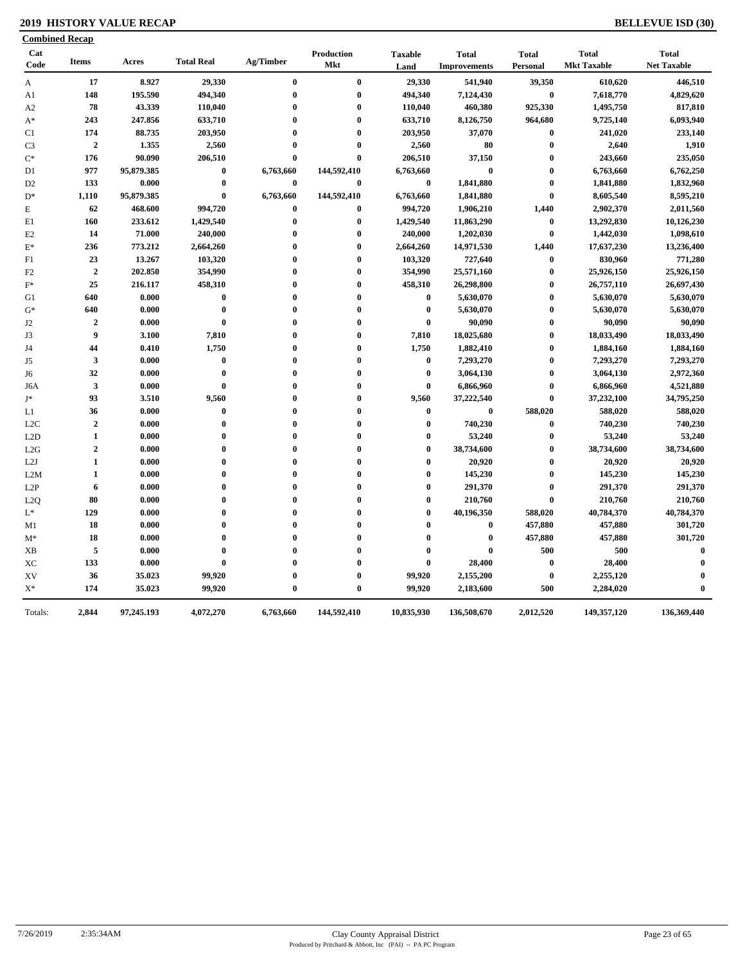### **2019 HISTORY VALUE RECAP BELLEVUE ISD (30)**

| <b>Combined Recap</b>     |                         |            |                   |           |                   |                        |                                     |                          |                                    |                                    |
|---------------------------|-------------------------|------------|-------------------|-----------|-------------------|------------------------|-------------------------------------|--------------------------|------------------------------------|------------------------------------|
| Cat<br>Code               | <b>Items</b>            | Acres      | <b>Total Real</b> | Ag/Timber | Production<br>Mkt | <b>Taxable</b><br>Land | <b>Total</b><br><b>Improvements</b> | <b>Total</b><br>Personal | <b>Total</b><br><b>Mkt Taxable</b> | <b>Total</b><br><b>Net Taxable</b> |
| $\boldsymbol{\mathsf{A}}$ | 17                      | 8.927      | 29,330            | $\bf{0}$  | $\bf{0}$          | 29,330                 | 541,940                             | 39,350                   | 610,620                            | 446,510                            |
| A1                        | 148                     | 195.590    | 494,340           | $\bf{0}$  | $\bf{0}$          | 494,340                | 7,124,430                           | $\bf{0}$                 | 7,618,770                          | 4,829,620                          |
| A2                        | 78                      | 43.339     | 110,040           | $\bf{0}$  | $\bf{0}$          | 110,040                | 460,380                             | 925,330                  | 1,495,750                          | 817,810                            |
| $A^*$                     | 243                     | 247.856    | 633,710           | $\bf{0}$  | $\bf{0}$          | 633,710                | 8,126,750                           | 964,680                  | 9,725,140                          | 6,093,940                          |
| C1                        | 174                     | 88.735     | 203,950           | $\bf{0}$  | $\bf{0}$          | 203,950                | 37,070                              | $\bf{0}$                 | 241,020                            | 233,140                            |
| C <sub>3</sub>            | $\overline{2}$          | 1.355      | 2,560             | $\bf{0}$  | $\bf{0}$          | 2,560                  | 80                                  | $\bf{0}$                 | 2,640                              | 1,910                              |
| $\mathrm{C}^*$            | 176                     | 90.090     | 206,510           | $\bf{0}$  | $\bf{0}$          | 206,510                | 37,150                              | $\bf{0}$                 | 243,660                            | 235,050                            |
| D1                        | 977                     | 95,879.385 | $\bf{0}$          | 6,763,660 | 144,592,410       | 6,763,660              | $\bf{0}$                            | $\bf{0}$                 | 6,763,660                          | 6,762,250                          |
| D <sub>2</sub>            | 133                     | 0.000      | $\bf{0}$          | $\bf{0}$  | $\bf{0}$          | $\bf{0}$               | 1,841,880                           | $\bf{0}$                 | 1,841,880                          | 1,832,960                          |
| $D^*$                     | 1,110                   | 95,879.385 | $\bf{0}$          | 6,763,660 | 144,592,410       | 6,763,660              | 1,841,880                           | $\bf{0}$                 | 8,605,540                          | 8,595,210                          |
| E                         | 62                      | 468.600    | 994,720           | $\bf{0}$  | $\bf{0}$          | 994,720                | 1,906,210                           | 1,440                    | 2,902,370                          | 2,011,560                          |
| E1                        | 160                     | 233.612    | 1,429,540         | $\bf{0}$  | $\bf{0}$          | 1,429,540              | 11,863,290                          | $\boldsymbol{0}$         | 13,292,830                         | 10,126,230                         |
| E <sub>2</sub>            | 14                      | 71.000     | 240,000           | $\bf{0}$  | $\bf{0}$          | 240,000                | 1,202,030                           | $\boldsymbol{0}$         | 1,442,030                          | 1,098,610                          |
| $E^*$                     | 236                     | 773.212    | 2,664,260         | $\bf{0}$  | $\bf{0}$          | 2,664,260              | 14,971,530                          | 1,440                    | 17,637,230                         | 13,236,400                         |
| F1                        | 23                      | 13.267     | 103,320           | $\bf{0}$  | $\bf{0}$          | 103,320                | 727,640                             | $\bf{0}$                 | 830,960                            | 771,280                            |
| F2                        | $\overline{2}$          | 202.850    | 354,990           | $\bf{0}$  | $\bf{0}$          | 354,990                | 25,571,160                          | $\bf{0}$                 | 25,926,150                         | 25,926,150                         |
| $\mathbf{F}^*$            | 25                      | 216.117    | 458,310           | $\bf{0}$  | $\bf{0}$          | 458,310                | 26,298,800                          | $\bf{0}$                 | 26,757,110                         | 26,697,430                         |
| G1                        | 640                     | 0.000      | $\bf{0}$          | $\bf{0}$  | $\bf{0}$          | $\bf{0}$               | 5,630,070                           | $\bf{0}$                 | 5,630,070                          | 5,630,070                          |
| $G^*$                     | 640                     | 0.000      | $\bf{0}$          | $\bf{0}$  | $\bf{0}$          | $\bf{0}$               | 5,630,070                           | $\bf{0}$                 | 5,630,070                          | 5,630,070                          |
| J <sub>2</sub>            | $\overline{2}$          | 0.000      | $\bf{0}$          | $\bf{0}$  | $\bf{0}$          | $\bf{0}$               | 90,090                              | $\bf{0}$                 | 90,090                             | 90,090                             |
| J3                        | 9                       | 3.100      | 7,810             | $\bf{0}$  | $\bf{0}$          | 7,810                  | 18,025,680                          | $\bf{0}$                 | 18,033,490                         | 18,033,490                         |
| J4                        | 44                      | 0.410      | 1,750             | $\bf{0}$  | $\bf{0}$          | 1,750                  | 1,882,410                           | $\bf{0}$                 | 1,884,160                          | 1,884,160                          |
| J5                        | $\overline{\mathbf{3}}$ | 0.000      | $\bf{0}$          | $\bf{0}$  | $\bf{0}$          | $\bf{0}$               | 7,293,270                           | $\bf{0}$                 | 7,293,270                          | 7,293,270                          |
| J6                        | 32                      | 0.000      | $\bf{0}$          | $\bf{0}$  | $\bf{0}$          | $\bf{0}$               | 3,064,130                           | $\bf{0}$                 | 3,064,130                          | 2,972,360                          |
| J6A                       | 3                       | 0.000      | $\bf{0}$          | $\bf{0}$  | $\bf{0}$          | $\bf{0}$               | 6,866,960                           | $\bf{0}$                 | 6,866,960                          | 4,521,880                          |
| J*                        | 93                      | 3.510      | 9,560             | $\bf{0}$  | $\bf{0}$          | 9,560                  | 37,222,540                          | $\bf{0}$                 | 37,232,100                         | 34,795,250                         |
| L1                        | 36                      | 0.000      | $\bf{0}$          | $\bf{0}$  | $\bf{0}$          | $\bf{0}$               | $\bf{0}$                            | 588,020                  | 588,020                            | 588,020                            |
| L2C                       | $\overline{2}$          | 0.000      | $\bf{0}$          | $\bf{0}$  | $\bf{0}$          | $\bf{0}$               | 740,230                             | $\bf{0}$                 | 740,230                            | 740,230                            |
| L2D                       | $\mathbf{1}$            | 0.000      | $\bf{0}$          | $\bf{0}$  | $\bf{0}$          | $\bf{0}$               | 53,240                              | $\bf{0}$                 | 53,240                             | 53,240                             |
| L2G                       | $\mathbf 2$             | 0.000      | $\bf{0}$          | $\bf{0}$  | $\bf{0}$          | $\mathbf{0}$           | 38,734,600                          | $\bf{0}$                 | 38,734,600                         | 38,734,600                         |
| L2J                       | $\mathbf{1}$            | 0.000      | $\bf{0}$          | $\bf{0}$  | $\bf{0}$          | $\mathbf{0}$           | 20,920                              | $\bf{0}$                 | 20,920                             | 20,920                             |
| L2M                       | 1                       | 0.000      | $\bf{0}$          | $\bf{0}$  | $\bf{0}$          | $\bf{0}$               | 145,230                             | $\bf{0}$                 | 145,230                            | 145,230                            |
| L2P                       | 6                       | 0.000      | $\bf{0}$          | $\bf{0}$  | $\bf{0}$          | $\bf{0}$               | 291,370                             | $\bf{0}$                 | 291,370                            | 291,370                            |
| L2Q                       | 80                      | 0.000      | $\bf{0}$          | $\bf{0}$  | $\bf{0}$          | $\theta$               | 210,760                             | $\bf{0}$                 | 210,760                            | 210,760                            |
| $L^*$                     | 129                     | 0.000      | $\bf{0}$          | $\bf{0}$  | $\bf{0}$          | $\mathbf{0}$           | 40,196,350                          | 588,020                  | 40,784,370                         | 40,784,370                         |
| M1                        | 18                      | 0.000      | $\bf{0}$          | $\bf{0}$  | $\bf{0}$          | $\bf{0}$               | $\bf{0}$                            | 457,880                  | 457,880                            | 301,720                            |
| $M^*$                     | 18                      | 0.000      | $\bf{0}$          | $\bf{0}$  | $\bf{0}$          | 0                      | $\bf{0}$                            | 457,880                  | 457,880                            | 301,720                            |
| XВ                        | $\overline{5}$          | 0.000      | $\bf{0}$          | $\bf{0}$  | $\bf{0}$          | $\mathbf{0}$           | $\bf{0}$                            | 500                      | 500                                | $\mathbf 0$                        |
| $\rm XC$                  | 133                     | 0.000      | $\bf{0}$          | $\bf{0}$  | $\bf{0}$          | $\bf{0}$               | 28,400                              | $\bf{0}$                 | 28,400                             | $\mathbf 0$                        |
| XV                        | 36                      | 35.023     | 99,920            | $\bf{0}$  | $\bf{0}$          | 99,920                 | 2,155,200                           | $\bf{0}$                 | 2,255,120                          | $\mathbf 0$                        |
| $\mathbf{X}^*$            | 174                     | 35.023     | 99,920            | $\bf{0}$  | $\bf{0}$          | 99,920                 | 2,183,600                           | 500                      | 2,284,020                          | $\bf{0}$                           |
| Totals:                   | 2,844                   | 97,245.193 | 4,072,270         | 6,763,660 | 144,592,410       | 10,835,930             | 136,508,670                         | 2,012,520                | 149,357,120                        | 136,369,440                        |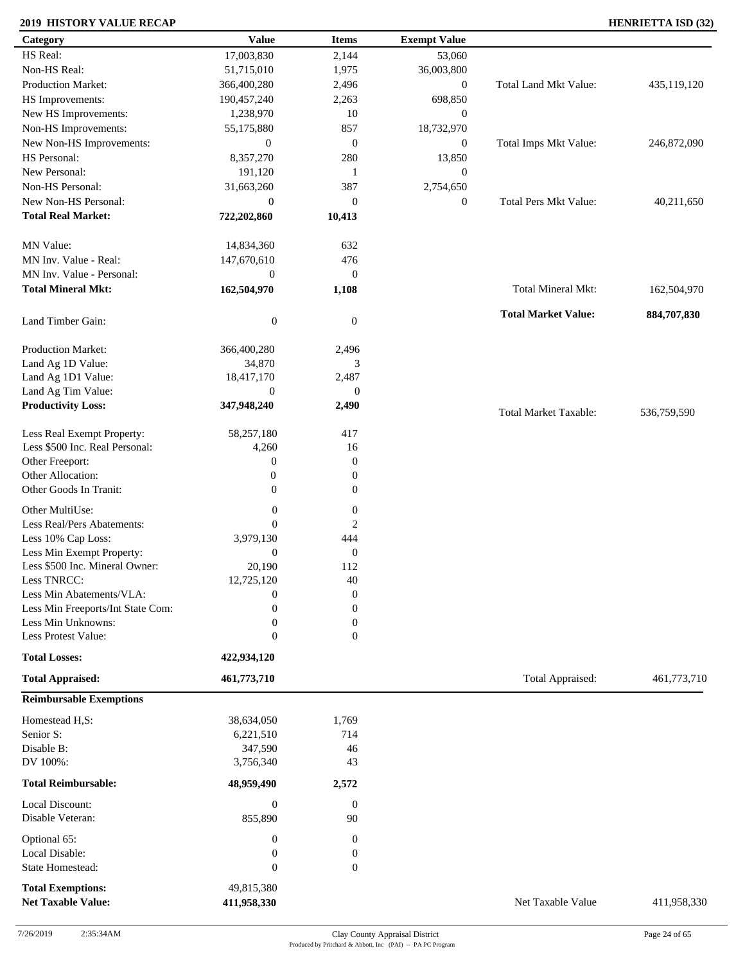### **2019 HISTORY VALUE RECAP HENRIETTA ISD (32)**

| Category                                              | <b>Value</b>                | <b>Items</b>     | <b>Exempt Value</b> |                              |             |
|-------------------------------------------------------|-----------------------------|------------------|---------------------|------------------------------|-------------|
| HS Real:                                              | 17,003,830                  | 2,144            | 53,060              |                              |             |
| Non-HS Real:                                          | 51,715,010                  | 1,975            | 36,003,800          |                              |             |
| Production Market:                                    | 366,400,280                 | 2,496            | $\mathbf{0}$        | <b>Total Land Mkt Value:</b> | 435,119,120 |
| HS Improvements:                                      | 190,457,240                 | 2,263            | 698,850             |                              |             |
| New HS Improvements:                                  | 1,238,970                   | 10               | $\mathbf{0}$        |                              |             |
| Non-HS Improvements:                                  |                             | 857              | 18,732,970          |                              |             |
|                                                       | 55,175,880                  |                  |                     |                              |             |
| New Non-HS Improvements:                              | $\mathbf{0}$                | $\mathbf{0}$     | $\mathbf{0}$        | Total Imps Mkt Value:        | 246,872,090 |
| HS Personal:                                          | 8,357,270                   | 280              | 13,850              |                              |             |
| New Personal:                                         | 191,120                     | 1                | $\mathbf{0}$        |                              |             |
| Non-HS Personal:                                      | 31,663,260                  | 387              | 2,754,650           |                              |             |
| New Non-HS Personal:                                  | $\mathbf{0}$                | $\mathbf{0}$     | $\mathbf{0}$        | <b>Total Pers Mkt Value:</b> | 40,211,650  |
| <b>Total Real Market:</b>                             | 722,202,860                 | 10,413           |                     |                              |             |
| MN Value:                                             | 14,834,360                  | 632              |                     |                              |             |
| MN Inv. Value - Real:                                 | 147,670,610                 | 476              |                     |                              |             |
| MN Inv. Value - Personal:                             | $\boldsymbol{0}$            | $\mathbf{0}$     |                     |                              |             |
| <b>Total Mineral Mkt:</b>                             | 162,504,970                 | 1,108            |                     | Total Mineral Mkt:           | 162,504,970 |
|                                                       |                             |                  |                     |                              |             |
| Land Timber Gain:                                     | $\boldsymbol{0}$            | $\mathbf{0}$     |                     | <b>Total Market Value:</b>   | 884,707,830 |
| Production Market:                                    | 366,400,280                 | 2,496            |                     |                              |             |
| Land Ag 1D Value:                                     | 34,870                      | 3                |                     |                              |             |
| Land Ag 1D1 Value:                                    | 18,417,170                  | 2,487            |                     |                              |             |
| Land Ag Tim Value:                                    | $\boldsymbol{0}$            | $\boldsymbol{0}$ |                     |                              |             |
| <b>Productivity Loss:</b>                             | 347,948,240                 | 2,490            |                     | <b>Total Market Taxable:</b> | 536,759,590 |
| Less Real Exempt Property:                            | 58,257,180                  | 417              |                     |                              |             |
| Less \$500 Inc. Real Personal:                        | 4,260                       | 16               |                     |                              |             |
| Other Freeport:                                       | $\mathbf{0}$                | $\boldsymbol{0}$ |                     |                              |             |
| Other Allocation:                                     | $\boldsymbol{0}$            | $\boldsymbol{0}$ |                     |                              |             |
| Other Goods In Tranit:                                | $\Omega$                    | $\Omega$         |                     |                              |             |
|                                                       |                             |                  |                     |                              |             |
| Other MultiUse:                                       | $\boldsymbol{0}$            | $\boldsymbol{0}$ |                     |                              |             |
| Less Real/Pers Abatements:                            | $\mathbf{0}$                | $\overline{2}$   |                     |                              |             |
| Less 10% Cap Loss:                                    | 3,979,130                   | 444              |                     |                              |             |
| Less Min Exempt Property:                             | $\boldsymbol{0}$            | $\mathbf{0}$     |                     |                              |             |
| Less \$500 Inc. Mineral Owner:                        | 20,190                      | 112              |                     |                              |             |
| Less TNRCC:                                           | 12,725,120                  | $40\,$           |                     |                              |             |
| Less Min Abatements/VLA:                              | $\mathbf{0}$                | $\boldsymbol{0}$ |                     |                              |             |
| Less Min Freeports/Int State Com:                     | $\overline{0}$              | $\boldsymbol{0}$ |                     |                              |             |
| Less Min Unknowns:                                    | $\boldsymbol{0}$            | $\mathbf{0}$     |                     |                              |             |
| Less Protest Value:                                   | $\mathbf{0}$                | $\mathbf{0}$     |                     |                              |             |
| <b>Total Losses:</b>                                  | 422,934,120                 |                  |                     |                              |             |
| <b>Total Appraised:</b>                               | 461,773,710                 |                  |                     | Total Appraised:             | 461,773,710 |
| <b>Reimbursable Exemptions</b>                        |                             |                  |                     |                              |             |
| Homestead H,S:                                        | 38,634,050                  | 1,769            |                     |                              |             |
| Senior S:                                             | 6,221,510                   | 714              |                     |                              |             |
| Disable B:                                            | 347,590                     | 46               |                     |                              |             |
| DV 100%:                                              | 3,756,340                   | 43               |                     |                              |             |
| <b>Total Reimbursable:</b>                            | 48,959,490                  | 2,572            |                     |                              |             |
| Local Discount:                                       |                             | $\mathbf{0}$     |                     |                              |             |
| Disable Veteran:                                      | $\boldsymbol{0}$<br>855,890 | 90               |                     |                              |             |
| Optional 65:                                          | $\boldsymbol{0}$            | $\overline{0}$   |                     |                              |             |
| Local Disable:                                        | $\boldsymbol{0}$            | 0                |                     |                              |             |
| State Homestead:                                      | $\boldsymbol{0}$            | $\overline{0}$   |                     |                              |             |
|                                                       |                             |                  |                     |                              |             |
| <b>Total Exemptions:</b><br><b>Net Taxable Value:</b> | 49,815,380<br>411,958,330   |                  |                     | Net Taxable Value            | 411,958,330 |
|                                                       |                             |                  |                     |                              |             |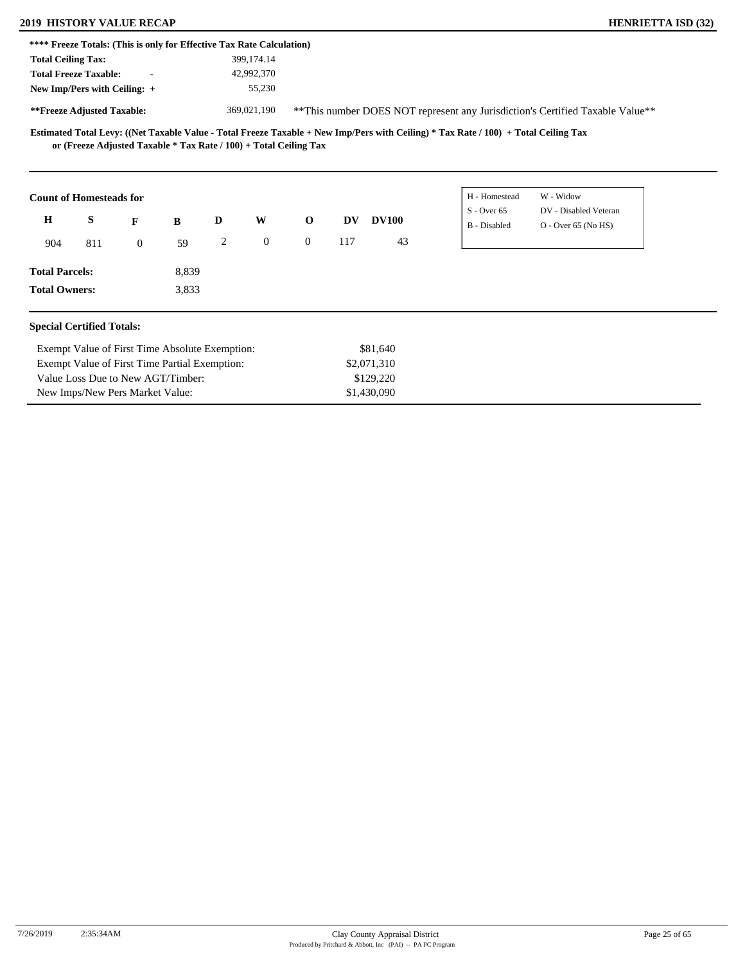|                           | <b>2019 HISTORY VALUE RECAP</b>                                       |                |       |   |              |                |     |              |               | <b>HENRIETTA ISD (32)</b>                                                     |
|---------------------------|-----------------------------------------------------------------------|----------------|-------|---|--------------|----------------|-----|--------------|---------------|-------------------------------------------------------------------------------|
|                           | **** Freeze Totals: (This is only for Effective Tax Rate Calculation) |                |       |   |              |                |     |              |               |                                                                               |
| <b>Total Ceiling Tax:</b> |                                                                       |                |       |   | 399,174.14   |                |     |              |               |                                                                               |
|                           | <b>Total Freeze Taxable:</b>                                          | $\blacksquare$ |       |   | 42,992,370   |                |     |              |               |                                                                               |
|                           | New Imp/Pers with Ceiling: $+$                                        |                |       |   | 55,230       |                |     |              |               |                                                                               |
|                           | **Freeze Adjusted Taxable:                                            |                |       |   | 369,021,190  |                |     |              |               | **This number DOES NOT represent any Jurisdiction's Certified Taxable Value** |
|                           |                                                                       |                |       |   |              |                |     |              |               |                                                                               |
|                           | <b>Count of Homesteads for</b>                                        |                |       |   |              |                |     |              | H - Homestead | W - Widow                                                                     |
|                           |                                                                       |                |       |   |              |                |     |              | $S -$ Over 65 | DV - Disabled Veteran                                                         |
| H                         | S<br>F                                                                |                | B     | D | W            | $\mathbf 0$    | DV  | <b>DV100</b> | B - Disabled  | $O - Over 65 (No HS)$                                                         |
| 904                       | 811                                                                   | $\overline{0}$ | 59    | 2 | $\mathbf{0}$ | $\overline{0}$ | 117 | 43           |               |                                                                               |
| <b>Total Parcels:</b>     |                                                                       |                | 8,839 |   |              |                |     |              |               |                                                                               |

#### **Special Certified Totals:**

| Exempt Value of First Time Absolute Exemption: | \$81,640    |
|------------------------------------------------|-------------|
| Exempt Value of First Time Partial Exemption:  | \$2,071,310 |
| Value Loss Due to New AGT/Timber:              | \$129,220   |
| New Imps/New Pers Market Value:                | \$1,430,090 |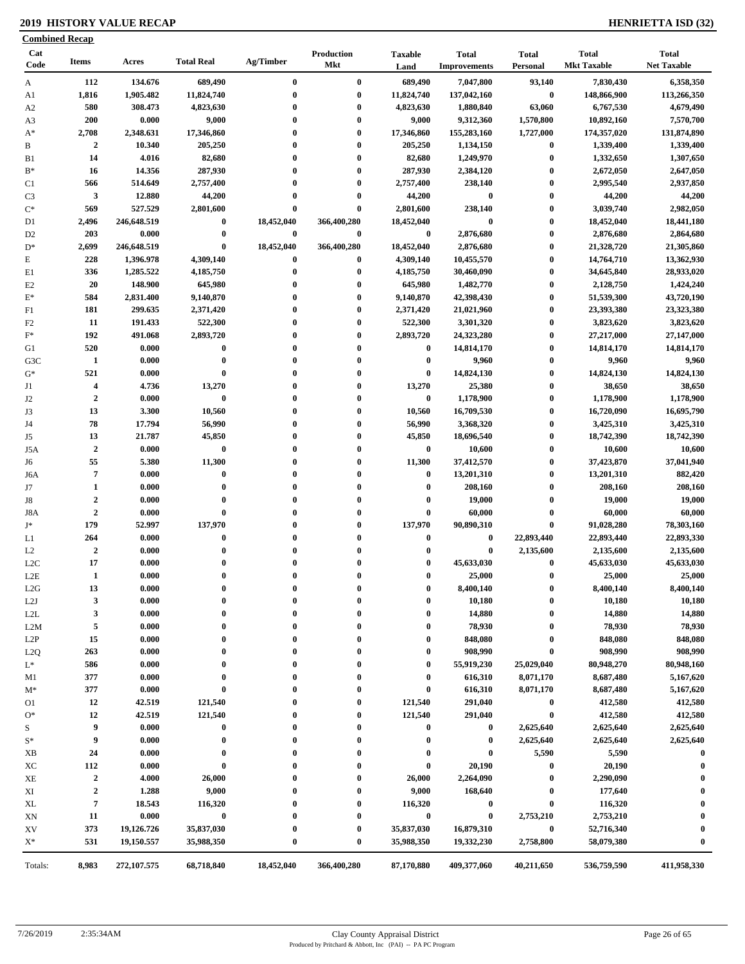### **2019 HISTORY VALUE RECAP HENRIETTA ISD (32)**

|                | <b>Combined Recap</b>   |             |                   |              |                          |                        |                                     |                          |                                    |                                    |
|----------------|-------------------------|-------------|-------------------|--------------|--------------------------|------------------------|-------------------------------------|--------------------------|------------------------------------|------------------------------------|
| Cat<br>Code    | <b>Items</b>            | Acres       | <b>Total Real</b> | Ag/Timber    | Production<br><b>Mkt</b> | <b>Taxable</b><br>Land | <b>Total</b><br><b>Improvements</b> | <b>Total</b><br>Personal | <b>Total</b><br><b>Mkt Taxable</b> | <b>Total</b><br><b>Net Taxable</b> |
| A              | 112                     | 134.676     | 689,490           | $\bf{0}$     | $\bf{0}$                 | 689,490                | 7,047,800                           | 93,140                   | 7,830,430                          | 6,358,350                          |
| A1             | 1,816                   | 1,905.482   | 11,824,740        | $\bf{0}$     | $\bf{0}$                 | 11,824,740             | 137,042,160                         | $\pmb{0}$                | 148,866,900                        | 113,266,350                        |
| A <sub>2</sub> | 580                     | 308.473     | 4,823,630         | $\bf{0}$     | $\bf{0}$                 | 4,823,630              | 1,880,840                           | 63,060                   | 6,767,530                          | 4,679,490                          |
| A3             | 200                     | 0.000       | 9,000             | $\bf{0}$     | $\bf{0}$                 | 9,000                  | 9,312,360                           | 1,570,800                | 10,892,160                         | 7,570,700                          |
| $A^*$          | 2,708                   | 2,348.631   | 17,346,860        | $\bf{0}$     | $\bf{0}$                 | 17,346,860             | 155,283,160                         | 1,727,000                | 174,357,020                        | 131,874,890                        |
| B              | $\overline{2}$          | 10.340      | 205,250           | $\mathbf{0}$ | $\bf{0}$                 | 205,250                | 1,134,150                           | $\boldsymbol{0}$         | 1,339,400                          | 1,339,400                          |
| B1             | 14                      | 4.016       | 82,680            | $\bf{0}$     | $\bf{0}$                 | 82,680                 | 1,249,970                           | $\boldsymbol{0}$         | 1,332,650                          | 1,307,650                          |
| $B^*$          | 16                      | 14.356      | 287,930           | $\bf{0}$     | $\bf{0}$                 | 287,930                | 2,384,120                           | $\bf{0}$                 | 2,672,050                          | 2,647,050                          |
| C <sub>1</sub> | 566                     | 514.649     | 2,757,400         | $\bf{0}$     | $\bf{0}$                 | 2,757,400              | 238,140                             | $\bf{0}$                 | 2,995,540                          | 2,937,850                          |
| C <sub>3</sub> | 3                       | 12.880      | 44,200            | $\bf{0}$     | $\bf{0}$                 | 44,200                 | $\bf{0}$                            | $\bf{0}$                 | 44,200                             | 44,200                             |
| $C^*$          | 569                     | 527.529     | 2,801,600         | $\bf{0}$     | $\bf{0}$                 | 2,801,600              | 238,140                             | $\boldsymbol{0}$         | 3,039,740                          | 2,982,050                          |
| D1             | 2,496                   | 246,648.519 | $\boldsymbol{0}$  | 18,452,040   | 366,400,280              | 18,452,040             | $\bf{0}$                            | $\bf{0}$                 | 18,452,040                         | 18,441,180                         |
| D <sub>2</sub> | 203                     | 0.000       | $\bf{0}$          | $\bf{0}$     | $\bf{0}$                 | $\bf{0}$               | 2,876,680                           | $\bf{0}$                 | 2,876,680                          | 2,864,680                          |
| $D^*$          | 2,699                   | 246,648.519 | $\bf{0}$          | 18,452,040   | 366,400,280              | 18,452,040             | 2,876,680                           | $\bf{0}$                 | 21,328,720                         | 21,305,860                         |
| E              | 228                     | 1,396.978   | 4,309,140         | 0            | $\bf{0}$                 | 4,309,140              | 10,455,570                          | $\bf{0}$                 | 14,764,710                         | 13,362,930                         |
| E1             | 336                     | 1,285.522   | 4,185,750         | $\bf{0}$     | $\bf{0}$                 | 4,185,750              | 30,460,090                          | $\bf{0}$                 | 34,645,840                         | 28,933,020                         |
| E2             | 20                      | 148.900     | 645,980           | $\mathbf{0}$ | $\bf{0}$                 | 645,980                | 1,482,770                           | $\bf{0}$                 | 2,128,750                          | 1,424,240                          |
| $E^*$          | 584                     | 2,831.400   | 9,140,870         | $\mathbf{0}$ | $\bf{0}$                 | 9,140,870              | 42,398,430                          | $\bf{0}$                 | 51,539,300                         | 43,720,190                         |
| F1             | 181                     | 299.635     | 2,371,420         | $\bf{0}$     | $\bf{0}$                 | 2,371,420              | 21,021,960                          | $\bf{0}$                 | 23,393,380                         | 23,323,380                         |
| F <sub>2</sub> | 11                      | 191.433     | 522,300           | $\bf{0}$     | $\bf{0}$                 | 522,300                | 3,301,320                           | $\bf{0}$                 | 3,823,620                          | 3,823,620                          |
| $\mathbf{F}^*$ | 192                     | 491.068     | 2,893,720         | $\mathbf{0}$ | $\bf{0}$                 | 2,893,720              | 24,323,280                          | $\bf{0}$                 | 27,217,000                         | 27,147,000                         |
| G1             | 520                     | 0.000       | $\bf{0}$          | $\bf{0}$     | $\bf{0}$                 | $\bf{0}$               | 14,814,170                          | $\bf{0}$                 | 14,814,170                         | 14,814,170                         |
| G3C            | 1                       | 0.000       | $\bf{0}$          | $\bf{0}$     | $\bf{0}$                 | $\bf{0}$               | 9,960                               | $\bf{0}$                 | 9,960                              | 9,960                              |
| $G^*$          | 521                     | 0.000       | $\bf{0}$          | $\bf{0}$     | $\bf{0}$                 | $\bf{0}$               | 14,824,130                          | $\bf{0}$                 | 14,824,130                         | 14,824,130                         |
| J1             | $\overline{\mathbf{4}}$ | 4.736       | 13,270            | $\bf{0}$     | $\bf{0}$                 | 13,270                 | 25,380                              | $\bf{0}$                 | 38,650                             | 38,650                             |
| J2             | $\overline{2}$          | 0.000       | $\bf{0}$          | $\mathbf{0}$ | $\bf{0}$                 | $\bf{0}$               | 1,178,900                           | $\bf{0}$                 | 1,178,900                          | 1,178,900                          |
| J3             | 13                      | 3.300       | 10,560            | $\bf{0}$     | $\bf{0}$                 | 10,560                 | 16,709,530                          | $\bf{0}$                 | 16,720,090                         | 16,695,790                         |
| J4             | 78                      | 17.794      | 56,990            | $\bf{0}$     | $\bf{0}$                 | 56,990                 | 3,368,320                           | $\bf{0}$                 | 3,425,310                          | 3,425,310                          |
| J5             | 13                      | 21.787      | 45,850            | $\bf{0}$     | $\bf{0}$                 | 45,850                 | 18,696,540                          | $\bf{0}$                 | 18,742,390                         | 18,742,390                         |
| J5A            | $\overline{2}$          | 0.000       | $\pmb{0}$         | $\mathbf{0}$ | $\bf{0}$                 | $\bf{0}$               | 10,600                              | $\bf{0}$                 | 10,600                             | 10,600                             |
| J6             | 55                      | 5.380       | 11,300            | $\bf{0}$     | $\bf{0}$                 | 11,300                 | 37,412,570                          | $\bf{0}$                 | 37,423,870                         | 37,041,940                         |
| J6A            | $\overline{7}$          | 0.000       | $\bf{0}$          | $\bf{0}$     | $\bf{0}$                 | $\bf{0}$               | 13,201,310                          | $\bf{0}$                 | 13,201,310                         | 882,420                            |
| J7             | $\mathbf{1}$            | 0.000       | $\bf{0}$          | $\mathbf{0}$ | $\bf{0}$                 | $\boldsymbol{0}$       | 208,160                             | $\bf{0}$                 | 208,160                            | 208,160                            |
| J8             | $\boldsymbol{2}$        | 0.000       | $\bf{0}$          | $\bf{0}$     | $\bf{0}$                 | $\bf{0}$               | 19,000                              | $\bf{0}$                 | 19,000                             | 19,000                             |
| J8A            | $\boldsymbol{2}$        | 0.000       | $\bf{0}$          | $\bf{0}$     | $\bf{0}$                 | $\bf{0}$               | 60,000                              | $\bf{0}$                 | 60,000                             | 60,000                             |
| $\mathbf{J}^*$ | 179                     | 52.997      | 137,970           | $\bf{0}$     | $\bf{0}$                 | 137,970                | 90,890,310                          | $\bf{0}$                 | 91,028,280                         | 78,303,160                         |
| L1             | 264                     | 0.000       | $\bf{0}$          | $\mathbf{0}$ | $\bf{0}$                 | $\bf{0}$               | $\bf{0}$                            | 22,893,440               | 22,893,440                         | 22,893,330                         |
| L2             | $\mathbf 2$             | 0.000       | $\bf{0}$          | $\bf{0}$     | $\bf{0}$                 | $\mathbf 0$            | $\bf{0}$                            | 2,135,600                | 2,135,600                          | 2,135,600                          |
| L2C            | 17                      | 0.000       | $\bf{0}$          | $\bf{0}$     | $\bf{0}$                 | $\bf{0}$               | 45,633,030                          | $\bf{0}$                 | 45,633,030                         | 45,633,030                         |
| $_{\rm L2E}$   | -1                      | 0.000       | $\theta$          |              |                          | $\mathbf{0}$           | 25,000                              | $\bf{0}$                 | 25,000                             | 25,000                             |
| L2G            | 13                      | 0.000       | $\boldsymbol{0}$  | 0            | $\boldsymbol{0}$         | $\bf{0}$               | 8,400,140                           | $\boldsymbol{0}$         | 8,400,140                          | 8,400,140                          |
| L2J            | 3                       | 0.000       | $\bf{0}$          | $\bf{0}$     | $\bf{0}$                 | $\boldsymbol{0}$       | 10,180                              | $\boldsymbol{0}$         | 10,180                             | 10,180                             |
| L2L            | 3                       | 0.000       | $\bf{0}$          | 0            | $\boldsymbol{0}$         | $\boldsymbol{0}$       | 14,880                              | $\bf{0}$                 | 14,880                             | 14,880                             |
| L2M            | 5                       | 0.000       | $\bf{0}$          | 0            | $\mathbf{0}$             | $\boldsymbol{0}$       | 78,930                              | $\boldsymbol{0}$         | 78,930                             | 78,930                             |
| L2P            | 15                      | 0.000       | $\bf{0}$          | 0            | $\boldsymbol{0}$         | $\bf{0}$               | 848,080                             | $\boldsymbol{0}$         | 848,080                            | 848,080                            |
| L2Q            | 263                     | 0.000       | $\bf{0}$          |              | $\boldsymbol{0}$         | $\boldsymbol{0}$       | 908,990                             | $\bf{0}$                 | 908,990                            | 908,990                            |
| $L^*$          | 586                     | 0.000       | $\bf{0}$          |              | $\boldsymbol{0}$         | $\bf{0}$               | 55,919,230                          | 25,029,040               | 80,948,270                         | 80,948,160                         |
| M1             | 377                     | 0.000       | $\bf{0}$          | $\bf{0}$     | $\boldsymbol{0}$         | $\bf{0}$               | 616,310                             | 8,071,170                | 8,687,480                          | 5,167,620                          |
| $M^*$          | 377                     | 0.000       | $\bf{0}$          |              | $\boldsymbol{0}$         | $\boldsymbol{0}$       | 616,310                             | 8,071,170                | 8,687,480                          | 5,167,620                          |
| O1             | 12                      | 42.519      | 121,540           |              | $\boldsymbol{0}$         | 121,540                | 291,040                             | $\boldsymbol{0}$         | 412,580                            | 412,580                            |
| $O*$           | 12                      | 42.519      | 121,540           |              | $\bf{0}$                 | 121,540                | 291,040                             | $\boldsymbol{0}$         | 412,580                            | 412,580                            |
| S              | 9                       | 0.000       | $\bf{0}$          | 0            | $\boldsymbol{0}$         | $\bf{0}$               | $\bf{0}$                            | 2,625,640                | 2,625,640                          | 2,625,640                          |
| $S^*$          | 9                       | 0.000       | $\bf{0}$          | 0            | $\boldsymbol{0}$         | $\bf{0}$               | $\bf{0}$                            | 2,625,640                | 2,625,640                          | 2,625,640                          |
| XB             | 24                      | 0.000       | $\bf{0}$          |              | $\boldsymbol{0}$         | $\bf{0}$               | $\bf{0}$                            | 5,590                    | 5,590                              | $\bf{0}$                           |
| XC             | 112                     | 0.000       | $\bf{0}$          |              | $\boldsymbol{0}$         | $\boldsymbol{0}$       | 20,190                              | $\bf{0}$                 | 20,190                             | $\bf{0}$                           |
| XЕ             | $\overline{2}$          | 4.000       | 26,000            |              | $\boldsymbol{0}$         | 26,000                 | 2,264,090                           | $\bf{0}$                 | 2,290,090                          | 0                                  |
| XI             | $\boldsymbol{2}$        | 1.288       | 9,000             |              | $\boldsymbol{0}$         | 9,000                  | 168,640                             | $\boldsymbol{0}$         | 177,640                            | 0                                  |
| XL             | $\pmb{7}$               | 18.543      | 116,320           |              | $\bf{0}$                 | 116,320                | $\bf{0}$                            | $\pmb{0}$                | 116,320                            | $\boldsymbol{0}$                   |
| XN             | 11                      | 0.000       | $\bf{0}$          |              | $\boldsymbol{0}$         | $\bf{0}$               | $\bf{0}$                            | 2,753,210                | 2,753,210                          | $\boldsymbol{0}$                   |
| XV             | 373                     | 19,126.726  | 35,837,030        |              | $\boldsymbol{0}$         | 35,837,030             | 16,879,310                          | $\pmb{0}$                | 52,716,340                         | $\boldsymbol{0}$                   |
| $X^*$          | 531                     | 19,150.557  | 35,988,350        | 0            | $\bf{0}$                 | 35,988,350             | 19,332,230                          | 2,758,800                | 58,079,380                         | $\bf{0}$                           |
| Totals:        | 8,983                   | 272,107.575 | 68,718,840        | 18,452,040   | 366,400,280              | 87,170,880             | 409,377,060                         | 40,211,650               | 536,759,590                        | 411,958,330                        |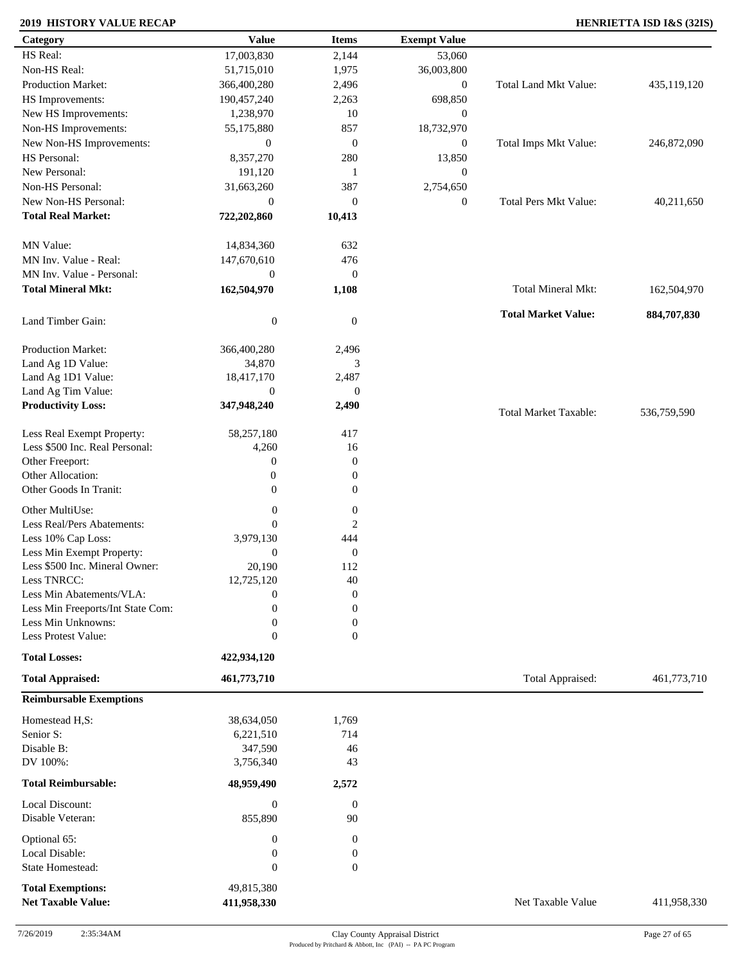### **2019 HISTORY VALUE RECAP HENRIETTA ISD I&S (32IS)**

| Category                            | <b>Value</b>                | <b>Items</b>         | <b>Exempt Value</b> |                              |             |
|-------------------------------------|-----------------------------|----------------------|---------------------|------------------------------|-------------|
| HS Real:                            | 17,003,830                  | 2,144                | 53,060              |                              |             |
| Non-HS Real:                        | 51,715,010                  | 1,975                | 36,003,800          |                              |             |
| Production Market:                  | 366,400,280                 | 2,496                | $\boldsymbol{0}$    | Total Land Mkt Value:        | 435,119,120 |
| HS Improvements:                    | 190,457,240                 | 2,263                | 698,850             |                              |             |
| New HS Improvements:                | 1,238,970                   | 10                   | $\mathbf{0}$        |                              |             |
| Non-HS Improvements:                | 55,175,880                  | 857                  | 18,732,970          |                              |             |
| New Non-HS Improvements:            | $\boldsymbol{0}$            | $\mathbf{0}$         | $\mathbf{0}$        | Total Imps Mkt Value:        | 246,872,090 |
| HS Personal:                        | 8,357,270                   | 280                  | 13,850              |                              |             |
| New Personal:                       | 191,120                     | 1                    | $\boldsymbol{0}$    |                              |             |
| Non-HS Personal:                    |                             | 387                  |                     |                              |             |
|                                     | 31,663,260                  |                      | 2,754,650           |                              |             |
| New Non-HS Personal:                | $\boldsymbol{0}$            | $\mathbf{0}$         | $\boldsymbol{0}$    | <b>Total Pers Mkt Value:</b> | 40,211,650  |
| <b>Total Real Market:</b>           | 722,202,860                 | 10,413               |                     |                              |             |
| MN Value:                           | 14,834,360                  | 632                  |                     |                              |             |
| MN Inv. Value - Real:               | 147,670,610                 | 476                  |                     |                              |             |
| MN Inv. Value - Personal:           | $\boldsymbol{0}$            | $\mathbf{0}$         |                     |                              |             |
| <b>Total Mineral Mkt:</b>           | 162,504,970                 | 1,108                |                     | Total Mineral Mkt:           | 162,504,970 |
|                                     |                             |                      |                     |                              |             |
| Land Timber Gain:                   | $\boldsymbol{0}$            | $\mathbf{0}$         |                     | <b>Total Market Value:</b>   | 884,707,830 |
| Production Market:                  | 366,400,280                 | 2,496                |                     |                              |             |
| Land Ag 1D Value:                   | 34,870                      | 3                    |                     |                              |             |
| Land Ag 1D1 Value:                  | 18,417,170                  | 2,487                |                     |                              |             |
| Land Ag Tim Value:                  | $\mathbf{0}$                | $\theta$             |                     |                              |             |
| <b>Productivity Loss:</b>           | 347,948,240                 | 2,490                |                     | <b>Total Market Taxable:</b> | 536,759,590 |
| Less Real Exempt Property:          | 58,257,180                  | 417                  |                     |                              |             |
| Less \$500 Inc. Real Personal:      | 4,260                       | 16                   |                     |                              |             |
| Other Freeport:                     | $\mathbf{0}$                | $\mathbf{0}$         |                     |                              |             |
| Other Allocation:                   |                             |                      |                     |                              |             |
|                                     | $\boldsymbol{0}$            | $\boldsymbol{0}$     |                     |                              |             |
| Other Goods In Tranit:              | $\overline{0}$              | $\boldsymbol{0}$     |                     |                              |             |
| Other MultiUse:                     | $\boldsymbol{0}$            | $\boldsymbol{0}$     |                     |                              |             |
| Less Real/Pers Abatements:          | $\mathbf{0}$                | $\overline{2}$       |                     |                              |             |
| Less 10% Cap Loss:                  | 3,979,130                   | 444                  |                     |                              |             |
| Less Min Exempt Property:           | $\boldsymbol{0}$            | $\mathbf{0}$         |                     |                              |             |
| Less \$500 Inc. Mineral Owner:      | 20,190                      | 112                  |                     |                              |             |
| Less TNRCC:                         | 12,725,120                  | 40                   |                     |                              |             |
| Less Min Abatements/VLA:            | $\mathbf{0}$                | $\boldsymbol{0}$     |                     |                              |             |
| Less Min Freeports/Int State Com:   | $\theta$                    | $\mathbf{0}$         |                     |                              |             |
| Less Min Unknowns:                  | $\boldsymbol{0}$            | $\Omega$             |                     |                              |             |
| Less Protest Value:                 | $\boldsymbol{0}$            | $\theta$             |                     |                              |             |
| <b>Total Losses:</b>                | 422,934,120                 |                      |                     |                              |             |
| <b>Total Appraised:</b>             | 461,773,710                 |                      |                     | Total Appraised:             | 461,773,710 |
| <b>Reimbursable Exemptions</b>      |                             |                      |                     |                              |             |
| Homestead H,S:                      | 38,634,050                  | 1,769                |                     |                              |             |
| Senior S:                           | 6,221,510                   | 714                  |                     |                              |             |
| Disable B:                          | 347,590                     | 46                   |                     |                              |             |
| DV 100%:                            | 3,756,340                   | 43                   |                     |                              |             |
|                                     |                             |                      |                     |                              |             |
| <b>Total Reimbursable:</b>          | 48,959,490                  | 2,572                |                     |                              |             |
| Local Discount:<br>Disable Veteran: | $\boldsymbol{0}$<br>855,890 | $\overline{0}$<br>90 |                     |                              |             |
|                                     |                             |                      |                     |                              |             |
| Optional 65:                        | $\boldsymbol{0}$            | 0                    |                     |                              |             |
| Local Disable:                      | $\boldsymbol{0}$            | $\boldsymbol{0}$     |                     |                              |             |
| State Homestead:                    | $\boldsymbol{0}$            | $\theta$             |                     |                              |             |
| <b>Total Exemptions:</b>            | 49,815,380                  |                      |                     |                              |             |
| <b>Net Taxable Value:</b>           | 411,958,330                 |                      |                     | Net Taxable Value            | 411,958,330 |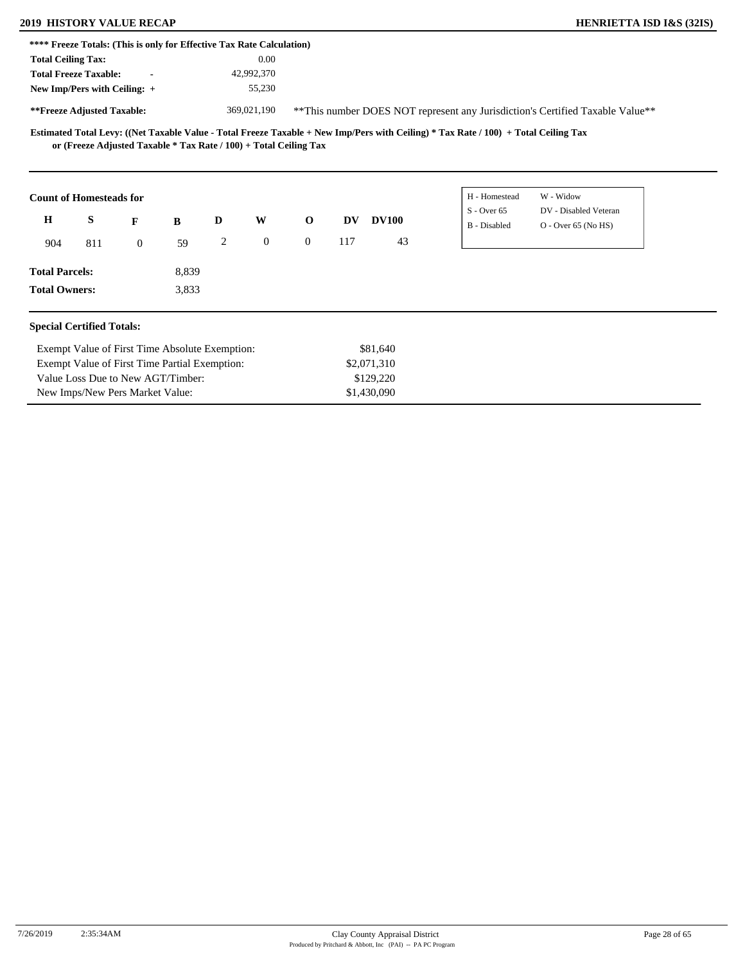## **2010 HISTORY VALUE RECAP**

Exempt Value of First Time Partial Exemption:

Value Loss Due to New AGT/Timber: New Imps/New Pers Market Value:

| <b>HENRIETTA ISD I&amp;S (32IS)</b> |  |  |  |
|-------------------------------------|--|--|--|
|-------------------------------------|--|--|--|

|                           | **** Freeze Totals: (This is only for Effective Tax Rate Calculation) |                |       |   |              |                |     |              |               |                                                                                |  |
|---------------------------|-----------------------------------------------------------------------|----------------|-------|---|--------------|----------------|-----|--------------|---------------|--------------------------------------------------------------------------------|--|
| <b>Total Ceiling Tax:</b> |                                                                       |                |       |   | 0.00         |                |     |              |               |                                                                                |  |
|                           | <b>Total Freeze Taxable:</b>                                          |                |       |   | 42,992,370   |                |     |              |               |                                                                                |  |
|                           | New Imp/Pers with Ceiling: +                                          |                |       |   | 55,230       |                |     |              |               |                                                                                |  |
|                           | **Freeze Adjusted Taxable:                                            |                |       |   | 369,021,190  |                |     |              |               | ** This number DOES NOT represent any Jurisdiction's Certified Taxable Value** |  |
|                           | or (Freeze Adjusted Taxable * Tax Rate / 100) + Total Ceiling Tax     |                |       |   |              |                |     |              |               |                                                                                |  |
|                           |                                                                       |                |       |   |              |                |     |              |               |                                                                                |  |
|                           | <b>Count of Homesteads for</b>                                        |                |       |   |              |                |     |              | H - Homestead | W - Widow                                                                      |  |
| $\bf H$                   | S                                                                     | F              | B     | D | W            | $\mathbf 0$    | DV  | <b>DV100</b> | $S -$ Over 65 | DV - Disabled Veteran                                                          |  |
| 904                       | 811                                                                   | $\overline{0}$ | 59    | 2 | $\mathbf{0}$ | $\overline{0}$ | 117 | 43           | B - Disabled  | $O -$ Over 65 (No HS)                                                          |  |
| <b>Total Parcels:</b>     |                                                                       |                | 8,839 |   |              |                |     |              |               |                                                                                |  |

\$2,071,310 \$129,220 \$1,430,090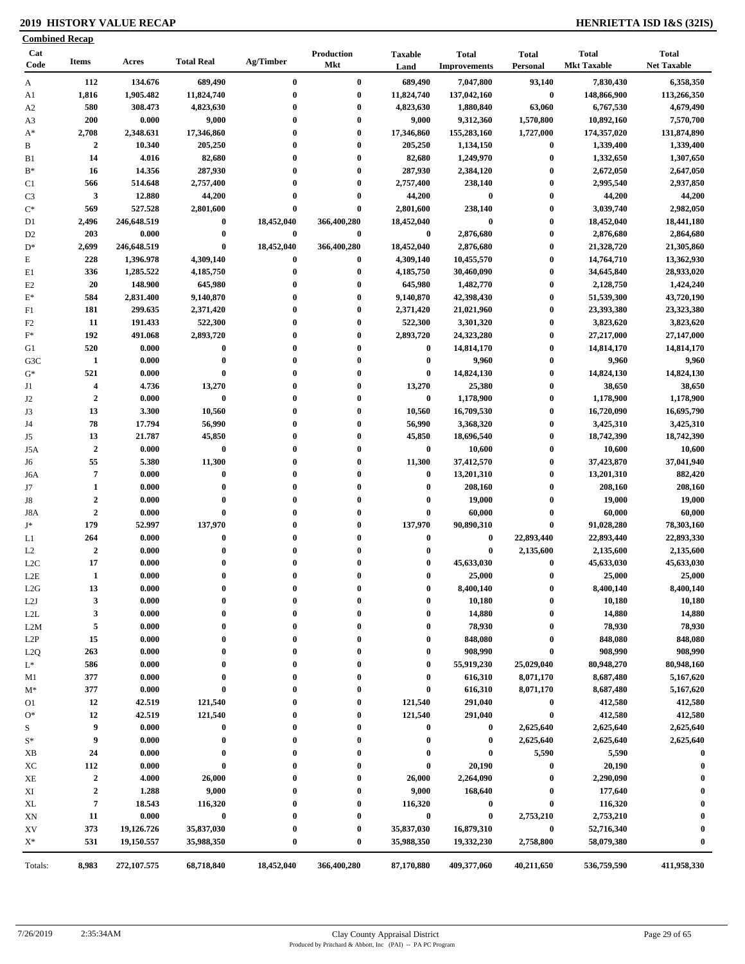### **2019 HISTORY VALUE RECAP HENRIETTA ISD I&S (32IS)**

| <b>Combined Recap</b> |                         |                |                      |              |                          |                        |                                     |                          |                                    |                                    |
|-----------------------|-------------------------|----------------|----------------------|--------------|--------------------------|------------------------|-------------------------------------|--------------------------|------------------------------------|------------------------------------|
| Cat<br>Code           | <b>Items</b>            | Acres          | <b>Total Real</b>    | Ag/Timber    | Production<br><b>Mkt</b> | <b>Taxable</b><br>Land | <b>Total</b><br><b>Improvements</b> | <b>Total</b><br>Personal | <b>Total</b><br><b>Mkt Taxable</b> | <b>Total</b><br><b>Net Taxable</b> |
| A                     | 112                     | 134.676        | 689,490              | $\bf{0}$     | $\bf{0}$                 | 689,490                | 7,047,800                           | 93,140                   | 7,830,430                          | 6,358,350                          |
| A1                    | 1,816                   | 1,905.482      | 11,824,740           | $\bf{0}$     | $\bf{0}$                 | 11,824,740             | 137,042,160                         | $\pmb{0}$                | 148,866,900                        | 113,266,350                        |
| A <sub>2</sub>        | 580                     | 308.473        | 4,823,630            | $\bf{0}$     | $\bf{0}$                 | 4,823,630              | 1,880,840                           | 63,060                   | 6,767,530                          | 4,679,490                          |
| A3                    | 200                     | 0.000          | 9,000                | $\bf{0}$     | $\bf{0}$                 | 9,000                  | 9,312,360                           | 1,570,800                | 10,892,160                         | 7,570,700                          |
| $A^*$                 | 2,708                   | 2,348.631      | 17,346,860           | $\bf{0}$     | $\bf{0}$                 | 17,346,860             | 155,283,160                         | 1,727,000                | 174,357,020                        | 131,874,890                        |
| B                     | $\overline{2}$          | 10.340         | 205,250              | $\mathbf{0}$ | $\bf{0}$                 | 205,250                | 1,134,150                           | $\boldsymbol{0}$         | 1,339,400                          | 1,339,400                          |
| B1                    | 14                      | 4.016          | 82,680               | $\bf{0}$     | $\bf{0}$                 | 82,680                 | 1,249,970                           | $\boldsymbol{0}$         | 1,332,650                          | 1,307,650                          |
| $B^*$                 | 16                      | 14.356         | 287,930              | $\bf{0}$     | $\bf{0}$                 | 287,930                | 2,384,120                           | $\bf{0}$                 | 2,672,050                          | 2,647,050                          |
| C <sub>1</sub>        | 566                     | 514.648        | 2,757,400            | $\bf{0}$     | $\bf{0}$                 | 2,757,400              | 238,140                             | $\bf{0}$                 | 2,995,540                          | 2,937,850                          |
| C <sub>3</sub>        | 3                       | 12.880         | 44,200               | $\bf{0}$     | $\bf{0}$                 | 44,200                 | $\bf{0}$                            | $\bf{0}$                 | 44,200                             | 44,200                             |
| $C^*$                 | 569                     | 527.528        | 2,801,600            | $\bf{0}$     | $\bf{0}$                 | 2,801,600              | 238,140                             | $\bf{0}$                 | 3,039,740                          | 2,982,050                          |
| D1                    | 2,496                   | 246,648.519    | $\boldsymbol{0}$     | 18,452,040   | 366,400,280              | 18,452,040             | $\bf{0}$                            | $\bf{0}$                 | 18,452,040                         | 18,441,180                         |
| D <sub>2</sub>        | 203                     | 0.000          | $\bf{0}$             | $\bf{0}$     | $\bf{0}$                 | $\bf{0}$               | 2,876,680                           | $\bf{0}$                 | 2,876,680                          | 2,864,680                          |
| $D^*$                 | 2,699                   | 246,648.519    | $\bf{0}$             | 18,452,040   | 366,400,280              | 18,452,040             | 2,876,680                           | $\bf{0}$                 | 21,328,720                         | 21,305,860                         |
| E                     | 228                     | 1,396.978      | 4,309,140            | 0            | $\bf{0}$                 | 4,309,140              | 10,455,570                          | $\bf{0}$                 | 14,764,710                         | 13,362,930                         |
| E1                    | 336                     | 1,285.522      | 4,185,750            | $\bf{0}$     | $\bf{0}$                 | 4,185,750              | 30,460,090                          | $\bf{0}$                 | 34,645,840                         | 28,933,020                         |
| E2                    | 20                      | 148.900        | 645,980              | $\mathbf{0}$ | $\bf{0}$                 | 645,980                | 1,482,770                           | $\bf{0}$                 | 2,128,750                          | 1,424,240                          |
| $E^*$                 | 584                     | 2,831.400      | 9,140,870            | $\mathbf{0}$ | $\bf{0}$                 | 9,140,870              | 42,398,430                          | $\bf{0}$                 | 51,539,300                         | 43,720,190                         |
| F1                    | 181                     | 299.635        | 2,371,420            | $\bf{0}$     | $\bf{0}$                 | 2,371,420              | 21,021,960                          | $\bf{0}$                 | 23,393,380                         | 23,323,380                         |
| F <sub>2</sub>        | 11                      | 191.433        | 522,300              | $\bf{0}$     | $\bf{0}$                 | 522,300                | 3,301,320                           | $\bf{0}$                 | 3,823,620                          | 3,823,620                          |
| $\mathbf{F}^*$        | 192                     | 491.068        | 2,893,720            | $\mathbf{0}$ | $\bf{0}$                 | 2,893,720              | 24,323,280                          | $\bf{0}$                 | 27,217,000                         | 27,147,000                         |
| G1                    | 520                     | 0.000          | $\bf{0}$             | $\bf{0}$     | $\bf{0}$                 | $\bf{0}$               | 14,814,170                          | $\bf{0}$                 | 14,814,170                         | 14,814,170                         |
| G3C                   | 1                       | 0.000          | $\bf{0}$             | $\bf{0}$     | $\bf{0}$                 | $\bf{0}$               | 9,960                               | $\bf{0}$                 | 9,960                              | 9,960                              |
| $G^*$                 | 521                     | 0.000          | $\bf{0}$             | $\bf{0}$     | $\bf{0}$                 | $\bf{0}$               | 14,824,130                          | $\bf{0}$                 | 14,824,130                         | 14,824,130                         |
| J1                    | $\overline{\mathbf{4}}$ | 4.736          | 13,270               | $\bf{0}$     | $\bf{0}$                 | 13,270                 | 25,380                              | $\bf{0}$                 | 38,650                             | 38,650                             |
| J2                    | $\overline{2}$          | 0.000          | $\bf{0}$             | $\mathbf{0}$ | $\bf{0}$                 | $\bf{0}$               | 1,178,900                           | $\boldsymbol{0}$         | 1,178,900                          | 1,178,900                          |
| J3                    | 13                      | 3.300          | 10,560               | $\bf{0}$     | $\bf{0}$                 | 10,560                 | 16,709,530                          | $\bf{0}$                 | 16,720,090                         | 16,695,790                         |
| J4                    | 78                      | 17.794         | 56,990               | $\bf{0}$     | $\bf{0}$                 | 56,990                 | 3,368,320                           | $\bf{0}$                 | 3,425,310                          | 3,425,310                          |
| J5                    | 13                      | 21.787         | 45,850               | $\bf{0}$     | $\bf{0}$                 | 45,850                 | 18,696,540                          | $\bf{0}$                 | 18,742,390                         | 18,742,390                         |
| J5A                   | $\overline{2}$          | 0.000          | $\pmb{0}$            | $\mathbf{0}$ | $\bf{0}$                 | $\bf{0}$               | 10,600                              | $\bf{0}$                 | 10,600                             | 10,600                             |
| J6                    | 55                      | 5.380          | 11,300               | $\bf{0}$     | $\bf{0}$                 | 11,300                 | 37,412,570                          | $\bf{0}$                 | 37,423,870                         | 37,041,940                         |
| J6A                   | $\overline{7}$          | 0.000          | $\bf{0}$             | $\bf{0}$     | $\bf{0}$                 | $\bf{0}$               | 13,201,310                          | $\bf{0}$                 | 13,201,310                         | 882,420                            |
| J7                    | $\mathbf{1}$            | 0.000          | $\bf{0}$             | $\mathbf{0}$ | $\bf{0}$                 | $\boldsymbol{0}$       | 208,160                             | $\bf{0}$                 | 208,160                            | 208,160                            |
| J8                    | $\boldsymbol{2}$        | 0.000          | $\bf{0}$             | $\bf{0}$     | $\bf{0}$                 | $\bf{0}$               | 19,000                              | $\bf{0}$                 | 19,000                             | 19,000                             |
| J8A                   | $\boldsymbol{2}$        | 0.000          | $\bf{0}$             | $\bf{0}$     | $\bf{0}$                 | $\bf{0}$               | 60,000                              | $\bf{0}$                 | 60,000                             | 60,000                             |
| $\mathbf{J}^*$        | 179                     | 52.997         | 137,970              | $\bf{0}$     | $\bf{0}$                 | 137,970                | 90,890,310                          | $\bf{0}$                 | 91,028,280                         | 78,303,160                         |
|                       | 264                     | 0.000          | $\bf{0}$             | $\mathbf{0}$ | $\bf{0}$                 | $\bf{0}$               | $\bf{0}$                            | 22,893,440               | 22,893,440                         | 22,893,330                         |
| L1                    |                         |                |                      | $\bf{0}$     |                          | $\mathbf 0$            |                                     |                          |                                    |                                    |
| L2                    | $\mathbf 2$<br>17       | 0.000<br>0.000 | $\bf{0}$<br>$\bf{0}$ | $\bf{0}$     | $\bf{0}$<br>$\bf{0}$     | $\bf{0}$               | $\bf{0}$<br>45,633,030              | 2,135,600<br>$\bf{0}$    | 2,135,600                          | 2,135,600                          |
| L <sub>2</sub> C      |                         |                | $\theta$             |              |                          | $\mathbf{0}$           |                                     | $\bf{0}$                 | 45,633,030                         | 45,633,030                         |
| $_{\rm L2E}$          | -1                      | 0.000          |                      |              |                          |                        | 25,000                              |                          | 25,000                             | 25,000                             |
| L2G                   | 13                      | 0.000          | $\boldsymbol{0}$     | 0            | $\boldsymbol{0}$         | $\bf{0}$               | 8,400,140                           | $\boldsymbol{0}$         | 8,400,140                          | 8,400,140                          |
| L2J                   | 3                       | 0.000          | $\bf{0}$             | $\bf{0}$     | $\bf{0}$                 | $\boldsymbol{0}$       | 10,180                              | $\boldsymbol{0}$         | 10,180                             | 10,180                             |
| L2L                   | 3                       | 0.000          | $\bf{0}$             | 0            | $\boldsymbol{0}$         | $\boldsymbol{0}$       | 14,880                              | $\bf{0}$                 | 14,880                             | 14,880                             |
| L2M                   | 5                       | 0.000          | $\bf{0}$             | 0            | $\mathbf{0}$             | $\boldsymbol{0}$       | 78,930                              | $\boldsymbol{0}$         | 78,930                             | 78,930                             |
| L2P                   | 15                      | 0.000          | $\bf{0}$             | 0            | $\boldsymbol{0}$         | $\bf{0}$               | 848,080                             | $\boldsymbol{0}$         | 848,080                            | 848,080                            |
| L2Q                   | 263                     | 0.000          | $\bf{0}$             |              | $\boldsymbol{0}$         | $\boldsymbol{0}$       | 908,990                             | $\bf{0}$                 | 908,990                            | 908,990                            |
| $L^*$                 | 586                     | 0.000          | $\bf{0}$             |              | $\boldsymbol{0}$         | $\bf{0}$               | 55,919,230                          | 25,029,040               | 80,948,270                         | 80,948,160                         |
| M1                    | 377                     | 0.000          | $\bf{0}$             | $\bf{0}$     | $\boldsymbol{0}$         | $\bf{0}$               | 616,310                             | 8,071,170                | 8,687,480                          | 5,167,620                          |
| $M^*$                 | 377                     | 0.000          | $\bf{0}$             |              | $\boldsymbol{0}$         | $\boldsymbol{0}$       | 616,310                             | 8,071,170                | 8,687,480                          | 5,167,620                          |
| O1                    | 12                      | 42.519         | 121,540              |              | $\boldsymbol{0}$         | 121,540                | 291,040                             | $\boldsymbol{0}$         | 412,580                            | 412,580                            |
| $O*$                  | 12                      | 42.519         | 121,540              |              | $\bf{0}$                 | 121,540                | 291,040                             | $\boldsymbol{0}$         | 412,580                            | 412,580                            |
| S                     | 9                       | 0.000          | $\bf{0}$             | 0            | $\boldsymbol{0}$         | $\bf{0}$               | $\bf{0}$                            | 2,625,640                | 2,625,640                          | 2,625,640                          |
| $S^*$                 | 9                       | 0.000          | $\bf{0}$             | 0            | $\boldsymbol{0}$         | $\bf{0}$               | $\bf{0}$                            | 2,625,640                | 2,625,640                          | 2,625,640                          |
| XB                    | 24                      | 0.000          | $\bf{0}$             |              | $\boldsymbol{0}$         | $\bf{0}$               | $\bf{0}$                            | 5,590                    | 5,590                              | $\bf{0}$                           |
| XC                    | 112                     | 0.000          | $\bf{0}$             |              | $\boldsymbol{0}$         | $\boldsymbol{0}$       | 20,190                              | $\bf{0}$                 | 20,190                             | $\bf{0}$                           |
| XЕ                    | $\overline{2}$          | 4.000          | 26,000               |              | $\boldsymbol{0}$         | 26,000                 | 2,264,090                           | $\bf{0}$                 | 2,290,090                          | 0                                  |
| XI                    | $\boldsymbol{2}$        | 1.288          | 9,000                |              | $\boldsymbol{0}$         | 9,000                  | 168,640                             | $\boldsymbol{0}$         | 177,640                            | 0                                  |
| XL                    | $\pmb{7}$               | 18.543         | 116,320              |              | $\bf{0}$                 | 116,320                | $\bf{0}$                            | $\pmb{0}$                | 116,320                            | 0                                  |
| XN                    | 11                      | 0.000          | $\bf{0}$             |              | $\boldsymbol{0}$         | $\bf{0}$               | $\bf{0}$                            | 2,753,210                | 2,753,210                          | $\boldsymbol{0}$                   |
| XV                    | 373                     | 19,126.726     | 35,837,030           |              | $\boldsymbol{0}$         | 35,837,030             | 16,879,310                          | $\pmb{0}$                | 52,716,340                         | $\bf{0}$                           |
| $X^*$                 | 531                     | 19,150.557     | 35,988,350           | 0            | $\bf{0}$                 | 35,988,350             | 19,332,230                          | 2,758,800                | 58,079,380                         | $\bf{0}$                           |
| Totals:               | 8,983                   | 272,107.575    | 68,718,840           | 18,452,040   | 366,400,280              | 87,170,880             | 409,377,060                         | 40,211,650               | 536,759,590                        | 411,958,330                        |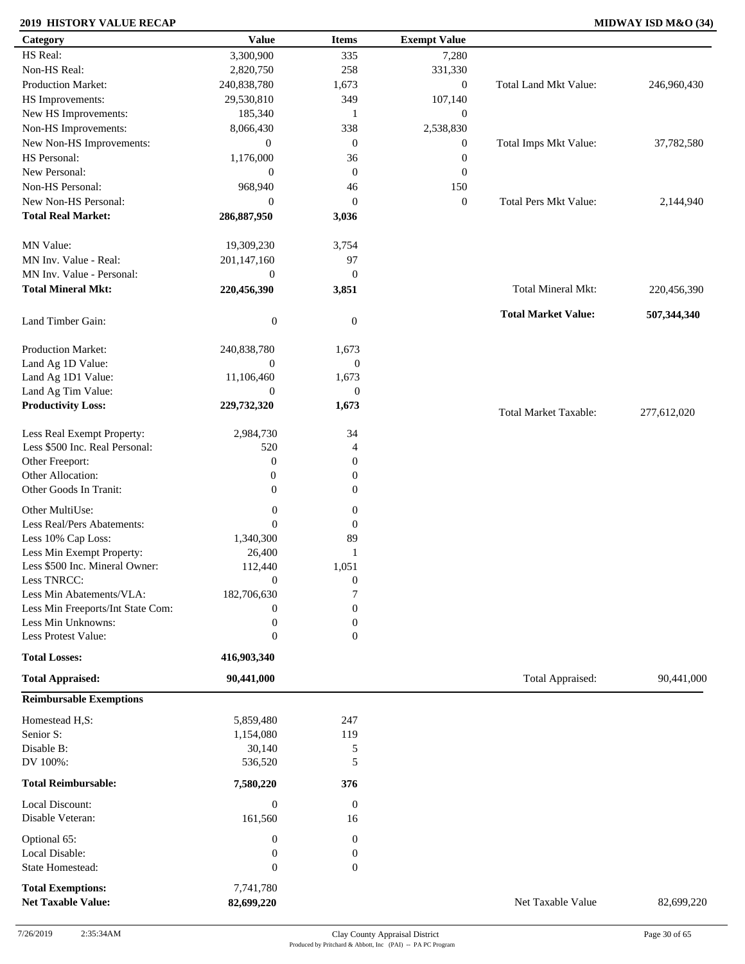### **2019 HISTORY VALUE RECAP MIDWAY ISD M&O (34)**

| Category                          | <b>Value</b>                | <b>Items</b>           | <b>Exempt Value</b> |                              |             |
|-----------------------------------|-----------------------------|------------------------|---------------------|------------------------------|-------------|
| HS Real:                          | 3,300,900                   | 335                    | 7,280               |                              |             |
| Non-HS Real:                      | 2,820,750                   | 258                    | 331,330             |                              |             |
| <b>Production Market:</b>         | 240,838,780                 | 1,673                  | $\mathbf{0}$        | <b>Total Land Mkt Value:</b> | 246,960,430 |
| HS Improvements:                  | 29,530,810                  | 349                    | 107,140             |                              |             |
| New HS Improvements:              | 185,340                     | 1                      | $\mathbf{0}$        |                              |             |
| Non-HS Improvements:              | 8,066,430                   | 338                    | 2,538,830           |                              |             |
| New Non-HS Improvements:          | $\mathbf{0}$                | $\mathbf{0}$           | $\mathbf{0}$        | Total Imps Mkt Value:        | 37,782,580  |
| HS Personal:                      | 1,176,000                   | 36                     | $\boldsymbol{0}$    |                              |             |
| New Personal:                     | $\boldsymbol{0}$            | $\mathbf{0}$           | $\mathbf{0}$        |                              |             |
| Non-HS Personal:                  | 968,940                     | 46                     | 150                 |                              |             |
|                                   |                             |                        |                     |                              |             |
| New Non-HS Personal:              | $\boldsymbol{0}$            | $\mathbf{0}$           | $\boldsymbol{0}$    | <b>Total Pers Mkt Value:</b> | 2,144,940   |
| <b>Total Real Market:</b>         | 286,887,950                 | 3,036                  |                     |                              |             |
| MN Value:                         | 19,309,230                  | 3,754                  |                     |                              |             |
| MN Inv. Value - Real:             | 201,147,160                 | 97                     |                     |                              |             |
| MN Inv. Value - Personal:         | $\boldsymbol{0}$            | $\mathbf{0}$           |                     |                              |             |
| <b>Total Mineral Mkt:</b>         | 220,456,390                 | 3,851                  |                     | Total Mineral Mkt:           | 220,456,390 |
|                                   |                             |                        |                     |                              |             |
| Land Timber Gain:                 | $\boldsymbol{0}$            | $\mathbf{0}$           |                     | <b>Total Market Value:</b>   | 507,344,340 |
| Production Market:                | 240,838,780                 | 1,673                  |                     |                              |             |
| Land Ag 1D Value:                 | $\mathbf{0}$                | $\boldsymbol{0}$       |                     |                              |             |
| Land Ag 1D1 Value:                | 11,106,460                  | 1,673                  |                     |                              |             |
| Land Ag Tim Value:                | $\mathbf{0}$                | $\mathbf{0}$           |                     |                              |             |
| <b>Productivity Loss:</b>         | 229,732,320                 | 1,673                  |                     |                              |             |
|                                   |                             |                        |                     | <b>Total Market Taxable:</b> | 277,612,020 |
| Less Real Exempt Property:        | 2,984,730                   | 34                     |                     |                              |             |
| Less \$500 Inc. Real Personal:    | 520                         | $\overline{4}$         |                     |                              |             |
| Other Freeport:                   | $\boldsymbol{0}$            | $\mathbf{0}$           |                     |                              |             |
| Other Allocation:                 | 0                           | $\boldsymbol{0}$       |                     |                              |             |
| Other Goods In Tranit:            | $\boldsymbol{0}$            | $\boldsymbol{0}$       |                     |                              |             |
| Other MultiUse:                   | $\boldsymbol{0}$            | $\boldsymbol{0}$       |                     |                              |             |
| Less Real/Pers Abatements:        | $\theta$                    |                        |                     |                              |             |
|                                   |                             | $\boldsymbol{0}$       |                     |                              |             |
| Less 10% Cap Loss:                | 1,340,300                   | 89                     |                     |                              |             |
| Less Min Exempt Property:         | 26,400                      | 1                      |                     |                              |             |
| Less \$500 Inc. Mineral Owner:    | 112,440                     | 1,051                  |                     |                              |             |
| Less TNRCC:                       | $\boldsymbol{0}$            | $\boldsymbol{0}$       |                     |                              |             |
| Less Min Abatements/VLA:          | 182,706,630                 | $\overline{7}$         |                     |                              |             |
| Less Min Freeports/Int State Com: | 0                           | $\boldsymbol{0}$       |                     |                              |             |
| Less Min Unknowns:                | $\boldsymbol{0}$            | $\boldsymbol{0}$       |                     |                              |             |
| Less Protest Value:               | $\boldsymbol{0}$            | $\mathbf{0}$           |                     |                              |             |
| <b>Total Losses:</b>              | 416,903,340                 |                        |                     |                              |             |
| <b>Total Appraised:</b>           | 90,441,000                  |                        |                     | Total Appraised:             | 90,441,000  |
| <b>Reimbursable Exemptions</b>    |                             |                        |                     |                              |             |
| Homestead H,S:                    | 5,859,480                   | 247                    |                     |                              |             |
| Senior S:                         | 1,154,080                   | 119                    |                     |                              |             |
| Disable B:                        | 30,140                      | 5                      |                     |                              |             |
| DV 100%:                          | 536,520                     | 5                      |                     |                              |             |
| <b>Total Reimbursable:</b>        | 7,580,220                   | 376                    |                     |                              |             |
| Local Discount:                   |                             |                        |                     |                              |             |
| Disable Veteran:                  | $\boldsymbol{0}$<br>161,560 | $\boldsymbol{0}$<br>16 |                     |                              |             |
|                                   |                             |                        |                     |                              |             |
| Optional 65:                      | 0                           | $\boldsymbol{0}$       |                     |                              |             |
| Local Disable:                    | $\boldsymbol{0}$            | $\boldsymbol{0}$       |                     |                              |             |
| State Homestead:                  | $\boldsymbol{0}$            | $\mathbf{0}$           |                     |                              |             |
| <b>Total Exemptions:</b>          | 7,741,780                   |                        |                     |                              |             |
| <b>Net Taxable Value:</b>         | 82,699,220                  |                        |                     | Net Taxable Value            | 82,699,220  |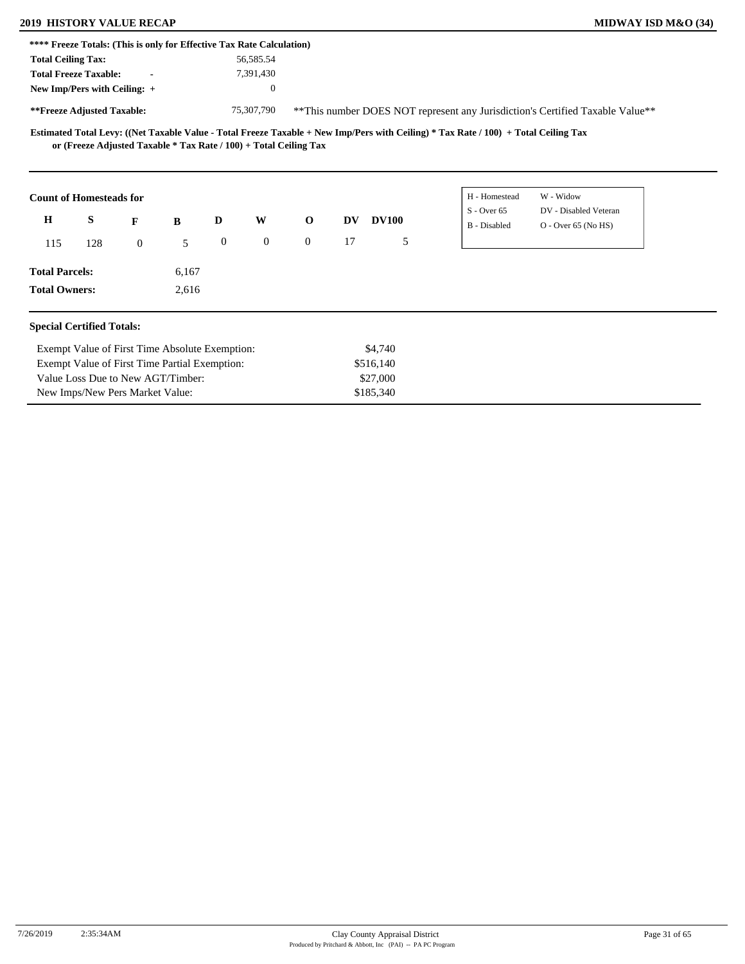### **2019 HISTORY VALUE RECAP MIDWAY ISD M&O (34)**

Value Loss Due to New AGT/Timber: New Imps/New Pers Market Value:

|                                                                   |              | **** Freeze Totals: (This is only for Effective Tax Rate Calculation) |              | 56,585.54      |              |    |              |                                                                                                                                     |                                                                                |
|-------------------------------------------------------------------|--------------|-----------------------------------------------------------------------|--------------|----------------|--------------|----|--------------|-------------------------------------------------------------------------------------------------------------------------------------|--------------------------------------------------------------------------------|
| <b>Total Ceiling Tax:</b><br><b>Total Freeze Taxable:</b>         |              |                                                                       |              |                |              |    |              |                                                                                                                                     |                                                                                |
|                                                                   |              |                                                                       |              | 7,391,430      |              |    |              |                                                                                                                                     |                                                                                |
| New Imp/Pers with Ceiling: +                                      |              |                                                                       |              | $\overline{0}$ |              |    |              |                                                                                                                                     |                                                                                |
| **Freeze Adjusted Taxable:                                        |              |                                                                       |              | 75,307,790     |              |    |              |                                                                                                                                     | ** This number DOES NOT represent any Jurisdiction's Certified Taxable Value** |
| or (Freeze Adjusted Taxable * Tax Rate / 100) + Total Ceiling Tax |              |                                                                       |              |                |              |    |              | Estimated Total Levy: ((Net Taxable Value - Total Freeze Taxable + New Imp/Pers with Ceiling) * Tax Rate / 100) + Total Ceiling Tax |                                                                                |
| <b>Count of Homesteads for</b>                                    |              |                                                                       |              |                |              |    |              | H - Homestead                                                                                                                       | W - Widow                                                                      |
| H<br>S                                                            |              |                                                                       |              |                |              |    |              | $S -$ Over 65                                                                                                                       | DV - Disabled Veteran                                                          |
|                                                                   | F            | B                                                                     | D            | W              | $\mathbf{o}$ | DV | <b>DV100</b> | <b>B</b> - Disabled                                                                                                                 | $O -$ Over 65 (No HS)                                                          |
| 128<br>115                                                        | $\mathbf{0}$ | 5                                                                     | $\mathbf{0}$ | $\overline{0}$ | $\Omega$     | 17 | 5            |                                                                                                                                     |                                                                                |
|                                                                   |              |                                                                       |              |                |              |    |              |                                                                                                                                     |                                                                                |
| <b>Total Parcels:</b>                                             |              | 6,167                                                                 |              |                |              |    |              |                                                                                                                                     |                                                                                |

\$27,000 \$185,340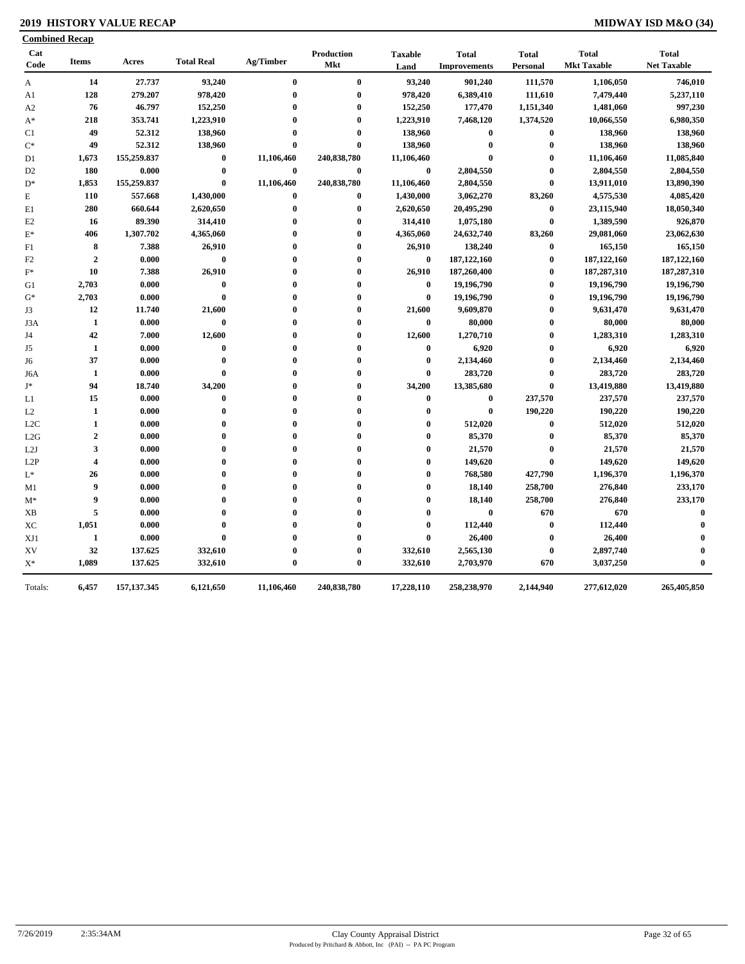### **2019 HISTORY VALUE RECAP MIDWAY ISD M&O (34)**

| Cat<br>Code    | <b>Items</b>   | Acres       | <b>Total Real</b> | Ag/Timber  | Production  | <b>Taxable</b> | <b>Total</b>        | <b>Total</b>     | <b>Total</b>       | <b>Total</b>       |
|----------------|----------------|-------------|-------------------|------------|-------------|----------------|---------------------|------------------|--------------------|--------------------|
|                |                |             |                   |            | Mkt         | Land           | <b>Improvements</b> | Personal         | <b>Mkt Taxable</b> | <b>Net Taxable</b> |
| A              | 14             | 27.737      | 93,240            | $\bf{0}$   | $\bf{0}$    | 93,240         | 901,240             | 111,570          | 1,106,050          | 746,010            |
| A1             | 128            | 279.207     | 978,420           | $\bf{0}$   | $\bf{0}$    | 978,420        | 6,389,410           | 111,610          | 7,479,440          | 5,237,110          |
| A <sub>2</sub> | 76             | 46.797      | 152,250           | $\bf{0}$   | $\bf{0}$    | 152,250        | 177,470             | 1,151,340        | 1,481,060          | 997,230            |
| $A^*$          | 218            | 353.741     | 1,223,910         | $\bf{0}$   | $\bf{0}$    | 1,223,910      | 7,468,120           | 1,374,520        | 10,066,550         | 6,980,350          |
| C1             | 49             | 52.312      | 138,960           | $\bf{0}$   | $\bf{0}$    | 138,960        | $\bf{0}$            | $\bf{0}$         | 138,960            | 138,960            |
| $\mathrm{C}^*$ | 49             | 52.312      | 138,960           | $\bf{0}$   | $\bf{0}$    | 138,960        | $\bf{0}$            | $\bf{0}$         | 138,960            | 138,960            |
| D1             | 1,673          | 155,259.837 | $\bf{0}$          | 11,106,460 | 240,838,780 | 11,106,460     | $\bf{0}$            | $\bf{0}$         | 11,106,460         | 11,085,840         |
| D <sub>2</sub> | 180            | 0.000       | $\bf{0}$          | $\bf{0}$   | $\bf{0}$    | $\bf{0}$       | 2,804,550           | $\bf{0}$         | 2,804,550          | 2,804,550          |
| $\mathbf{D}^*$ | 1,853          | 155,259.837 | $\bf{0}$          | 11,106,460 | 240,838,780 | 11,106,460     | 2,804,550           | $\bf{0}$         | 13,911,010         | 13,890,390         |
| E              | 110            | 557.668     | 1,430,000         | $\bf{0}$   | $\bf{0}$    | 1,430,000      | 3,062,270           | 83,260           | 4,575,530          | 4,085,420          |
| E1             | 280            | 660.644     | 2,620,650         | $\bf{0}$   | $\bf{0}$    | 2,620,650      | 20,495,290          | $\boldsymbol{0}$ | 23,115,940         | 18,050,340         |
| E2             | 16             | 89.390      | 314,410           | $\bf{0}$   | $\bf{0}$    | 314,410        | 1,075,180           | $\bf{0}$         | 1,389,590          | 926,870            |
| $\mathbf{E}^*$ | 406            | 1,307.702   | 4,365,060         | $\bf{0}$   | $\bf{0}$    | 4,365,060      | 24,632,740          | 83,260           | 29,081,060         | 23,062,630         |
| F1             | 8              | 7.388       | 26,910            | $\bf{0}$   | $\bf{0}$    | 26,910         | 138,240             | $\bf{0}$         | 165,150            | 165,150            |
| F2             | $\overline{2}$ | 0.000       | $\bf{0}$          | $\bf{0}$   | $\bf{0}$    | $\bf{0}$       | 187, 122, 160       | $\bf{0}$         | 187, 122, 160      | 187, 122, 160      |
| $\mathbf{F}^*$ | 10             | 7.388       | 26,910            | $\bf{0}$   | $\bf{0}$    | 26,910         | 187,260,400         | $\bf{0}$         | 187,287,310        | 187,287,310        |
| G1             | 2,703          | 0.000       | $\bf{0}$          | $\bf{0}$   | $\bf{0}$    | $\bf{0}$       | 19,196,790          | $\bf{0}$         | 19,196,790         | 19,196,790         |
| $\mathrm{G}^*$ | 2,703          | 0.000       | $\bf{0}$          | $\bf{0}$   | $\bf{0}$    | $\bf{0}$       | 19,196,790          | $\bf{0}$         | 19,196,790         | 19,196,790         |
| J3             | 12             | 11.740      | 21,600            | $\bf{0}$   | $\bf{0}$    | 21,600         | 9,609,870           | $\bf{0}$         | 9,631,470          | 9,631,470          |
| J3A            | $\mathbf{1}$   | 0.000       | $\bf{0}$          | $\bf{0}$   | $\bf{0}$    | $\bf{0}$       | 80,000              | $\boldsymbol{0}$ | 80,000             | 80,000             |
| J4             | 42             | 7.000       | 12,600            | $\bf{0}$   | $\bf{0}$    | 12,600         | 1,270,710           | $\boldsymbol{0}$ | 1,283,310          | 1,283,310          |
| J5             | $\mathbf{1}$   | 0.000       | $\bf{0}$          | $\bf{0}$   | $\bf{0}$    | $\bf{0}$       | 6,920               | $\bf{0}$         | 6,920              | 6,920              |
| J6             | 37             | 0.000       | $\bf{0}$          | $\bf{0}$   | $\bf{0}$    | $\bf{0}$       | 2,134,460           | $\bf{0}$         | 2,134,460          | 2,134,460          |
| J6A            | $\mathbf{1}$   | 0.000       | $\bf{0}$          | $\bf{0}$   | $\bf{0}$    | $\bf{0}$       | 283,720             | $\bf{0}$         | 283,720            | 283,720            |
| J*             | 94             | 18.740      | 34,200            | $\bf{0}$   | $\bf{0}$    | 34,200         | 13,385,680          | $\bf{0}$         | 13,419,880         | 13,419,880         |
| L1             | 15             | 0.000       | $\bf{0}$          | $\bf{0}$   | $\bf{0}$    | $\bf{0}$       | $\bf{0}$            | 237,570          | 237,570            | 237,570            |
| L2             | $\mathbf{1}$   | 0.000       | $\bf{0}$          | $\bf{0}$   | $\bf{0}$    | $\bf{0}$       | $\bf{0}$            | 190,220          | 190,220            | 190,220            |
| L2C            | 1              | 0.000       | $\bf{0}$          | $\bf{0}$   | $\bf{0}$    | $\bf{0}$       | 512,020             | $\bf{0}$         | 512,020            | 512,020            |
| L2G            | $\overline{2}$ | 0.000       | $\bf{0}$          | $\bf{0}$   | $\bf{0}$    | $\bf{0}$       | 85,370              | $\bf{0}$         | 85,370             | 85,370             |
| L2J            | 3              | 0.000       | $\bf{0}$          | $\bf{0}$   | $\bf{0}$    | $\bf{0}$       | 21,570              | $\bf{0}$         | 21,570             | 21,570             |
| L2P            | $\overline{4}$ | 0.000       | $\bf{0}$          | $\bf{0}$   | $\bf{0}$    | $\theta$       | 149,620             | $\bf{0}$         | 149,620            | 149,620            |
| L*             | 26             | 0.000       | $\bf{0}$          | $\bf{0}$   | $\bf{0}$    | $\bf{0}$       | 768,580             | 427,790          | 1,196,370          | 1,196,370          |
| M1             | 9              | 0.000       | $\bf{0}$          | $\bf{0}$   | $\bf{0}$    | $\bf{0}$       | 18,140              | 258,700          | 276,840            | 233,170            |
| $M^*$          | 9              | 0.000       | $\bf{0}$          | $\bf{0}$   | $\bf{0}$    | $\bf{0}$       | 18,140              | 258,700          | 276,840            | 233,170            |
| XВ             | 5              | 0.000       | $\bf{0}$          | $\bf{0}$   | $\bf{0}$    | $\bf{0}$       | $\bf{0}$            | 670              | 670                | $\bf{0}$           |
| XC             | 1,051          | 0.000       | $\bf{0}$          | $\bf{0}$   | 0           | $\bf{0}$       | 112,440             | $\bf{0}$         | 112,440            | $\mathbf{0}$       |
| XJ1            | 1              | 0.000       | $\bf{0}$          | $\bf{0}$   | $\bf{0}$    | $\mathbf{0}$   | 26,400              | $\bf{0}$         | 26,400             | $\mathbf 0$        |
| XV             | 32             | 137.625     | 332,610           | $\bf{0}$   | $\bf{0}$    | 332,610        | 2,565,130           | $\bf{0}$         | 2,897,740          | $\mathbf 0$        |
| $X^*$          | 1,089          | 137.625     | 332,610           | $\bf{0}$   | $\bf{0}$    | 332,610        | 2,703,970           | 670              | 3,037,250          | $\mathbf{0}$       |
|                |                |             |                   |            |             |                |                     |                  |                    |                    |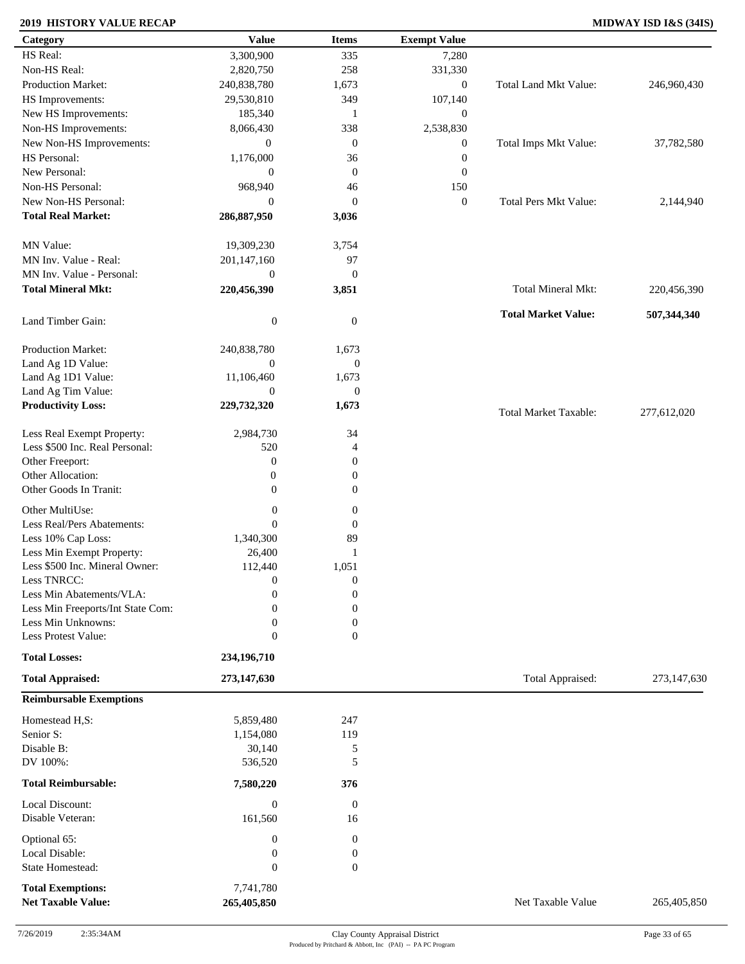### **2019 HISTORY VALUE RECAP MIDWAY ISD I&S (34IS)**

| Category                                 | <b>Value</b>           | <b>Items</b>          | <b>Exempt Value</b> |                              |             |
|------------------------------------------|------------------------|-----------------------|---------------------|------------------------------|-------------|
| HS Real:                                 | 3,300,900              | 335                   | 7,280               |                              |             |
| Non-HS Real:                             | 2,820,750              | 258                   | 331,330             |                              |             |
| <b>Production Market:</b>                | 240,838,780            | 1,673                 | $\mathbf{0}$        | Total Land Mkt Value:        | 246,960,430 |
| HS Improvements:                         | 29,530,810             | 349                   | 107,140             |                              |             |
| New HS Improvements:                     | 185,340                | 1                     | $\boldsymbol{0}$    |                              |             |
| Non-HS Improvements:                     | 8,066,430              | 338                   | 2,538,830           |                              |             |
| New Non-HS Improvements:                 | $\boldsymbol{0}$       | $\mathbf{0}$          | $\boldsymbol{0}$    | Total Imps Mkt Value:        | 37,782,580  |
| HS Personal:                             | 1,176,000              | 36                    | $\boldsymbol{0}$    |                              |             |
| New Personal:                            | $\overline{0}$         | $\mathbf{0}$          | $\boldsymbol{0}$    |                              |             |
| Non-HS Personal:                         | 968,940                | 46                    | 150                 |                              |             |
| New Non-HS Personal:                     | $\overline{0}$         | $\mathbf{0}$          | $\boldsymbol{0}$    | <b>Total Pers Mkt Value:</b> | 2,144,940   |
| <b>Total Real Market:</b>                | 286,887,950            | 3,036                 |                     |                              |             |
|                                          |                        |                       |                     |                              |             |
| MN Value:                                | 19,309,230             | 3,754                 |                     |                              |             |
| MN Inv. Value - Real:                    | 201,147,160            | 97                    |                     |                              |             |
| MN Inv. Value - Personal:                | $\boldsymbol{0}$       | $\mathbf{0}$          |                     |                              |             |
| <b>Total Mineral Mkt:</b>                | 220,456,390            | 3,851                 |                     | Total Mineral Mkt:           | 220,456,390 |
|                                          |                        |                       |                     |                              |             |
|                                          |                        |                       |                     | <b>Total Market Value:</b>   | 507,344,340 |
| Land Timber Gain:                        | $\boldsymbol{0}$       | $\boldsymbol{0}$      |                     |                              |             |
|                                          |                        |                       |                     |                              |             |
| Production Market:                       | 240,838,780            | 1,673                 |                     |                              |             |
| Land Ag 1D Value:                        | $\mathbf{0}$           | $\boldsymbol{0}$      |                     |                              |             |
| Land Ag 1D1 Value:<br>Land Ag Tim Value: | 11,106,460<br>$\theta$ | 1,673<br>$\mathbf{0}$ |                     |                              |             |
| <b>Productivity Loss:</b>                | 229,732,320            | 1,673                 |                     |                              |             |
|                                          |                        |                       |                     | <b>Total Market Taxable:</b> | 277,612,020 |
| Less Real Exempt Property:               | 2,984,730              | 34                    |                     |                              |             |
| Less \$500 Inc. Real Personal:           | 520                    | $\overline{4}$        |                     |                              |             |
| Other Freeport:                          | $\boldsymbol{0}$       | $\mathbf{0}$          |                     |                              |             |
| Other Allocation:                        | $\boldsymbol{0}$       | $\boldsymbol{0}$      |                     |                              |             |
| Other Goods In Tranit:                   | $\mathbf{0}$           | $\mathbf{0}$          |                     |                              |             |
|                                          |                        |                       |                     |                              |             |
| Other MultiUse:                          | $\boldsymbol{0}$       | $\boldsymbol{0}$      |                     |                              |             |
| Less Real/Pers Abatements:               | $\overline{0}$         | $\mathbf{0}$          |                     |                              |             |
| Less 10% Cap Loss:                       | 1,340,300              | 89                    |                     |                              |             |
| Less Min Exempt Property:                | 26,400                 | 1                     |                     |                              |             |
| Less \$500 Inc. Mineral Owner:           | 112,440                | 1,051                 |                     |                              |             |
| Less TNRCC:                              | $\overline{0}$         | $\boldsymbol{0}$      |                     |                              |             |
| Less Min Abatements/VLA:                 | $\boldsymbol{0}$       | $\boldsymbol{0}$      |                     |                              |             |
| Less Min Freeports/Int State Com:        | $\Omega$               | $\boldsymbol{0}$      |                     |                              |             |
| Less Min Unknowns:                       | $\boldsymbol{0}$       | $\boldsymbol{0}$      |                     |                              |             |
| Less Protest Value:                      | $\mathbf{0}$           | $\overline{0}$        |                     |                              |             |
| <b>Total Losses:</b>                     | 234,196,710            |                       |                     |                              |             |
| <b>Total Appraised:</b>                  | 273,147,630            |                       |                     | Total Appraised:             | 273,147,630 |
|                                          |                        |                       |                     |                              |             |
| <b>Reimbursable Exemptions</b>           |                        |                       |                     |                              |             |
| Homestead H,S:                           | 5,859,480              | 247                   |                     |                              |             |
| Senior S:                                | 1,154,080              | 119                   |                     |                              |             |
| Disable B:                               | 30,140                 | 5                     |                     |                              |             |
| DV 100%:                                 | 536,520                | 5                     |                     |                              |             |
| <b>Total Reimbursable:</b>               | 7,580,220              | 376                   |                     |                              |             |
|                                          |                        |                       |                     |                              |             |
| Local Discount:                          | $\boldsymbol{0}$       | $\boldsymbol{0}$      |                     |                              |             |
| Disable Veteran:                         | 161,560                | 16                    |                     |                              |             |
| Optional 65:                             | $\boldsymbol{0}$       | $\boldsymbol{0}$      |                     |                              |             |
| Local Disable:                           | $\boldsymbol{0}$       | $\boldsymbol{0}$      |                     |                              |             |
| State Homestead:                         | $\boldsymbol{0}$       | $\boldsymbol{0}$      |                     |                              |             |
|                                          |                        |                       |                     |                              |             |
| <b>Total Exemptions:</b>                 | 7,741,780              |                       |                     |                              |             |
| <b>Net Taxable Value:</b>                | 265,405,850            |                       |                     | Net Taxable Value            | 265,405,850 |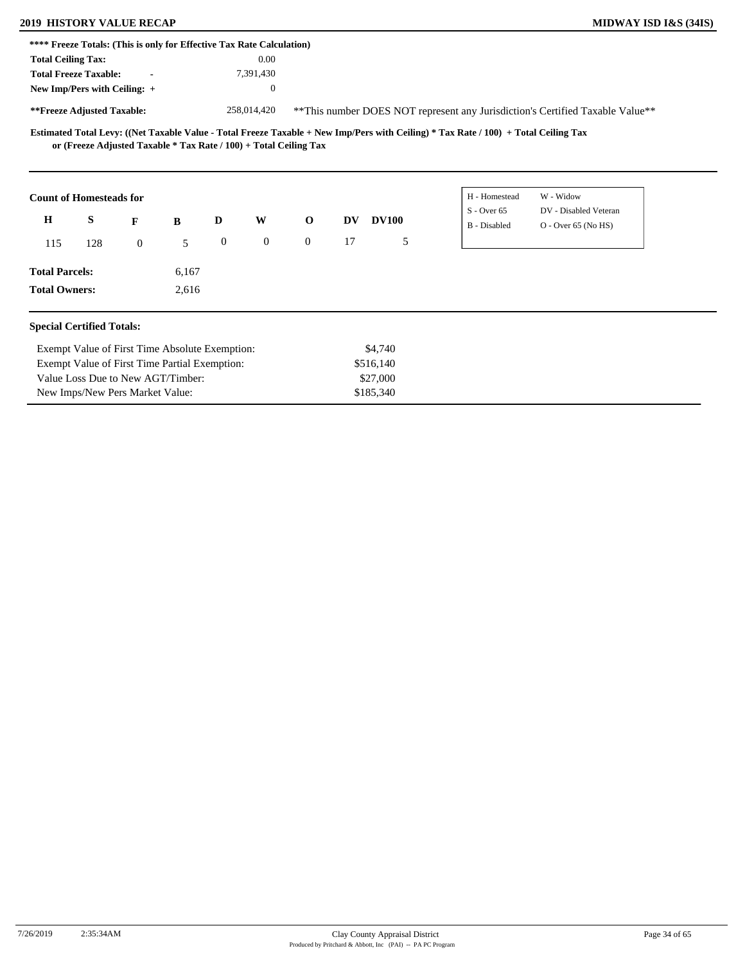### **2019 HISTORY VALUE RECAP MIDWAY ISD I&S (34IS)**

New Imps/New Pers Market Value:

|                                                                                                                                                                                                                                                                                                                                                                                                                                                                                                                                                                                                                                                                                                                                                                                                                                                                                                                                                      |                                                |  | 0.00 |  |           |  |  |
|------------------------------------------------------------------------------------------------------------------------------------------------------------------------------------------------------------------------------------------------------------------------------------------------------------------------------------------------------------------------------------------------------------------------------------------------------------------------------------------------------------------------------------------------------------------------------------------------------------------------------------------------------------------------------------------------------------------------------------------------------------------------------------------------------------------------------------------------------------------------------------------------------------------------------------------------------|------------------------------------------------|--|------|--|-----------|--|--|
|                                                                                                                                                                                                                                                                                                                                                                                                                                                                                                                                                                                                                                                                                                                                                                                                                                                                                                                                                      |                                                |  |      |  |           |  |  |
| **** Freeze Totals: (This is only for Effective Tax Rate Calculation)<br><b>Total Ceiling Tax:</b><br><b>Total Freeze Taxable:</b><br>7,391,430<br>New Imp/Pers with Ceiling: +<br>$\mathbf{0}$<br>**Freeze Adjusted Taxable:<br>258,014,420<br>** This number DOES NOT represent any Jurisdiction's Certified Taxable Value**<br>Estimated Total Levy: ((Net Taxable Value - Total Freeze Taxable + New Imp/Pers with Ceiling) * Tax Rate / 100) + Total Ceiling Tax<br>or (Freeze Adjusted Taxable * Tax Rate / 100) + Total Ceiling Tax<br>H - Homestead<br>W - Widow<br><b>Count of Homesteads for</b><br>DV - Disabled Veteran<br>$S -$ Over 65<br>S<br>$\mathbf H$<br>W<br>$\mathbf{o}$<br>D<br><b>DV100</b><br>F<br>DV<br>B<br>B - Disabled<br>$O -$ Over 65 (No HS)<br>$\boldsymbol{0}$<br>$\mathbf{0}$<br>$\overline{0}$<br>17<br>5<br>5<br>$\overline{0}$<br>115<br>128<br><b>Total Parcels:</b><br>6,167<br><b>Total Owners:</b><br>2,616 |                                                |  |      |  |           |  |  |
|                                                                                                                                                                                                                                                                                                                                                                                                                                                                                                                                                                                                                                                                                                                                                                                                                                                                                                                                                      |                                                |  |      |  |           |  |  |
|                                                                                                                                                                                                                                                                                                                                                                                                                                                                                                                                                                                                                                                                                                                                                                                                                                                                                                                                                      |                                                |  |      |  |           |  |  |
|                                                                                                                                                                                                                                                                                                                                                                                                                                                                                                                                                                                                                                                                                                                                                                                                                                                                                                                                                      |                                                |  |      |  |           |  |  |
|                                                                                                                                                                                                                                                                                                                                                                                                                                                                                                                                                                                                                                                                                                                                                                                                                                                                                                                                                      |                                                |  |      |  |           |  |  |
|                                                                                                                                                                                                                                                                                                                                                                                                                                                                                                                                                                                                                                                                                                                                                                                                                                                                                                                                                      |                                                |  |      |  |           |  |  |
|                                                                                                                                                                                                                                                                                                                                                                                                                                                                                                                                                                                                                                                                                                                                                                                                                                                                                                                                                      |                                                |  |      |  |           |  |  |
|                                                                                                                                                                                                                                                                                                                                                                                                                                                                                                                                                                                                                                                                                                                                                                                                                                                                                                                                                      |                                                |  |      |  |           |  |  |
| <b>Special Certified Totals:</b>                                                                                                                                                                                                                                                                                                                                                                                                                                                                                                                                                                                                                                                                                                                                                                                                                                                                                                                     |                                                |  |      |  |           |  |  |
|                                                                                                                                                                                                                                                                                                                                                                                                                                                                                                                                                                                                                                                                                                                                                                                                                                                                                                                                                      | Exempt Value of First Time Absolute Exemption: |  |      |  | \$4,740   |  |  |
|                                                                                                                                                                                                                                                                                                                                                                                                                                                                                                                                                                                                                                                                                                                                                                                                                                                                                                                                                      | Exempt Value of First Time Partial Exemption:  |  |      |  | \$516,140 |  |  |
|                                                                                                                                                                                                                                                                                                                                                                                                                                                                                                                                                                                                                                                                                                                                                                                                                                                                                                                                                      | Value Loss Due to New AGT/Timber:              |  |      |  | \$27,000  |  |  |

\$185,340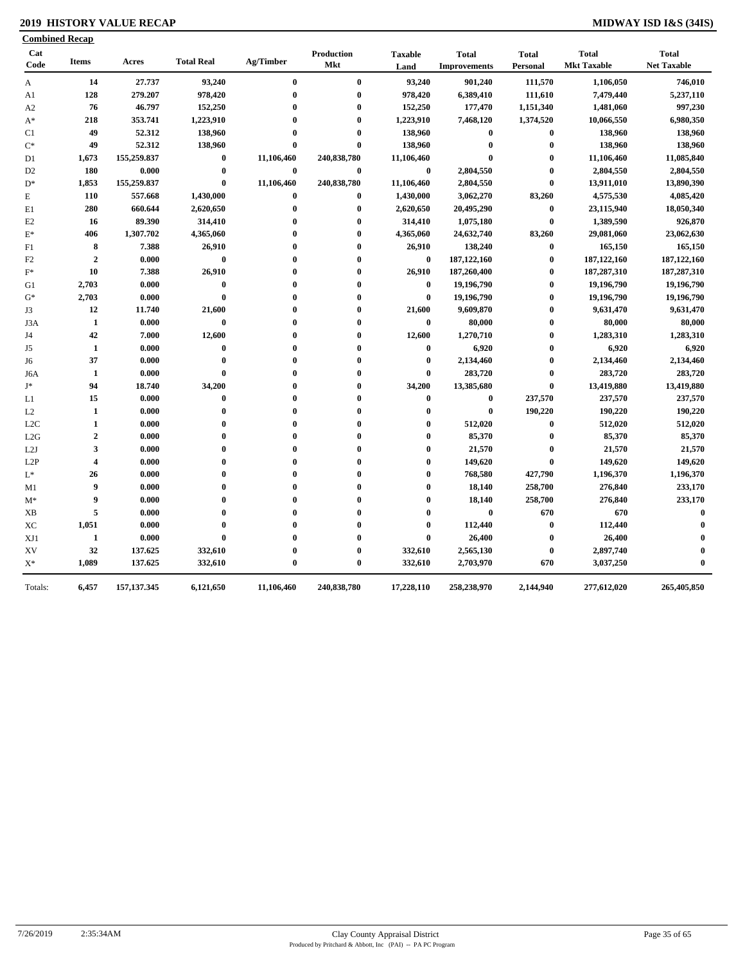### **2019 HISTORY VALUE RECAP MIDWAY ISD I&S (34IS)**

| Cat            |                |             |                   |            | Production  | <b>Taxable</b> | <b>Total</b>        | <b>Total</b>     | <b>Total</b>       | <b>Total</b>       |
|----------------|----------------|-------------|-------------------|------------|-------------|----------------|---------------------|------------------|--------------------|--------------------|
| Code           | <b>Items</b>   | Acres       | <b>Total Real</b> | Ag/Timber  | Mkt         | Land           | <b>Improvements</b> | Personal         | <b>Mkt Taxable</b> | <b>Net Taxable</b> |
| A              | 14             | 27.737      | 93,240            | $\bf{0}$   | $\bf{0}$    | 93,240         | 901,240             | 111,570          | 1,106,050          | 746,010            |
| A1             | 128            | 279.207     | 978,420           | $\bf{0}$   | $\bf{0}$    | 978,420        | 6,389,410           | 111,610          | 7,479,440          | 5,237,110          |
| A2             | 76             | 46.797      | 152,250           | $\bf{0}$   | $\bf{0}$    | 152,250        | 177,470             | 1,151,340        | 1,481,060          | 997,230            |
| $A^*$          | 218            | 353.741     | 1,223,910         | $\bf{0}$   | $\bf{0}$    | 1,223,910      | 7,468,120           | 1,374,520        | 10,066,550         | 6,980,350          |
| C1             | 49             | 52.312      | 138,960           | $\bf{0}$   | $\bf{0}$    | 138,960        | $\bf{0}$            | $\bf{0}$         | 138,960            | 138,960            |
| $\mathrm{C}^*$ | 49             | 52.312      | 138,960           | $\bf{0}$   | $\bf{0}$    | 138,960        | $\bf{0}$            | $\bf{0}$         | 138,960            | 138,960            |
| D <sub>1</sub> | 1,673          | 155,259.837 | $\bf{0}$          | 11,106,460 | 240,838,780 | 11,106,460     | $\bf{0}$            | $\boldsymbol{0}$ | 11,106,460         | 11,085,840         |
| D <sub>2</sub> | 180            | 0.000       | $\bf{0}$          | $\bf{0}$   | $\bf{0}$    | $\bf{0}$       | 2,804,550           | $\bf{0}$         | 2,804,550          | 2,804,550          |
| $D^*$          | 1,853          | 155,259.837 | $\bf{0}$          | 11,106,460 | 240,838,780 | 11,106,460     | 2,804,550           | $\bf{0}$         | 13,911,010         | 13,890,390         |
| E              | 110            | 557.668     | 1,430,000         | $\bf{0}$   | $\bf{0}$    | 1,430,000      | 3,062,270           | 83,260           | 4,575,530          | 4,085,420          |
| E1             | 280            | 660.644     | 2,620,650         | $\bf{0}$   | $\bf{0}$    | 2,620,650      | 20,495,290          | $\bf{0}$         | 23,115,940         | 18,050,340         |
| E2             | 16             | 89.390      | 314,410           | $\bf{0}$   | $\bf{0}$    | 314,410        | 1,075,180           | $\bf{0}$         | 1,389,590          | 926,870            |
| $\mathbf{E}^*$ | 406            | 1,307.702   | 4,365,060         | $\bf{0}$   | $\bf{0}$    | 4,365,060      | 24,632,740          | 83,260           | 29,081,060         | 23,062,630         |
| F1             | 8              | 7.388       | 26,910            | $\bf{0}$   | $\bf{0}$    | 26,910         | 138,240             | $\bf{0}$         | 165,150            | 165,150            |
| F2             | $\overline{2}$ | 0.000       | $\bf{0}$          | $\bf{0}$   | $\bf{0}$    | $\bf{0}$       | 187, 122, 160       | $\bf{0}$         | 187, 122, 160      | 187, 122, 160      |
| $\mathbf{F}^*$ | 10             | 7.388       | 26,910            | $\bf{0}$   | $\bf{0}$    | 26,910         | 187,260,400         | $\bf{0}$         | 187,287,310        | 187,287,310        |
| G1             | 2,703          | 0.000       | $\bf{0}$          | $\bf{0}$   | $\bf{0}$    | $\bf{0}$       | 19,196,790          | $\mathbf{0}$     | 19,196,790         | 19,196,790         |
| $G^*$          | 2,703          | 0.000       | $\bf{0}$          | $\bf{0}$   | $\bf{0}$    | $\bf{0}$       | 19,196,790          | $\bf{0}$         | 19,196,790         | 19,196,790         |
| J3             | 12             | 11.740      | 21,600            | $\bf{0}$   | $\bf{0}$    | 21,600         | 9,609,870           | $\bf{0}$         | 9,631,470          | 9,631,470          |
| J3A            | $\mathbf{1}$   | 0.000       | $\bf{0}$          | $\bf{0}$   | $\bf{0}$    | $\bf{0}$       | 80,000              | $\boldsymbol{0}$ | 80,000             | 80,000             |
| J4             | 42             | 7.000       | 12,600            | $\bf{0}$   | $\bf{0}$    | 12,600         | 1,270,710           | $\bf{0}$         | 1,283,310          | 1,283,310          |
| J5             | 1              | 0.000       | $\bf{0}$          | $\bf{0}$   | $\bf{0}$    | $\bf{0}$       | 6,920               | $\bf{0}$         | 6,920              | 6,920              |
| J6             | 37             | 0.000       | $\bf{0}$          | $\bf{0}$   | $\bf{0}$    | $\bf{0}$       | 2,134,460           | $\boldsymbol{0}$ | 2,134,460          | 2,134,460          |
| J6A            | $\mathbf{1}$   | 0.000       | $\bf{0}$          | $\bf{0}$   | $\bf{0}$    | $\bf{0}$       | 283,720             | $\bf{0}$         | 283,720            | 283,720            |
| J*             | 94             | 18.740      | 34,200            | $\bf{0}$   | $\bf{0}$    | 34,200         | 13,385,680          | $\bf{0}$         | 13,419,880         | 13,419,880         |
| L1             | 15             | 0.000       | $\bf{0}$          | $\bf{0}$   | $\bf{0}$    | $\bf{0}$       | $\boldsymbol{0}$    | 237,570          | 237,570            | 237,570            |
| L2             | 1              | 0.000       | $\bf{0}$          | $\bf{0}$   | $\bf{0}$    | $\bf{0}$       | $\bf{0}$            | 190,220          | 190,220            | 190,220            |
| L2C            | $\mathbf{1}$   | 0.000       | $\bf{0}$          | $\bf{0}$   | $\bf{0}$    | $\bf{0}$       | 512,020             | $\bf{0}$         | 512,020            | 512,020            |
| L2G            | $\overline{2}$ | 0.000       | $\bf{0}$          | $\bf{0}$   | $\bf{0}$    | $\mathbf{0}$   | 85,370              | $\bf{0}$         | 85,370             | 85,370             |
| L2J            | 3              | 0.000       | $\bf{0}$          | $\bf{0}$   | $\bf{0}$    | $\bf{0}$       | 21,570              | $\bf{0}$         | 21,570             | 21,570             |
| L2P            | 4              | 0.000       | $\bf{0}$          | $\bf{0}$   | $\bf{0}$    | $\bf{0}$       | 149,620             | $\bf{0}$         | 149,620            | 149,620            |
| L*             | 26             | 0.000       | $\bf{0}$          | $\bf{0}$   | $\bf{0}$    | $\bf{0}$       | 768,580             | 427,790          | 1,196,370          | 1,196,370          |
| M1             | 9              | 0.000       | $\bf{0}$          | $\bf{0}$   | $\bf{0}$    | $\bf{0}$       | 18,140              | 258,700          | 276,840            | 233,170            |
| $M^*$          | 9              | 0.000       | $\bf{0}$          | $\bf{0}$   | $\bf{0}$    | $\bf{0}$       | 18,140              | 258,700          | 276,840            | 233,170            |
| XВ             | 5              | 0.000       | $\bf{0}$          | $\bf{0}$   | $\bf{0}$    | $\bf{0}$       | $\bf{0}$            | 670              | 670                | $\bf{0}$           |
| XC             | 1,051          | 0.000       | $\bf{0}$          | $\bf{0}$   | $\bf{0}$    | $\bf{0}$       | 112,440             | $\bf{0}$         | 112,440            | $\mathbf 0$        |
| XJ1            | 1              | 0.000       | $\mathbf{0}$      | $\bf{0}$   | 0           | $\bf{0}$       | 26,400              | $\bf{0}$         | 26,400             | $\mathbf 0$        |
| XV             | 32             | 137.625     | 332,610           | $\bf{0}$   | $\bf{0}$    | 332,610        | 2,565,130           | $\bf{0}$         | 2,897,740          | $\mathbf 0$        |
| $\mathbf{X}^*$ | 1,089          | 137.625     | 332,610           | $\bf{0}$   | $\bf{0}$    | 332,610        | 2,703,970           | 670              | 3,037,250          | $\mathbf{0}$       |
|                |                |             |                   |            |             |                |                     |                  |                    |                    |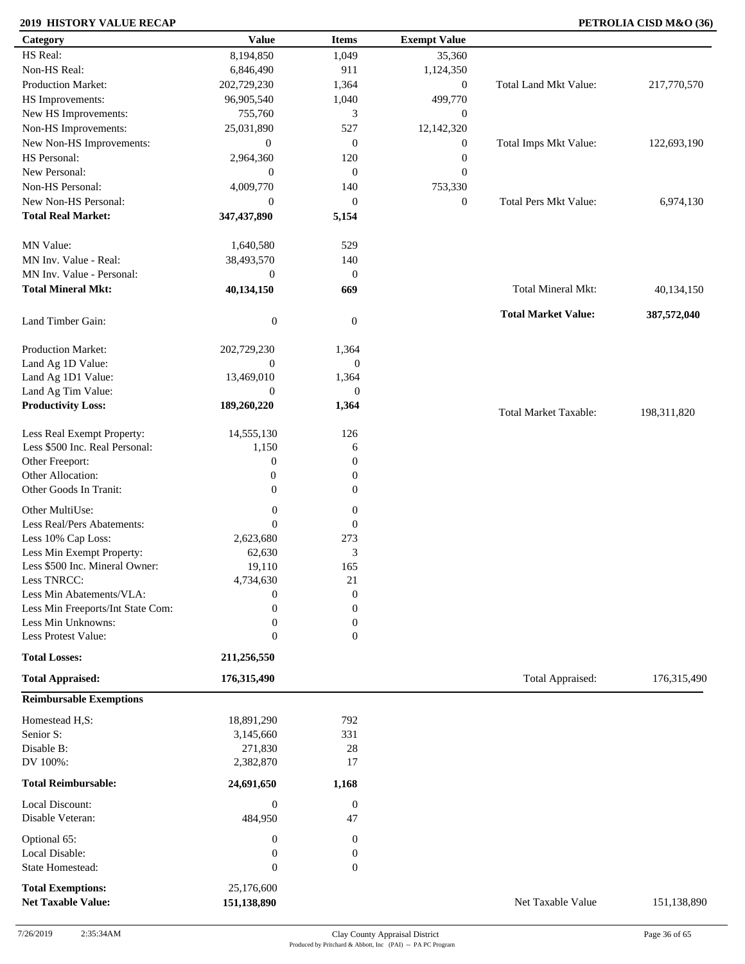### **2019 HISTORY VALUE RECAP PETROLIA CISD M&O (36)**

| Category                                                    | <b>Value</b>                | <b>Items</b>           | <b>Exempt Value</b> |                              |             |
|-------------------------------------------------------------|-----------------------------|------------------------|---------------------|------------------------------|-------------|
| HS Real:                                                    | 8,194,850                   | 1,049                  | 35,360              |                              |             |
| Non-HS Real:                                                | 6,846,490                   | 911                    | 1,124,350           |                              |             |
| Production Market:                                          | 202,729,230                 | 1,364                  | $\boldsymbol{0}$    | Total Land Mkt Value:        | 217,770,570 |
| HS Improvements:                                            | 96,905,540                  | 1,040                  | 499,770             |                              |             |
| New HS Improvements:                                        | 755,760                     | 3                      | $\boldsymbol{0}$    |                              |             |
| Non-HS Improvements:                                        | 25,031,890                  | 527                    | 12,142,320          |                              |             |
| New Non-HS Improvements:                                    | $\mathbf{0}$                | $\boldsymbol{0}$       | $\boldsymbol{0}$    | Total Imps Mkt Value:        | 122,693,190 |
| HS Personal:                                                | 2,964,360                   | 120                    | $\boldsymbol{0}$    |                              |             |
| New Personal:                                               | $\mathbf{0}$                | $\boldsymbol{0}$       | $\boldsymbol{0}$    |                              |             |
| Non-HS Personal:                                            | 4,009,770                   | 140                    | 753,330             |                              |             |
| New Non-HS Personal:                                        | $\mathbf{0}$                | $\boldsymbol{0}$       | $\boldsymbol{0}$    | <b>Total Pers Mkt Value:</b> | 6,974,130   |
| <b>Total Real Market:</b>                                   | 347,437,890                 | 5,154                  |                     |                              |             |
| MN Value:                                                   | 1,640,580                   | 529                    |                     |                              |             |
| MN Inv. Value - Real:                                       | 38,493,570                  | 140                    |                     |                              |             |
| MN Inv. Value - Personal:                                   | $\mathbf{0}$                | $\mathbf{0}$           |                     |                              |             |
| <b>Total Mineral Mkt:</b>                                   | 40,134,150                  | 669                    |                     | Total Mineral Mkt:           | 40,134,150  |
|                                                             |                             |                        |                     |                              |             |
| Land Timber Gain:                                           | $\boldsymbol{0}$            | $\mathbf{0}$           |                     | <b>Total Market Value:</b>   | 387,572,040 |
| Production Market:                                          | 202,729,230                 | 1,364                  |                     |                              |             |
| Land Ag 1D Value:                                           | $\mathbf{0}$                | $\mathbf{0}$           |                     |                              |             |
| Land Ag 1D1 Value:                                          | 13,469,010                  | 1,364                  |                     |                              |             |
| Land Ag Tim Value:                                          | $\mathbf{0}$                | $\mathbf{0}$           |                     |                              |             |
| <b>Productivity Loss:</b>                                   | 189,260,220                 | 1,364                  |                     | <b>Total Market Taxable:</b> | 198,311,820 |
| Less Real Exempt Property:                                  | 14,555,130                  | 126                    |                     |                              |             |
| Less \$500 Inc. Real Personal:                              | 1,150                       | 6                      |                     |                              |             |
| Other Freeport:                                             | $\boldsymbol{0}$            | $\theta$               |                     |                              |             |
| Other Allocation:                                           | $\boldsymbol{0}$            | $\boldsymbol{0}$       |                     |                              |             |
| Other Goods In Tranit:                                      | $\mathbf{0}$                | $\boldsymbol{0}$       |                     |                              |             |
|                                                             |                             |                        |                     |                              |             |
| Other MultiUse:                                             | $\boldsymbol{0}$            | $\boldsymbol{0}$       |                     |                              |             |
| Less Real/Pers Abatements:                                  | $\overline{0}$              | $\boldsymbol{0}$       |                     |                              |             |
| Less 10% Cap Loss:                                          | 2,623,680                   | 273<br>3               |                     |                              |             |
| Less Min Exempt Property:<br>Less \$500 Inc. Mineral Owner: | 62,630<br>19,110            | 165                    |                     |                              |             |
| Less TNRCC:                                                 | 4,734,630                   | 21                     |                     |                              |             |
| Less Min Abatements/VLA:                                    | $\boldsymbol{0}$            | $\boldsymbol{0}$       |                     |                              |             |
| Less Min Freeports/Int State Com:                           | 0                           | $\overline{0}$         |                     |                              |             |
| Less Min Unknowns:                                          | $\overline{0}$              | $\boldsymbol{0}$       |                     |                              |             |
| Less Protest Value:                                         | $\boldsymbol{0}$            | $\overline{0}$         |                     |                              |             |
| <b>Total Losses:</b>                                        | 211,256,550                 |                        |                     |                              |             |
| <b>Total Appraised:</b>                                     | 176,315,490                 |                        |                     | Total Appraised:             | 176,315,490 |
| <b>Reimbursable Exemptions</b>                              |                             |                        |                     |                              |             |
| Homestead H,S:                                              | 18,891,290                  | 792                    |                     |                              |             |
| Senior S:                                                   | 3,145,660                   | 331                    |                     |                              |             |
| Disable B:                                                  | 271,830                     | $28\,$                 |                     |                              |             |
| DV 100%:                                                    | 2,382,870                   | 17                     |                     |                              |             |
|                                                             |                             |                        |                     |                              |             |
| <b>Total Reimbursable:</b>                                  | 24,691,650                  | 1,168                  |                     |                              |             |
| Local Discount:<br>Disable Veteran:                         | $\boldsymbol{0}$<br>484,950 | $\boldsymbol{0}$<br>47 |                     |                              |             |
| Optional 65:                                                | $\boldsymbol{0}$            | $\boldsymbol{0}$       |                     |                              |             |
| Local Disable:                                              | $\boldsymbol{0}$            | $\boldsymbol{0}$       |                     |                              |             |
| <b>State Homestead:</b>                                     | $\boldsymbol{0}$            | $\boldsymbol{0}$       |                     |                              |             |
| <b>Total Exemptions:</b>                                    | 25,176,600                  |                        |                     |                              |             |
| <b>Net Taxable Value:</b>                                   | 151,138,890                 |                        |                     | Net Taxable Value            | 151,138,890 |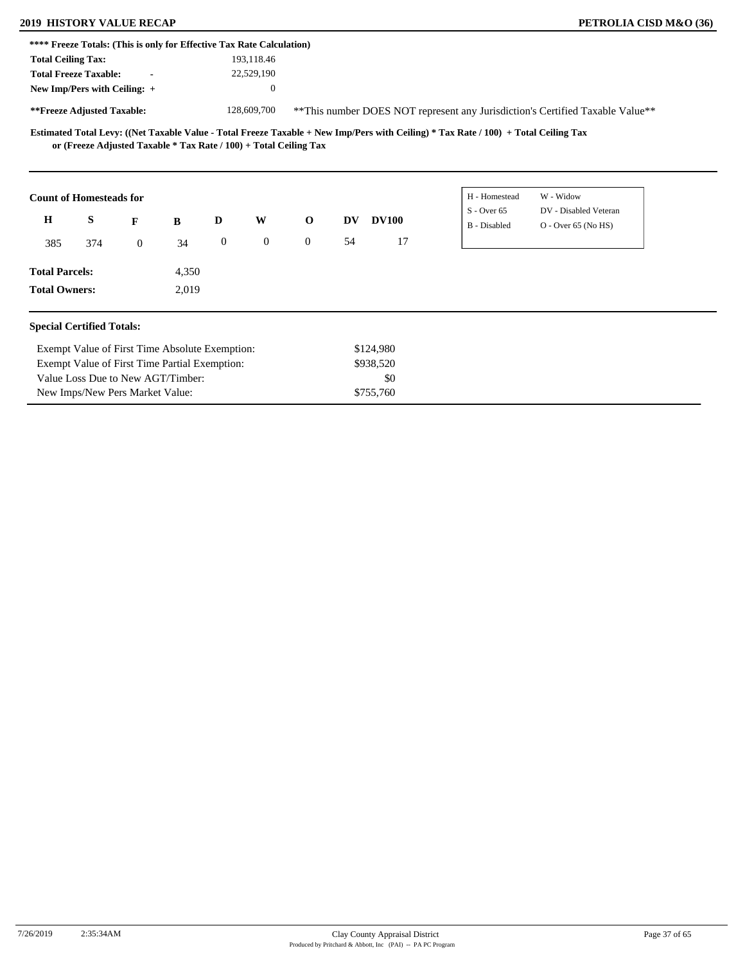Value Loss Due to New AGT/Timber: New Imps/New Pers Market Value:

|                                                                       |     | <b>2019 HISTORY VALUE RECAP</b> |       |                  |              |                                                                   |           |              |                                                                                                                                     |           |                       | PETROLIA CISD M&O (36) |
|-----------------------------------------------------------------------|-----|---------------------------------|-------|------------------|--------------|-------------------------------------------------------------------|-----------|--------------|-------------------------------------------------------------------------------------------------------------------------------------|-----------|-----------------------|------------------------|
| **** Freeze Totals: (This is only for Effective Tax Rate Calculation) |     |                                 |       |                  |              |                                                                   |           |              |                                                                                                                                     |           |                       |                        |
| <b>Total Ceiling Tax:</b>                                             |     |                                 |       |                  | 193,118.46   |                                                                   |           |              |                                                                                                                                     |           |                       |                        |
| <b>Total Freeze Taxable:</b>                                          |     | $\blacksquare$                  |       |                  | 22,529,190   |                                                                   |           |              |                                                                                                                                     |           |                       |                        |
| New Imp/Pers with Ceiling: +                                          |     |                                 |       |                  | $\theta$     |                                                                   |           |              |                                                                                                                                     |           |                       |                        |
| **Freeze Adjusted Taxable:                                            |     |                                 |       |                  | 128,609,700  |                                                                   |           |              | ** This number DOES NOT represent any Jurisdiction's Certified Taxable Value**                                                      |           |                       |                        |
|                                                                       |     |                                 |       |                  |              |                                                                   |           |              | Estimated Total Levy: ((Net Taxable Value - Total Freeze Taxable + New Imp/Pers with Ceiling) * Tax Rate / 100) + Total Ceiling Tax |           |                       |                        |
|                                                                       |     |                                 |       |                  |              | or (Freeze Adjusted Taxable * Tax Rate / 100) + Total Ceiling Tax |           |              |                                                                                                                                     |           |                       |                        |
| <b>Count of Homesteads for</b>                                        |     |                                 |       |                  |              |                                                                   |           |              | H - Homestead                                                                                                                       | W - Widow |                       |                        |
|                                                                       |     |                                 |       |                  |              |                                                                   |           |              | $S -$ Over 65                                                                                                                       |           | DV - Disabled Veteran |                        |
| H                                                                     | S   | F                               | B     | D                | W            | $\mathbf 0$                                                       | <b>DV</b> | <b>DV100</b> | B - Disabled                                                                                                                        |           | $O -$ Over 65 (No HS) |                        |
| 385                                                                   | 374 | $\overline{0}$                  | 34    | $\boldsymbol{0}$ | $\mathbf{0}$ | $\overline{0}$                                                    | 54        | 17           |                                                                                                                                     |           |                       |                        |
| <b>Total Parcels:</b>                                                 |     |                                 | 4,350 |                  |              |                                                                   |           |              |                                                                                                                                     |           |                       |                        |

\$0 \$755,760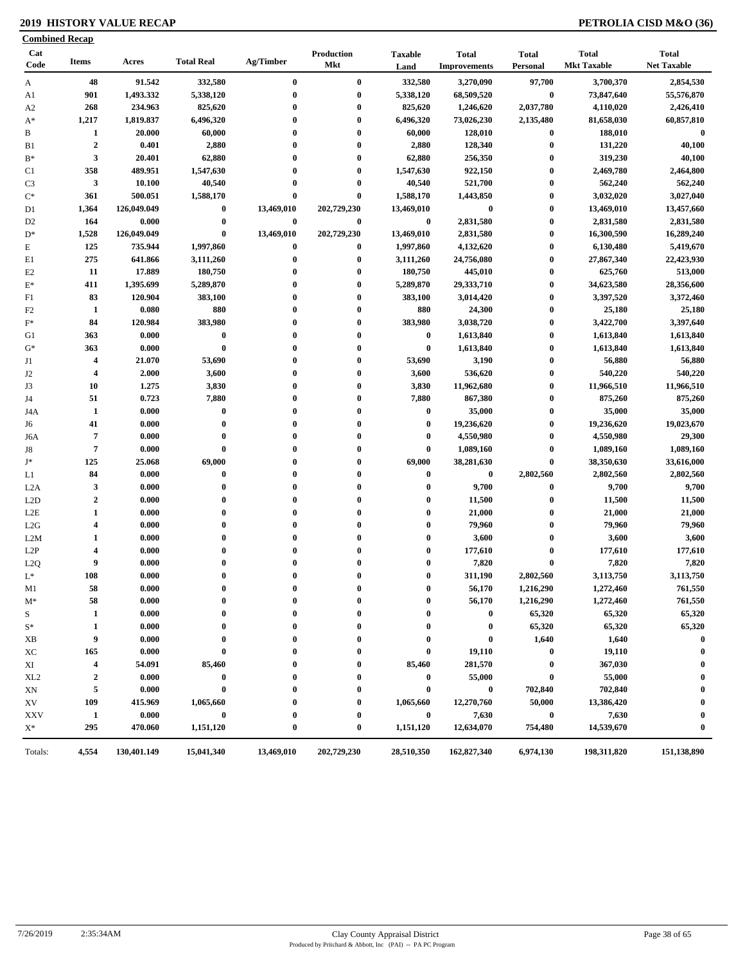### **2019 HISTORY VALUE RECAP PETROLIA CISD M&O (36)**

| <b>Combined Recap</b> |                         |             |                   |              |                                 |                        |                                     |                          |                                    |                                    |
|-----------------------|-------------------------|-------------|-------------------|--------------|---------------------------------|------------------------|-------------------------------------|--------------------------|------------------------------------|------------------------------------|
| Cat<br>Code           | <b>Items</b>            | Acres       | <b>Total Real</b> | Ag/Timber    | <b>Production</b><br><b>Mkt</b> | <b>Taxable</b><br>Land | <b>Total</b><br><b>Improvements</b> | <b>Total</b><br>Personal | <b>Total</b><br><b>Mkt Taxable</b> | <b>Total</b><br><b>Net Taxable</b> |
| A                     | 48                      | 91.542      | 332,580           | $\bf{0}$     | $\bf{0}$                        | 332,580                | 3,270,090                           | 97,700                   | 3,700,370                          | 2,854,530                          |
| A1                    | 901                     | 1,493.332   | 5,338,120         | $\bf{0}$     | $\bf{0}$                        | 5,338,120              | 68,509,520                          | $\bf{0}$                 | 73,847,640                         | 55,576,870                         |
| A <sub>2</sub>        | 268                     | 234.963     | 825,620           | $\bf{0}$     | $\bf{0}$                        | 825,620                | 1,246,620                           | 2,037,780                | 4,110,020                          | 2,426,410                          |
| $A^*$                 | 1,217                   | 1,819.837   | 6,496,320         | $\bf{0}$     | $\bf{0}$                        | 6,496,320              | 73,026,230                          | 2,135,480                | 81,658,030                         | 60,857,810                         |
| B                     | 1                       | 20.000      | 60,000            | $\bf{0}$     | $\bf{0}$                        | 60,000                 | 128,010                             | $\boldsymbol{0}$         | 188,010                            | $\bf{0}$                           |
| B <sub>1</sub>        | $\overline{2}$          | 0.401       | 2,880             | $\bf{0}$     | $\bf{0}$                        | 2,880                  | 128,340                             | $\bf{0}$                 | 131,220                            | 40,100                             |
| $B^*$                 | 3                       | 20.401      | 62,880            | $\bf{0}$     | $\bf{0}$                        | 62,880                 | 256,350                             | $\boldsymbol{0}$         | 319,230                            | 40,100                             |
| C1                    | 358                     | 489.951     | 1,547,630         | $\bf{0}$     | $\bf{0}$                        | 1,547,630              | 922,150                             | $\boldsymbol{0}$         | 2,469,780                          | 2,464,800                          |
| C <sub>3</sub>        | $\mathbf{3}$            | 10.100      | 40,540            | $\bf{0}$     | $\bf{0}$                        | 40,540                 | 521,700                             | $\bf{0}$                 | 562,240                            | 562,240                            |
| $C^*$                 | 361                     | 500.051     | 1,588,170         | $\bf{0}$     | $\bf{0}$                        | 1,588,170              | 1,443,850                           | $\bf{0}$                 | 3,032,020                          | 3,027,040                          |
| D1                    | 1,364                   | 126,049.049 | $\bf{0}$          | 13,469,010   | 202,729,230                     | 13,469,010             | $\bf{0}$                            | $\boldsymbol{0}$         | 13,469,010                         | 13,457,660                         |
| D <sub>2</sub>        | 164                     | 0.000       | $\bf{0}$          | $\bf{0}$     | $\bf{0}$                        | $\bf{0}$               | 2,831,580                           | $\bf{0}$                 | 2,831,580                          | 2,831,580                          |
| $D^*$                 | 1,528                   | 126,049.049 | $\bf{0}$          | 13,469,010   | 202,729,230                     | 13,469,010             | 2,831,580                           | $\bf{0}$                 | 16,300,590                         | 16,289,240                         |
| $\mathbf E$           | 125                     | 735.944     | 1,997,860         | $\bf{0}$     | $\bf{0}$                        | 1,997,860              | 4,132,620                           | $\bf{0}$                 | 6,130,480                          | 5,419,670                          |
| E1                    | 275                     | 641.866     | 3,111,260         | $\bf{0}$     | $\bf{0}$                        | 3,111,260              | 24,756,080                          | $\bf{0}$                 | 27,867,340                         | 22,423,930                         |
| E2                    | 11                      | 17.889      | 180,750           | $\bf{0}$     | $\bf{0}$                        | 180,750                | 445,010                             | $\bf{0}$                 | 625,760                            | 513,000                            |
| $E^*$                 | 411                     | 1,395.699   | 5,289,870         | $\mathbf{0}$ | $\bf{0}$                        | 5,289,870              | 29,333,710                          | $\bf{0}$                 | 34,623,580                         | 28,356,600                         |
| F1                    | 83                      | 120.904     | 383,100           | $\bf{0}$     | $\bf{0}$                        | 383,100                | 3,014,420                           | $\bf{0}$                 | 3,397,520                          | 3,372,460                          |
| F <sub>2</sub>        | 1                       | 0.080       | 880               | $\bf{0}$     | $\bf{0}$                        | 880                    | 24,300                              | $\bf{0}$                 | 25,180                             | 25,180                             |
| $F^*$                 | 84                      | 120.984     | 383,980           | 0            | $\bf{0}$                        | 383,980                | 3,038,720                           | $\bf{0}$                 | 3,422,700                          | 3,397,640                          |
| G1                    | 363                     | 0.000       | $\pmb{0}$         | $\bf{0}$     | $\bf{0}$                        | $\bf{0}$               | 1,613,840                           | $\bf{0}$                 | 1,613,840                          | 1,613,840                          |
| $G^*$                 | 363                     | 0.000       | $\bf{0}$          | $\bf{0}$     | $\bf{0}$                        | $\bf{0}$               | 1,613,840                           | $\boldsymbol{0}$         | 1,613,840                          | 1,613,840                          |
| J1                    | $\overline{\mathbf{4}}$ | 21.070      | 53,690            | $\bf{0}$     | $\bf{0}$                        | 53,690                 | 3,190                               | $\bf{0}$                 | 56,880                             | 56,880                             |
| J2                    | $\overline{\mathbf{4}}$ | 2.000       | 3,600             | $\bf{0}$     | $\bf{0}$                        | 3,600                  | 536,620                             | $\bf{0}$                 | 540,220                            | 540,220                            |
| J3                    | 10                      | 1.275       | 3,830             | $\mathbf{0}$ | $\bf{0}$                        | 3,830                  | 11,962,680                          | $\bf{0}$                 | 11,966,510                         | 11,966,510                         |
| J4                    | 51                      | 0.723       | 7,880             | $\bf{0}$     | $\bf{0}$                        | 7,880                  | 867,380                             | $\bf{0}$                 | 875,260                            | 875,260                            |
| J4A                   | 1                       | 0.000       | $\bf{0}$          | 0            | $\bf{0}$                        | $\bf{0}$               | 35,000                              | $\bf{0}$                 | 35,000                             | 35,000                             |
| J6                    | 41                      | 0.000       | $\bf{0}$          | $\bf{0}$     | $\bf{0}$                        | $\bf{0}$               | 19,236,620                          | $\bf{0}$                 | 19,236,620                         | 19,023,670                         |
| J6A                   | $\overline{7}$          | 0.000       | $\bf{0}$          | $\bf{0}$     | $\bf{0}$                        | $\mathbf 0$            | 4,550,980                           | $\bf{0}$                 | 4,550,980                          | 29,300                             |
| J8                    | $\overline{7}$          | 0.000       | $\bf{0}$          | $\mathbf{0}$ | $\bf{0}$                        | $\boldsymbol{0}$       | 1,089,160                           | $\bf{0}$                 | 1,089,160                          | 1,089,160                          |
| $\mathbf{J}^*$        | 125                     | 25.068      | 69,000            | $\bf{0}$     | $\bf{0}$                        | 69,000                 | 38,281,630                          | $\pmb{0}$                | 38,350,630                         | 33,616,000                         |
| L1                    | 84                      | 0.000       | $\bf{0}$          | $\mathbf{0}$ | $\bf{0}$                        | $\bf{0}$               | $\bf{0}$                            | 2,802,560                | 2,802,560                          | 2,802,560                          |
| L <sub>2</sub> A      | $\mathbf{3}$            | 0.000       | $\bf{0}$          | $\mathbf{0}$ | $\bf{0}$                        | $\bf{0}$               | 9,700                               | $\bf{0}$                 | 9,700                              | 9,700                              |
| L2D                   | $\boldsymbol{2}$        | 0.000       | $\bf{0}$          | $\bf{0}$     | $\bf{0}$                        | $\bf{0}$               | 11,500                              | $\bf{0}$                 | 11,500                             | 11,500                             |
| L2E                   | $\mathbf{1}$            | 0.000       | $\bf{0}$          | $\bf{0}$     | $\bf{0}$                        | $\boldsymbol{0}$       | 21,000                              | $\bf{0}$                 | 21,000                             | 21,000                             |
| L2G                   | $\overline{\mathbf{4}}$ | 0.000       | $\bf{0}$          | $\mathbf{0}$ | $\bf{0}$                        | $\boldsymbol{0}$       | 79,960                              | $\bf{0}$                 | 79,960                             | 79,960                             |
| L2M                   | 1                       | 0.000       | $\bf{0}$          | $\mathbf{0}$ | $\bf{0}$                        | $\boldsymbol{0}$       | 3,600                               | $\bf{0}$                 | 3,600                              | 3,600                              |
| L2P                   | $\overline{\mathbf{4}}$ | 0.000       | $\bf{0}$          | $\bf{0}$     | $\bf{0}$                        | $\boldsymbol{0}$       | 177,610                             | $\bf{0}$                 | 177,610                            | 177,610                            |
| L2Q                   | 9                       | 0.000       | $\bf{0}$          | $\bf{0}$     | $\bf{0}$                        | $\bf{0}$               | 7,820                               | $\bf{0}$                 | 7,820                              | 7,820                              |
| $L^*$                 | 108                     | 0.000       | $\theta$          |              | $\Omega$                        | $\Omega$               | 311,190                             | 2,802,560                | 3,113,750                          | 3,113,750                          |
| M1                    | 58                      | 0.000       | $\bf{0}$          | 0            | 0                               | $\bf{0}$               | 56,170                              | 1,216,290                | 1,272,460                          | 761,550                            |
| $M^*$                 | 58                      | 0.000       | 0                 | 0            | 0                               | 0                      | 56,170                              | 1,216,290                | 1,272,460                          | 761,550                            |
| S                     | $\mathbf{1}$            | 0.000       | $\bf{0}$          |              |                                 | $\bf{0}$               | $\bf{0}$                            | 65,320                   | 65,320                             | 65,320                             |
| $S^*$                 | 1                       | 0.000       | 0                 |              | 0                               | 0                      | $\bf{0}$                            | 65,320                   | 65,320                             | 65,320                             |
| XВ                    | 9                       | 0.000       | $\bf{0}$          |              | 0                               | 0                      | $\bf{0}$                            | 1,640                    | 1,640                              | $\bf{0}$                           |
| ХC                    | 165                     | 0.000       | 0                 |              | 0                               | $\boldsymbol{0}$       | 19,110                              | $\bf{0}$                 | 19,110                             | $\bf{0}$                           |
|                       | $\overline{\mathbf{4}}$ | 54.091      | 85,460            |              | $\boldsymbol{0}$                | 85,460                 | 281,570                             | $\bf{0}$                 | 367,030                            |                                    |
| XI                    |                         |             |                   |              |                                 |                        |                                     |                          |                                    | $\bf{0}$                           |
| XL <sub>2</sub>       | $\mathbf{2}$            | 0.000       | $\bf{0}$          |              | $\bf{0}$                        | $\bf{0}$               | 55,000                              | $\bf{0}$                 | 55,000                             |                                    |
| XN                    | 5                       | 0.000       | $\bf{0}$          |              | $\bf{0}$                        | $\bf{0}$               | $\bf{0}$                            | 702,840                  | 702,840                            |                                    |
| XV                    | 109                     | 415.969     | 1,065,660         |              | 0                               | 1,065,660              | 12,270,760                          | 50,000                   | 13,386,420                         | 0                                  |
| <b>XXV</b>            | $\mathbf{1}$            | 0.000       | $\bf{0}$          |              | $\boldsymbol{0}$                | $\bf{0}$               | 7,630                               | $\bf{0}$                 | 7,630                              | $\bf{0}$                           |
| $X^*$                 | 295                     | 470.060     | 1,151,120         | $\bf{0}$     | $\boldsymbol{0}$                | 1,151,120              | 12,634,070                          | 754,480                  | 14,539,670                         | $\bf{0}$                           |
| Totals:               | 4,554                   | 130,401.149 | 15,041,340        | 13,469,010   | 202,729,230                     | 28,510,350             | 162,827,340                         | 6,974,130                | 198,311,820                        | 151,138,890                        |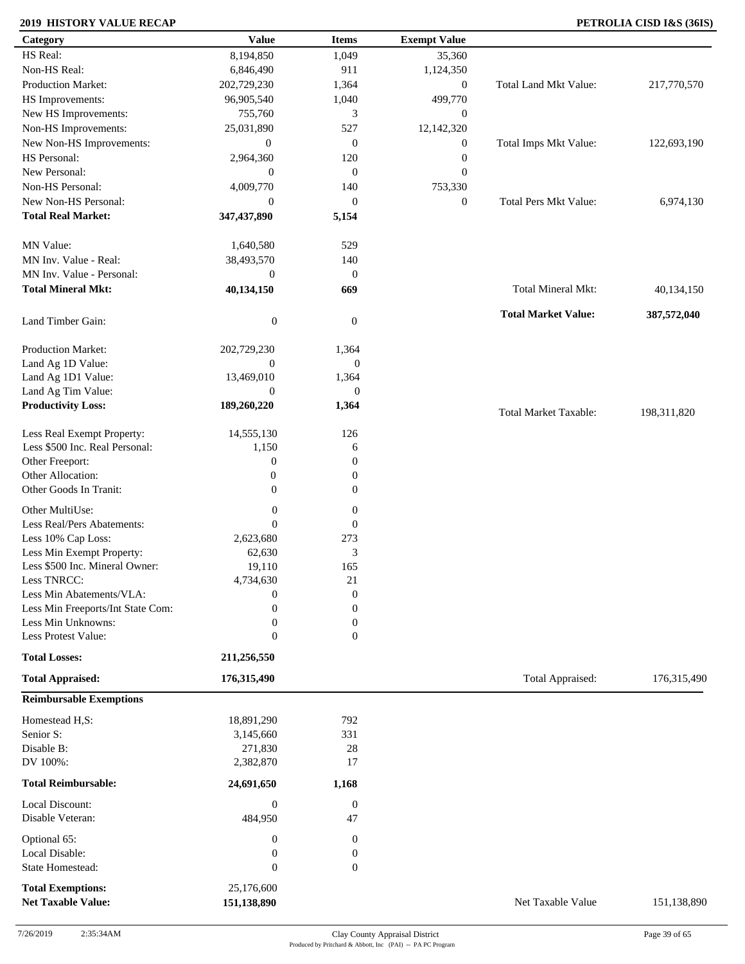### **2019 HISTORY VALUE RECAP PETROLIA CISD I&S (36IS)**

| Category                                              | <b>Value</b>                  | <b>Items</b>              | <b>Exempt Value</b> |                              |             |
|-------------------------------------------------------|-------------------------------|---------------------------|---------------------|------------------------------|-------------|
| HS Real:                                              | 8,194,850                     | 1,049                     | 35,360              |                              |             |
| Non-HS Real:                                          | 6,846,490                     | 911                       | 1,124,350           |                              |             |
| Production Market:                                    | 202,729,230                   | 1,364                     | $\boldsymbol{0}$    | Total Land Mkt Value:        | 217,770,570 |
| HS Improvements:                                      | 96,905,540                    | 1,040                     | 499,770             |                              |             |
| New HS Improvements:                                  | 755,760                       | 3                         | $\mathbf{0}$        |                              |             |
| Non-HS Improvements:                                  | 25,031,890                    | 527                       | 12,142,320          |                              |             |
| New Non-HS Improvements:                              | $\boldsymbol{0}$              | $\mathbf{0}$              | $\mathbf{0}$        | Total Imps Mkt Value:        | 122,693,190 |
| HS Personal:                                          | 2,964,360                     | 120                       | $\boldsymbol{0}$    |                              |             |
| New Personal:                                         | $\boldsymbol{0}$              | $\mathbf{0}$              | $\mathbf{0}$        |                              |             |
| Non-HS Personal:                                      | 4,009,770                     | 140                       | 753,330             |                              |             |
|                                                       |                               |                           |                     |                              |             |
| New Non-HS Personal:                                  | $\boldsymbol{0}$              | $\mathbf{0}$              | $\boldsymbol{0}$    | <b>Total Pers Mkt Value:</b> | 6,974,130   |
| <b>Total Real Market:</b>                             | 347,437,890                   | 5,154                     |                     |                              |             |
| MN Value:                                             | 1,640,580                     | 529                       |                     |                              |             |
| MN Inv. Value - Real:                                 | 38,493,570                    | 140                       |                     |                              |             |
| MN Inv. Value - Personal:                             | $\boldsymbol{0}$              | $\mathbf{0}$              |                     |                              |             |
| <b>Total Mineral Mkt:</b>                             | 40,134,150                    | 669                       |                     | <b>Total Mineral Mkt:</b>    | 40,134,150  |
| Land Timber Gain:                                     | $\boldsymbol{0}$              | $\boldsymbol{0}$          |                     | <b>Total Market Value:</b>   | 387,572,040 |
| Production Market:                                    |                               |                           |                     |                              |             |
|                                                       | 202,729,230<br>$\overline{0}$ | 1,364<br>$\boldsymbol{0}$ |                     |                              |             |
| Land Ag 1D Value:                                     |                               |                           |                     |                              |             |
| Land Ag 1D1 Value:                                    | 13,469,010                    | 1,364                     |                     |                              |             |
| Land Ag Tim Value:                                    | $\overline{0}$                | $\theta$                  |                     |                              |             |
| <b>Productivity Loss:</b>                             | 189,260,220                   | 1,364                     |                     | <b>Total Market Taxable:</b> | 198,311,820 |
| Less Real Exempt Property:                            | 14,555,130                    | 126                       |                     |                              |             |
| Less \$500 Inc. Real Personal:                        | 1,150                         | 6                         |                     |                              |             |
| Other Freeport:                                       | $\boldsymbol{0}$              | $\mathbf{0}$              |                     |                              |             |
| Other Allocation:                                     | $\boldsymbol{0}$              | $\boldsymbol{0}$          |                     |                              |             |
| Other Goods In Tranit:                                | $\overline{0}$                | $\boldsymbol{0}$          |                     |                              |             |
| Other MultiUse:                                       | $\boldsymbol{0}$              | $\boldsymbol{0}$          |                     |                              |             |
| Less Real/Pers Abatements:                            | $\mathbf{0}$                  | $\boldsymbol{0}$          |                     |                              |             |
|                                                       | 2,623,680                     | 273                       |                     |                              |             |
| Less 10% Cap Loss:                                    |                               | 3                         |                     |                              |             |
| Less Min Exempt Property:                             | 62,630                        |                           |                     |                              |             |
| Less \$500 Inc. Mineral Owner:                        | 19,110                        | 165                       |                     |                              |             |
| Less TNRCC:                                           | 4,734,630                     | 21                        |                     |                              |             |
| Less Min Abatements/VLA:                              | $\boldsymbol{0}$              | $\boldsymbol{0}$          |                     |                              |             |
| Less Min Freeports/Int State Com:                     | $\theta$                      | $\mathbf{0}$              |                     |                              |             |
| Less Min Unknowns:                                    | $\boldsymbol{0}$              | $\mathbf{0}$              |                     |                              |             |
| Less Protest Value:                                   | $\boldsymbol{0}$              | $\mathbf{0}$              |                     |                              |             |
| <b>Total Losses:</b>                                  | 211,256,550                   |                           |                     |                              |             |
| <b>Total Appraised:</b>                               | 176,315,490                   |                           |                     | Total Appraised:             | 176,315,490 |
| <b>Reimbursable Exemptions</b>                        |                               |                           |                     |                              |             |
| Homestead H,S:                                        | 18,891,290                    | 792                       |                     |                              |             |
| Senior S:                                             | 3,145,660                     | 331                       |                     |                              |             |
| Disable B:                                            | 271,830                       | 28                        |                     |                              |             |
| DV 100%:                                              | 2,382,870                     | 17                        |                     |                              |             |
| <b>Total Reimbursable:</b>                            | 24,691,650                    | 1,168                     |                     |                              |             |
| Local Discount:                                       | $\boldsymbol{0}$              | $\boldsymbol{0}$          |                     |                              |             |
| Disable Veteran:                                      | 484,950                       | 47                        |                     |                              |             |
| Optional 65:                                          | $\boldsymbol{0}$              | $\boldsymbol{0}$          |                     |                              |             |
| Local Disable:                                        | $\boldsymbol{0}$              | $\boldsymbol{0}$          |                     |                              |             |
| State Homestead:                                      | $\boldsymbol{0}$              | $\boldsymbol{0}$          |                     |                              |             |
|                                                       |                               |                           |                     |                              |             |
| <b>Total Exemptions:</b><br><b>Net Taxable Value:</b> | 25,176,600<br>151,138,890     |                           |                     | Net Taxable Value            | 151,138,890 |
|                                                       |                               |                           |                     |                              |             |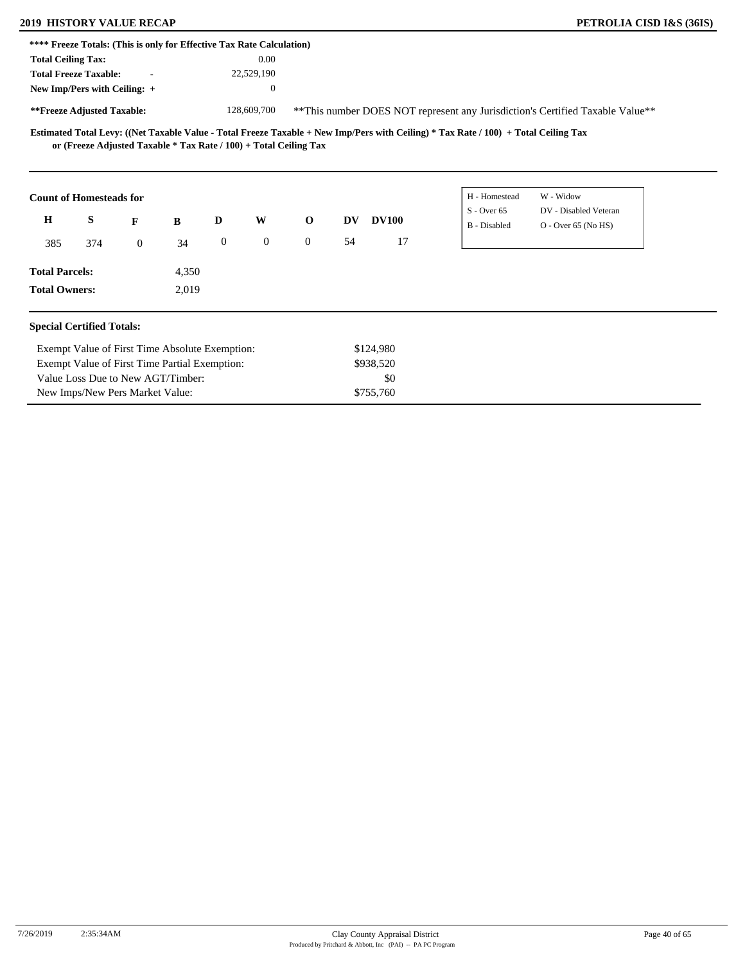# **2019 HISTORY VALUE RECAP PETROLIA CISD I&S (36IS)**

New Imps/New Pers Market Value:

| **** Freeze Totals: (This is only for Effective Tax Rate Calculation) |                                                |                                   |       |                  |                |                                                                                |           |              |                                                                                                                                     |                                                |  |  |
|-----------------------------------------------------------------------|------------------------------------------------|-----------------------------------|-------|------------------|----------------|--------------------------------------------------------------------------------|-----------|--------------|-------------------------------------------------------------------------------------------------------------------------------------|------------------------------------------------|--|--|
| <b>Total Ceiling Tax:</b>                                             |                                                |                                   |       |                  | 0.00           |                                                                                |           |              |                                                                                                                                     |                                                |  |  |
| <b>Total Freeze Taxable:</b>                                          |                                                |                                   |       |                  | 22,529,190     |                                                                                |           |              |                                                                                                                                     |                                                |  |  |
| New Imp/Pers with Ceiling: +                                          |                                                |                                   |       |                  | $\mathbf{0}$   |                                                                                |           |              |                                                                                                                                     |                                                |  |  |
| **Freeze Adjusted Taxable:                                            |                                                |                                   |       |                  | 128,609,700    | ** This number DOES NOT represent any Jurisdiction's Certified Taxable Value** |           |              |                                                                                                                                     |                                                |  |  |
|                                                                       |                                                |                                   |       |                  |                | or (Freeze Adjusted Taxable * Tax Rate / 100) + Total Ceiling Tax              |           |              | Estimated Total Levy: ((Net Taxable Value - Total Freeze Taxable + New Imp/Pers with Ceiling) * Tax Rate / 100) + Total Ceiling Tax |                                                |  |  |
| <b>Count of Homesteads for</b>                                        |                                                |                                   |       |                  |                |                                                                                |           |              | H - Homestead                                                                                                                       | W - Widow                                      |  |  |
| $\mathbf H$                                                           | S                                              | F                                 | B     | D                | W              | $\mathbf{o}$                                                                   | DV        | <b>DV100</b> | $S -$ Over 65<br><b>B</b> - Disabled                                                                                                | DV - Disabled Veteran<br>$O -$ Over 65 (No HS) |  |  |
| 385                                                                   | 374                                            | $\overline{0}$                    | 34    | $\boldsymbol{0}$ | $\overline{0}$ | $\overline{0}$                                                                 | 54        | 17           |                                                                                                                                     |                                                |  |  |
| <b>Total Parcels:</b>                                                 |                                                |                                   | 4,350 |                  |                |                                                                                |           |              |                                                                                                                                     |                                                |  |  |
| <b>Total Owners:</b>                                                  |                                                |                                   | 2,019 |                  |                |                                                                                |           |              |                                                                                                                                     |                                                |  |  |
| <b>Special Certified Totals:</b>                                      |                                                |                                   |       |                  |                |                                                                                |           |              |                                                                                                                                     |                                                |  |  |
|                                                                       | Exempt Value of First Time Absolute Exemption: |                                   |       |                  |                |                                                                                | \$124,980 |              |                                                                                                                                     |                                                |  |  |
| Exempt Value of First Time Partial Exemption:                         |                                                |                                   |       |                  |                |                                                                                |           | \$938,520    |                                                                                                                                     |                                                |  |  |
|                                                                       |                                                | Value Loss Due to New AGT/Timber: |       |                  |                |                                                                                |           | \$0          |                                                                                                                                     |                                                |  |  |

\$755,760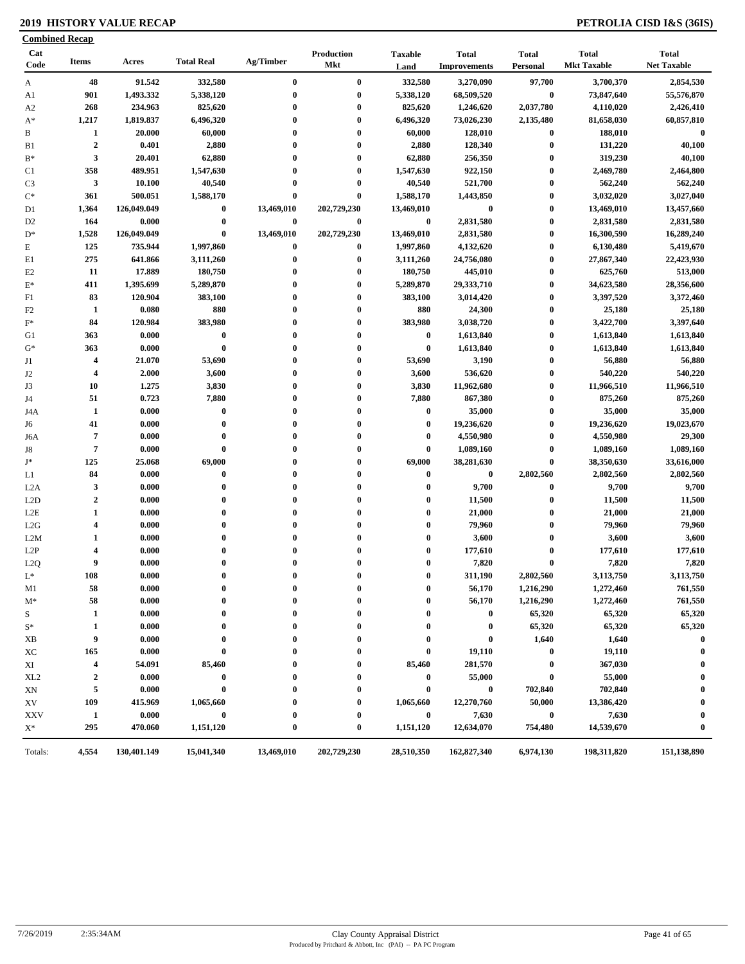### **2019 HISTORY VALUE RECAP PETROLIA CISD I&S (36IS)**

| <b>Combined Recap</b> |                         |                 |                   |              |                                 |                        |                                     |                          |                                    |                                    |
|-----------------------|-------------------------|-----------------|-------------------|--------------|---------------------------------|------------------------|-------------------------------------|--------------------------|------------------------------------|------------------------------------|
| Cat<br>Code           | <b>Items</b>            | Acres           | <b>Total Real</b> | Ag/Timber    | <b>Production</b><br><b>Mkt</b> | <b>Taxable</b><br>Land | <b>Total</b><br><b>Improvements</b> | <b>Total</b><br>Personal | <b>Total</b><br><b>Mkt Taxable</b> | <b>Total</b><br><b>Net Taxable</b> |
| A                     | 48                      | 91.542          | 332,580           | $\bf{0}$     | $\bf{0}$                        | 332,580                | 3,270,090                           | 97,700                   | 3,700,370                          | 2,854,530                          |
| A1                    | 901                     | 1,493.332       | 5,338,120         | $\bf{0}$     | $\bf{0}$                        | 5,338,120              | 68,509,520                          | $\bf{0}$                 | 73,847,640                         | 55,576,870                         |
| A <sub>2</sub>        | 268                     | 234.963         | 825,620           | $\bf{0}$     | $\bf{0}$                        | 825,620                | 1,246,620                           | 2,037,780                | 4,110,020                          | 2,426,410                          |
| $A^*$                 | 1,217                   | 1,819.837       | 6,496,320         | $\bf{0}$     | $\bf{0}$                        | 6,496,320              | 73,026,230                          | 2,135,480                | 81,658,030                         | 60,857,810                         |
| B                     | 1                       | 20.000          | 60,000            | 0            | $\bf{0}$                        | 60,000                 | 128,010                             | $\boldsymbol{0}$         | 188,010                            | $\bf{0}$                           |
| B <sub>1</sub>        | $\overline{2}$          | 0.401           | 2,880             | $\bf{0}$     | $\bf{0}$                        | 2,880                  | 128,340                             | $\boldsymbol{0}$         | 131,220                            | 40,100                             |
| $B^*$                 | 3                       | 20.401          | 62,880            | $\bf{0}$     | $\bf{0}$                        | 62,880                 | 256,350                             | $\boldsymbol{0}$         | 319,230                            | 40,100                             |
| C1                    | 358                     | 489.951         | 1,547,630         | $\bf{0}$     | $\bf{0}$                        | 1,547,630              | 922,150                             | $\boldsymbol{0}$         | 2,469,780                          | 2,464,800                          |
| C <sub>3</sub>        | $\mathbf{3}$            | 10.100          | 40,540            | 0            | $\bf{0}$                        | 40,540                 | 521,700                             | $\bf{0}$                 | 562,240                            | 562,240                            |
| $C^*$                 | 361                     | 500.051         | 1,588,170         | $\bf{0}$     | $\bf{0}$                        | 1,588,170              | 1,443,850                           | $\bf{0}$                 | 3,032,020                          | 3,027,040                          |
| D1                    | 1,364                   | 126,049.049     | $\bf{0}$          | 13,469,010   | 202,729,230                     | 13,469,010             | $\bf{0}$                            | $\boldsymbol{0}$         | 13,469,010                         | 13,457,660                         |
| D <sub>2</sub>        | 164                     | 0.000           | $\bf{0}$          | $\bf{0}$     | $\bf{0}$                        | $\bf{0}$               | 2,831,580                           | $\bf{0}$                 | 2,831,580                          | 2,831,580                          |
| $D^*$                 | 1,528                   | 126,049.049     | $\bf{0}$          | 13,469,010   | 202,729,230                     | 13,469,010             | 2,831,580                           | $\bf{0}$                 | 16,300,590                         | 16,289,240                         |
| $\mathbf E$           | 125                     | 735.944         | 1,997,860         | 0            | $\bf{0}$                        | 1,997,860              | 4,132,620                           | $\bf{0}$                 | 6,130,480                          | 5,419,670                          |
| E1                    | 275                     | 641.866         | 3,111,260         | 0            | $\bf{0}$                        | 3,111,260              | 24,756,080                          | $\bf{0}$                 | 27,867,340                         | 22,423,930                         |
| E2                    | 11                      | 17.889          | 180,750           | 0            | $\bf{0}$                        | 180,750                | 445,010                             | $\bf{0}$                 | 625,760                            | 513,000                            |
| $E^*$                 | 411                     | 1,395.699       | 5,289,870         | $\mathbf{0}$ | $\bf{0}$                        | 5,289,870              | 29,333,710                          | $\bf{0}$                 | 34,623,580                         | 28,356,600                         |
| F1                    | 83                      | 120.904         | 383,100           | $\bf{0}$     | $\bf{0}$                        | 383,100                | 3,014,420                           | $\boldsymbol{0}$         | 3,397,520                          | 3,372,460                          |
| F <sub>2</sub>        | 1                       | 0.080           | 880               | $\bf{0}$     | $\bf{0}$                        | 880                    | 24,300                              | $\boldsymbol{0}$         | 25,180                             | 25,180                             |
| $F^*$                 | 84                      | 120.984         | 383,980           | 0            | $\bf{0}$                        | 383,980                | 3,038,720                           | $\bf{0}$                 | 3,422,700                          | 3,397,640                          |
| G1                    | 363                     | 0.000           | $\pmb{0}$         | $\bf{0}$     | $\bf{0}$                        | $\bf{0}$               | 1,613,840                           | $\bf{0}$                 | 1,613,840                          | 1,613,840                          |
| $G^*$                 | 363                     | 0.000           | $\bf{0}$          | $\bf{0}$     | $\bf{0}$                        | $\bf{0}$               | 1,613,840                           | $\boldsymbol{0}$         | 1,613,840                          | 1,613,840                          |
| J1                    | $\overline{\mathbf{4}}$ | 21.070          | 53,690            | $\bf{0}$     | $\bf{0}$                        | 53,690                 | 3,190                               | $\bf{0}$                 | 56,880                             | 56,880                             |
| J2                    | $\overline{\mathbf{4}}$ | 2.000           | 3,600             | $\bf{0}$     | $\bf{0}$                        | 3,600                  | 536,620                             | $\bf{0}$                 | 540,220                            | 540,220                            |
| J3                    | 10                      | 1.275           | 3,830             | $\mathbf{0}$ | $\bf{0}$                        | 3,830                  | 11,962,680                          | $\bf{0}$                 | 11,966,510                         | 11,966,510                         |
| J4                    | 51                      | 0.723           | 7,880             | $\bf{0}$     | $\bf{0}$                        | 7,880                  | 867,380                             | $\bf{0}$                 | 875,260                            | 875,260                            |
| J4A                   | 1                       | 0.000           | $\bf{0}$          | 0            | $\bf{0}$                        | $\bf{0}$               | 35,000                              | $\bf{0}$                 | 35,000                             | 35,000                             |
|                       | 41                      | 0.000           | $\bf{0}$          | $\bf{0}$     | $\bf{0}$                        | $\bf{0}$               | 19,236,620                          | $\bf{0}$                 | 19,236,620                         | 19,023,670                         |
| J6                    | $\overline{7}$          |                 | $\bf{0}$          | $\bf{0}$     | $\bf{0}$                        | $\mathbf 0$            |                                     | $\bf{0}$                 |                                    |                                    |
| J6A                   | $\overline{7}$          | 0.000           | $\bf{0}$          | $\mathbf{0}$ | $\bf{0}$                        | $\boldsymbol{0}$       | 4,550,980                           | $\bf{0}$                 | 4,550,980                          | 29,300                             |
| J8<br>$\mathbf{J}^*$  | 125                     | 0.000<br>25.068 | 69,000            | $\bf{0}$     | $\bf{0}$                        | 69,000                 | 1,089,160                           | $\pmb{0}$                | 1,089,160                          | 1,089,160                          |
|                       |                         |                 |                   | $\mathbf{0}$ |                                 |                        | 38,281,630                          |                          | 38,350,630                         | 33,616,000                         |
| L1                    | 84                      | 0.000           | $\bf{0}$          | $\mathbf{0}$ | $\bf{0}$<br>$\bf{0}$            | $\bf{0}$               | $\bf{0}$                            | 2,802,560                | 2,802,560                          | 2,802,560                          |
| L <sub>2</sub> A      | $\mathbf{3}$            | 0.000           | $\bf{0}$          |              |                                 | $\bf{0}$               | 9,700                               | $\bf{0}$                 | 9,700                              | 9,700                              |
| L2D                   | $\boldsymbol{2}$        | 0.000           | $\bf{0}$          | $\bf{0}$     | $\bf{0}$                        | $\bf{0}$               | 11,500                              | $\bf{0}$                 | 11,500                             | 11,500                             |
| L2E                   | $\mathbf{1}$            | 0.000           | $\bf{0}$          | $\bf{0}$     | $\bf{0}$                        | $\boldsymbol{0}$       | 21,000                              | $\bf{0}$                 | 21,000                             | 21,000                             |
| L2G                   | $\overline{\mathbf{4}}$ | 0.000           | $\bf{0}$          | $\mathbf{0}$ | $\bf{0}$                        | $\boldsymbol{0}$       | 79,960                              | $\bf{0}$                 | 79,960                             | 79,960                             |
| L2M                   | 1                       | 0.000           | $\bf{0}$          | $\mathbf{0}$ | $\bf{0}$                        | $\boldsymbol{0}$       | 3,600                               | $\bf{0}$                 | 3,600                              | 3,600                              |
| L2P                   | $\overline{\mathbf{4}}$ | 0.000           | $\bf{0}$          | $\bf{0}$     | $\bf{0}$                        | $\boldsymbol{0}$       | 177,610                             | $\bf{0}$                 | 177,610                            | 177,610                            |
| L2Q                   | 9                       | 0.000           | $\bf{0}$          | $\bf{0}$     | $\bf{0}$<br>$\Omega$            | $\bf{0}$               | 7,820                               | $\bf{0}$                 | 7,820                              | 7,820                              |
| $L^*$                 | 108                     | 0.000           | $\theta$          |              |                                 | $\Omega$               | 311,190                             | 2,802,560                | 3,113,750                          | 3,113,750                          |
| M1                    | 58                      | 0.000           | $\bf{0}$          | 0            | $\bf{0}$                        | $\boldsymbol{0}$       | 56,170                              | 1,216,290                | 1,272,460                          | 761,550                            |
| $M^*$                 | 58                      | 0.000           | 0                 | 0            | 0                               | 0                      | 56,170                              | 1,216,290                | 1,272,460                          | 761,550                            |
| S                     | 1                       | 0.000           | $\bf{0}$          |              |                                 | $\bf{0}$               | $\bf{0}$                            | 65,320                   | 65,320                             | 65,320                             |
| $S^*$                 | 1                       | 0.000           | 0                 |              | 0                               | $\bf{0}$               | $\bf{0}$                            | 65,320                   | 65,320                             | 65,320                             |
| XВ                    | 9                       | 0.000           | $\bf{0}$          |              | 0                               | 0                      | $\bf{0}$                            | 1,640                    | 1,640                              | $\bf{0}$                           |
| ХC                    | 165                     | 0.000           | 0                 |              | $\bf{0}$                        | $\boldsymbol{0}$       | 19,110                              | $\bf{0}$                 | 19,110                             | $\bf{0}$                           |
| XI                    | $\overline{\mathbf{4}}$ | 54.091          | 85,460            |              | $\boldsymbol{0}$                | 85,460                 | 281,570                             | $\bf{0}$                 | 367,030                            |                                    |
| XL <sub>2</sub>       | $\mathbf{2}$            | 0.000           | $\bf{0}$          |              | $\bf{0}$                        | $\bf{0}$               | 55,000                              | $\boldsymbol{0}$         | 55,000                             | $\bf{0}$                           |
| XN                    | 5                       | 0.000           | $\bf{0}$          |              | $\bf{0}$                        | $\bf{0}$               | $\bf{0}$                            | 702,840                  | 702,840                            |                                    |
| XV                    | 109                     | 415.969         | 1,065,660         |              | 0                               | 1,065,660              | 12,270,760                          | 50,000                   | 13,386,420                         | 0                                  |
| <b>XXV</b>            | $\mathbf{1}$            | 0.000           | $\bf{0}$          |              | $\boldsymbol{0}$                | $\bf{0}$               | 7,630                               | $\bf{0}$                 | 7,630                              | $\bf{0}$                           |
| $X^*$                 | 295                     | 470.060         | 1,151,120         | $\bf{0}$     | $\boldsymbol{0}$                | 1,151,120              | 12,634,070                          | 754,480                  | 14,539,670                         | $\bf{0}$                           |
| Totals:               | 4,554                   | 130,401.149     | 15,041,340        | 13,469,010   | 202,729,230                     | 28,510,350             | 162,827,340                         | 6,974,130                | 198,311,820                        | 151,138,890                        |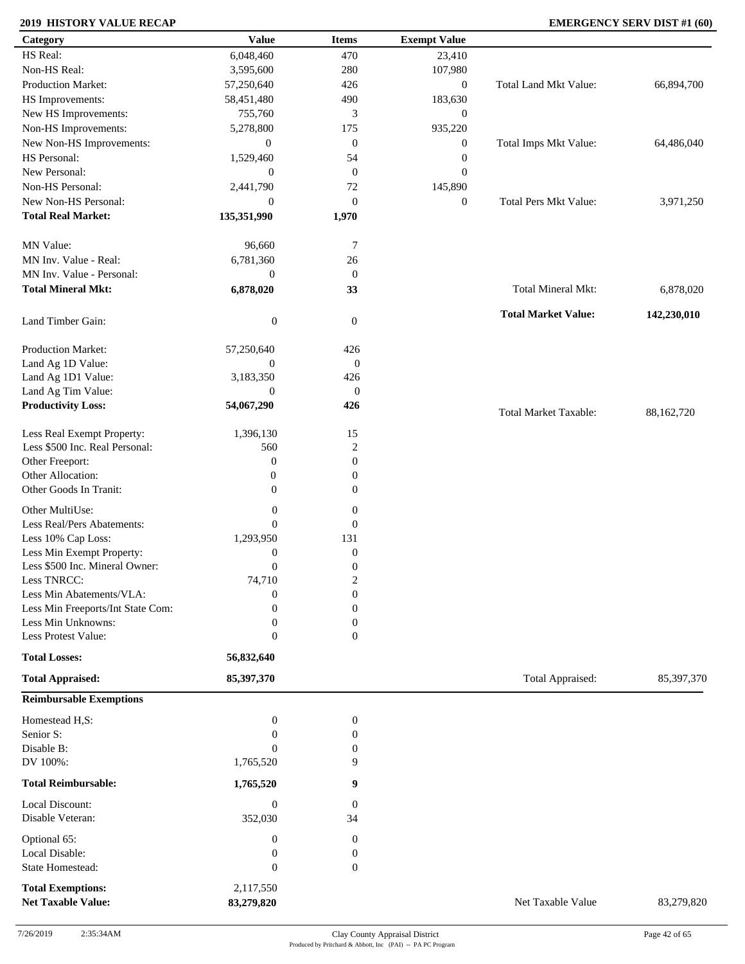### **2019 HISTORY VALUE RECAP EMERGENCY SERV DIST #1 (60)**

| Category                            | <b>Value</b>                | <b>Items</b>            | <b>Exempt Value</b> |                              |             |
|-------------------------------------|-----------------------------|-------------------------|---------------------|------------------------------|-------------|
| HS Real:                            | 6,048,460                   | 470                     | 23,410              |                              |             |
| Non-HS Real:                        | 3,595,600                   | 280                     | 107,980             |                              |             |
| Production Market:                  | 57,250,640                  | 426                     | $\boldsymbol{0}$    | Total Land Mkt Value:        | 66,894,700  |
| HS Improvements:                    | 58,451,480                  | 490                     | 183,630             |                              |             |
| New HS Improvements:                | 755,760                     | 3                       | $\boldsymbol{0}$    |                              |             |
| Non-HS Improvements:                | 5,278,800                   | 175                     | 935,220             |                              |             |
|                                     |                             |                         |                     |                              |             |
| New Non-HS Improvements:            | $\mathbf{0}$                | $\boldsymbol{0}$        | $\boldsymbol{0}$    | Total Imps Mkt Value:        | 64,486,040  |
| HS Personal:                        | 1,529,460                   | 54                      | $\boldsymbol{0}$    |                              |             |
| New Personal:                       | $\overline{0}$              | $\boldsymbol{0}$        | $\boldsymbol{0}$    |                              |             |
| Non-HS Personal:                    | 2,441,790                   | $72\,$                  | 145,890             |                              |             |
| New Non-HS Personal:                | $\overline{0}$              | $\boldsymbol{0}$        | $\boldsymbol{0}$    | Total Pers Mkt Value:        | 3,971,250   |
| <b>Total Real Market:</b>           | 135,351,990                 | 1,970                   |                     |                              |             |
| MN Value:                           | 96,660                      | 7                       |                     |                              |             |
| MN Inv. Value - Real:               | 6,781,360                   | 26                      |                     |                              |             |
| MN Inv. Value - Personal:           | $\boldsymbol{0}$            | $\mathbf{0}$            |                     |                              |             |
| <b>Total Mineral Mkt:</b>           | 6,878,020                   | 33                      |                     | Total Mineral Mkt:           | 6,878,020   |
| Land Timber Gain:                   | $\boldsymbol{0}$            | $\overline{0}$          |                     | <b>Total Market Value:</b>   | 142,230,010 |
|                                     |                             |                         |                     |                              |             |
| Production Market:                  | 57,250,640                  | 426                     |                     |                              |             |
| Land Ag 1D Value:                   | $\boldsymbol{0}$            | $\mathbf{0}$            |                     |                              |             |
| Land Ag 1D1 Value:                  | 3,183,350                   | 426                     |                     |                              |             |
| Land Ag Tim Value:                  | $\boldsymbol{0}$            | $\mathbf{0}$            |                     |                              |             |
| <b>Productivity Loss:</b>           | 54,067,290                  | 426                     |                     | <b>Total Market Taxable:</b> | 88,162,720  |
| Less Real Exempt Property:          | 1,396,130                   | 15                      |                     |                              |             |
| Less \$500 Inc. Real Personal:      | 560                         | $\boldsymbol{2}$        |                     |                              |             |
| Other Freeport:                     | $\mathbf{0}$                | $\boldsymbol{0}$        |                     |                              |             |
| Other Allocation:                   | $\mathbf{0}$                | $\boldsymbol{0}$        |                     |                              |             |
|                                     |                             |                         |                     |                              |             |
| Other Goods In Tranit:              | $\overline{0}$              | $\overline{0}$          |                     |                              |             |
| Other MultiUse:                     | $\boldsymbol{0}$            | $\boldsymbol{0}$        |                     |                              |             |
| Less Real/Pers Abatements:          | $\overline{0}$              | $\mathbf{0}$            |                     |                              |             |
| Less 10% Cap Loss:                  | 1,293,950                   | 131                     |                     |                              |             |
| Less Min Exempt Property:           | $\boldsymbol{0}$            | $\boldsymbol{0}$        |                     |                              |             |
| Less \$500 Inc. Mineral Owner:      | $\boldsymbol{0}$            | $\boldsymbol{0}$        |                     |                              |             |
| Less TNRCC:                         | 74,710                      | $\overline{\mathbf{c}}$ |                     |                              |             |
| Less Min Abatements/VLA:            | $\boldsymbol{0}$            | $\boldsymbol{0}$        |                     |                              |             |
| Less Min Freeports/Int State Com:   | $\Omega$                    | $\overline{0}$          |                     |                              |             |
| Less Min Unknowns:                  | $\overline{0}$              | $\boldsymbol{0}$        |                     |                              |             |
| Less Protest Value:                 | $\overline{0}$              | $\mathbf{0}$            |                     |                              |             |
| <b>Total Losses:</b>                | 56,832,640                  |                         |                     |                              |             |
| <b>Total Appraised:</b>             | 85,397,370                  |                         |                     | Total Appraised:             | 85,397,370  |
| <b>Reimbursable Exemptions</b>      |                             |                         |                     |                              |             |
| Homestead H,S:                      | $\boldsymbol{0}$            | $\boldsymbol{0}$        |                     |                              |             |
| Senior S:                           | $\boldsymbol{0}$            | $\boldsymbol{0}$        |                     |                              |             |
| Disable B:                          | $\theta$                    | $\boldsymbol{0}$        |                     |                              |             |
| DV 100%:                            | 1,765,520                   | 9                       |                     |                              |             |
| <b>Total Reimbursable:</b>          | 1,765,520                   | 9                       |                     |                              |             |
|                                     |                             |                         |                     |                              |             |
| Local Discount:<br>Disable Veteran: | $\boldsymbol{0}$<br>352,030 | $\boldsymbol{0}$<br>34  |                     |                              |             |
|                                     |                             |                         |                     |                              |             |
| Optional 65:                        | $\boldsymbol{0}$            | $\boldsymbol{0}$        |                     |                              |             |
| Local Disable:                      | $\boldsymbol{0}$            | 0                       |                     |                              |             |
| State Homestead:                    | $\boldsymbol{0}$            | $\overline{0}$          |                     |                              |             |
| <b>Total Exemptions:</b>            | 2,117,550                   |                         |                     |                              |             |
| <b>Net Taxable Value:</b>           | 83,279,820                  |                         |                     | Net Taxable Value            | 83,279,820  |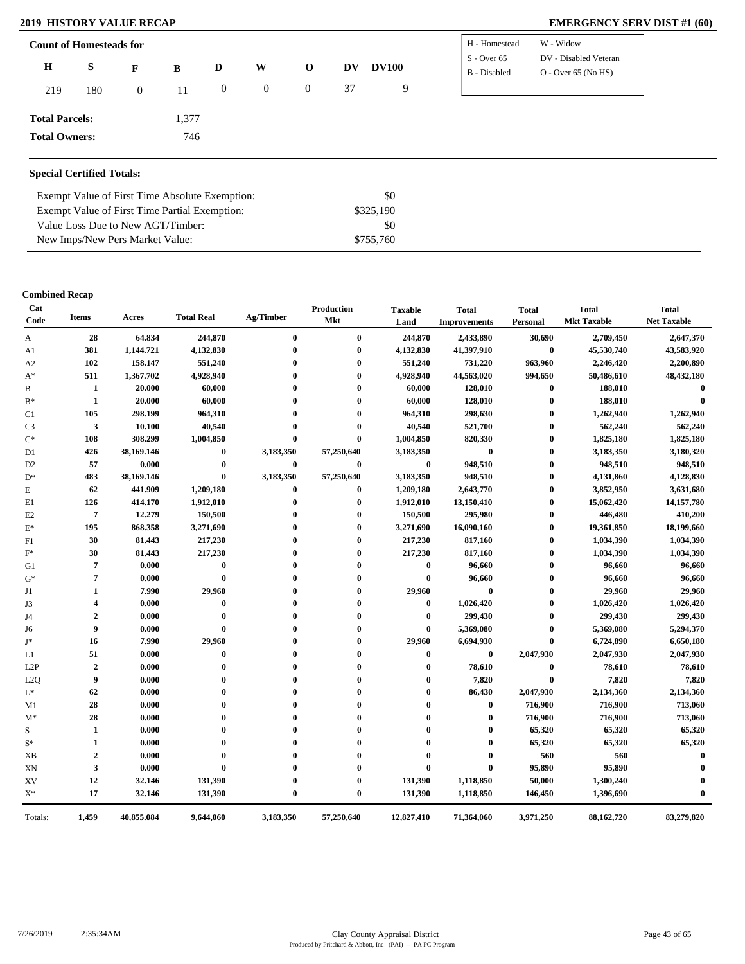### **2019 HISTORY VALUE RECAP EMERGENCY SERV DIST #1 (60)**

| <b>Count of Homesteads for</b>   |     |                |       |                  |                |                  |    |              | H - Homestead                 | W - Widow                                      |
|----------------------------------|-----|----------------|-------|------------------|----------------|------------------|----|--------------|-------------------------------|------------------------------------------------|
| $\mathbf H$                      | S   | F              | B     | D                | W              | $\mathbf{o}$     | DV | <b>DV100</b> | $S - Over 65$<br>B - Disabled | DV - Disabled Veteran<br>$O -$ Over 65 (No HS) |
| 219                              | 180 | $\overline{0}$ | 11    | $\boldsymbol{0}$ | $\overline{0}$ | $\boldsymbol{0}$ | 37 | 9            |                               |                                                |
| <b>Total Parcels:</b>            |     |                | 1,377 |                  |                |                  |    |              |                               |                                                |
| <b>Total Owners:</b>             |     |                | 746   |                  |                |                  |    |              |                               |                                                |
|                                  |     |                |       |                  |                |                  |    |              |                               |                                                |
| <b>Special Certified Totals:</b> |     |                |       |                  |                |                  |    |              |                               |                                                |

| Exempt Value of First Time Absolute Exemption: | SO.       |
|------------------------------------------------|-----------|
| Exempt Value of First Time Partial Exemption:  | \$325,190 |
| Value Loss Due to New AGT/Timber:              | SO.       |
| New Imps/New Pers Market Value:                | \$755,760 |

| Cat<br>Code    | <b>Items</b>            | Acres      | <b>Total Real</b> | Ag/Timber    | Production<br>Mkt | <b>Taxable</b><br>Land | <b>Total</b><br><b>Improvements</b> | <b>Total</b><br>Personal | <b>Total</b><br><b>Mkt Taxable</b> | <b>Total</b><br><b>Net Taxable</b> |
|----------------|-------------------------|------------|-------------------|--------------|-------------------|------------------------|-------------------------------------|--------------------------|------------------------------------|------------------------------------|
| A              | 28                      | 64.834     | 244,870           | $\bf{0}$     | $\mathbf{0}$      | 244,870                | 2,433,890                           | 30,690                   | 2,709,450                          | 2,647,370                          |
| A1             | 381                     | 1,144.721  | 4,132,830         | $\mathbf 0$  | $\mathbf{0}$      | 4,132,830              | 41,397,910                          | $\bf{0}$                 | 45,530,740                         | 43,583,920                         |
| A2             | 102                     | 158.147    | 551,240           | $\mathbf{0}$ | $\mathbf 0$       | 551,240                | 731,220                             | 963,960                  | 2,246,420                          | 2,200,890                          |
| $A^*$          | 511                     | 1,367.702  | 4,928,940         | $\Omega$     | $\Omega$          | 4,928,940              | 44,563,020                          | 994,650                  | 50,486,610                         | 48,432,180                         |
| B              | 1                       | 20.000     | 60,000            | $\mathbf{0}$ | 0                 | 60,000                 | 128,010                             | $\bf{0}$                 | 188,010                            | $\bf{0}$                           |
| $B^*$          | 1                       | 20.000     | 60,000            | $\mathbf{0}$ | $\mathbf{0}$      | 60,000                 | 128,010                             | $\bf{0}$                 | 188,010                            | $\theta$                           |
| C1             | 105                     | 298.199    | 964,310           | $\mathbf 0$  | $\mathbf{0}$      | 964,310                | 298,630                             | $\mathbf{0}$             | 1,262,940                          | 1,262,940                          |
| C <sub>3</sub> | 3                       | 10.100     | 40,540            | $\mathbf 0$  | $\mathbf 0$       | 40,540                 | 521,700                             | $\bf{0}$                 | 562,240                            | 562,240                            |
| $C^*$          | 108                     | 308.299    | 1,004,850         | $\mathbf 0$  | $\mathbf{0}$      | 1,004,850              | 820,330                             | $\bf{0}$                 | 1,825,180                          | 1,825,180                          |
| D1             | 426                     | 38,169.146 | $\boldsymbol{0}$  | 3,183,350    | 57,250,640        | 3,183,350              | $\bf{0}$                            | $\bf{0}$                 | 3,183,350                          | 3,180,320                          |
| D <sub>2</sub> | 57                      | 0.000      | $\bf{0}$          | $\bf{0}$     | $\bf{0}$          | $\bf{0}$               | 948,510                             | $\mathbf{0}$             | 948,510                            | 948,510                            |
| $\mathbf{D}^*$ | 483                     | 38,169.146 | $\bf{0}$          | 3,183,350    | 57,250,640        | 3,183,350              | 948,510                             | $\mathbf{0}$             | 4,131,860                          | 4,128,830                          |
| E              | 62                      | 441.909    | 1,209,180         | $\bf{0}$     | $\bf{0}$          | 1,209,180              | 2,643,770                           | $\bf{0}$                 | 3,852,950                          | 3,631,680                          |
| E1             | 126                     | 414.170    | 1,912,010         | $\bf{0}$     | $\mathbf{0}$      | 1,912,010              | 13,150,410                          | $\bf{0}$                 | 15,062,420                         | 14,157,780                         |
| E <sub>2</sub> | $\overline{7}$          | 12.279     | 150,500           | $\mathbf 0$  | $\mathbf 0$       | 150,500                | 295,980                             | $\bf{0}$                 | 446,480                            | 410,200                            |
| $\mathbf{E}^*$ | 195                     | 868.358    | 3,271,690         | $\mathbf 0$  | $\mathbf{0}$      | 3,271,690              | 16,090,160                          | $\bf{0}$                 | 19,361,850                         | 18,199,660                         |
| F1             | 30                      | 81.443     | 217,230           | $\mathbf 0$  | $\mathbf{0}$      | 217,230                | 817,160                             | $\bf{0}$                 | 1,034,390                          | 1,034,390                          |
| $\mathbf{F}^*$ | 30                      | 81.443     | 217,230           | $\mathbf{0}$ | $\mathbf 0$       | 217,230                | 817,160                             | $\bf{0}$                 | 1,034,390                          | 1,034,390                          |
| G1             | $\overline{7}$          | 0.000      | $\boldsymbol{0}$  | $\Omega$     | $\mathbf{0}$      | $\bf{0}$               | 96,660                              | $\bf{0}$                 | 96,660                             | 96,660                             |
| $G^*$          | $\overline{7}$          | 0.000      | $\bf{0}$          | $\mathbf{0}$ | $\mathbf{0}$      | $\bf{0}$               | 96,660                              | $\mathbf{0}$             | 96,660                             | 96,660                             |
| J1             | 1                       | 7.990      | 29,960            |              | $\mathbf{0}$      | 29,960                 | $\bf{0}$                            | $\mathbf{0}$             | 29,960                             | 29,960                             |
| J3             | $\overline{\mathbf{4}}$ | 0.000      | $\bf{0}$          |              | $\mathbf{0}$      | $\bf{0}$               | 1,026,420                           | $\mathbf{0}$             | 1,026,420                          | 1,026,420                          |
| J4             | $\boldsymbol{2}$        | 0.000      | $\bf{0}$          | $\mathbf{0}$ | $\mathbf 0$       | $\bf{0}$               | 299,430                             | $\mathbf{0}$             | 299,430                            | 299,430                            |
| J6             | 9                       | 0.000      | $\bf{0}$          | $\mathbf{0}$ | $\mathbf{0}$      | $\bf{0}$               | 5,369,080                           | $\bf{0}$                 | 5,369,080                          | 5,294,370                          |
| J*             | 16                      | 7.990      | 29,960            | $\mathbf 0$  | $\mathbf 0$       | 29,960                 | 6,694,930                           | $\bf{0}$                 | 6,724,890                          | 6,650,180                          |
| L1             | 51                      | 0.000      | $\bf{0}$          | $\mathbf 0$  | $\mathbf 0$       | $\bf{0}$               | $\bf{0}$                            | 2,047,930                | 2,047,930                          | 2,047,930                          |
| L2P            | $\overline{2}$          | 0.000      | $\theta$          | $\mathbf 0$  | $\mathbf 0$       | $\bf{0}$               | 78,610                              | $\bf{0}$                 | 78,610                             | 78,610                             |
| L2Q            | 9                       | 0.000      | $\theta$          | $\mathbf 0$  | $\mathbf 0$       | $\mathbf{0}$           | 7,820                               | $\bf{0}$                 | 7,820                              | 7,820                              |
| $L^*$          | 62                      | 0.000      | $\theta$          | $\mathbf{0}$ | $\mathbf{0}$      | $\mathbf{0}$           | 86,430                              | 2,047,930                | 2,134,360                          | 2,134,360                          |
| M1             | 28                      | 0.000      | $\mathbf{0}$      | $\mathbf{0}$ | $\mathbf{0}$      | $\mathbf{0}$           | $\mathbf{0}$                        | 716,900                  | 716,900                            | 713,060                            |
| $M^*$          | 28                      | 0.000      | $\theta$          | $\mathbf{0}$ | $\mathbf{0}$      | $\bf{0}$               | $\mathbf{0}$                        | 716,900                  | 716,900                            | 713,060                            |
| S              | 1                       | 0.000      | $\mathbf{0}$      |              | $\mathbf{0}$      | $\bf{0}$               | $\mathbf{0}$                        | 65,320                   | 65,320                             | 65,320                             |
| $\mathbf{S}^*$ | 1                       | 0.000      | $\theta$          | $\Omega$     | $\mathbf{0}$      | $\mathbf{0}$           | $\theta$                            | 65,320                   | 65,320                             | 65,320                             |
| <b>XB</b>      | $\boldsymbol{2}$        | 0.000      | $\mathbf{0}$      | $\Omega$     | 0                 | $\mathbf{0}$           | $\theta$                            | 560                      | 560                                | $\mathbf 0$                        |
| XN             | 3                       | 0.000      | $\theta$          | $\Omega$     | 0                 | $\mathbf{0}$           | $\mathbf{0}$                        | 95,890                   | 95,890                             |                                    |
| XV             | 12                      | 32.146     | 131,390           | $\mathbf 0$  | 0                 | 131,390                | 1,118,850                           | 50,000                   | 1,300,240                          |                                    |
| $X^*$          | 17                      | 32.146     | 131,390           | $\mathbf 0$  | $\mathbf{0}$      | 131,390                | 1,118,850                           | 146,450                  | 1,396,690                          | $\mathbf 0$                        |
| Totals:        | 1,459                   | 40,855.084 | 9,644,060         | 3,183,350    | 57,250,640        | 12,827,410             | 71,364,060                          | 3,971,250                | 88,162,720                         | 83,279,820                         |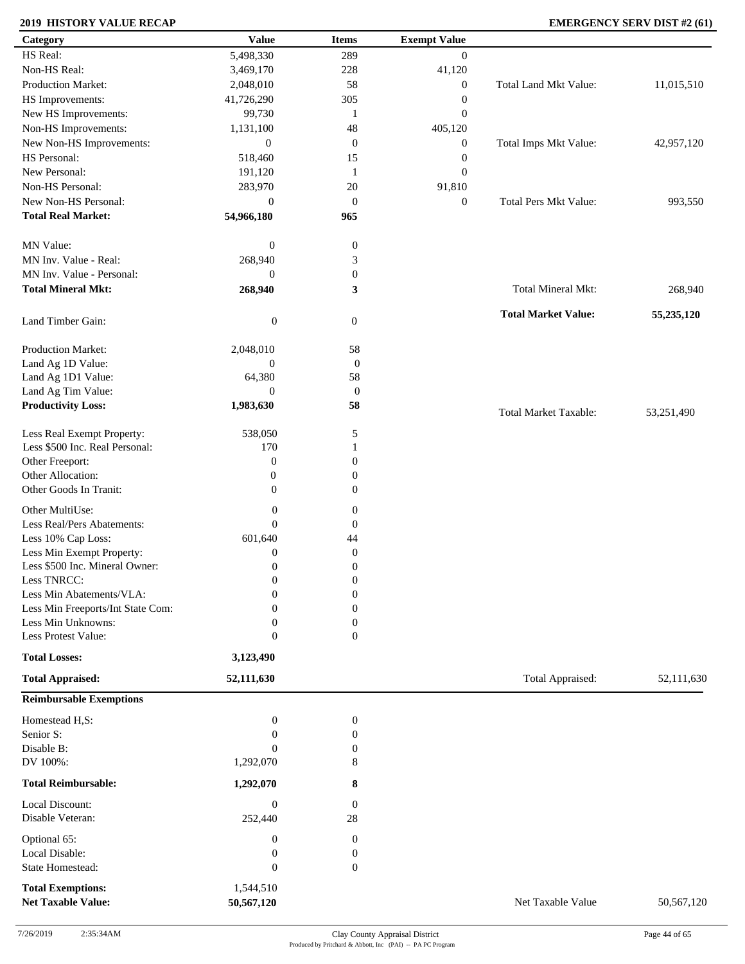### **2019 HISTORY VALUE RECAP EMERGENCY SERV DIST #2 (61)**

| Category                          | <b>Value</b>     | <b>Items</b>     | <b>Exempt Value</b> |                              |            |
|-----------------------------------|------------------|------------------|---------------------|------------------------------|------------|
| HS Real:                          | 5,498,330        | 289              | $\overline{0}$      |                              |            |
| Non-HS Real:                      | 3,469,170        | 228              | 41,120              |                              |            |
| Production Market:                | 2,048,010        | 58               | $\boldsymbol{0}$    | Total Land Mkt Value:        | 11,015,510 |
| HS Improvements:                  | 41,726,290       | 305              | $\boldsymbol{0}$    |                              |            |
| New HS Improvements:              | 99,730           | 1                | $\boldsymbol{0}$    |                              |            |
| Non-HS Improvements:              | 1,131,100        | 48               | 405,120             |                              |            |
| New Non-HS Improvements:          | $\boldsymbol{0}$ | $\mathbf{0}$     | $\boldsymbol{0}$    | Total Imps Mkt Value:        | 42,957,120 |
| HS Personal:                      | 518,460          | 15               | $\boldsymbol{0}$    |                              |            |
| New Personal:                     | 191,120          | 1                | $\boldsymbol{0}$    |                              |            |
| Non-HS Personal:                  | 283,970          | 20               | 91,810              |                              |            |
| New Non-HS Personal:              |                  |                  |                     |                              |            |
|                                   | $\boldsymbol{0}$ | $\mathbf{0}$     | $\boldsymbol{0}$    | <b>Total Pers Mkt Value:</b> | 993,550    |
| <b>Total Real Market:</b>         | 54,966,180       | 965              |                     |                              |            |
| MN Value:                         | $\mathbf{0}$     | $\boldsymbol{0}$ |                     |                              |            |
| MN Inv. Value - Real:             | 268,940          | 3                |                     |                              |            |
| MN Inv. Value - Personal:         | $\overline{0}$   | $\boldsymbol{0}$ |                     |                              |            |
| <b>Total Mineral Mkt:</b>         | 268,940          | 3                |                     | Total Mineral Mkt:           | 268,940    |
|                                   |                  |                  |                     |                              |            |
| Land Timber Gain:                 | $\boldsymbol{0}$ | $\boldsymbol{0}$ |                     | <b>Total Market Value:</b>   | 55,235,120 |
| Production Market:                | 2,048,010        | 58               |                     |                              |            |
| Land Ag 1D Value:                 | $\boldsymbol{0}$ | $\boldsymbol{0}$ |                     |                              |            |
| Land Ag 1D1 Value:                | 64,380           | 58               |                     |                              |            |
| Land Ag Tim Value:                | $\overline{0}$   | $\mathbf{0}$     |                     |                              |            |
| <b>Productivity Loss:</b>         | 1,983,630        | 58               |                     |                              |            |
|                                   |                  |                  |                     | Total Market Taxable:        | 53,251,490 |
| Less Real Exempt Property:        | 538,050          | 5                |                     |                              |            |
| Less \$500 Inc. Real Personal:    | 170              | 1                |                     |                              |            |
| Other Freeport:                   | $\boldsymbol{0}$ | $\mathbf{0}$     |                     |                              |            |
| Other Allocation:                 | $\boldsymbol{0}$ | $\boldsymbol{0}$ |                     |                              |            |
| Other Goods In Tranit:            | $\boldsymbol{0}$ | 0                |                     |                              |            |
| Other MultiUse:                   | $\boldsymbol{0}$ | $\boldsymbol{0}$ |                     |                              |            |
| Less Real/Pers Abatements:        | $\overline{0}$   | $\boldsymbol{0}$ |                     |                              |            |
| Less 10% Cap Loss:                | 601,640          | 44               |                     |                              |            |
| Less Min Exempt Property:         | $\theta$         | $\boldsymbol{0}$ |                     |                              |            |
| Less \$500 Inc. Mineral Owner:    | $\boldsymbol{0}$ | $\boldsymbol{0}$ |                     |                              |            |
| Less TNRCC:                       | $\mathbf{0}$     | $\boldsymbol{0}$ |                     |                              |            |
| Less Min Abatements/VLA:          | $\boldsymbol{0}$ | $\boldsymbol{0}$ |                     |                              |            |
| Less Min Freeports/Int State Com: | 0                | $\boldsymbol{0}$ |                     |                              |            |
| Less Min Unknowns:                | $\overline{0}$   | 0                |                     |                              |            |
| Less Protest Value:               | $\theta$         | $\overline{0}$   |                     |                              |            |
| <b>Total Losses:</b>              | 3,123,490        |                  |                     |                              |            |
| <b>Total Appraised:</b>           | 52,111,630       |                  |                     | Total Appraised:             | 52,111,630 |
| <b>Reimbursable Exemptions</b>    |                  |                  |                     |                              |            |
| Homestead H,S:                    | $\boldsymbol{0}$ | $\boldsymbol{0}$ |                     |                              |            |
| Senior S:                         | $\theta$         | $\boldsymbol{0}$ |                     |                              |            |
| Disable B:                        | $\mathbf{0}$     | 0                |                     |                              |            |
| DV 100%:                          | 1,292,070        | 8                |                     |                              |            |
|                                   |                  |                  |                     |                              |            |
| <b>Total Reimbursable:</b>        | 1,292,070        | 8                |                     |                              |            |
| Local Discount:                   | $\boldsymbol{0}$ | $\mathbf{0}$     |                     |                              |            |
| Disable Veteran:                  | 252,440          | 28               |                     |                              |            |
| Optional 65:                      | $\boldsymbol{0}$ | $\boldsymbol{0}$ |                     |                              |            |
| Local Disable:                    | $\boldsymbol{0}$ | $\boldsymbol{0}$ |                     |                              |            |
| State Homestead:                  | $\mathbf{0}$     | $\boldsymbol{0}$ |                     |                              |            |
| <b>Total Exemptions:</b>          | 1,544,510        |                  |                     |                              |            |
| <b>Net Taxable Value:</b>         | 50,567,120       |                  |                     | Net Taxable Value            | 50,567,120 |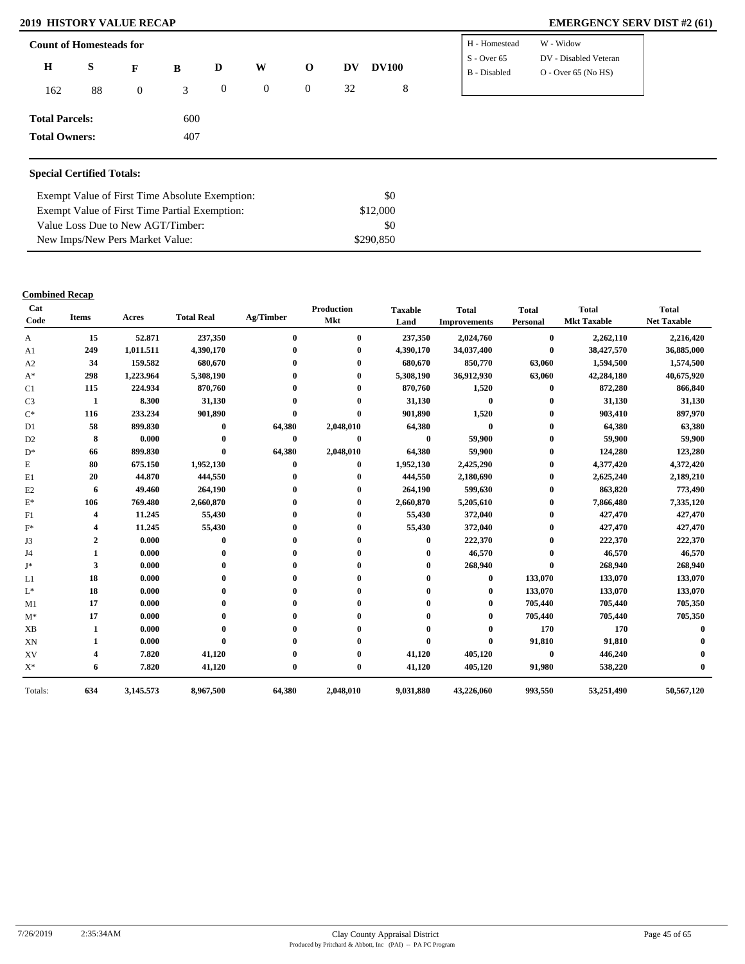### **2019 HISTORY VALUE RECAP EMERGENCY SERV DIST #2 (61)**

| $\bf H$<br>S<br>W<br><b>DV100</b><br>$\mathbf{o}$<br>DV<br>D<br>$\mathbf{F}$<br>B<br>$O - Over 65 (No HS)$<br>B - Disabled<br>8<br>32<br>$\overline{0}$<br>$\overline{0}$<br>$\boldsymbol{0}$<br>88<br>3<br>162<br>$\overline{0}$<br><b>Total Parcels:</b><br>600 | <b>Count of Homesteads for</b> |     |  |  | H - Homestead | W - Widow             |
|-------------------------------------------------------------------------------------------------------------------------------------------------------------------------------------------------------------------------------------------------------------------|--------------------------------|-----|--|--|---------------|-----------------------|
|                                                                                                                                                                                                                                                                   |                                |     |  |  | $S - Over 65$ | DV - Disabled Veteran |
|                                                                                                                                                                                                                                                                   |                                |     |  |  |               |                       |
|                                                                                                                                                                                                                                                                   |                                |     |  |  |               |                       |
|                                                                                                                                                                                                                                                                   | <b>Total Owners:</b>           | 407 |  |  |               |                       |

| Exempt Value of First Time Absolute Exemption: | \$0       |
|------------------------------------------------|-----------|
| Exempt Value of First Time Partial Exemption:  | \$12,000  |
| Value Loss Due to New AGT/Timber:              | \$0       |
| New Imps/New Pers Market Value:                | \$290.850 |

| Cat<br>Code    | <b>Items</b> | Acres     | <b>Total Real</b> | Ag/Timber    | <b>Production</b><br>Mkt | <b>Taxable</b><br>Land | <b>Total</b><br><b>Improvements</b> | <b>Total</b><br>Personal | <b>Total</b><br><b>Mkt Taxable</b> | <b>Total</b><br><b>Net Taxable</b> |
|----------------|--------------|-----------|-------------------|--------------|--------------------------|------------------------|-------------------------------------|--------------------------|------------------------------------|------------------------------------|
| A              | 15           | 52.871    | 237,350           | $\mathbf{0}$ | $\mathbf{0}$             | 237,350                | 2,024,760                           | $\bf{0}$                 | 2,262,110                          | 2,216,420                          |
| A <sub>1</sub> | 249          | 1,011.511 | 4,390,170         |              |                          | 4,390,170              | 34,037,400                          | $\bf{0}$                 | 38,427,570                         | 36,885,000                         |
| A2             | 34           | 159.582   | 680,670           |              |                          | 680,670                | 850,770                             | 63,060                   | 1,594,500                          | 1,574,500                          |
| $A^*$          | 298          | 1,223.964 | 5,308,190         |              |                          | 5,308,190              | 36,912,930                          | 63,060                   | 42,284,180                         | 40,675,920                         |
| C1             | 115          | 224.934   | 870,760           |              |                          | 870,760                | 1,520                               | $\mathbf{0}$             | 872,280                            | 866,840                            |
| C <sub>3</sub> | 1            | 8.300     | 31,130            |              |                          | 31,130                 | $\bf{0}$                            | $\bf{0}$                 | 31,130                             | 31,130                             |
| $C^*$          | 116          | 233.234   | 901,890           |              | $\mathbf 0$              | 901,890                | 1,520                               | $\mathbf{0}$             | 903,410                            | 897,970                            |
| D <sub>1</sub> | 58           | 899.830   | $\mathbf{0}$      | 64,380       | 2,048,010                | 64,380                 | $\bf{0}$                            | 0                        | 64,380                             | 63,380                             |
| D <sub>2</sub> | 8            | 0.000     |                   | $\bf{0}$     | $\bf{0}$                 | $\bf{0}$               | 59,900                              |                          | 59,900                             | 59,900                             |
| $D^*$          | 66           | 899.830   | $\mathbf{0}$      | 64,380       | 2,048,010                | 64,380                 | 59,900                              | 0                        | 124,280                            | 123,280                            |
| E              | 80           | 675.150   | 1,952,130         | $\mathbf{0}$ | $\bf{0}$                 | 1,952,130              | 2,425,290                           | 0                        | 4,377,420                          | 4,372,420                          |
| E1             | 20           | 44.870    | 444,550           |              |                          | 444,550                | 2,180,690                           | 0                        | 2,625,240                          | 2,189,210                          |
| E2             | 6            | 49.460    | 264,190           |              | $_{0}$                   | 264,190                | 599,630                             | 0                        | 863,820                            | 773,490                            |
| $\mathbf{E}^*$ | 106          | 769.480   | 2,660,870         |              |                          | 2,660,870              | 5,205,610                           | 0                        | 7,866,480                          | 7,335,120                          |
| F1             | 4            | 11.245    | 55,430            |              |                          | 55,430                 | 372,040                             | $\bf{0}$                 | 427,470                            | 427,470                            |
| $F^*$          |              | 11.245    | 55,430            |              |                          | 55,430                 | 372,040                             | 0                        | 427,470                            | 427,470                            |
| J3             | $\mathbf{2}$ | 0.000     | $\mathbf 0$       |              |                          | 0                      | 222,370                             | 0                        | 222,370                            | 222,370                            |
| J4             |              | 0.000     |                   |              |                          |                        | 46,570                              |                          | 46,570                             | 46,570                             |
| J*             | 3            | 0.000     |                   |              |                          |                        | 268,940                             |                          | 268,940                            | 268,940                            |
| L1             | 18           | 0.000     |                   |              |                          |                        | $\mathbf{0}$                        | 133,070                  | 133,070                            | 133,070                            |
| $L^*$          | 18           | 0.000     |                   |              |                          |                        | 0                                   | 133,070                  | 133,070                            | 133,070                            |
| M1             | 17           | 0.000     |                   |              |                          |                        |                                     | 705,440                  | 705,440                            | 705,350                            |
| $M^*$          | 17           | 0.000     |                   |              |                          |                        |                                     | 705,440                  | 705,440                            | 705,350                            |
| <b>XB</b>      | 1            | 0.000     |                   |              |                          |                        |                                     | 170                      | 170                                |                                    |
| XN             | 1            | 0.000     | $\mathbf{0}$      |              |                          | 0                      | $\bf{0}$                            | 91,810                   | 91,810                             |                                    |
| XV             | 4            | 7.820     | 41,120            |              |                          | 41,120                 | 405,120                             | $\bf{0}$                 | 446,240                            |                                    |
| $\mathbf{X}^*$ | 6            | 7.820     | 41,120            | $\bf{0}$     | $\bf{0}$                 | 41,120                 | 405,120                             | 91,980                   | 538,220                            |                                    |
| Totals:        | 634          | 3,145.573 | 8,967,500         | 64,380       | 2,048,010                | 9,031,880              | 43,226,060                          | 993,550                  | 53,251,490                         | 50,567,120                         |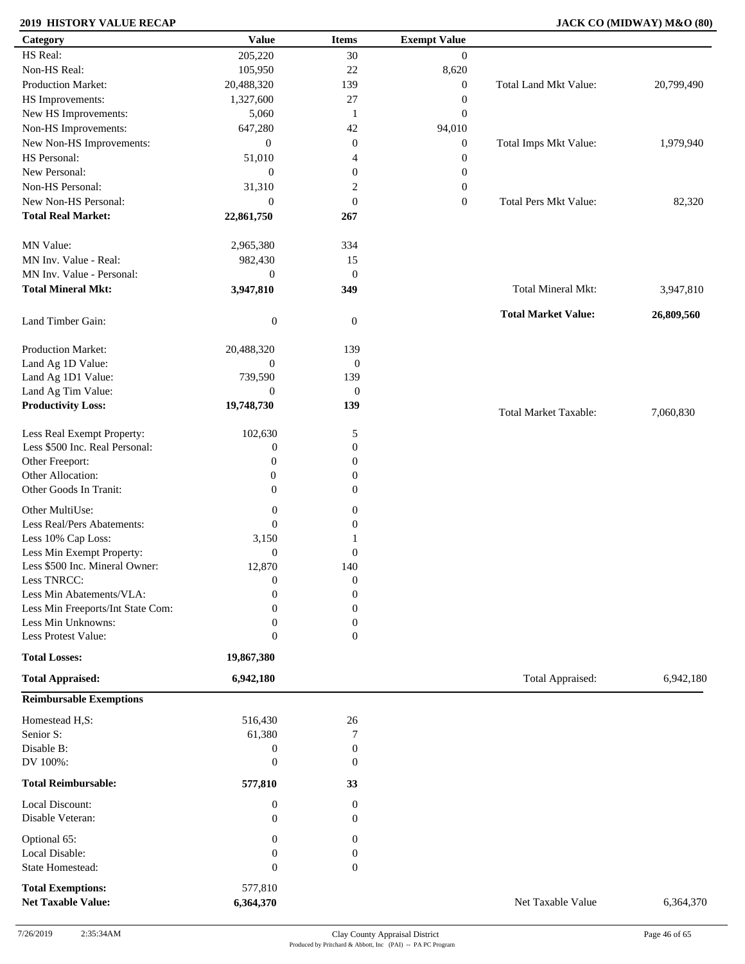### **2019 HISTORY VALUE RECAP JACK CO (MIDWAY) M&O (80)**

| Category                          | <b>Value</b>     | <b>Items</b>     | <b>Exempt Value</b> |                              |            |
|-----------------------------------|------------------|------------------|---------------------|------------------------------|------------|
| HS Real:                          | 205,220          | 30               | $\mathbf{0}$        |                              |            |
| Non-HS Real:                      | 105,950          | $22\,$           | 8,620               |                              |            |
| Production Market:                | 20,488,320       | 139              | $\boldsymbol{0}$    | Total Land Mkt Value:        | 20,799,490 |
| HS Improvements:                  | 1,327,600        | $27\,$           | $\boldsymbol{0}$    |                              |            |
| New HS Improvements:              | 5,060            | $\mathbf{1}$     | $\boldsymbol{0}$    |                              |            |
| Non-HS Improvements:              | 647,280          | 42               | 94,010              |                              |            |
|                                   |                  |                  |                     |                              |            |
| New Non-HS Improvements:          | $\overline{0}$   | $\boldsymbol{0}$ | $\boldsymbol{0}$    | Total Imps Mkt Value:        | 1,979,940  |
| HS Personal:                      | 51,010           | 4                | $\boldsymbol{0}$    |                              |            |
| New Personal:                     | $\boldsymbol{0}$ | $\boldsymbol{0}$ | $\boldsymbol{0}$    |                              |            |
| Non-HS Personal:                  | 31,310           | $\overline{c}$   | $\boldsymbol{0}$    |                              |            |
| New Non-HS Personal:              | $\theta$         | $\boldsymbol{0}$ | $\mathbf{0}$        | <b>Total Pers Mkt Value:</b> | 82,320     |
| <b>Total Real Market:</b>         | 22,861,750       | 267              |                     |                              |            |
| MN Value:                         | 2,965,380        | 334              |                     |                              |            |
| MN Inv. Value - Real:             | 982,430          | 15               |                     |                              |            |
| MN Inv. Value - Personal:         | $\mathbf{0}$     | $\mathbf{0}$     |                     |                              |            |
| <b>Total Mineral Mkt:</b>         | 3,947,810        | 349              |                     | Total Mineral Mkt:           | 3,947,810  |
| Land Timber Gain:                 | $\boldsymbol{0}$ | $\overline{0}$   |                     | <b>Total Market Value:</b>   | 26,809,560 |
|                                   |                  |                  |                     |                              |            |
| Production Market:                | 20,488,320       | 139              |                     |                              |            |
| Land Ag 1D Value:                 | $\overline{0}$   | $\mathbf{0}$     |                     |                              |            |
| Land Ag 1D1 Value:                | 739,590          | 139              |                     |                              |            |
| Land Ag Tim Value:                | $\mathbf{0}$     | $\mathbf{0}$     |                     |                              |            |
| <b>Productivity Loss:</b>         | 19,748,730       | 139              |                     | <b>Total Market Taxable:</b> | 7,060,830  |
| Less Real Exempt Property:        | 102,630          | 5                |                     |                              |            |
| Less \$500 Inc. Real Personal:    | $\boldsymbol{0}$ | $\boldsymbol{0}$ |                     |                              |            |
| Other Freeport:                   | $\overline{0}$   | $\boldsymbol{0}$ |                     |                              |            |
| Other Allocation:                 | $\mathbf{0}$     | $\boldsymbol{0}$ |                     |                              |            |
| Other Goods In Tranit:            | $\overline{0}$   | $\overline{0}$   |                     |                              |            |
|                                   |                  |                  |                     |                              |            |
| Other MultiUse:                   | $\boldsymbol{0}$ | $\boldsymbol{0}$ |                     |                              |            |
| Less Real/Pers Abatements:        | $\overline{0}$   | $\boldsymbol{0}$ |                     |                              |            |
| Less 10% Cap Loss:                | 3,150            | 1                |                     |                              |            |
| Less Min Exempt Property:         | $\mathbf{0}$     | $\boldsymbol{0}$ |                     |                              |            |
| Less \$500 Inc. Mineral Owner:    | 12,870           | 140              |                     |                              |            |
| Less TNRCC:                       | $\mathbf{0}$     | $\boldsymbol{0}$ |                     |                              |            |
| Less Min Abatements/VLA:          | $\boldsymbol{0}$ | $\boldsymbol{0}$ |                     |                              |            |
| Less Min Freeports/Int State Com: | 0                | 0                |                     |                              |            |
| Less Min Unknowns:                | 0                | 0                |                     |                              |            |
| Less Protest Value:               | $\overline{0}$   | $\overline{0}$   |                     |                              |            |
| <b>Total Losses:</b>              | 19,867,380       |                  |                     |                              |            |
| <b>Total Appraised:</b>           | 6,942,180        |                  |                     | Total Appraised:             | 6,942,180  |
| <b>Reimbursable Exemptions</b>    |                  |                  |                     |                              |            |
| Homestead H,S:                    | 516,430          | 26               |                     |                              |            |
| Senior S:                         | 61,380           | 7                |                     |                              |            |
| Disable B:                        | $\boldsymbol{0}$ | $\boldsymbol{0}$ |                     |                              |            |
| DV 100%:                          | 0                | $\boldsymbol{0}$ |                     |                              |            |
| <b>Total Reimbursable:</b>        | 577,810          | 33               |                     |                              |            |
| Local Discount:                   | $\boldsymbol{0}$ | $\boldsymbol{0}$ |                     |                              |            |
| Disable Veteran:                  | $\overline{0}$   | $\Omega$         |                     |                              |            |
| Optional 65:                      | 0                | $\mathbf{0}$     |                     |                              |            |
| Local Disable:                    | 0                | $\boldsymbol{0}$ |                     |                              |            |
| State Homestead:                  | $\overline{0}$   | $\mathbf{0}$     |                     |                              |            |
| <b>Total Exemptions:</b>          | 577,810          |                  |                     |                              |            |
| <b>Net Taxable Value:</b>         | 6,364,370        |                  |                     | Net Taxable Value            | 6,364,370  |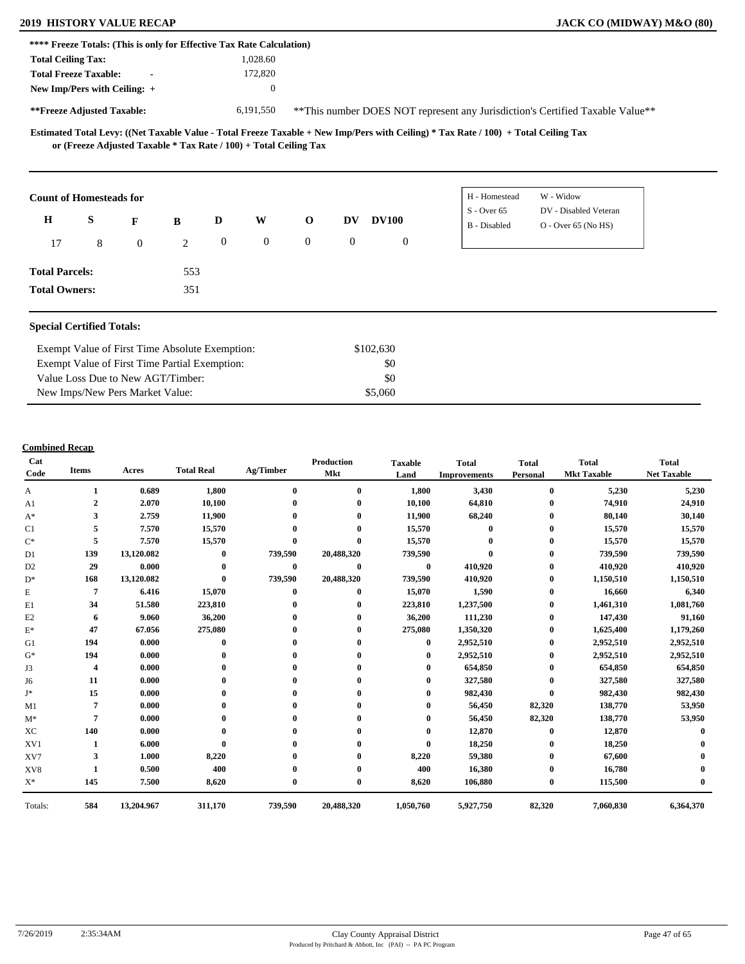### **2019 HISTORY VALUE RECAP JACK CO (MIDWAY) M&O (80)**

| **** Freeze Totals: (This is only for Effective Tax Rate Calculation)                                                                                                                                    |              |                                                                               |  |  |  |  |  |  |  |
|----------------------------------------------------------------------------------------------------------------------------------------------------------------------------------------------------------|--------------|-------------------------------------------------------------------------------|--|--|--|--|--|--|--|
| <b>Total Ceiling Tax:</b>                                                                                                                                                                                | 1.028.60     |                                                                               |  |  |  |  |  |  |  |
| <b>Total Freeze Taxable:</b><br>$\blacksquare$                                                                                                                                                           | 172,820      |                                                                               |  |  |  |  |  |  |  |
| New Imp/Pers with Ceiling: $+$                                                                                                                                                                           | $\mathbf{0}$ |                                                                               |  |  |  |  |  |  |  |
| **Freeze Adjusted Taxable:                                                                                                                                                                               | 6.191.550    | **This number DOES NOT represent any Jurisdiction's Certified Taxable Value** |  |  |  |  |  |  |  |
| Estimated Total Levy: ((Net Taxable Value - Total Freeze Taxable + New Imp/Pers with Ceiling) * Tax Rate / 100) + Total Ceiling Tax<br>or (Freeze Adjusted Taxable * Tax Rate / 100) + Total Ceiling Tax |              |                                                                               |  |  |  |  |  |  |  |

| <b>Count of Homesteads for</b> |   |              |     |                |                  |                |                |              | H - Homestead | W - Widow             |
|--------------------------------|---|--------------|-----|----------------|------------------|----------------|----------------|--------------|---------------|-----------------------|
| $\bf H$<br>S                   |   |              |     | D              | W                | $\mathbf{O}$   | <b>DV</b>      | <b>DV100</b> | $S -$ Over 65 | DV - Disabled Veteran |
|                                |   | $\mathbf{F}$ | B   |                |                  |                |                |              | B - Disabled  | $O -$ Over 65 (No HS) |
| 17                             | 8 | $\bf{0}$     | 2   | $\overline{0}$ | $\boldsymbol{0}$ | $\overline{0}$ | $\overline{0}$ | $\mathbf{0}$ |               |                       |
| <b>Total Parcels:</b>          |   |              | 553 |                |                  |                |                |              |               |                       |
| <b>Total Owners:</b>           |   |              | 351 |                |                  |                |                |              |               |                       |

#### **Special Certified Totals:**

| Exempt Value of First Time Absolute Exemption: | \$102,630 |  |
|------------------------------------------------|-----------|--|
| Exempt Value of First Time Partial Exemption:  | \$0       |  |
| Value Loss Due to New AGT/Timber:              | - \$0     |  |
| New Imps/New Pers Market Value:                | \$5,060   |  |

| Cat<br>Code    | <b>Items</b>   | Acres      | <b>Total Real</b> | Ag/Timber | <b>Production</b><br>Mkt | <b>Taxable</b><br>Land | <b>Total</b><br><b>Improvements</b> | <b>Total</b><br>Personal | <b>Total</b><br><b>Mkt Taxable</b> | <b>Total</b><br><b>Net Taxable</b> |
|----------------|----------------|------------|-------------------|-----------|--------------------------|------------------------|-------------------------------------|--------------------------|------------------------------------|------------------------------------|
| A              |                | 0.689      | 1,800             | $\bf{0}$  | $\bf{0}$                 | 1,800                  | 3,430                               | $\bf{0}$                 | 5,230                              | 5,230                              |
| A1             | $\overline{2}$ | 2.070      | 10,100            |           | $\bf{0}$                 | 10,100                 | 64,810                              | $\mathbf{0}$             | 74,910                             | 24,910                             |
| $A^*$          | 3              | 2.759      | 11,900            |           | $\mathbf{0}$             | 11,900                 | 68,240                              | $\bf{0}$                 | 80,140                             | 30,140                             |
| C1             | 5              | 7.570      | 15,570            |           |                          | 15,570                 | 0                                   | $\bf{0}$                 | 15,570                             | 15,570                             |
| $\mathrm{C}^*$ | 5              | 7.570      | 15,570            | $\bf{0}$  | $\mathbf{0}$             | 15,570                 |                                     | 0                        | 15,570                             | 15,570                             |
| D1             | 139            | 13,120.082 | $\mathbf{0}$      | 739,590   | 20,488,320               | 739,590                |                                     | $\bf{0}$                 | 739,590                            | 739,590                            |
| D <sub>2</sub> | 29             | 0.000      | $\bf{0}$          | $\bf{0}$  | $\bf{0}$                 | $\bf{0}$               | 410,920                             | 0                        | 410,920                            | 410,920                            |
| $D^*$          | 168            | 13,120.082 | $\bf{0}$          | 739,590   | 20,488,320               | 739,590                | 410,920                             | $\bf{0}$                 | 1,150,510                          | 1,150,510                          |
| E              | 7              | 6.416      | 15,070            | $\bf{0}$  | $\mathbf{0}$             | 15,070                 | 1,590                               | $\bf{0}$                 | 16,660                             | 6,340                              |
| E1             | 34             | 51.580     | 223,810           |           |                          | 223,810                | 1,237,500                           | 0                        | 1,461,310                          | 1,081,760                          |
| E2             | 6              | 9.060      | 36,200            |           |                          | 36,200                 | 111,230                             | $\bf{0}$                 | 147,430                            | 91,160                             |
| $\mathbf{E}^*$ | 47             | 67.056     | 275,080           |           |                          | 275,080                | 1,350,320                           | $\bf{0}$                 | 1,625,400                          | 1,179,260                          |
| G1             | 194            | 0.000      | $\mathbf{0}$      |           |                          | $\mathbf{0}$           | 2,952,510                           | $\bf{0}$                 | 2,952,510                          | 2,952,510                          |
| $G^*$          | 194            | 0.000      |                   |           |                          | $\mathbf 0$            | 2,952,510                           | $\bf{0}$                 | 2,952,510                          | 2,952,510                          |
| J3             | 4              | 0.000      |                   |           |                          |                        | 654,850                             | $\bf{0}$                 | 654,850                            | 654,850                            |
| J6             | 11             | 0.000      |                   |           |                          |                        | 327,580                             | 0                        | 327,580                            | 327,580                            |
| J*             | 15             | 0.000      |                   |           |                          |                        | 982,430                             | $\bf{0}$                 | 982,430                            | 982,430                            |
| M1             | 7              | 0.000      |                   |           |                          |                        | 56,450                              | 82,320                   | 138,770                            | 53,950                             |
| $M^*$          | 7              | 0.000      |                   |           |                          |                        | 56,450                              | 82,320                   | 138,770                            | 53,950                             |
| XC             | 140            | 0.000      |                   |           |                          |                        | 12,870                              | $\mathbf{0}$             | 12,870                             |                                    |
| XV1            |                | 6.000      |                   |           |                          | $\mathbf{0}$           | 18,250                              | $\bf{0}$                 | 18,250                             |                                    |
| XV7            | 3              | 1.000      | 8,220             |           |                          | 8,220                  | 59,380                              | $\mathbf{0}$             | 67,600                             |                                    |
| XV8            |                | 0.500      | 400               |           |                          | 400                    | 16,380                              | 0                        | 16,780                             |                                    |
| $X^*$          | 145            | 7.500      | 8,620             | $\bf{0}$  | $\bf{0}$                 | 8,620                  | 106,880                             | $\bf{0}$                 | 115,500                            |                                    |
| Totals:        | 584            | 13,204.967 | 311,170           | 739,590   | 20,488,320               | 1,050,760              | 5,927,750                           | 82,320                   | 7,060,830                          | 6,364,370                          |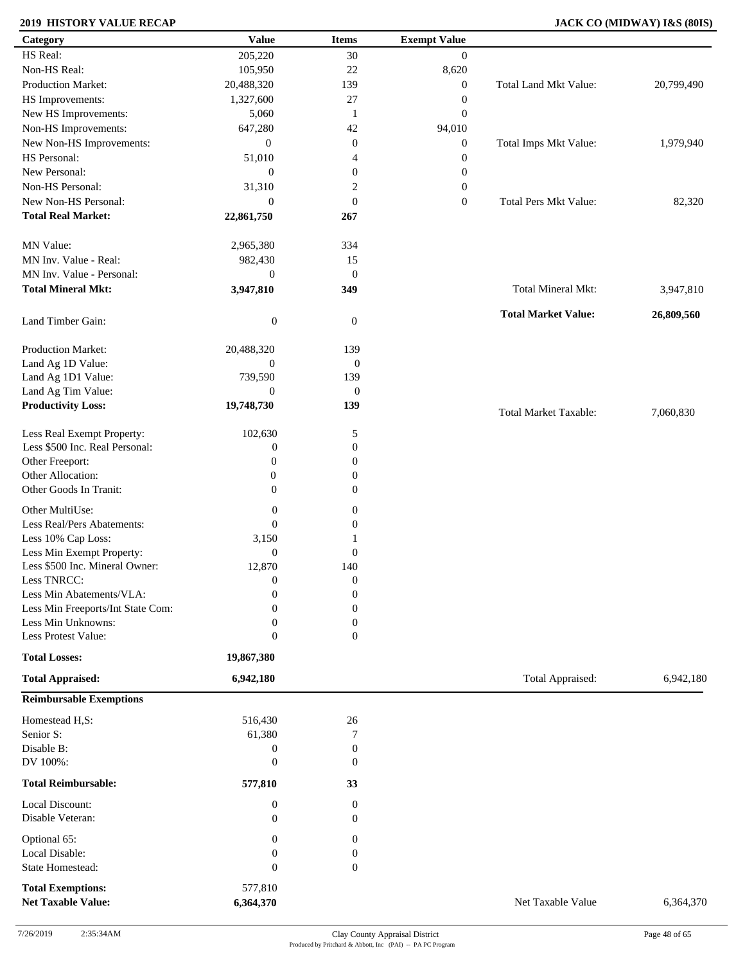### **2019 HISTORY VALUE RECAP JACK CO (MIDWAY) I&S (80IS)**

| Category                          | <b>Value</b>     | <b>Items</b>     | <b>Exempt Value</b> |                              |            |
|-----------------------------------|------------------|------------------|---------------------|------------------------------|------------|
| HS Real:                          | 205,220          | 30               | $\boldsymbol{0}$    |                              |            |
| Non-HS Real:                      | 105,950          | 22               | 8,620               |                              |            |
| Production Market:                | 20,488,320       | 139              | $\boldsymbol{0}$    | Total Land Mkt Value:        | 20,799,490 |
| HS Improvements:                  | 1,327,600        | 27               | $\boldsymbol{0}$    |                              |            |
| New HS Improvements:              | 5,060            | -1               | $\boldsymbol{0}$    |                              |            |
| Non-HS Improvements:              | 647,280          | 42               | 94,010              |                              |            |
|                                   |                  |                  |                     |                              |            |
| New Non-HS Improvements:          | $\overline{0}$   | $\mathbf{0}$     | $\boldsymbol{0}$    | Total Imps Mkt Value:        | 1,979,940  |
| HS Personal:                      | 51,010           | $\overline{4}$   | $\boldsymbol{0}$    |                              |            |
| New Personal:                     | $\overline{0}$   | $\boldsymbol{0}$ | $\boldsymbol{0}$    |                              |            |
| Non-HS Personal:                  | 31,310           | $\boldsymbol{2}$ | $\boldsymbol{0}$    |                              |            |
| New Non-HS Personal:              | $\mathbf{0}$     | $\mathbf{0}$     | $\boldsymbol{0}$    | <b>Total Pers Mkt Value:</b> | 82,320     |
| <b>Total Real Market:</b>         | 22,861,750       | 267              |                     |                              |            |
|                                   |                  |                  |                     |                              |            |
| MN Value:                         | 2,965,380        | 334              |                     |                              |            |
| MN Inv. Value - Real:             | 982,430          | 15               |                     |                              |            |
| MN Inv. Value - Personal:         | $\boldsymbol{0}$ | $\mathbf{0}$     |                     |                              |            |
| <b>Total Mineral Mkt:</b>         | 3,947,810        | 349              |                     | <b>Total Mineral Mkt:</b>    | 3,947,810  |
| Land Timber Gain:                 | $\boldsymbol{0}$ | $\mathbf{0}$     |                     | <b>Total Market Value:</b>   | 26,809,560 |
|                                   |                  |                  |                     |                              |            |
| Production Market:                | 20,488,320       | 139              |                     |                              |            |
| Land Ag 1D Value:                 | $\boldsymbol{0}$ | $\boldsymbol{0}$ |                     |                              |            |
| Land Ag 1D1 Value:                | 739,590          | 139              |                     |                              |            |
| Land Ag Tim Value:                | $\boldsymbol{0}$ | $\mathbf{0}$     |                     |                              |            |
| <b>Productivity Loss:</b>         | 19,748,730       | 139              |                     | <b>Total Market Taxable:</b> | 7,060,830  |
| Less Real Exempt Property:        | 102,630          | 5                |                     |                              |            |
| Less \$500 Inc. Real Personal:    | $\boldsymbol{0}$ | $\boldsymbol{0}$ |                     |                              |            |
| Other Freeport:                   | $\mathbf{0}$     | $\boldsymbol{0}$ |                     |                              |            |
| Other Allocation:                 | $\boldsymbol{0}$ | $\boldsymbol{0}$ |                     |                              |            |
| Other Goods In Tranit:            | $\Omega$         | $\Omega$         |                     |                              |            |
|                                   |                  |                  |                     |                              |            |
| Other MultiUse:                   | $\boldsymbol{0}$ | 0                |                     |                              |            |
| Less Real/Pers Abatements:        | $\boldsymbol{0}$ | $\mathbf{0}$     |                     |                              |            |
| Less 10% Cap Loss:                | 3,150            |                  |                     |                              |            |
| Less Min Exempt Property:         | $\mathbf{0}$     | $\boldsymbol{0}$ |                     |                              |            |
| Less \$500 Inc. Mineral Owner:    | 12,870           | 140              |                     |                              |            |
| Less TNRCC:                       | $\boldsymbol{0}$ | $\boldsymbol{0}$ |                     |                              |            |
| Less Min Abatements/VLA:          | $\mathbf{0}$     | $\boldsymbol{0}$ |                     |                              |            |
| Less Min Freeports/Int State Com: | 0                | $\boldsymbol{0}$ |                     |                              |            |
| Less Min Unknowns:                | $\mathbf{0}$     | $\boldsymbol{0}$ |                     |                              |            |
| Less Protest Value:               | $\boldsymbol{0}$ | $\boldsymbol{0}$ |                     |                              |            |
| <b>Total Losses:</b>              | 19,867,380       |                  |                     |                              |            |
| <b>Total Appraised:</b>           | 6,942,180        |                  |                     | Total Appraised:             | 6,942,180  |
| <b>Reimbursable Exemptions</b>    |                  |                  |                     |                              |            |
| Homestead H,S:                    | 516,430          | $26\,$           |                     |                              |            |
| Senior S:                         | 61,380           | 7                |                     |                              |            |
| Disable B:                        | $\boldsymbol{0}$ | $\boldsymbol{0}$ |                     |                              |            |
| DV 100%:                          | $\boldsymbol{0}$ | $\overline{0}$   |                     |                              |            |
|                                   |                  |                  |                     |                              |            |
| <b>Total Reimbursable:</b>        | 577,810          | 33               |                     |                              |            |
| Local Discount:                   | $\boldsymbol{0}$ | $\boldsymbol{0}$ |                     |                              |            |
| Disable Veteran:                  | $\mathbf{0}$     | $\theta$         |                     |                              |            |
| Optional 65:                      | $\mathbf{0}$     | $\overline{0}$   |                     |                              |            |
| Local Disable:                    | $\mathbf{0}$     | $\theta$         |                     |                              |            |
| State Homestead:                  | $\boldsymbol{0}$ | $\boldsymbol{0}$ |                     |                              |            |
|                                   |                  |                  |                     |                              |            |
| <b>Total Exemptions:</b>          | 577,810          |                  |                     |                              |            |
| <b>Net Taxable Value:</b>         | 6,364,370        |                  |                     | Net Taxable Value            | 6,364,370  |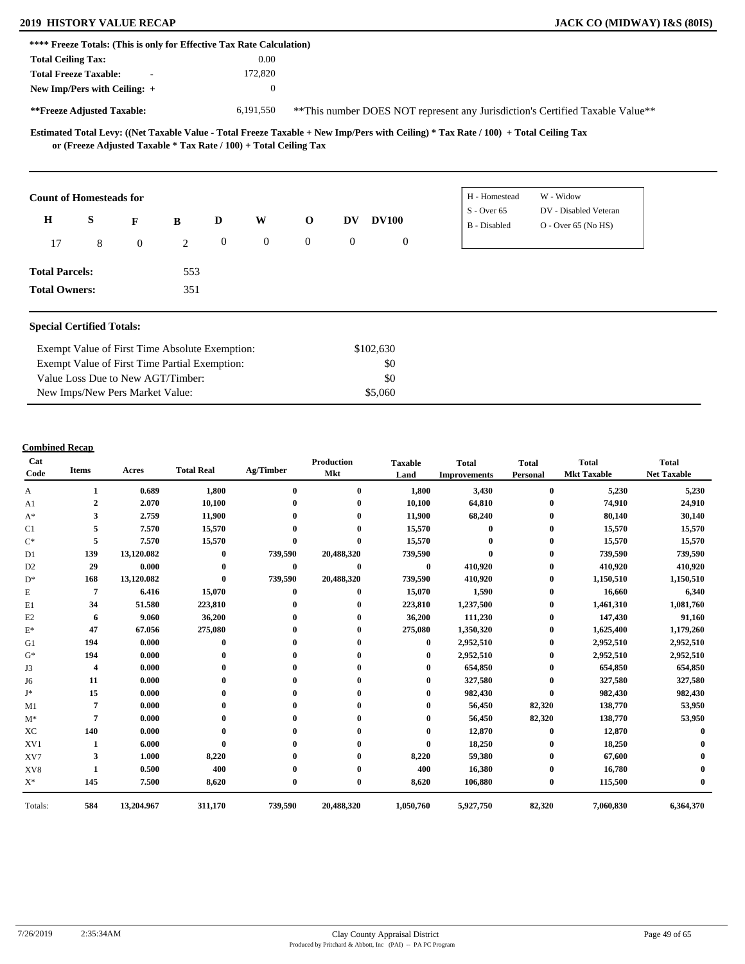| <b>2019 HISTORY VALUE RECAP</b> | <b>JACK CO (MIDWAY) I&amp;S (80IS)</b> |
|---------------------------------|----------------------------------------|
|---------------------------------|----------------------------------------|

|                           |                                                                   |                          |   |                  | **** Freeze Totals: (This is only for Effective Tax Rate Calculation) |                |              |              |              |                                                                                                                                     |                                                                                |  |
|---------------------------|-------------------------------------------------------------------|--------------------------|---|------------------|-----------------------------------------------------------------------|----------------|--------------|--------------|--------------|-------------------------------------------------------------------------------------------------------------------------------------|--------------------------------------------------------------------------------|--|
| <b>Total Ceiling Tax:</b> |                                                                   |                          |   |                  | 0.00                                                                  |                |              |              |              |                                                                                                                                     |                                                                                |  |
|                           | <b>Total Freeze Taxable:</b>                                      | $\overline{\phantom{a}}$ |   |                  | 172,820                                                               |                |              |              |              |                                                                                                                                     |                                                                                |  |
|                           | New Imp/Pers with Ceiling: $+$                                    |                          |   |                  | $\mathbf{0}$                                                          |                |              |              |              |                                                                                                                                     |                                                                                |  |
|                           | **Freeze Adjusted Taxable:                                        |                          |   |                  | 6,191,550                                                             |                |              |              |              |                                                                                                                                     | ** This number DOES NOT represent any Jurisdiction's Certified Taxable Value** |  |
|                           | or (Freeze Adjusted Taxable * Tax Rate / 100) + Total Ceiling Tax |                          |   |                  |                                                                       |                |              |              |              | Estimated Total Levy: ((Net Taxable Value - Total Freeze Taxable + New Imp/Pers with Ceiling) * Tax Rate / 100) + Total Ceiling Tax |                                                                                |  |
|                           |                                                                   |                          |   |                  |                                                                       |                |              |              |              |                                                                                                                                     |                                                                                |  |
|                           | <b>Count of Homesteads for</b>                                    |                          |   |                  |                                                                       |                |              |              |              | H - Homestead                                                                                                                       | W - Widow                                                                      |  |
|                           |                                                                   |                          |   |                  |                                                                       |                |              |              |              | $S -$ Over 65                                                                                                                       | DV - Disabled Veteran                                                          |  |
| H                         | S                                                                 | F                        | B | D                | W                                                                     | $\mathbf{o}$   | DV           | <b>DV100</b> |              | <b>B</b> - Disabled                                                                                                                 | $O -$ Over 65 (No HS)                                                          |  |
| 17                        | 8                                                                 | $\overline{0}$           | 2 | $\boldsymbol{0}$ | $\mathbf{0}$                                                          | $\overline{0}$ | $\mathbf{0}$ |              | $\mathbf{0}$ |                                                                                                                                     |                                                                                |  |

#### **Special Certified Totals:**

**Total Owners:**

| Exempt Value of First Time Absolute Exemption: | \$102,630 |  |
|------------------------------------------------|-----------|--|
| Exempt Value of First Time Partial Exemption:  | \$0       |  |
| Value Loss Due to New AGT/Timber:              | SO.       |  |
| New Imps/New Pers Market Value:                | \$5,060   |  |

351

| Cat<br>Code    | <b>Items</b> | Acres      | <b>Total Real</b> | Ag/Timber | <b>Production</b><br>Mkt | <b>Taxable</b><br>Land | <b>Total</b><br><b>Improvements</b> | <b>Total</b><br>Personal | <b>Total</b><br><b>Mkt Taxable</b> | <b>Total</b><br><b>Net Taxable</b> |
|----------------|--------------|------------|-------------------|-----------|--------------------------|------------------------|-------------------------------------|--------------------------|------------------------------------|------------------------------------|
| A              | 1            | 0.689      | 1,800             | $\bf{0}$  | $\bf{0}$                 | 1,800                  | 3,430                               | $\bf{0}$                 | 5,230                              | 5,230                              |
| A1             | $\mathbf{2}$ | 2.070      | 10,100            |           | $\bf{0}$                 | 10,100                 | 64,810                              | $\mathbf{0}$             | 74,910                             | 24,910                             |
| $A^*$          | 3            | 2.759      | 11,900            |           |                          | 11,900                 | 68,240                              | $\mathbf{0}$             | 80,140                             | 30,140                             |
| C1             | 5            | 7.570      | 15,570            |           |                          | 15,570                 | $\bf{0}$                            | $\bf{0}$                 | 15,570                             | 15,570                             |
| $\mathrm{C}^*$ | 5            | 7.570      | 15,570            | $\bf{0}$  |                          | 15,570                 |                                     | 0                        | 15,570                             | 15,570                             |
| D1             | 139          | 13,120.082 | $\bf{0}$          | 739,590   | 20,488,320               | 739,590                |                                     | $\bf{0}$                 | 739,590                            | 739,590                            |
| D <sub>2</sub> | 29           | 0.000      | $\bf{0}$          | $\bf{0}$  | $\bf{0}$                 | $\bf{0}$               | 410,920                             | 0                        | 410,920                            | 410,920                            |
| $D^*$          | 168          | 13,120.082 | $\bf{0}$          | 739,590   | 20,488,320               | 739,590                | 410,920                             | $\bf{0}$                 | 1,150,510                          | 1,150,510                          |
| E              | 7            | 6.416      | 15,070            | $\bf{0}$  | $\bf{0}$                 | 15,070                 | 1,590                               | $\bf{0}$                 | 16,660                             | 6,340                              |
| E1             | 34           | 51.580     | 223,810           |           |                          | 223,810                | 1,237,500                           | $\bf{0}$                 | 1,461,310                          | 1,081,760                          |
| E2             | 6            | 9.060      | 36,200            |           |                          | 36,200                 | 111,230                             | $\mathbf{0}$             | 147,430                            | 91,160                             |
| $E^*$          | 47           | 67.056     | 275,080           |           |                          | 275,080                | 1,350,320                           | $\bf{0}$                 | 1,625,400                          | 1,179,260                          |
| G1             | 194          | 0.000      | $\Omega$          |           |                          | $\mathbf 0$            | 2,952,510                           | $\bf{0}$                 | 2,952,510                          | 2,952,510                          |
| $G^*$          | 194          | 0.000      |                   |           |                          | 0                      | 2,952,510                           | $\bf{0}$                 | 2,952,510                          | 2,952,510                          |
| J3             | 4            | 0.000      |                   |           |                          |                        | 654,850                             | $\bf{0}$                 | 654,850                            | 654,850                            |
| J6             | 11           | 0.000      |                   |           |                          |                        | 327,580                             | 0                        | 327,580                            | 327,580                            |
| J*             | 15           | 0.000      |                   |           |                          | 0                      | 982,430                             | $\mathbf{0}$             | 982,430                            | 982,430                            |
| M1             |              | 0.000      |                   |           |                          | 0                      | 56,450                              | 82,320                   | 138,770                            | 53,950                             |
| $M^*$          | 7            | 0.000      |                   |           |                          |                        | 56,450                              | 82,320                   | 138,770                            | 53,950                             |
| XC             | 140          | 0.000      |                   |           |                          |                        | 12,870                              | $\mathbf{0}$             | 12,870                             |                                    |
| XV1            |              | 6.000      |                   |           |                          | $\mathbf{0}$           | 18,250                              | $\bf{0}$                 | 18,250                             |                                    |
| XV7            | 3            | 1.000      | 8,220             |           |                          | 8,220                  | 59,380                              | $\bf{0}$                 | 67,600                             |                                    |
| XV8            |              | 0.500      | 400               |           |                          | 400                    | 16,380                              | 0                        | 16,780                             |                                    |
| $X^*$          | 145          | 7.500      | 8,620             | $\bf{0}$  | $\bf{0}$                 | 8,620                  | 106,880                             | $\bf{0}$                 | 115,500                            |                                    |
| Totals:        | 584          | 13,204.967 | 311,170           | 739,590   | 20,488,320               | 1,050,760              | 5,927,750                           | 82,320                   | 7,060,830                          | 6,364,370                          |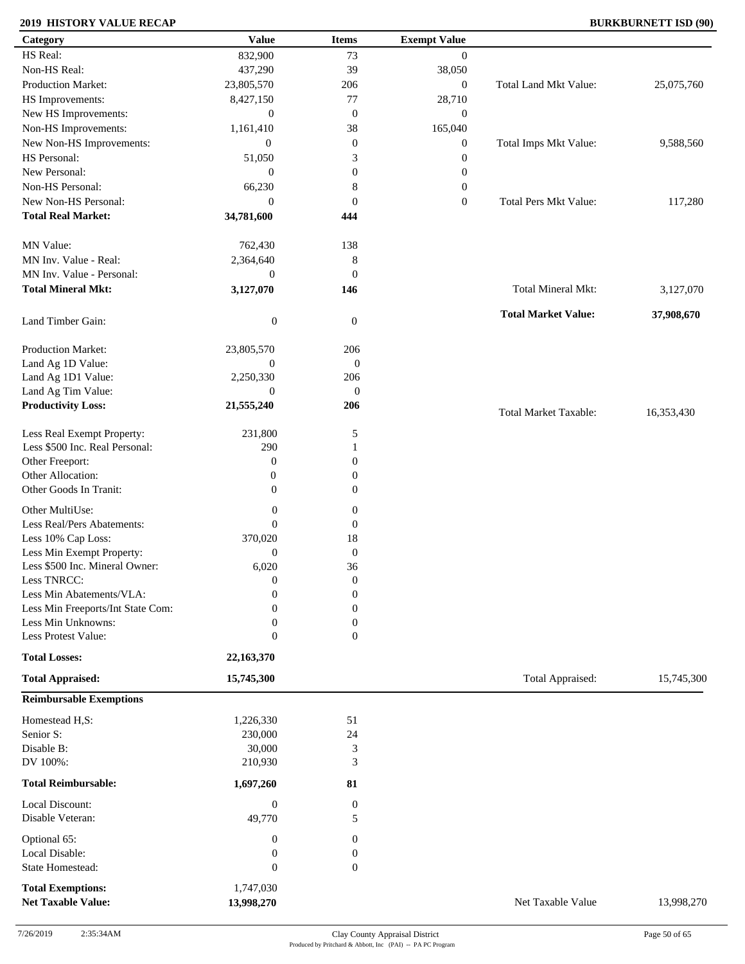#### **2019 HISTORY VALUE RECAP BURKBURNETT ISD (90)**

| Category                                              | <b>Value</b>            | <b>Items</b>          | <b>Exempt Value</b> |                              |            |
|-------------------------------------------------------|-------------------------|-----------------------|---------------------|------------------------------|------------|
| HS Real:                                              | 832,900                 | 73                    | $\mathbf{0}$        |                              |            |
| Non-HS Real:                                          | 437,290                 | 39                    | 38,050              |                              |            |
| Production Market:                                    | 23,805,570              | 206                   | $\boldsymbol{0}$    | Total Land Mkt Value:        | 25,075,760 |
| HS Improvements:                                      | 8,427,150               | $77\,$                | 28,710              |                              |            |
| New HS Improvements:                                  | $\boldsymbol{0}$        | $\boldsymbol{0}$      | $\mathbf{0}$        |                              |            |
| Non-HS Improvements:                                  | 1,161,410               | 38                    | 165,040             |                              |            |
| New Non-HS Improvements:                              | $\boldsymbol{0}$        | $\boldsymbol{0}$      | $\boldsymbol{0}$    | Total Imps Mkt Value:        | 9,588,560  |
| HS Personal:                                          | 51,050                  | 3                     | $\boldsymbol{0}$    |                              |            |
| New Personal:                                         | $\mathbf{0}$            | $\boldsymbol{0}$      |                     |                              |            |
| Non-HS Personal:                                      |                         |                       | $\boldsymbol{0}$    |                              |            |
|                                                       | 66,230                  | $\,8\,$               | $\boldsymbol{0}$    |                              |            |
| New Non-HS Personal:                                  | $\boldsymbol{0}$        | $\boldsymbol{0}$      | $\boldsymbol{0}$    | Total Pers Mkt Value:        | 117,280    |
| <b>Total Real Market:</b>                             | 34,781,600              | 444                   |                     |                              |            |
| MN Value:                                             | 762,430                 | 138                   |                     |                              |            |
| MN Inv. Value - Real:                                 | 2,364,640               | $\,8\,$               |                     |                              |            |
| MN Inv. Value - Personal:                             | $\boldsymbol{0}$        | $\boldsymbol{0}$      |                     |                              |            |
| <b>Total Mineral Mkt:</b>                             | 3,127,070               | 146                   |                     | Total Mineral Mkt:           | 3,127,070  |
| Land Timber Gain:                                     | $\boldsymbol{0}$        | $\boldsymbol{0}$      |                     | <b>Total Market Value:</b>   | 37,908,670 |
|                                                       |                         |                       |                     |                              |            |
| Production Market:                                    | 23,805,570              | 206                   |                     |                              |            |
| Land Ag 1D Value:                                     | $\boldsymbol{0}$        | $\mathbf{0}$          |                     |                              |            |
| Land Ag 1D1 Value:                                    | 2,250,330               | 206                   |                     |                              |            |
| Land Ag Tim Value:                                    | $\boldsymbol{0}$        | $\boldsymbol{0}$      |                     |                              |            |
| <b>Productivity Loss:</b>                             | 21,555,240              | 206                   |                     | <b>Total Market Taxable:</b> | 16,353,430 |
| Less Real Exempt Property:                            | 231,800                 | 5                     |                     |                              |            |
| Less \$500 Inc. Real Personal:                        | 290                     | 1                     |                     |                              |            |
| Other Freeport:                                       | $\boldsymbol{0}$        | $\boldsymbol{0}$      |                     |                              |            |
| Other Allocation:                                     | $\boldsymbol{0}$        | $\boldsymbol{0}$      |                     |                              |            |
| Other Goods In Tranit:                                | $\overline{0}$          | $\boldsymbol{0}$      |                     |                              |            |
| Other MultiUse:                                       | $\boldsymbol{0}$        | 0                     |                     |                              |            |
| Less Real/Pers Abatements:                            | $\theta$                | $\boldsymbol{0}$      |                     |                              |            |
| Less 10% Cap Loss:                                    | 370,020                 | 18                    |                     |                              |            |
| Less Min Exempt Property:                             | $\mathbf{0}$            | $\boldsymbol{0}$      |                     |                              |            |
| Less \$500 Inc. Mineral Owner:                        | 6,020                   | 36                    |                     |                              |            |
| Less TNRCC:                                           | $\boldsymbol{0}$        | $\boldsymbol{0}$      |                     |                              |            |
| Less Min Abatements/VLA:                              | $\boldsymbol{0}$        | $\boldsymbol{0}$      |                     |                              |            |
| Less Min Freeports/Int State Com:                     | 0                       | $\boldsymbol{0}$      |                     |                              |            |
| Less Min Unknowns:                                    | 0                       | $\boldsymbol{0}$      |                     |                              |            |
| Less Protest Value:                                   | $\theta$                | $\boldsymbol{0}$      |                     |                              |            |
| <b>Total Losses:</b>                                  | 22,163,370              |                       |                     |                              |            |
| <b>Total Appraised:</b>                               | 15,745,300              |                       |                     | Total Appraised:             | 15,745,300 |
| <b>Reimbursable Exemptions</b>                        |                         |                       |                     |                              |            |
| Homestead H,S:                                        | 1,226,330               | 51                    |                     |                              |            |
| Senior S:                                             | 230,000                 | 24                    |                     |                              |            |
| Disable B:                                            | 30,000                  | 3                     |                     |                              |            |
| DV 100%:                                              | 210,930                 | 3                     |                     |                              |            |
| <b>Total Reimbursable:</b>                            | 1,697,260               | 81                    |                     |                              |            |
| Local Discount:                                       |                         |                       |                     |                              |            |
| Disable Veteran:                                      | $\mathbf{0}$<br>49,770  | $\boldsymbol{0}$<br>5 |                     |                              |            |
| Optional 65:                                          | $\mathbf{0}$            | 0                     |                     |                              |            |
| Local Disable:                                        | $\boldsymbol{0}$        | 0                     |                     |                              |            |
| State Homestead:                                      | $\boldsymbol{0}$        | $\boldsymbol{0}$      |                     |                              |            |
|                                                       |                         |                       |                     |                              |            |
| <b>Total Exemptions:</b><br><b>Net Taxable Value:</b> | 1,747,030<br>13,998,270 |                       |                     | Net Taxable Value            | 13,998,270 |
|                                                       |                         |                       |                     |                              |            |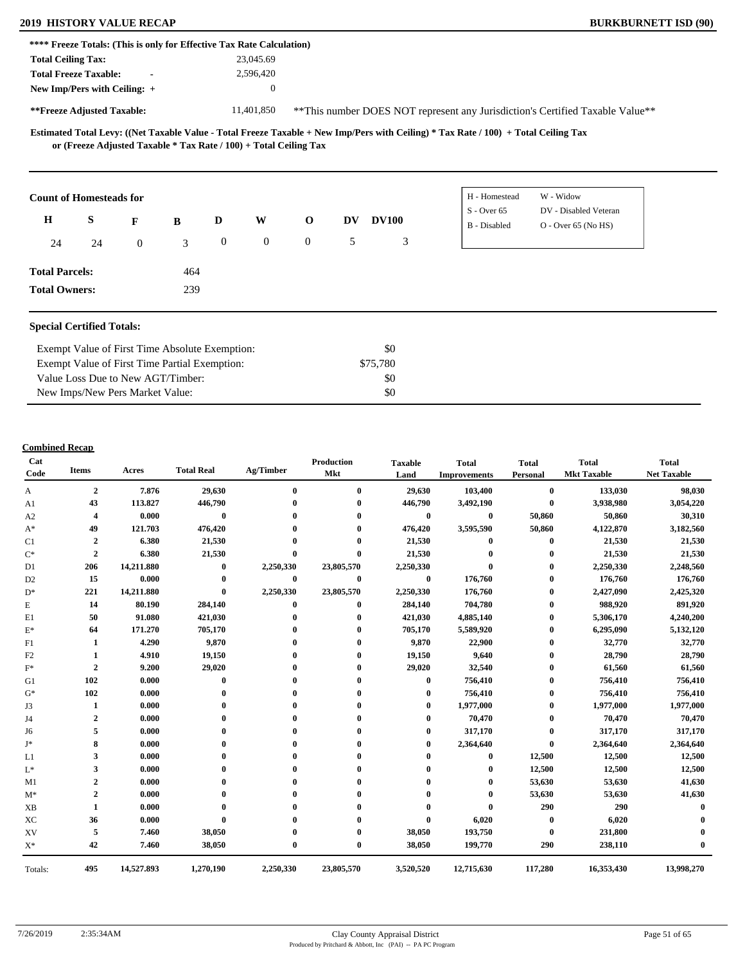### **2019 HISTORY VALUE RECAP BURKBURNETT ISD (90)**

|                                |    |                |          |                  | **** Freeze Totals: (This is only for Effective Tax Rate Calculation) |                |           |              |                               |                                                                               |  |
|--------------------------------|----|----------------|----------|------------------|-----------------------------------------------------------------------|----------------|-----------|--------------|-------------------------------|-------------------------------------------------------------------------------|--|
| <b>Total Ceiling Tax:</b>      |    |                |          |                  | 23,045.69                                                             |                |           |              |                               |                                                                               |  |
| <b>Total Freeze Taxable:</b>   |    | $\blacksquare$ |          |                  | 2,596,420                                                             |                |           |              |                               |                                                                               |  |
| New Imp/Pers with Ceiling: +   |    |                |          |                  | $\mathbf{0}$                                                          |                |           |              |                               |                                                                               |  |
| **Freeze Adjusted Taxable:     |    |                |          |                  | 11,401,850                                                            |                |           |              |                               | **This number DOES NOT represent any Jurisdiction's Certified Taxable Value** |  |
|                                |    |                |          |                  | or (Freeze Adjusted Taxable $*$ Tax Rate / 100) + Total Ceiling Tax   |                |           |              |                               |                                                                               |  |
|                                |    |                |          |                  |                                                                       |                |           |              |                               |                                                                               |  |
| <b>Count of Homesteads for</b> |    |                |          |                  |                                                                       |                |           |              | H - Homestead                 | W - Widow                                                                     |  |
| $\mathbf H$                    | S  | F              | $\bf{B}$ | D                | W                                                                     | $\mathbf{o}$   | <b>DV</b> | <b>DV100</b> | $S -$ Over 65<br>B - Disabled | DV - Disabled Veteran<br>O - Over 65 (No HS)                                  |  |
| 24                             | 24 | $\overline{0}$ | 3        | $\boldsymbol{0}$ | $\overline{0}$                                                        | $\overline{0}$ | 5         | 3            |                               |                                                                               |  |
| <b>Total Parcels:</b>          |    |                | 464      |                  |                                                                       |                |           |              |                               |                                                                               |  |

#### **Special Certified Totals:**

| Exempt Value of First Time Absolute Exemption: | \$0       |  |
|------------------------------------------------|-----------|--|
| Exempt Value of First Time Partial Exemption:  | \$75.780  |  |
| Value Loss Due to New AGT/Timber:              | SO.       |  |
| New Imps/New Pers Market Value:                | <b>SO</b> |  |

| Cat<br>Code    | <b>Items</b>            | Acres      | <b>Total Real</b> | Ag/Timber    | <b>Production</b><br>Mkt | <b>Taxable</b><br>Land | <b>Total</b><br><b>Improvements</b> | <b>Total</b><br>Personal | <b>Total</b><br><b>Mkt Taxable</b> | <b>Total</b><br><b>Net Taxable</b> |
|----------------|-------------------------|------------|-------------------|--------------|--------------------------|------------------------|-------------------------------------|--------------------------|------------------------------------|------------------------------------|
| A              | $\overline{2}$          | 7.876      | 29,630            | $\bf{0}$     | $\bf{0}$                 | 29,630                 | 103,400                             | $\bf{0}$                 | 133,030                            | 98,030                             |
| A <sub>1</sub> | 43                      | 113.827    | 446,790           |              | $\mathbf{0}$             | 446,790                | 3,492,190                           | $\bf{0}$                 | 3,938,980                          | 3,054,220                          |
| A2             | 4                       | 0.000      | $\bf{0}$          |              | $\mathbf 0$              | $\bf{0}$               | $\bf{0}$                            | 50,860                   | 50,860                             | 30,310                             |
| $A^*$          | 49                      | 121.703    | 476,420           |              |                          | 476,420                | 3,595,590                           | 50,860                   | 4,122,870                          | 3,182,560                          |
| C1             | $\overline{\mathbf{2}}$ | 6.380      | 21,530            |              |                          | 21,530                 | $\bf{0}$                            | $\bf{0}$                 | 21,530                             | 21,530                             |
| $\mathrm{C}^*$ | $\overline{2}$          | 6.380      | 21,530            | $\bf{0}$     | $\mathbf 0$              | 21,530                 |                                     | $\mathbf{0}$             | 21,530                             | 21,530                             |
| D1             | 206                     | 14,211.880 | $\bf{0}$          | 2,250,330    | 23,805,570               | 2,250,330              | $\bf{0}$                            | $\bf{0}$                 | 2,250,330                          | 2,248,560                          |
| D <sub>2</sub> | 15                      | 0.000      | $\bf{0}$          | $\bf{0}$     | $\bf{0}$                 | $\bf{0}$               | 176,760                             | 0                        | 176,760                            | 176,760                            |
| $\mathbf{D}^*$ | 221                     | 14,211.880 | $\bf{0}$          | 2,250,330    | 23,805,570               | 2,250,330              | 176,760                             | $\bf{0}$                 | 2,427,090                          | 2,425,320                          |
| E              | 14                      | 80.190     | 284,140           | $\bf{0}$     | $\bf{0}$                 | 284,140                | 704,780                             | $\bf{0}$                 | 988,920                            | 891,920                            |
| E1             | 50                      | 91.080     | 421,030           |              | $\mathbf 0$              | 421,030                | 4,885,140                           | $\mathbf{0}$             | 5,306,170                          | 4,240,200                          |
| $\mathbf{E}^*$ | 64                      | 171.270    | 705,170           |              |                          | 705,170                | 5,589,920                           | 0                        | 6,295,090                          | 5,132,120                          |
| F1             | 1                       | 4.290      | 9,870             |              | 0                        | 9,870                  | 22,900                              | $\bf{0}$                 | 32,770                             | 32,770                             |
| F2             |                         | 4.910      | 19,150            |              | 0                        | 19,150                 | 9,640                               | $\mathbf{0}$             | 28,790                             | 28,790                             |
| $F^*$          | $\overline{2}$          | 9.200      | 29,020            |              |                          | 29,020                 | 32,540                              | 0                        | 61,560                             | 61,560                             |
| G1             | 102                     | 0.000      | $\bf{0}$          |              |                          | $\mathbf{0}$           | 756,410                             | 0                        | 756,410                            | 756,410                            |
| $G^*$          | 102                     | 0.000      |                   |              |                          |                        | 756,410                             | $\bf{0}$                 | 756,410                            | 756,410                            |
| J3             | 1                       | 0.000      |                   |              |                          | 0                      | 1,977,000                           | $\bf{0}$                 | 1,977,000                          | 1,977,000                          |
| J4             | $\overline{2}$          | 0.000      |                   |              |                          |                        | 70,470                              | $\bf{0}$                 | 70,470                             | 70,470                             |
| J6             | 5                       | 0.000      |                   |              |                          |                        | 317,170                             | $\bf{0}$                 | 317,170                            | 317,170                            |
| J∗             | 8                       | 0.000      |                   |              |                          |                        | 2,364,640                           | $\bf{0}$                 | 2,364,640                          | 2,364,640                          |
| L1             | 3                       | 0.000      |                   |              |                          |                        | $\mathbf{0}$                        | 12,500                   | 12,500                             | 12,500                             |
| $L^*$          | 3                       | 0.000      |                   |              |                          |                        | $\mathbf{0}$                        | 12,500                   | 12,500                             | 12,500                             |
| M1             | $\overline{2}$          | 0.000      |                   |              |                          |                        |                                     | 53,630                   | 53,630                             | 41,630                             |
| $M^*$          | $\overline{2}$          | 0.000      |                   |              |                          |                        | $\mathbf{0}$                        | 53,630                   | 53,630                             | 41,630                             |
| <b>XB</b>      | 1                       | 0.000      |                   |              |                          |                        |                                     | 290                      | 290                                |                                    |
| XC             | 36                      | 0.000      | $\mathbf 0$       |              |                          | 0                      | 6,020                               | $\bf{0}$                 | 6,020                              |                                    |
| XV             | 5                       | 7.460      | 38,050            |              |                          | 38,050                 | 193,750                             | $\bf{0}$                 | 231,800                            |                                    |
| $X^*$          | 42                      | 7.460      | 38,050            | $\mathbf{0}$ | $\mathbf{0}$             | 38,050                 | 199,770                             | 290                      | 238,110                            |                                    |
| Totals:        | 495                     | 14,527.893 | 1,270,190         | 2,250,330    | 23,805,570               | 3,520,520              | 12,715,630                          | 117,280                  | 16,353,430                         | 13,998,270                         |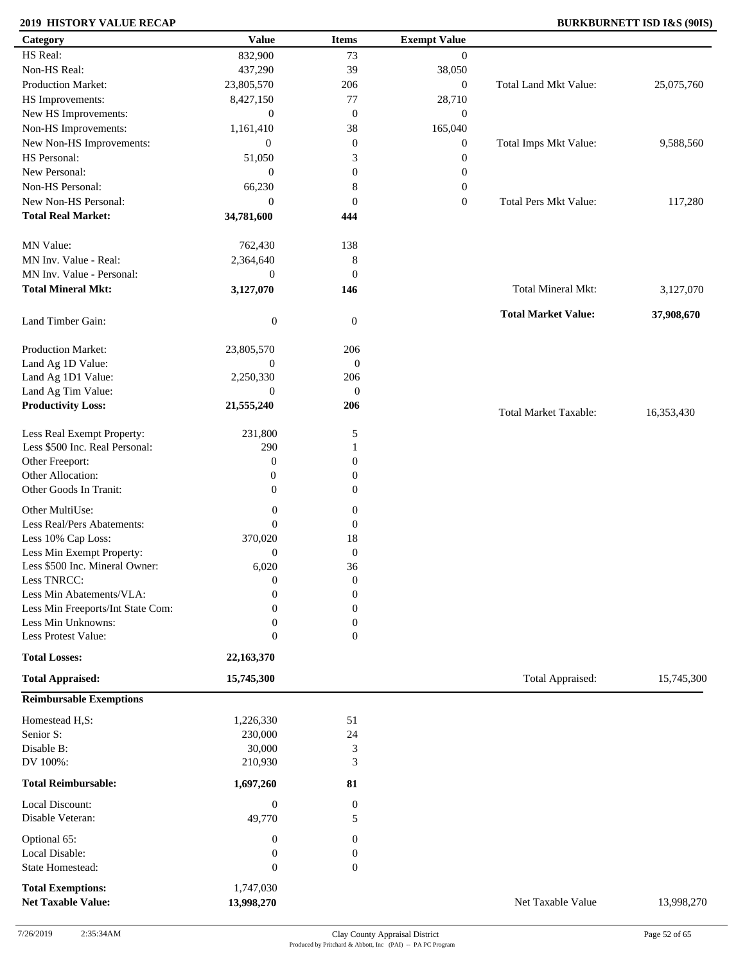### **2019 HISTORY VALUE RECAP BURKBURNETT ISD I&S (90IS)**

| Category                            | <b>Value</b>               | <b>Items</b>          | <b>Exempt Value</b> |                              |            |
|-------------------------------------|----------------------------|-----------------------|---------------------|------------------------------|------------|
| HS Real:                            | 832,900                    | 73                    | $\overline{0}$      |                              |            |
| Non-HS Real:                        | 437,290                    | 39                    | 38,050              |                              |            |
| Production Market:                  | 23,805,570                 | 206                   | $\boldsymbol{0}$    | Total Land Mkt Value:        | 25,075,760 |
| HS Improvements:                    | 8,427,150                  | 77                    | 28,710              |                              |            |
| New HS Improvements:                | $\mathbf{0}$               | $\mathbf{0}$          | $\boldsymbol{0}$    |                              |            |
| Non-HS Improvements:                | 1,161,410                  | 38                    | 165,040             |                              |            |
| New Non-HS Improvements:            | $\overline{0}$             | $\mathbf{0}$          | $\boldsymbol{0}$    | Total Imps Mkt Value:        | 9,588,560  |
| HS Personal:                        | 51,050                     | 3                     | $\boldsymbol{0}$    |                              |            |
| New Personal:                       | $\mathbf{0}$               | $\boldsymbol{0}$      |                     |                              |            |
| Non-HS Personal:                    |                            |                       | $\boldsymbol{0}$    |                              |            |
|                                     | 66,230                     | $\,8\,$               | $\boldsymbol{0}$    |                              |            |
| New Non-HS Personal:                | $\mathbf{0}$               | $\mathbf{0}$          | $\boldsymbol{0}$    | Total Pers Mkt Value:        | 117,280    |
| <b>Total Real Market:</b>           | 34,781,600                 | 444                   |                     |                              |            |
| MN Value:                           | 762,430                    | 138                   |                     |                              |            |
| MN Inv. Value - Real:               | 2,364,640                  | 8                     |                     |                              |            |
| MN Inv. Value - Personal:           | $\mathbf{0}$               | $\mathbf{0}$          |                     |                              |            |
| <b>Total Mineral Mkt:</b>           | 3,127,070                  | 146                   |                     | Total Mineral Mkt:           | 3,127,070  |
|                                     |                            |                       |                     |                              |            |
| Land Timber Gain:                   | $\boldsymbol{0}$           | $\mathbf{0}$          |                     | <b>Total Market Value:</b>   | 37,908,670 |
| Production Market:                  | 23,805,570                 | 206                   |                     |                              |            |
| Land Ag 1D Value:                   | $\boldsymbol{0}$           | $\mathbf{0}$          |                     |                              |            |
| Land Ag 1D1 Value:                  | 2,250,330                  | 206                   |                     |                              |            |
| Land Ag Tim Value:                  | $\mathbf{0}$               | $\mathbf{0}$          |                     |                              |            |
| <b>Productivity Loss:</b>           | 21,555,240                 | 206                   |                     | <b>Total Market Taxable:</b> | 16,353,430 |
| Less Real Exempt Property:          | 231,800                    | 5                     |                     |                              |            |
| Less \$500 Inc. Real Personal:      | 290                        |                       |                     |                              |            |
| Other Freeport:                     |                            | 1                     |                     |                              |            |
|                                     | $\boldsymbol{0}$           | $\boldsymbol{0}$      |                     |                              |            |
| Other Allocation:                   | $\boldsymbol{0}$           | $\boldsymbol{0}$      |                     |                              |            |
| Other Goods In Tranit:              | $\overline{0}$             | $\mathbf{0}$          |                     |                              |            |
| Other MultiUse:                     | $\boldsymbol{0}$           | $\boldsymbol{0}$      |                     |                              |            |
| Less Real/Pers Abatements:          | $\mathbf{0}$               | $\boldsymbol{0}$      |                     |                              |            |
| Less 10% Cap Loss:                  | 370,020                    | 18                    |                     |                              |            |
| Less Min Exempt Property:           | $\theta$                   | $\boldsymbol{0}$      |                     |                              |            |
| Less \$500 Inc. Mineral Owner:      | 6,020                      | 36                    |                     |                              |            |
| Less TNRCC:                         | $\boldsymbol{0}$           | $\boldsymbol{0}$      |                     |                              |            |
| Less Min Abatements/VLA:            | $\boldsymbol{0}$           | $\boldsymbol{0}$      |                     |                              |            |
| Less Min Freeports/Int State Com:   | $\overline{0}$             | $\boldsymbol{0}$      |                     |                              |            |
| Less Min Unknowns:                  | 0                          | $\boldsymbol{0}$      |                     |                              |            |
| Less Protest Value:                 | $\theta$                   | $\boldsymbol{0}$      |                     |                              |            |
| <b>Total Losses:</b>                | 22,163,370                 |                       |                     |                              |            |
| <b>Total Appraised:</b>             | 15,745,300                 |                       |                     | Total Appraised:             | 15,745,300 |
| <b>Reimbursable Exemptions</b>      |                            |                       |                     |                              |            |
| Homestead H,S:                      | 1,226,330                  | 51                    |                     |                              |            |
| Senior S:                           | 230,000                    | 24                    |                     |                              |            |
| Disable B:                          | 30,000                     | 3                     |                     |                              |            |
| DV 100%:                            | 210,930                    | 3                     |                     |                              |            |
|                                     |                            |                       |                     |                              |            |
| <b>Total Reimbursable:</b>          | 1,697,260                  | 81                    |                     |                              |            |
| Local Discount:<br>Disable Veteran: | $\boldsymbol{0}$<br>49,770 | $\boldsymbol{0}$<br>5 |                     |                              |            |
|                                     |                            |                       |                     |                              |            |
| Optional 65:                        | $\bf{0}$                   | $\boldsymbol{0}$      |                     |                              |            |
| Local Disable:                      | $\boldsymbol{0}$           | $\boldsymbol{0}$      |                     |                              |            |
| State Homestead:                    | $\mathbf{0}$               | $\boldsymbol{0}$      |                     |                              |            |
| <b>Total Exemptions:</b>            | 1,747,030                  |                       |                     |                              |            |
| <b>Net Taxable Value:</b>           | 13,998,270                 |                       |                     | Net Taxable Value            | 13,998,270 |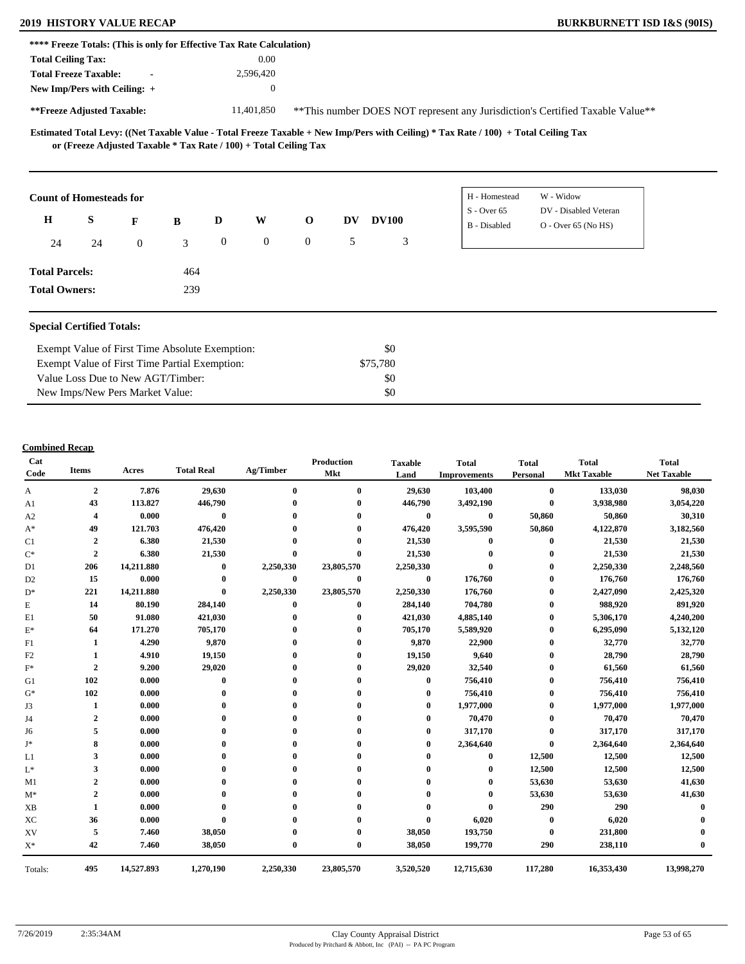# **2019 HISTORY VALUE RECAP BURKBURNETT ISD I&S (90IS)**

| **** Freeze Totals: (This is only for Effective Tax Rate Calculation) |    |                  |                                                |              |                  |                                                                   |           |              |                                                                                                                                     |                                                                                |  |
|-----------------------------------------------------------------------|----|------------------|------------------------------------------------|--------------|------------------|-------------------------------------------------------------------|-----------|--------------|-------------------------------------------------------------------------------------------------------------------------------------|--------------------------------------------------------------------------------|--|
| <b>Total Ceiling Tax:</b>                                             |    |                  |                                                |              | 0.00             |                                                                   |           |              |                                                                                                                                     |                                                                                |  |
| <b>Total Freeze Taxable:</b>                                          |    | $\blacksquare$   |                                                |              | 2,596,420        |                                                                   |           |              |                                                                                                                                     |                                                                                |  |
| New Imp/Pers with Ceiling: +                                          |    |                  |                                                |              | $\boldsymbol{0}$ |                                                                   |           |              |                                                                                                                                     |                                                                                |  |
| **Freeze Adjusted Taxable:                                            |    |                  |                                                |              | 11,401,850       |                                                                   |           |              |                                                                                                                                     | ** This number DOES NOT represent any Jurisdiction's Certified Taxable Value** |  |
|                                                                       |    |                  |                                                |              |                  | or (Freeze Adjusted Taxable * Tax Rate / 100) + Total Ceiling Tax |           |              | Estimated Total Levy: ((Net Taxable Value - Total Freeze Taxable + New Imp/Pers with Ceiling) * Tax Rate / 100) + Total Ceiling Tax |                                                                                |  |
| <b>Count of Homesteads for</b>                                        |    |                  |                                                |              |                  |                                                                   |           |              | H - Homestead<br>$S -$ Over 65                                                                                                      | W - Widow<br>DV - Disabled Veteran                                             |  |
| $\mathbf H$                                                           | S  | F                | B                                              | D            | W                | $\mathbf 0$                                                       | <b>DV</b> | <b>DV100</b> | <b>B</b> - Disabled                                                                                                                 | $O -$ Over 65 (No HS)                                                          |  |
| 24                                                                    | 24 | $\boldsymbol{0}$ | 3                                              | $\mathbf{0}$ | $\mathbf{0}$     | $\overline{0}$                                                    | 5         | 3            |                                                                                                                                     |                                                                                |  |
| <b>Total Parcels:</b>                                                 |    |                  | 464                                            |              |                  |                                                                   |           |              |                                                                                                                                     |                                                                                |  |
| <b>Total Owners:</b>                                                  |    |                  | 239                                            |              |                  |                                                                   |           |              |                                                                                                                                     |                                                                                |  |
|                                                                       |    |                  |                                                |              |                  |                                                                   |           |              |                                                                                                                                     |                                                                                |  |
| <b>Special Certified Totals:</b>                                      |    |                  |                                                |              |                  |                                                                   |           |              |                                                                                                                                     |                                                                                |  |
|                                                                       |    |                  | Exempt Value of First Time Absolute Exemption: |              |                  |                                                                   |           | \$0          |                                                                                                                                     |                                                                                |  |
|                                                                       |    |                  | Exempt Value of First Time Partial Exemption:  |              |                  |                                                                   |           | \$75,780     |                                                                                                                                     |                                                                                |  |

\$0

\$0

#### **Combined Recap**

Value Loss Due to New AGT/Timber: New Imps/New Pers Market Value:

| Cat<br>Code    | <b>Items</b>     | Acres      | <b>Total Real</b> | Ag/Timber   | Production<br>Mkt | <b>Taxable</b><br>Land | <b>Total</b><br><b>Improvements</b> | <b>Total</b><br>Personal | <b>Total</b><br><b>Mkt Taxable</b> | <b>Total</b><br><b>Net Taxable</b> |
|----------------|------------------|------------|-------------------|-------------|-------------------|------------------------|-------------------------------------|--------------------------|------------------------------------|------------------------------------|
| A              | $\boldsymbol{2}$ | 7.876      | 29,630            | $\bf{0}$    | $\bf{0}$          | 29,630                 | 103,400                             | $\bf{0}$                 | 133,030                            | 98,030                             |
| A1             | 43               | 113.827    | 446,790           |             | 0                 | 446,790                | 3,492,190                           | $\bf{0}$                 | 3,938,980                          | 3,054,220                          |
| A2             | 4                | 0.000      | $\bf{0}$          |             |                   | $\bf{0}$               | $\bf{0}$                            | 50,860                   | 50,860                             | 30,310                             |
| $A^*$          | 49               | 121.703    | 476,420           |             |                   | 476,420                | 3,595,590                           | 50,860                   | 4,122,870                          | 3,182,560                          |
| C1             | $\boldsymbol{2}$ | 6.380      | 21,530            |             |                   | 21,530                 | $\mathbf{0}$                        | $\bf{0}$                 | 21,530                             | 21,530                             |
| $C^*$          | $\boldsymbol{2}$ | 6.380      | 21,530            | 0           | 0                 | 21,530                 | $\bf{0}$                            | $\bf{0}$                 | 21,530                             | 21,530                             |
| D1             | 206              | 14,211.880 | $\bf{0}$          | 2,250,330   | 23,805,570        | 2,250,330              | $\bf{0}$                            | $\bf{0}$                 | 2,250,330                          | 2,248,560                          |
| D <sub>2</sub> | 15               | 0.000      | $\bf{0}$          | $\bf{0}$    | $\bf{0}$          | $\bf{0}$               | 176,760                             | $\bf{0}$                 | 176,760                            | 176,760                            |
| $D^*$          | 221              | 14,211.880 | $\bf{0}$          | 2,250,330   | 23,805,570        | 2,250,330              | 176,760                             | $\bf{0}$                 | 2,427,090                          | 2,425,320                          |
| E              | 14               | 80.190     | 284,140           | $\bf{0}$    | $\mathbf{0}$      | 284,140                | 704,780                             | $\bf{0}$                 | 988,920                            | 891,920                            |
| E1             | 50               | 91.080     | 421,030           |             |                   | 421,030                | 4,885,140                           | $\bf{0}$                 | 5,306,170                          | 4,240,200                          |
| $\mathbf{E}^*$ | 64               | 171.270    | 705,170           |             |                   | 705,170                | 5,589,920                           | $\bf{0}$                 | 6,295,090                          | 5,132,120                          |
| F1             | 1                | 4.290      | 9,870             |             |                   | 9,870                  | 22,900                              | 0                        | 32,770                             | 32,770                             |
| F2             |                  | 4.910      | 19,150            |             |                   | 19,150                 | 9,640                               | $\mathbf{0}$             | 28,790                             | 28,790                             |
| $F^*$          | $\overline{2}$   | 9.200      | 29,020            |             |                   | 29,020                 | 32,540                              | 0                        | 61,560                             | 61,560                             |
| G1             | 102              | 0.000      | $\bf{0}$          |             |                   | $\bf{0}$               | 756,410                             | $\bf{0}$                 | 756,410                            | 756,410                            |
| $G^*$          | 102              | 0.000      |                   |             |                   | $\mathbf{0}$           | 756,410                             | $\bf{0}$                 | 756,410                            | 756,410                            |
| J3             | 1                | 0.000      |                   |             |                   | $\bf{0}$               | 1,977,000                           | $\bf{0}$                 | 1,977,000                          | 1,977,000                          |
| J4             | $\overline{2}$   | 0.000      |                   |             |                   | 0                      | 70,470                              | $\bf{0}$                 | 70,470                             | 70,470                             |
| J6             | 5                | 0.000      |                   |             |                   | $\mathbf 0$            | 317,170                             | $\bf{0}$                 | 317,170                            | 317,170                            |
| J*             | 8                | 0.000      |                   |             |                   | 0                      | 2,364,640                           | $\mathbf{0}$             | 2,364,640                          | 2,364,640                          |
| L1             | 3                | 0.000      |                   |             |                   |                        | $\bf{0}$                            | 12,500                   | 12,500                             | 12,500                             |
| $L^*$          | 3                | 0.000      |                   |             |                   |                        | $\bf{0}$                            | 12,500                   | 12,500                             | 12,500                             |
| M1             | 2                | 0.000      |                   |             |                   |                        | 0                                   | 53,630                   | 53,630                             | 41,630                             |
| $M^*$          | $\overline{2}$   | 0.000      |                   |             |                   |                        | $\bf{0}$                            | 53,630                   | 53,630                             | 41,630                             |
| XB             | 1                | 0.000      |                   |             |                   |                        | $\bf{0}$                            | 290                      | 290                                |                                    |
| XC             | 36               | 0.000      | $\mathbf{0}$      |             |                   | $\bf{0}$               | 6,020                               | $\bf{0}$                 | 6,020                              |                                    |
| XV             | 5                | 7.460      | 38,050            |             |                   | 38,050                 | 193,750                             | $\bf{0}$                 | 231,800                            |                                    |
| $X^*$          | 42               | 7.460      | 38,050            | $\mathbf 0$ | $\bf{0}$          | 38,050                 | 199,770                             | 290                      | 238,110                            |                                    |
| Totals:        | 495              | 14,527.893 | 1,270,190         | 2,250,330   | 23,805,570        | 3,520,520              | 12,715,630                          | 117,280                  | 16,353,430                         | 13,998,270                         |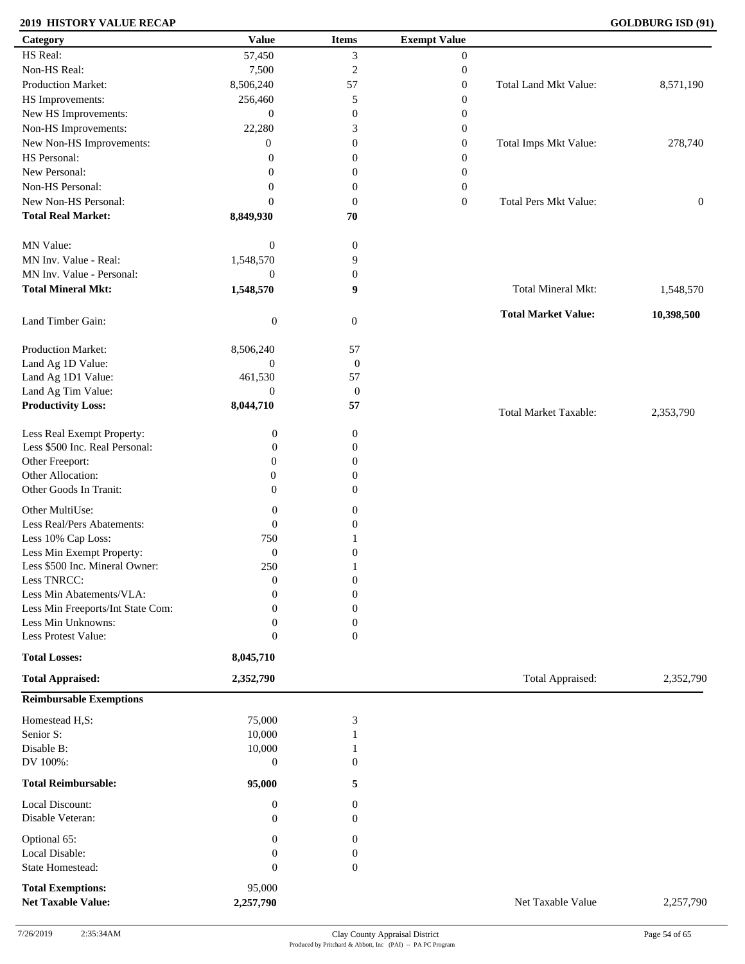### **2019 HISTORY VALUE RECAP GOLDBURG ISD (91)**

| Category                          | <b>Value</b>     | <b>Items</b>     | <b>Exempt Value</b> |                              |              |
|-----------------------------------|------------------|------------------|---------------------|------------------------------|--------------|
| HS Real:                          | 57,450           | 3                | $\boldsymbol{0}$    |                              |              |
| Non-HS Real:                      | 7,500            | $\overline{c}$   | $\boldsymbol{0}$    |                              |              |
| Production Market:                | 8,506,240        | 57               | $\boldsymbol{0}$    | Total Land Mkt Value:        | 8,571,190    |
| HS Improvements:                  | 256,460          | 5                | $\boldsymbol{0}$    |                              |              |
| New HS Improvements:              | $\mathbf{0}$     | $\boldsymbol{0}$ | $\boldsymbol{0}$    |                              |              |
| Non-HS Improvements:              | 22,280           | 3                | $\boldsymbol{0}$    |                              |              |
|                                   |                  |                  |                     |                              |              |
| New Non-HS Improvements:          | $\overline{0}$   | $\boldsymbol{0}$ | $\boldsymbol{0}$    | Total Imps Mkt Value:        | 278,740      |
| HS Personal:                      | $\theta$         | $\boldsymbol{0}$ | $\boldsymbol{0}$    |                              |              |
| New Personal:                     | $\overline{0}$   | $\boldsymbol{0}$ | $\boldsymbol{0}$    |                              |              |
| Non-HS Personal:                  | $\overline{0}$   | $\boldsymbol{0}$ | $\boldsymbol{0}$    |                              |              |
| New Non-HS Personal:              | $\Omega$         | $\mathbf{0}$     | $\boldsymbol{0}$    | Total Pers Mkt Value:        | $\mathbf{0}$ |
| <b>Total Real Market:</b>         | 8,849,930        | 70               |                     |                              |              |
| MN Value:                         | $\boldsymbol{0}$ | $\boldsymbol{0}$ |                     |                              |              |
| MN Inv. Value - Real:             | 1,548,570        | 9                |                     |                              |              |
| MN Inv. Value - Personal:         | $\overline{0}$   | $\boldsymbol{0}$ |                     |                              |              |
| <b>Total Mineral Mkt:</b>         | 1,548,570        | 9                |                     | Total Mineral Mkt:           | 1,548,570    |
| Land Timber Gain:                 | $\boldsymbol{0}$ | $\mathbf{0}$     |                     | <b>Total Market Value:</b>   | 10,398,500   |
| Production Market:                | 8,506,240        | 57               |                     |                              |              |
| Land Ag 1D Value:                 | $\boldsymbol{0}$ | $\boldsymbol{0}$ |                     |                              |              |
|                                   |                  | 57               |                     |                              |              |
| Land Ag 1D1 Value:                | 461,530          |                  |                     |                              |              |
| Land Ag Tim Value:                | $\overline{0}$   | $\boldsymbol{0}$ |                     |                              |              |
| <b>Productivity Loss:</b>         | 8,044,710        | 57               |                     | <b>Total Market Taxable:</b> | 2,353,790    |
| Less Real Exempt Property:        | $\boldsymbol{0}$ | $\boldsymbol{0}$ |                     |                              |              |
| Less \$500 Inc. Real Personal:    | $\mathbf{0}$     | $\boldsymbol{0}$ |                     |                              |              |
| Other Freeport:                   | $\theta$         | $\boldsymbol{0}$ |                     |                              |              |
| Other Allocation:                 | $\mathbf{0}$     | $\boldsymbol{0}$ |                     |                              |              |
| Other Goods In Tranit:            | $\theta$         | $\overline{0}$   |                     |                              |              |
|                                   |                  |                  |                     |                              |              |
| Other MultiUse:                   | $\boldsymbol{0}$ | $\overline{0}$   |                     |                              |              |
| Less Real/Pers Abatements:        | $\mathbf{0}$     | $\overline{0}$   |                     |                              |              |
| Less 10% Cap Loss:                | 750              |                  |                     |                              |              |
| Less Min Exempt Property:         | $\mathbf{0}$     | $\boldsymbol{0}$ |                     |                              |              |
| Less \$500 Inc. Mineral Owner:    | 250              |                  |                     |                              |              |
| Less TNRCC:                       | $\boldsymbol{0}$ | $\boldsymbol{0}$ |                     |                              |              |
| Less Min Abatements/VLA:          | $\mathbf{0}$     | $\boldsymbol{0}$ |                     |                              |              |
| Less Min Freeports/Int State Com: | $\Omega$         | $\boldsymbol{0}$ |                     |                              |              |
| Less Min Unknowns:                | $\mathbf{0}$     | $\boldsymbol{0}$ |                     |                              |              |
| Less Protest Value:               | $\mathbf{0}$     | $\boldsymbol{0}$ |                     |                              |              |
| <b>Total Losses:</b>              | 8,045,710        |                  |                     |                              |              |
| <b>Total Appraised:</b>           | 2,352,790        |                  |                     | Total Appraised:             | 2,352,790    |
| <b>Reimbursable Exemptions</b>    |                  |                  |                     |                              |              |
| Homestead H,S:                    | 75,000           | $\mathfrak 3$    |                     |                              |              |
| Senior S:                         | 10,000           |                  |                     |                              |              |
| Disable B:                        | 10,000           | 1                |                     |                              |              |
| DV 100%:                          | $\mathbf{0}$     | $\boldsymbol{0}$ |                     |                              |              |
| <b>Total Reimbursable:</b>        | 95,000           | 5                |                     |                              |              |
| Local Discount:                   | $\mathbf{0}$     | 0                |                     |                              |              |
| Disable Veteran:                  | $\mathbf{0}$     | $\overline{0}$   |                     |                              |              |
| Optional 65:                      | $\mathbf{0}$     | $\mathbf{0}$     |                     |                              |              |
| Local Disable:                    | $\mathbf{0}$     | $\boldsymbol{0}$ |                     |                              |              |
| State Homestead:                  | $\mathbf{0}$     | $\boldsymbol{0}$ |                     |                              |              |
|                                   |                  |                  |                     |                              |              |
| <b>Total Exemptions:</b>          | 95,000           |                  |                     |                              |              |
| <b>Net Taxable Value:</b>         | 2,257,790        |                  |                     | Net Taxable Value            | 2,257,790    |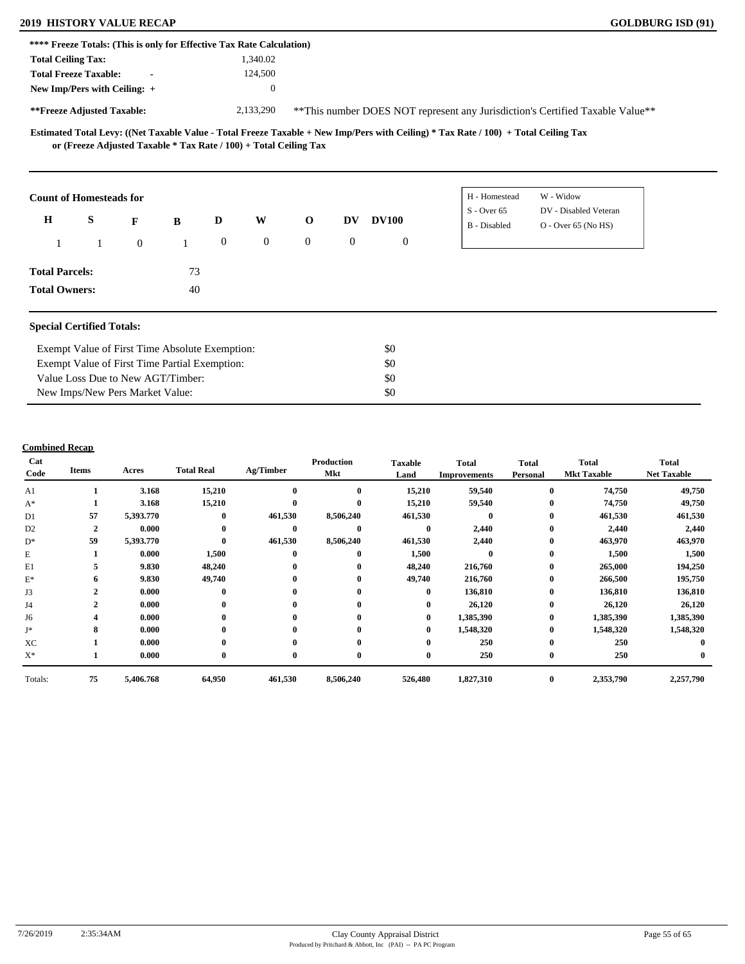### **2019 HISTORY VALUE RECAP GOLDBURG ISD (91)**

| **** Freeze Totals: (This is only for Effective Tax Rate Calculation) |                                               |                                                |    |                |                                                                   |                |                                                                                |              |                                                                                                                                     |                                                |  |  |  |
|-----------------------------------------------------------------------|-----------------------------------------------|------------------------------------------------|----|----------------|-------------------------------------------------------------------|----------------|--------------------------------------------------------------------------------|--------------|-------------------------------------------------------------------------------------------------------------------------------------|------------------------------------------------|--|--|--|
| <b>Total Ceiling Tax:</b>                                             |                                               |                                                |    |                | 1,340.02                                                          |                |                                                                                |              |                                                                                                                                     |                                                |  |  |  |
| <b>Total Freeze Taxable:</b>                                          |                                               |                                                |    |                | 124,500                                                           |                |                                                                                |              |                                                                                                                                     |                                                |  |  |  |
| New Imp/Pers with Ceiling: +                                          |                                               |                                                |    |                | $\boldsymbol{0}$                                                  |                |                                                                                |              |                                                                                                                                     |                                                |  |  |  |
| **Freeze Adjusted Taxable:                                            |                                               |                                                |    |                | 2,133,290                                                         |                | ** This number DOES NOT represent any Jurisdiction's Certified Taxable Value** |              |                                                                                                                                     |                                                |  |  |  |
|                                                                       |                                               |                                                |    |                | or (Freeze Adjusted Taxable * Tax Rate / 100) + Total Ceiling Tax |                |                                                                                |              | Estimated Total Levy: ((Net Taxable Value - Total Freeze Taxable + New Imp/Pers with Ceiling) * Tax Rate / 100) + Total Ceiling Tax |                                                |  |  |  |
| <b>Count of Homesteads for</b>                                        |                                               |                                                |    |                |                                                                   |                |                                                                                |              | H - Homestead                                                                                                                       | W - Widow                                      |  |  |  |
| $\mathbf H$                                                           | S                                             | F                                              | B  | D              | W                                                                 | $\mathbf 0$    | <b>DV</b>                                                                      | <b>DV100</b> | $S -$ Over 65<br>B - Disabled                                                                                                       | DV - Disabled Veteran<br>$O -$ Over 65 (No HS) |  |  |  |
|                                                                       |                                               | $\mathbf{0}$                                   |    | $\overline{0}$ | $\mathbf{0}$                                                      | $\overline{0}$ | $\mathbf{0}$                                                                   | $\mathbf{0}$ |                                                                                                                                     |                                                |  |  |  |
| <b>Total Parcels:</b>                                                 |                                               |                                                | 73 |                |                                                                   |                |                                                                                |              |                                                                                                                                     |                                                |  |  |  |
| <b>Total Owners:</b>                                                  |                                               |                                                | 40 |                |                                                                   |                |                                                                                |              |                                                                                                                                     |                                                |  |  |  |
| <b>Special Certified Totals:</b>                                      |                                               |                                                |    |                |                                                                   |                |                                                                                |              |                                                                                                                                     |                                                |  |  |  |
|                                                                       |                                               | Exempt Value of First Time Absolute Exemption: |    |                |                                                                   |                |                                                                                | \$0          |                                                                                                                                     |                                                |  |  |  |
|                                                                       | Exempt Value of First Time Partial Exemption: |                                                |    |                |                                                                   |                |                                                                                | \$0          |                                                                                                                                     |                                                |  |  |  |
| Value Loss Due to New AGT/Timber:                                     |                                               |                                                |    |                |                                                                   |                | \$0                                                                            |              |                                                                                                                                     |                                                |  |  |  |

\$0

#### **Combined Recap**

New Imps/New Pers Market Value:

| Cat<br>Code    | <b>Items</b>            | Acres     | <b>Total Real</b> | Ag/Timber    | <b>Production</b><br>Mkt | <b>Taxable</b><br>Land | <b>Total</b><br><b>Improvements</b> | <b>Total</b><br><b>Personal</b> | <b>Total</b><br><b>Mkt Taxable</b> | <b>Total</b><br><b>Net Taxable</b> |
|----------------|-------------------------|-----------|-------------------|--------------|--------------------------|------------------------|-------------------------------------|---------------------------------|------------------------------------|------------------------------------|
| A1             |                         | 3.168     | 15,210            | $\bf{0}$     | $\mathbf{0}$             | 15,210                 | 59,540                              | $\bf{0}$                        | 74,750                             | 49,750                             |
| $A^*$          |                         | 3.168     | 15,210            | $\mathbf{0}$ | $\mathbf{0}$             | 15,210                 | 59,540                              | $\bf{0}$                        | 74,750                             | 49,750                             |
| D1             | 57                      | 5,393.770 | $\mathbf{0}$      | 461,530      | 8,506,240                | 461,530                | $\mathbf{0}$                        | $\bf{0}$                        | 461,530                            | 461,530                            |
| D <sub>2</sub> | $\overline{\mathbf{c}}$ | 0.000     | $\mathbf{0}$      | $\mathbf{0}$ | $\mathbf{0}$             | $\mathbf{0}$           | 2,440                               | $\mathbf{0}$                    | 2,440                              | 2,440                              |
| $D^*$          | 59                      | 5,393.770 | $\theta$          | 461,530      | 8,506,240                | 461,530                | 2,440                               | $\bf{0}$                        | 463,970                            | 463,970                            |
| E              |                         | 0.000     | 1,500             | $\bf{0}$     | $\mathbf{0}$             | 1,500                  | $\mathbf{0}$                        | $\bf{0}$                        | 1,500                              | 1,500                              |
| E1             |                         | 9.830     | 48,240            | $\bf{0}$     | $\mathbf{0}$             | 48,240                 | 216,760                             | $\bf{0}$                        | 265,000                            | 194,250                            |
| $\mathbf{E}^*$ | 6                       | 9.830     | 49,740            | $\bf{0}$     | $\mathbf{0}$             | 49,740                 | 216,760                             | $\bf{0}$                        | 266,500                            | 195,750                            |
| J3             | $\mathbf{2}$            | 0.000     | $\mathbf{0}$      | $\bf{0}$     | $\mathbf{0}$             | $\bf{0}$               | 136,810                             | $\bf{0}$                        | 136,810                            | 136,810                            |
| J4             | $\mathbf{2}$            | 0.000     | $\mathbf{0}$      | $\bf{0}$     | $\bf{0}$                 | $\bf{0}$               | 26,120                              | $\bf{0}$                        | 26,120                             | 26,120                             |
| J6             |                         | 0.000     | $\mathbf{0}$      | $\bf{0}$     | $\mathbf{0}$             | $\bf{0}$               | 1,385,390                           | $\bf{0}$                        | 1,385,390                          | 1,385,390                          |
| J*             | 8                       | 0.000     |                   | $\bf{0}$     | 0                        | $\bf{0}$               | 1,548,320                           | $\bf{0}$                        | 1,548,320                          | 1,548,320                          |
| XC             |                         | 0.000     |                   | $\bf{0}$     | $\mathbf{0}$             | 0                      | 250                                 | $\mathbf{0}$                    | 250                                |                                    |
| $X^*$          |                         | 0.000     | $\bf{0}$          | $\bf{0}$     | $\bf{0}$                 | $\bf{0}$               | 250                                 | $\bf{0}$                        | 250                                |                                    |
| Totals:        | 75                      | 5,406.768 | 64,950            | 461,530      | 8,506,240                | 526,480                | 1,827,310                           | $\bf{0}$                        | 2,353,790                          | 2,257,790                          |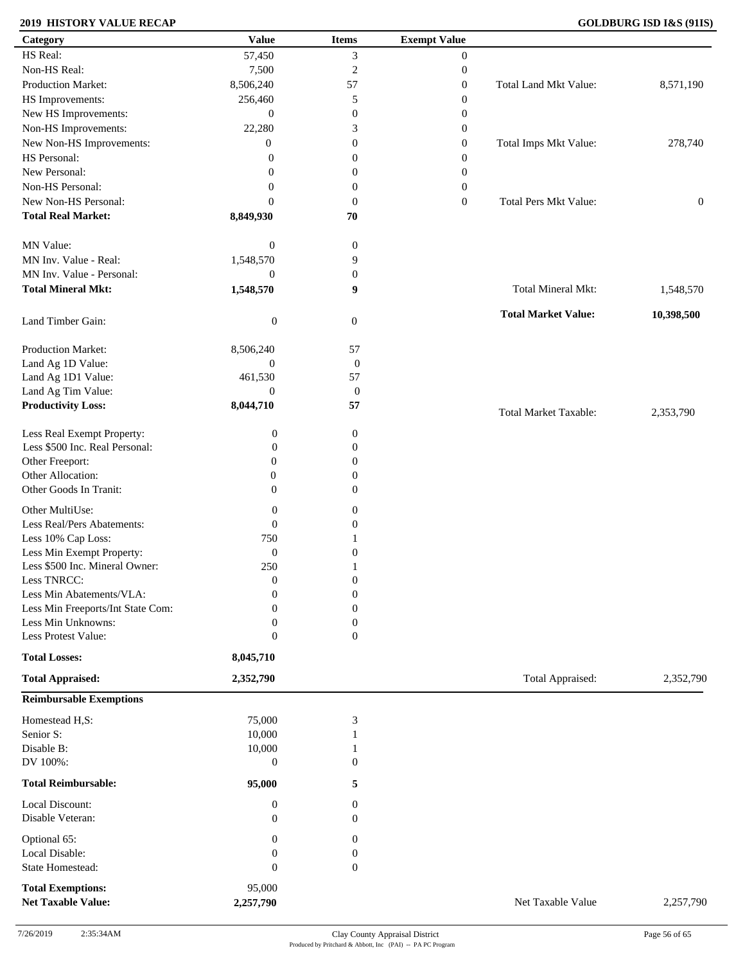### **2019 HISTORY VALUE RECAP GOLDBURG ISD I&S (91IS)**

| Category                          | <b>Value</b>     | <b>Items</b>     | <b>Exempt Value</b> |                              |                  |
|-----------------------------------|------------------|------------------|---------------------|------------------------------|------------------|
| HS Real:                          | 57,450           | 3                | $\mathbf{0}$        |                              |                  |
| Non-HS Real:                      | 7,500            | $\sqrt{2}$       | $\boldsymbol{0}$    |                              |                  |
| Production Market:                | 8,506,240        | 57               | $\boldsymbol{0}$    | Total Land Mkt Value:        | 8,571,190        |
| HS Improvements:                  | 256,460          | 5                | $\boldsymbol{0}$    |                              |                  |
| New HS Improvements:              | $\mathbf{0}$     | $\boldsymbol{0}$ | $\boldsymbol{0}$    |                              |                  |
| Non-HS Improvements:              | 22,280           | 3                | $\boldsymbol{0}$    |                              |                  |
| New Non-HS Improvements:          | $\overline{0}$   | $\boldsymbol{0}$ | $\boldsymbol{0}$    | Total Imps Mkt Value:        | 278,740          |
| HS Personal:                      | $\theta$         | $\boldsymbol{0}$ | $\boldsymbol{0}$    |                              |                  |
| New Personal:                     | $\mathbf{0}$     | $\boldsymbol{0}$ | $\boldsymbol{0}$    |                              |                  |
| Non-HS Personal:                  |                  |                  |                     |                              |                  |
|                                   | $\boldsymbol{0}$ | $\boldsymbol{0}$ | $\boldsymbol{0}$    |                              |                  |
| New Non-HS Personal:              | $\mathbf{0}$     | $\boldsymbol{0}$ | $\boldsymbol{0}$    | <b>Total Pers Mkt Value:</b> | $\boldsymbol{0}$ |
| <b>Total Real Market:</b>         | 8,849,930        | 70               |                     |                              |                  |
| MN Value:                         | $\boldsymbol{0}$ | $\boldsymbol{0}$ |                     |                              |                  |
| MN Inv. Value - Real:             | 1,548,570        | 9                |                     |                              |                  |
| MN Inv. Value - Personal:         | $\boldsymbol{0}$ | $\boldsymbol{0}$ |                     |                              |                  |
| <b>Total Mineral Mkt:</b>         | 1,548,570        | 9                |                     | Total Mineral Mkt:           | 1,548,570        |
| Land Timber Gain:                 | $\boldsymbol{0}$ | $\mathbf{0}$     |                     | <b>Total Market Value:</b>   | 10,398,500       |
| Production Market:                | 8,506,240        | 57               |                     |                              |                  |
| Land Ag 1D Value:                 | $\boldsymbol{0}$ | $\boldsymbol{0}$ |                     |                              |                  |
| Land Ag 1D1 Value:                | 461,530          | 57               |                     |                              |                  |
| Land Ag Tim Value:                | $\theta$         | $\boldsymbol{0}$ |                     |                              |                  |
| <b>Productivity Loss:</b>         | 8,044,710        | 57               |                     | <b>Total Market Taxable:</b> | 2,353,790        |
| Less Real Exempt Property:        | $\boldsymbol{0}$ | $\boldsymbol{0}$ |                     |                              |                  |
| Less \$500 Inc. Real Personal:    | $\boldsymbol{0}$ | 0                |                     |                              |                  |
| Other Freeport:                   | $\boldsymbol{0}$ | $\mathbf{0}$     |                     |                              |                  |
| Other Allocation:                 | $\boldsymbol{0}$ |                  |                     |                              |                  |
| Other Goods In Tranit:            |                  | $\boldsymbol{0}$ |                     |                              |                  |
|                                   | $\boldsymbol{0}$ | $\mathbf{0}$     |                     |                              |                  |
| Other MultiUse:                   | $\boldsymbol{0}$ | $\boldsymbol{0}$ |                     |                              |                  |
| Less Real/Pers Abatements:        | $\boldsymbol{0}$ | $\boldsymbol{0}$ |                     |                              |                  |
| Less 10% Cap Loss:                | 750              |                  |                     |                              |                  |
| Less Min Exempt Property:         | $\boldsymbol{0}$ | $\mathbf{0}$     |                     |                              |                  |
| Less \$500 Inc. Mineral Owner:    | 250              |                  |                     |                              |                  |
| Less TNRCC:                       | $\mathbf{0}$     | $\mathbf{0}$     |                     |                              |                  |
| Less Min Abatements/VLA:          | $\mathbf{0}$     | $\boldsymbol{0}$ |                     |                              |                  |
| Less Min Freeports/Int State Com: | $\overline{0}$   | $\Omega$         |                     |                              |                  |
| Less Min Unknowns:                | $\boldsymbol{0}$ | 0                |                     |                              |                  |
| Less Protest Value:               | $\boldsymbol{0}$ | $\overline{0}$   |                     |                              |                  |
| <b>Total Losses:</b>              | 8,045,710        |                  |                     |                              |                  |
| <b>Total Appraised:</b>           | 2,352,790        |                  |                     | Total Appraised:             | 2,352,790        |
| <b>Reimbursable Exemptions</b>    |                  |                  |                     |                              |                  |
| Homestead H,S:                    | 75,000           | 3                |                     |                              |                  |
| Senior S:                         | 10,000           |                  |                     |                              |                  |
| Disable B:                        | 10,000           |                  |                     |                              |                  |
| DV 100%:                          | $\boldsymbol{0}$ | $\mathbf{0}$     |                     |                              |                  |
| <b>Total Reimbursable:</b>        | 95,000           | 5                |                     |                              |                  |
| Local Discount:                   | $\boldsymbol{0}$ | $\mathbf{0}$     |                     |                              |                  |
| Disable Veteran:                  | $\mathbf{0}$     | $\overline{0}$   |                     |                              |                  |
| Optional 65:                      | 0                | $\mathbf{0}$     |                     |                              |                  |
| Local Disable:                    | $\boldsymbol{0}$ | $\boldsymbol{0}$ |                     |                              |                  |
| State Homestead:                  | $\boldsymbol{0}$ | $\boldsymbol{0}$ |                     |                              |                  |
|                                   |                  |                  |                     |                              |                  |
| <b>Total Exemptions:</b>          | 95,000           |                  |                     |                              |                  |
| <b>Net Taxable Value:</b>         | 2,257,790        |                  |                     | Net Taxable Value            | 2,257,790        |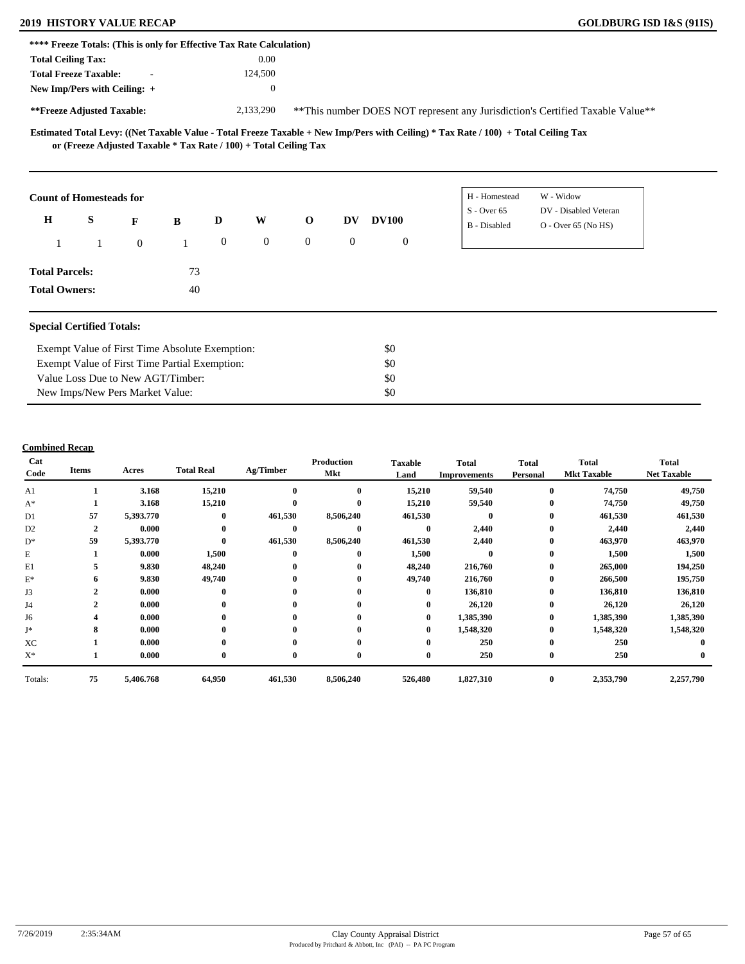### **2019 HISTORY VALUE RECAP GOLDBURG ISD I&S (91IS)**

| **** Freeze Totals: (This is only for Effective Tax Rate Calculation) |                                                                                    |                                                                     |                                 |                  |                  |                |                                                                                |                  |                                                                                                                                     |                                                |  |  |  |
|-----------------------------------------------------------------------|------------------------------------------------------------------------------------|---------------------------------------------------------------------|---------------------------------|------------------|------------------|----------------|--------------------------------------------------------------------------------|------------------|-------------------------------------------------------------------------------------------------------------------------------------|------------------------------------------------|--|--|--|
| <b>Total Ceiling Tax:</b>                                             |                                                                                    |                                                                     |                                 |                  | 0.00             |                |                                                                                |                  |                                                                                                                                     |                                                |  |  |  |
| <b>Total Freeze Taxable:</b>                                          |                                                                                    |                                                                     |                                 |                  | 124,500          |                |                                                                                |                  |                                                                                                                                     |                                                |  |  |  |
| New Imp/Pers with Ceiling: +                                          |                                                                                    |                                                                     |                                 |                  | $\boldsymbol{0}$ |                |                                                                                |                  |                                                                                                                                     |                                                |  |  |  |
| **Freeze Adjusted Taxable:                                            |                                                                                    |                                                                     |                                 |                  | 2,133,290        |                | ** This number DOES NOT represent any Jurisdiction's Certified Taxable Value** |                  |                                                                                                                                     |                                                |  |  |  |
|                                                                       |                                                                                    | or (Freeze Adjusted Taxable $*$ Tax Rate / 100) + Total Ceiling Tax |                                 |                  |                  |                |                                                                                |                  | Estimated Total Levy: ((Net Taxable Value - Total Freeze Taxable + New Imp/Pers with Ceiling) * Tax Rate / 100) + Total Ceiling Tax |                                                |  |  |  |
| <b>Count of Homesteads for</b>                                        |                                                                                    |                                                                     |                                 |                  |                  |                |                                                                                |                  | H - Homestead                                                                                                                       | W - Widow                                      |  |  |  |
| $\mathbf H$                                                           | S                                                                                  | F                                                                   | B                               | D                | W                | $\mathbf 0$    | DV                                                                             | <b>DV100</b>     | $S -$ Over 65<br>B - Disabled                                                                                                       | DV - Disabled Veteran<br>$O -$ Over 65 (No HS) |  |  |  |
|                                                                       | 1                                                                                  | $\mathbf{0}$                                                        | 1                               | $\boldsymbol{0}$ | $\boldsymbol{0}$ | $\overline{0}$ | $\overline{0}$                                                                 | $\boldsymbol{0}$ |                                                                                                                                     |                                                |  |  |  |
| <b>Total Parcels:</b>                                                 |                                                                                    |                                                                     | 73                              |                  |                  |                |                                                                                |                  |                                                                                                                                     |                                                |  |  |  |
| <b>Total Owners:</b>                                                  |                                                                                    |                                                                     | 40                              |                  |                  |                |                                                                                |                  |                                                                                                                                     |                                                |  |  |  |
| <b>Special Certified Totals:</b>                                      |                                                                                    |                                                                     |                                 |                  |                  |                |                                                                                |                  |                                                                                                                                     |                                                |  |  |  |
|                                                                       |                                                                                    | Exempt Value of First Time Absolute Exemption:                      |                                 |                  |                  |                |                                                                                | \$0              |                                                                                                                                     |                                                |  |  |  |
|                                                                       |                                                                                    |                                                                     |                                 |                  |                  |                |                                                                                | \$0              |                                                                                                                                     |                                                |  |  |  |
|                                                                       | Exempt Value of First Time Partial Exemption:<br>Value Loss Due to New AGT/Timber: |                                                                     |                                 |                  |                  |                |                                                                                | \$0              |                                                                                                                                     |                                                |  |  |  |
|                                                                       |                                                                                    |                                                                     | New Imps/New Pers Market Value: |                  |                  |                |                                                                                | \$0              |                                                                                                                                     |                                                |  |  |  |

| Cat<br>Code    | <b>Items</b>   | Acres     | <b>Total Real</b> | Ag/Timber    | Production<br>Mkt | <b>Taxable</b><br>Land | Total<br><b>Improvements</b> | <b>Total</b><br>Personal | <b>Total</b><br><b>Mkt Taxable</b> | <b>Total</b><br><b>Net Taxable</b> |
|----------------|----------------|-----------|-------------------|--------------|-------------------|------------------------|------------------------------|--------------------------|------------------------------------|------------------------------------|
| A <sub>1</sub> |                | 3.168     | 15,210            | $\mathbf 0$  | $\mathbf{0}$      | 15,210                 | 59,540                       | $\bf{0}$                 | 74,750                             | 49,750                             |
| $A^*$          |                | 3.168     | 15,210            | $\mathbf 0$  | $\mathbf{0}$      | 15,210                 | 59,540                       | $\bf{0}$                 | 74,750                             | 49,750                             |
| D1             | 57             | 5,393.770 | $\mathbf{0}$      | 461,530      | 8,506,240         | 461,530                | $\mathbf{0}$                 | $\bf{0}$                 | 461,530                            | 461,530                            |
| D <sub>2</sub> | $\overline{2}$ | 0.000     | $\mathbf{0}$      | $\mathbf 0$  | $\mathbf{0}$      | $\mathbf{0}$           | 2,440                        | $\bf{0}$                 | 2,440                              | 2,440                              |
| $D^*$          | 59             | 5,393.770 | $\mathbf{0}$      | 461,530      | 8,506,240         | 461,530                | 2,440                        | $\bf{0}$                 | 463,970                            | 463,970                            |
| E              |                | 0.000     | 1,500             | $\mathbf 0$  | $\mathbf{0}$      | 1,500                  | 0                            | $\bf{0}$                 | 1,500                              | 1,500                              |
| E1             |                | 9.830     | 48,240            | $\mathbf 0$  | 0                 | 48,240                 | 216,760                      | $\bf{0}$                 | 265,000                            | 194,250                            |
| $\mathbf{E}^*$ | 6              | 9.830     | 49,740            | $\mathbf 0$  | 0                 | 49,740                 | 216,760                      | $\bf{0}$                 | 266,500                            | 195,750                            |
| J3             | $\mathbf{2}$   | 0.000     | $\mathbf{0}$      | $\mathbf 0$  | 0                 | $\mathbf{0}$           | 136,810                      | $\bf{0}$                 | 136,810                            | 136,810                            |
| J4             | $\mathbf{2}$   | 0.000     | $\bf{0}$          | $\mathbf 0$  | $\bf{0}$          | $\bf{0}$               | 26,120                       | $\bf{0}$                 | 26,120                             | 26,120                             |
| J6             |                | 0.000     | $\bf{0}$          | $\mathbf 0$  | $\bf{0}$          | $\bf{0}$               | 1,385,390                    | $\bf{0}$                 | 1,385,390                          | 1,385,390                          |
| J*             | 8              | 0.000     | $\bf{0}$          | $\mathbf{0}$ |                   | $\bf{0}$               | 1,548,320                    | $\bf{0}$                 | 1,548,320                          | 1,548,320                          |
| XC             |                | 0.000     | $\bf{0}$          | $\mathbf{0}$ | 0                 | 0                      | 250                          | $\bf{0}$                 | 250                                |                                    |
| $X^*$          |                | 0.000     | $\bf{0}$          | $\bf{0}$     | 0                 | $\bf{0}$               | 250                          | $\bf{0}$                 | 250                                |                                    |
| Totals:        | 75             | 5,406.768 | 64,950            | 461,530      | 8,506,240         | 526,480                | 1,827,310                    | $\bf{0}$                 | 2,353,790                          | 2,257,790                          |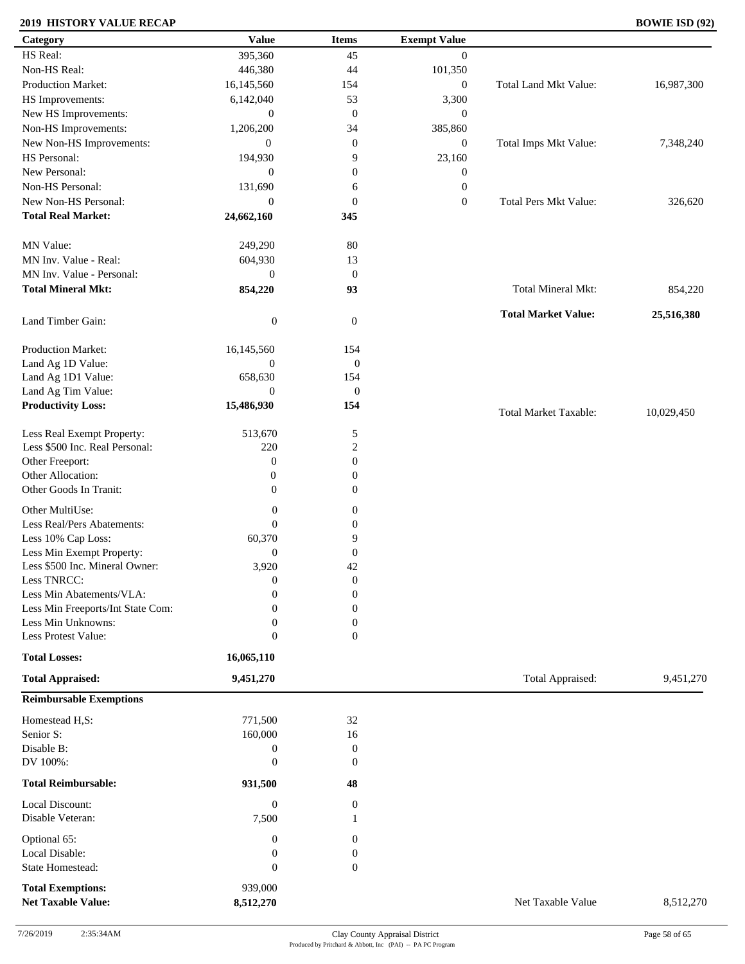### **2019 HISTORY VALUE RECAP BOWIE ISD (92)**

| Category                          | <b>Value</b>     | <b>Items</b>     | <b>Exempt Value</b> |                              |            |
|-----------------------------------|------------------|------------------|---------------------|------------------------------|------------|
| HS Real:                          | 395,360          | 45               | $\overline{0}$      |                              |            |
| Non-HS Real:                      | 446,380          | 44               | 101,350             |                              |            |
| Production Market:                | 16,145,560       | 154              | $\boldsymbol{0}$    | Total Land Mkt Value:        | 16,987,300 |
| HS Improvements:                  | 6,142,040        | 53               | 3,300               |                              |            |
| New HS Improvements:              | $\boldsymbol{0}$ | $\mathbf{0}$     | $\mathbf{0}$        |                              |            |
| Non-HS Improvements:              | 1,206,200        | 34               | 385,860             |                              |            |
| New Non-HS Improvements:          | $\boldsymbol{0}$ | $\mathbf{0}$     | $\mathbf{0}$        | Total Imps Mkt Value:        | 7,348,240  |
| HS Personal:                      | 194,930          | 9                | 23,160              |                              |            |
| New Personal:                     | $\boldsymbol{0}$ | $\boldsymbol{0}$ | $\boldsymbol{0}$    |                              |            |
| Non-HS Personal:                  | 131,690          |                  | $\boldsymbol{0}$    |                              |            |
| New Non-HS Personal:              |                  | 6                |                     |                              |            |
|                                   | $\mathbf{0}$     | $\boldsymbol{0}$ | $\boldsymbol{0}$    | <b>Total Pers Mkt Value:</b> | 326,620    |
| <b>Total Real Market:</b>         | 24,662,160       | 345              |                     |                              |            |
| MN Value:                         | 249,290          | 80               |                     |                              |            |
| MN Inv. Value - Real:             | 604,930          | 13               |                     |                              |            |
| MN Inv. Value - Personal:         |                  |                  |                     |                              |            |
|                                   | $\boldsymbol{0}$ | $\mathbf{0}$     |                     |                              |            |
| <b>Total Mineral Mkt:</b>         | 854,220          | 93               |                     | Total Mineral Mkt:           | 854,220    |
|                                   |                  |                  |                     | <b>Total Market Value:</b>   | 25,516,380 |
| Land Timber Gain:                 | $\boldsymbol{0}$ | $\mathbf{0}$     |                     |                              |            |
| Production Market:                | 16,145,560       | 154              |                     |                              |            |
| Land Ag 1D Value:                 | $\boldsymbol{0}$ | $\boldsymbol{0}$ |                     |                              |            |
| Land Ag 1D1 Value:                | 658,630          | 154              |                     |                              |            |
| Land Ag Tim Value:                | $\overline{0}$   | $\mathbf{0}$     |                     |                              |            |
| <b>Productivity Loss:</b>         | 15,486,930       | 154              |                     |                              |            |
|                                   |                  |                  |                     | <b>Total Market Taxable:</b> | 10,029,450 |
| Less Real Exempt Property:        | 513,670          | 5                |                     |                              |            |
| Less \$500 Inc. Real Personal:    | 220              | $\overline{c}$   |                     |                              |            |
| Other Freeport:                   | $\boldsymbol{0}$ | $\boldsymbol{0}$ |                     |                              |            |
| Other Allocation:                 | $\boldsymbol{0}$ | $\boldsymbol{0}$ |                     |                              |            |
| Other Goods In Tranit:            | $\mathbf{0}$     | $\boldsymbol{0}$ |                     |                              |            |
|                                   |                  |                  |                     |                              |            |
| Other MultiUse:                   | $\boldsymbol{0}$ | $\boldsymbol{0}$ |                     |                              |            |
| Less Real/Pers Abatements:        | $\mathbf{0}$     | $\boldsymbol{0}$ |                     |                              |            |
| Less 10% Cap Loss:                | 60,370           | 9                |                     |                              |            |
| Less Min Exempt Property:         | $\mathbf{0}$     | $\mathbf{0}$     |                     |                              |            |
| Less \$500 Inc. Mineral Owner:    | 3,920            | 42               |                     |                              |            |
| Less TNRCC:                       | $\mathbf{0}$     | $\boldsymbol{0}$ |                     |                              |            |
| Less Min Abatements/VLA:          | $\mathbf{0}$     | $\boldsymbol{0}$ |                     |                              |            |
| Less Min Freeports/Int State Com: | 0                | $\overline{0}$   |                     |                              |            |
| Less Min Unknowns:                | $\mathbf{0}$     | $\boldsymbol{0}$ |                     |                              |            |
| Less Protest Value:               | $\mathbf{0}$     | $\overline{0}$   |                     |                              |            |
| <b>Total Losses:</b>              | 16,065,110       |                  |                     |                              |            |
| <b>Total Appraised:</b>           | 9,451,270        |                  |                     | Total Appraised:             | 9,451,270  |
| <b>Reimbursable Exemptions</b>    |                  |                  |                     |                              |            |
|                                   |                  |                  |                     |                              |            |
| Homestead H,S:                    | 771,500          | 32               |                     |                              |            |
| Senior S:                         | 160,000          | 16               |                     |                              |            |
| Disable B:                        | $\boldsymbol{0}$ | $\boldsymbol{0}$ |                     |                              |            |
| DV 100%:                          | $\mathbf{0}$     | $\theta$         |                     |                              |            |
| <b>Total Reimbursable:</b>        | 931,500          | 48               |                     |                              |            |
| Local Discount:                   | $\boldsymbol{0}$ | $\mathbf{0}$     |                     |                              |            |
| Disable Veteran:                  | 7,500            | -1               |                     |                              |            |
|                                   |                  |                  |                     |                              |            |
| Optional 65:                      | $\boldsymbol{0}$ | $\boldsymbol{0}$ |                     |                              |            |
| Local Disable:                    | $\boldsymbol{0}$ | $\boldsymbol{0}$ |                     |                              |            |
| State Homestead:                  | $\boldsymbol{0}$ | $\boldsymbol{0}$ |                     |                              |            |
| <b>Total Exemptions:</b>          | 939,000          |                  |                     |                              |            |
| <b>Net Taxable Value:</b>         | 8,512,270        |                  |                     | Net Taxable Value            | 8,512,270  |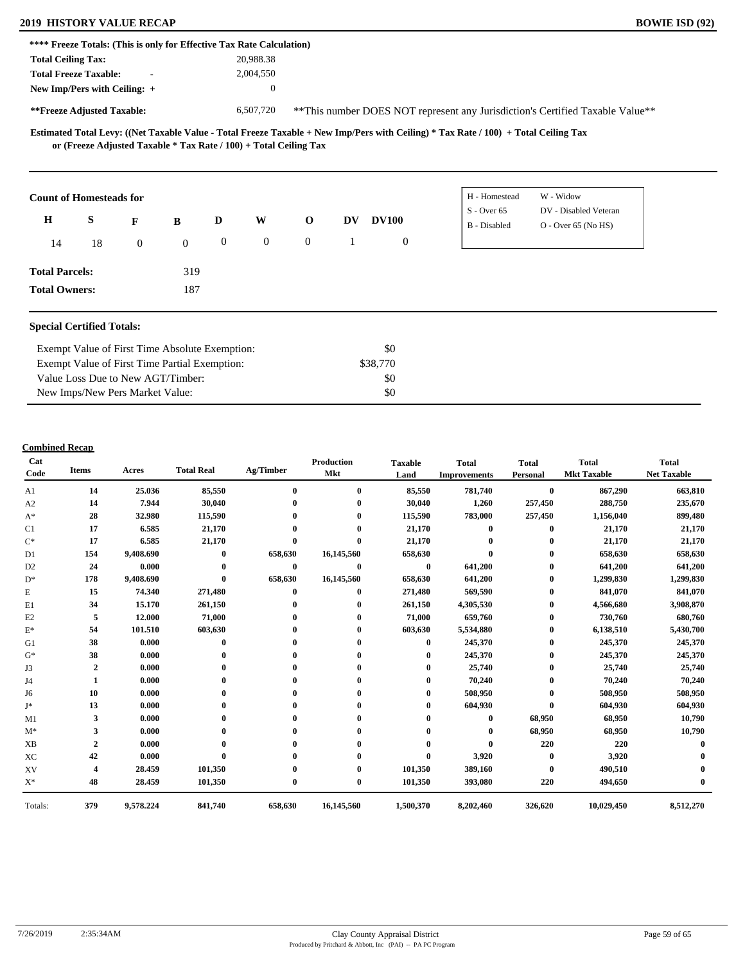#### **2019 HISTORY VALUE RECAP BOWIE ISD (92)**

| **** Freeze Totals: (This is only for Effective Tax Rate Calculation) |                                                                     |                |   |   |              |              |    |              |                                                                                                                                     |                       |  |  |
|-----------------------------------------------------------------------|---------------------------------------------------------------------|----------------|---|---|--------------|--------------|----|--------------|-------------------------------------------------------------------------------------------------------------------------------------|-----------------------|--|--|
| <b>Total Ceiling Tax:</b>                                             |                                                                     |                |   |   | 20,988.38    |              |    |              |                                                                                                                                     |                       |  |  |
| <b>Total Freeze Taxable:</b>                                          |                                                                     | $\blacksquare$ |   |   | 2,004,550    |              |    |              |                                                                                                                                     |                       |  |  |
| New Imp/Pers with Ceiling: $+$                                        |                                                                     |                |   |   | $\mathbf{0}$ |              |    |              |                                                                                                                                     |                       |  |  |
| **Freeze Adjusted Taxable:                                            |                                                                     |                |   |   | 6,507,720    |              |    |              | **This number DOES NOT represent any Jurisdiction's Certified Taxable Value**                                                       |                       |  |  |
|                                                                       |                                                                     |                |   |   |              |              |    |              | Estimated Total Levy: ((Net Taxable Value - Total Freeze Taxable + New Imp/Pers with Ceiling) * Tax Rate / 100) + Total Ceiling Tax |                       |  |  |
|                                                                       | or (Freeze Adjusted Taxable $*$ Tax Rate / 100) + Total Ceiling Tax |                |   |   |              |              |    |              |                                                                                                                                     |                       |  |  |
| <b>Count of Homesteads for</b>                                        |                                                                     |                |   |   |              |              |    |              | H - Homestead                                                                                                                       | W - Widow             |  |  |
|                                                                       |                                                                     |                |   |   |              |              |    |              | $S -$ Over 65                                                                                                                       | DV - Disabled Veteran |  |  |
| $\bf H$                                                               | S                                                                   | F              | B | D | W            | $\mathbf{o}$ | DV | <b>DV100</b> | B - Disabled                                                                                                                        | $O - Over 65 (No HS)$ |  |  |

**Total Parcels: Total Owners:**

#### **Special Certified Totals:**

| Exempt Value of First Time Absolute Exemption: | \$0      |  |
|------------------------------------------------|----------|--|
| Exempt Value of First Time Partial Exemption:  | \$38,770 |  |
| Value Loss Due to New AGT/Timber:              | - \$0    |  |
| New Imps/New Pers Market Value:                | \$0      |  |

 319 187

| Cat<br>Code    | <b>Items</b>   | Acres     | <b>Total Real</b> | Ag/Timber        | <b>Production</b><br>Mkt | <b>Taxable</b><br>Land | <b>Total</b><br><b>Improvements</b> | <b>Total</b><br>Personal | <b>Total</b><br><b>Mkt Taxable</b> | <b>Total</b><br><b>Net Taxable</b> |
|----------------|----------------|-----------|-------------------|------------------|--------------------------|------------------------|-------------------------------------|--------------------------|------------------------------------|------------------------------------|
| A1             | 14             | 25.036    | 85,550            | $\bf{0}$         | $\bf{0}$                 | 85,550                 | 781,740                             | $\bf{0}$                 | 867,290                            | 663,810                            |
| A2             | 14             | 7.944     | 30,040            |                  | 0                        | 30,040                 | 1,260                               | 257,450                  | 288,750                            | 235,670                            |
| $A^*$          | 28             | 32.980    | 115,590           |                  |                          | 115,590                | 783,000                             | 257,450                  | 1,156,040                          | 899,480                            |
| C1             | 17             | 6.585     | 21,170            |                  |                          | 21,170                 | $\mathbf{0}$                        | $\bf{0}$                 | 21,170                             | 21,170                             |
| $C^*$          | 17             | 6.585     | 21,170            | $\mathbf{0}$     | $\theta$                 | 21,170                 |                                     |                          | 21,170                             | 21,170                             |
| D1             | 154            | 9,408.690 | $\bf{0}$          | 658,630          | 16,145,560               | 658,630                |                                     | 0                        | 658,630                            | 658,630                            |
| D <sub>2</sub> | 24             | 0.000     | $\mathbf{0}$      | $\bf{0}$         | $\bf{0}$                 | $\bf{0}$               | 641,200                             | 0                        | 641,200                            | 641,200                            |
| $D^*$          | 178            | 9,408.690 | $\mathbf{0}$      | 658,630          | 16,145,560               | 658,630                | 641,200                             | 0                        | 1,299,830                          | 1,299,830                          |
| E              | 15             | 74.340    | 271,480           | $\mathbf{0}$     | $\bf{0}$                 | 271,480                | 569,590                             | 0                        | 841,070                            | 841,070                            |
| E1             | 34             | 15.170    | 261,150           |                  |                          | 261,150                | 4,305,530                           | 0                        | 4,566,680                          | 3,908,870                          |
| E2             | 5              | 12.000    | 71,000            |                  | 0                        | 71,000                 | 659,760                             | 0                        | 730,760                            | 680,760                            |
| $E^*$          | 54             | 101.510   | 603,630           |                  |                          | 603,630                | 5,534,880                           | 0                        | 6,138,510                          | 5,430,700                          |
| G1             | 38             | 0.000     | $\mathbf{0}$      |                  |                          | 0                      | 245,370                             | 0                        | 245,370                            | 245,370                            |
| $G^*$          | 38             | 0.000     |                   |                  |                          |                        | 245,370                             | 0                        | 245,370                            | 245,370                            |
| J3             | $\overline{2}$ | 0.000     |                   |                  |                          |                        | 25,740                              |                          | 25,740                             | 25,740                             |
| J4             | 1              | 0.000     |                   |                  |                          |                        | 70,240                              | 0                        | 70,240                             | 70,240                             |
| J6             | 10             | 0.000     |                   |                  |                          | 0                      | 508,950                             |                          | 508,950                            | 508,950                            |
| J*             | 13             | 0.000     |                   |                  |                          |                        | 604,930                             | $\mathbf{0}$             | 604,930                            | 604,930                            |
| M1             | 3              | 0.000     |                   |                  |                          |                        | 0                                   | 68,950                   | 68,950                             | 10,790                             |
| $M^*$          | 3              | 0.000     |                   |                  |                          |                        |                                     | 68,950                   | 68,950                             | 10,790                             |
| <b>XB</b>      | $\overline{2}$ | 0.000     |                   |                  |                          |                        |                                     | 220                      | 220                                |                                    |
| XC             | 42             | 0.000     |                   |                  |                          |                        | 3,920                               | $\bf{0}$                 | 3,920                              |                                    |
| XV             |                | 28.459    | 101,350           |                  |                          | 101,350                | 389,160                             | $\mathbf{0}$             | 490,510                            |                                    |
| $X^*$          | 48             | 28.459    | 101,350           | $\boldsymbol{0}$ | $\bf{0}$                 | 101,350                | 393,080                             | 220                      | 494,650                            |                                    |
| Totals:        | 379            | 9,578.224 | 841,740           | 658,630          | 16,145,560               | 1,500,370              | 8,202,460                           | 326,620                  | 10,029,450                         | 8,512,270                          |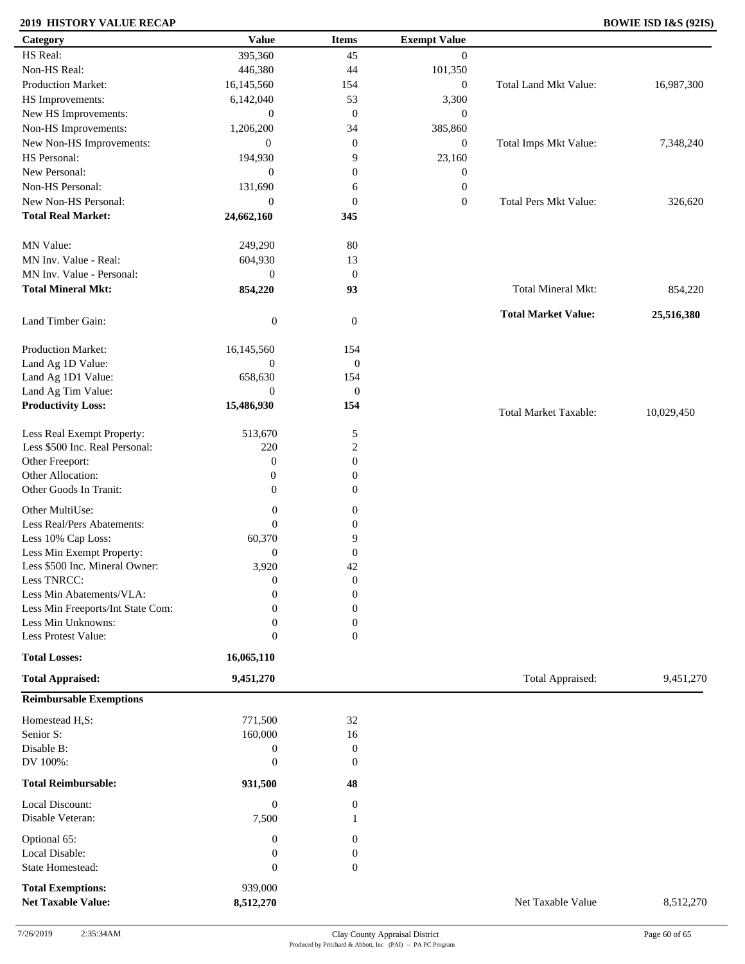### **2019 HISTORY VALUE RECAP BOWIE ISD I&S (92IS)**

| Category                          | <b>Value</b>     | <b>Items</b>     | <b>Exempt Value</b> |                              |            |
|-----------------------------------|------------------|------------------|---------------------|------------------------------|------------|
| HS Real:                          | 395,360          | 45               | $\overline{0}$      |                              |            |
| Non-HS Real:                      | 446,380          | 44               | 101,350             |                              |            |
| Production Market:                | 16,145,560       | 154              | $\boldsymbol{0}$    | Total Land Mkt Value:        | 16,987,300 |
| HS Improvements:                  | 6,142,040        | 53               | 3,300               |                              |            |
| New HS Improvements:              | $\boldsymbol{0}$ | $\mathbf{0}$     | $\mathbf{0}$        |                              |            |
| Non-HS Improvements:              | 1,206,200        | 34               | 385,860             |                              |            |
| New Non-HS Improvements:          | $\boldsymbol{0}$ | $\mathbf{0}$     | $\mathbf{0}$        | Total Imps Mkt Value:        | 7,348,240  |
| HS Personal:                      | 194,930          | 9                | 23,160              |                              |            |
| New Personal:                     | $\boldsymbol{0}$ | $\boldsymbol{0}$ | $\boldsymbol{0}$    |                              |            |
| Non-HS Personal:                  | 131,690          |                  | $\boldsymbol{0}$    |                              |            |
| New Non-HS Personal:              |                  | 6                |                     |                              |            |
|                                   | $\mathbf{0}$     | $\boldsymbol{0}$ | $\boldsymbol{0}$    | <b>Total Pers Mkt Value:</b> | 326,620    |
| <b>Total Real Market:</b>         | 24,662,160       | 345              |                     |                              |            |
| MN Value:                         | 249,290          | 80               |                     |                              |            |
| MN Inv. Value - Real:             | 604,930          | 13               |                     |                              |            |
| MN Inv. Value - Personal:         |                  |                  |                     |                              |            |
|                                   | $\boldsymbol{0}$ | $\mathbf{0}$     |                     |                              |            |
| <b>Total Mineral Mkt:</b>         | 854,220          | 93               |                     | Total Mineral Mkt:           | 854,220    |
|                                   |                  |                  |                     | <b>Total Market Value:</b>   | 25,516,380 |
| Land Timber Gain:                 | $\boldsymbol{0}$ | $\mathbf{0}$     |                     |                              |            |
| Production Market:                | 16,145,560       | 154              |                     |                              |            |
| Land Ag 1D Value:                 | $\boldsymbol{0}$ | $\boldsymbol{0}$ |                     |                              |            |
| Land Ag 1D1 Value:                | 658,630          | 154              |                     |                              |            |
| Land Ag Tim Value:                | $\overline{0}$   | $\mathbf{0}$     |                     |                              |            |
| <b>Productivity Loss:</b>         | 15,486,930       | 154              |                     |                              |            |
|                                   |                  |                  |                     | <b>Total Market Taxable:</b> | 10,029,450 |
| Less Real Exempt Property:        | 513,670          | 5                |                     |                              |            |
| Less \$500 Inc. Real Personal:    | 220              | $\overline{c}$   |                     |                              |            |
| Other Freeport:                   | $\boldsymbol{0}$ | $\boldsymbol{0}$ |                     |                              |            |
| Other Allocation:                 | $\boldsymbol{0}$ | $\boldsymbol{0}$ |                     |                              |            |
| Other Goods In Tranit:            | $\mathbf{0}$     | $\boldsymbol{0}$ |                     |                              |            |
|                                   |                  |                  |                     |                              |            |
| Other MultiUse:                   | $\boldsymbol{0}$ | $\boldsymbol{0}$ |                     |                              |            |
| Less Real/Pers Abatements:        | $\mathbf{0}$     | $\boldsymbol{0}$ |                     |                              |            |
| Less 10% Cap Loss:                | 60,370           | 9                |                     |                              |            |
| Less Min Exempt Property:         | $\mathbf{0}$     | $\mathbf{0}$     |                     |                              |            |
| Less \$500 Inc. Mineral Owner:    | 3,920            | 42               |                     |                              |            |
| Less TNRCC:                       | $\mathbf{0}$     | $\boldsymbol{0}$ |                     |                              |            |
| Less Min Abatements/VLA:          | $\mathbf{0}$     | $\boldsymbol{0}$ |                     |                              |            |
| Less Min Freeports/Int State Com: | 0                | $\overline{0}$   |                     |                              |            |
| Less Min Unknowns:                | $\mathbf{0}$     | $\boldsymbol{0}$ |                     |                              |            |
| Less Protest Value:               | $\mathbf{0}$     | $\overline{0}$   |                     |                              |            |
| <b>Total Losses:</b>              | 16,065,110       |                  |                     |                              |            |
| <b>Total Appraised:</b>           | 9,451,270        |                  |                     | Total Appraised:             | 9,451,270  |
| <b>Reimbursable Exemptions</b>    |                  |                  |                     |                              |            |
|                                   |                  |                  |                     |                              |            |
| Homestead H,S:                    | 771,500          | 32               |                     |                              |            |
| Senior S:                         | 160,000          | 16               |                     |                              |            |
| Disable B:                        | $\boldsymbol{0}$ | $\boldsymbol{0}$ |                     |                              |            |
| DV 100%:                          | $\mathbf{0}$     | $\theta$         |                     |                              |            |
| <b>Total Reimbursable:</b>        | 931,500          | 48               |                     |                              |            |
| Local Discount:                   | $\boldsymbol{0}$ | $\mathbf{0}$     |                     |                              |            |
| Disable Veteran:                  | 7,500            | -1               |                     |                              |            |
|                                   |                  |                  |                     |                              |            |
| Optional 65:                      | $\boldsymbol{0}$ | $\boldsymbol{0}$ |                     |                              |            |
| Local Disable:                    | $\boldsymbol{0}$ | $\boldsymbol{0}$ |                     |                              |            |
| State Homestead:                  | $\boldsymbol{0}$ | $\boldsymbol{0}$ |                     |                              |            |
| <b>Total Exemptions:</b>          | 939,000          |                  |                     |                              |            |
| <b>Net Taxable Value:</b>         | 8,512,270        |                  |                     | Net Taxable Value            | 8,512,270  |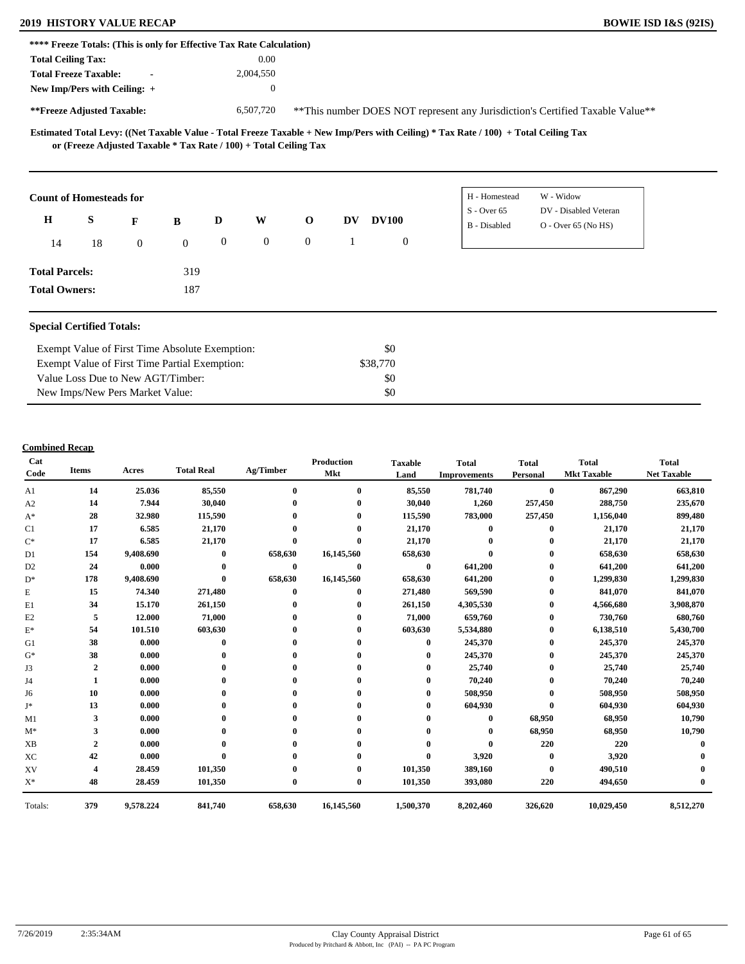### **2019 HISTORY VALUE RECAP BOWIE ISD I&S (92IS)**

|                                |    |                |              |                  | **** Freeze Totals: (This is only for Effective Tax Rate Calculation) |                |           |                  |                     |                                                                                |  |
|--------------------------------|----|----------------|--------------|------------------|-----------------------------------------------------------------------|----------------|-----------|------------------|---------------------|--------------------------------------------------------------------------------|--|
| <b>Total Ceiling Tax:</b>      |    |                |              |                  | 0.00                                                                  |                |           |                  |                     |                                                                                |  |
| <b>Total Freeze Taxable:</b>   |    | $\blacksquare$ |              |                  | 2,004,550                                                             |                |           |                  |                     |                                                                                |  |
| New Imp/Pers with Ceiling: +   |    |                |              |                  | $\theta$                                                              |                |           |                  |                     |                                                                                |  |
| **Freeze Adjusted Taxable:     |    |                |              |                  | 6,507,720                                                             |                |           |                  |                     | ** This number DOES NOT represent any Jurisdiction's Certified Taxable Value** |  |
|                                |    |                |              |                  | or (Freeze Adjusted Taxable * Tax Rate / 100) + Total Ceiling Tax     |                |           |                  |                     |                                                                                |  |
|                                |    |                |              |                  |                                                                       |                |           |                  |                     |                                                                                |  |
| <b>Count of Homesteads for</b> |    |                |              |                  |                                                                       |                |           |                  | H - Homestead       | W - Widow                                                                      |  |
| $\mathbf H$                    | S  | F              | B            | D                | W                                                                     | $\mathbf{o}$   | <b>DV</b> | <b>DV100</b>     | $S -$ Over 65       | DV - Disabled Veteran                                                          |  |
| 14                             | 18 | $\overline{0}$ | $\mathbf{0}$ | $\boldsymbol{0}$ | $\overline{0}$                                                        | $\overline{0}$ | 1         | $\boldsymbol{0}$ | <b>B</b> - Disabled | $O -$ Over 65 (No HS)                                                          |  |
| <b>Total Parcels:</b>          |    |                | 319          |                  |                                                                       |                |           |                  |                     |                                                                                |  |

| Exempt Value of First Time Absolute Exemption: | \$0      |  |
|------------------------------------------------|----------|--|
| Exempt Value of First Time Partial Exemption:  | \$38,770 |  |
| Value Loss Due to New AGT/Timber:              | SO.      |  |
| New Imps/New Pers Market Value:                | \$0      |  |

| Cat<br>Code    | <b>Items</b>   | Acres     | <b>Total Real</b> | Ag/Timber    | <b>Production</b><br>Mkt | <b>Taxable</b><br>Land | <b>Total</b><br><b>Improvements</b> | <b>Total</b><br>Personal | <b>Total</b><br><b>Mkt Taxable</b> | <b>Total</b><br><b>Net Taxable</b> |
|----------------|----------------|-----------|-------------------|--------------|--------------------------|------------------------|-------------------------------------|--------------------------|------------------------------------|------------------------------------|
| A <sub>1</sub> | 14             | 25.036    | 85,550            | $\bf{0}$     | $\bf{0}$                 | 85,550                 | 781,740                             | $\bf{0}$                 | 867,290                            | 663,810                            |
| A2             | 14             | 7.944     | 30,040            |              |                          | 30,040                 | 1,260                               | 257,450                  | 288,750                            | 235,670                            |
| $A^*$          | 28             | 32.980    | 115,590           |              | 0                        | 115,590                | 783,000                             | 257,450                  | 1,156,040                          | 899,480                            |
| C1             | 17             | 6.585     | 21,170            |              |                          | 21,170                 | $\mathbf{0}$                        | $\bf{0}$                 | 21,170                             | 21,170                             |
| $C^*$          | 17             | 6.585     | 21,170            | $\mathbf{0}$ | $\mathbf{0}$             | 21,170                 |                                     | 0                        | 21,170                             | 21,170                             |
| D1             | 154            | 9,408.690 | $\bf{0}$          | 658,630      | 16,145,560               | 658,630                |                                     | 0                        | 658,630                            | 658,630                            |
| D <sub>2</sub> | 24             | 0.000     | $\mathbf{0}$      | $\bf{0}$     | $\bf{0}$                 | $\bf{0}$               | 641,200                             | 0                        | 641,200                            | 641,200                            |
| $D^*$          | 178            | 9,408.690 | $\mathbf{0}$      | 658,630      | 16,145,560               | 658,630                | 641,200                             | 0                        | 1,299,830                          | 1,299,830                          |
| Е              | 15             | 74.340    | 271,480           | $\mathbf{0}$ | $\bf{0}$                 | 271,480                | 569,590                             | 0                        | 841,070                            | 841,070                            |
| E1             | 34             | 15.170    | 261,150           |              |                          | 261,150                | 4,305,530                           | 0                        | 4,566,680                          | 3,908,870                          |
| E2             | 5              | 12.000    | 71,000            |              |                          | 71,000                 | 659,760                             | $\bf{0}$                 | 730,760                            | 680,760                            |
| $E^*$          | 54             | 101.510   | 603,630           |              |                          | 603,630                | 5,534,880                           | 0                        | 6,138,510                          | 5,430,700                          |
| G1             | 38             | 0.000     | 0                 |              |                          | 0                      | 245,370                             | $\mathbf{0}$             | 245,370                            | 245,370                            |
| $G^*$          | 38             | 0.000     |                   |              |                          |                        | 245,370                             | 0                        | 245,370                            | 245,370                            |
| J3             | $\overline{2}$ | 0.000     |                   |              |                          |                        | 25,740                              |                          | 25,740                             | 25,740                             |
| J4             | 1              | 0.000     |                   |              |                          |                        | 70,240                              | 0                        | 70,240                             | 70,240                             |
| J6             | 10             | 0.000     |                   |              |                          | 0                      | 508,950                             | 0                        | 508,950                            | 508,950                            |
| J*             | 13             | 0.000     |                   |              |                          |                        | 604,930                             | 0                        | 604,930                            | 604,930                            |
| M1             | 3              | 0.000     |                   |              |                          |                        | 0                                   | 68,950                   | 68,950                             | 10,790                             |
| $M^*$          | 3              | 0.000     |                   |              |                          |                        |                                     | 68,950                   | 68,950                             | 10,790                             |
| <b>XB</b>      | $\overline{2}$ | 0.000     |                   |              |                          |                        |                                     | 220                      | 220                                |                                    |
| XC             | 42             | 0.000     |                   |              |                          | $\mathbf{0}$           | 3,920                               | $\bf{0}$                 | 3,920                              |                                    |
| XV             |                | 28.459    | 101,350           |              |                          | 101,350                | 389,160                             | $\bf{0}$                 | 490,510                            |                                    |
| $X^*$          | 48             | 28.459    | 101,350           | 0            | $\bf{0}$                 | 101,350                | 393,080                             | 220                      | 494,650                            |                                    |
| Totals:        | 379            | 9,578.224 | 841,740           | 658,630      | 16,145,560               | 1,500,370              | 8,202,460                           | 326,620                  | 10,029,450                         | 8,512,270                          |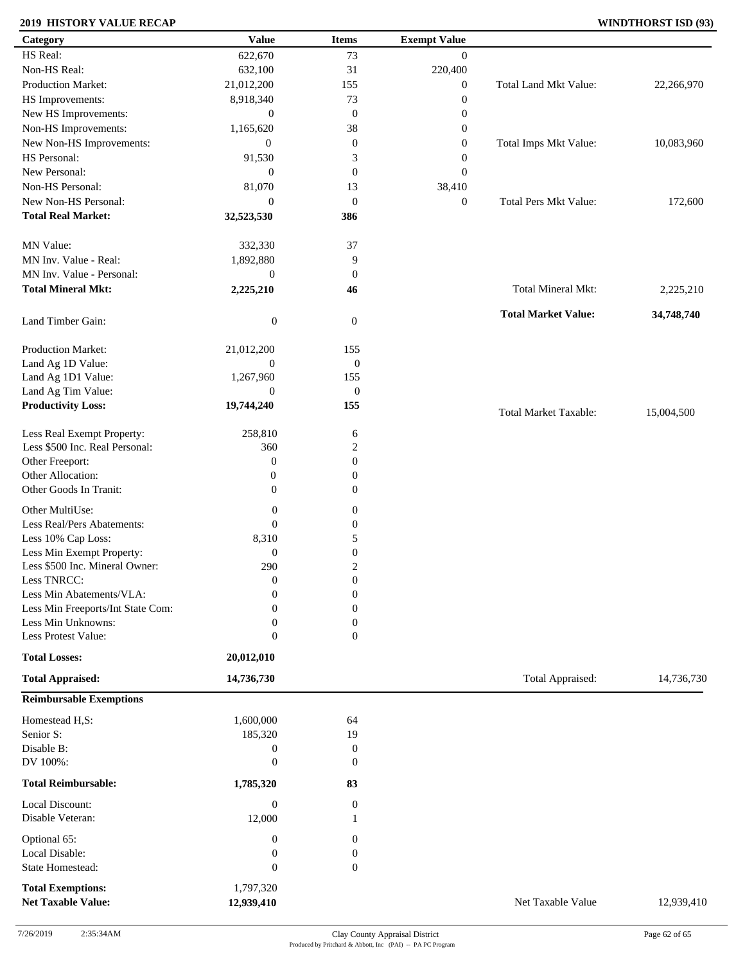### **2019 HISTORY VALUE RECAP WINDTHORST ISD (93)**

| Category                          | <b>Value</b>     | <b>Items</b>     | <b>Exempt Value</b> |                              |            |
|-----------------------------------|------------------|------------------|---------------------|------------------------------|------------|
| HS Real:                          | 622,670          | 73               | $\mathbf{0}$        |                              |            |
| Non-HS Real:                      | 632,100          | 31               | 220,400             |                              |            |
| Production Market:                | 21,012,200       | 155              | $\boldsymbol{0}$    | Total Land Mkt Value:        | 22,266,970 |
| HS Improvements:                  | 8,918,340        | 73               | $\boldsymbol{0}$    |                              |            |
| New HS Improvements:              | $\mathbf{0}$     | $\boldsymbol{0}$ | $\boldsymbol{0}$    |                              |            |
| Non-HS Improvements:              | 1,165,620        | 38               | $\boldsymbol{0}$    |                              |            |
| New Non-HS Improvements:          | $\mathbf{0}$     | $\boldsymbol{0}$ | $\boldsymbol{0}$    | Total Imps Mkt Value:        | 10,083,960 |
| HS Personal:                      | 91,530           | 3                | $\boldsymbol{0}$    |                              |            |
| New Personal:                     | $\mathbf{0}$     | $\boldsymbol{0}$ | $\boldsymbol{0}$    |                              |            |
| Non-HS Personal:                  | 81,070           |                  | 38,410              |                              |            |
| New Non-HS Personal:              |                  | 13               |                     |                              |            |
|                                   | $\mathbf{0}$     | $\mathbf{0}$     | $\boldsymbol{0}$    | <b>Total Pers Mkt Value:</b> | 172,600    |
| <b>Total Real Market:</b>         | 32,523,530       | 386              |                     |                              |            |
| MN Value:                         | 332,330          | 37               |                     |                              |            |
| MN Inv. Value - Real:             | 1,892,880        | 9                |                     |                              |            |
| MN Inv. Value - Personal:         | $\boldsymbol{0}$ | $\boldsymbol{0}$ |                     |                              |            |
| <b>Total Mineral Mkt:</b>         | 2,225,210        | 46               |                     | Total Mineral Mkt:           | 2,225,210  |
|                                   |                  |                  |                     |                              |            |
| Land Timber Gain:                 | $\boldsymbol{0}$ | $\mathbf{0}$     |                     | <b>Total Market Value:</b>   | 34,748,740 |
| Production Market:                | 21,012,200       | 155              |                     |                              |            |
| Land Ag 1D Value:                 | $\boldsymbol{0}$ | $\boldsymbol{0}$ |                     |                              |            |
| Land Ag 1D1 Value:                | 1,267,960        | 155              |                     |                              |            |
| Land Ag Tim Value:                | $\mathbf{0}$     | $\boldsymbol{0}$ |                     |                              |            |
| <b>Productivity Loss:</b>         | 19,744,240       | 155              |                     |                              |            |
|                                   |                  |                  |                     | <b>Total Market Taxable:</b> | 15,004,500 |
| Less Real Exempt Property:        | 258,810          | 6                |                     |                              |            |
| Less \$500 Inc. Real Personal:    | 360              | $\overline{c}$   |                     |                              |            |
| Other Freeport:                   | $\boldsymbol{0}$ | $\boldsymbol{0}$ |                     |                              |            |
| Other Allocation:                 | $\boldsymbol{0}$ | $\boldsymbol{0}$ |                     |                              |            |
| Other Goods In Tranit:            | $\mathbf{0}$     | $\mathbf{0}$     |                     |                              |            |
|                                   |                  |                  |                     |                              |            |
| Other MultiUse:                   | $\boldsymbol{0}$ | $\boldsymbol{0}$ |                     |                              |            |
| Less Real/Pers Abatements:        | $\mathbf{0}$     | $\boldsymbol{0}$ |                     |                              |            |
| Less 10% Cap Loss:                | 8,310            | 5                |                     |                              |            |
| Less Min Exempt Property:         | $\boldsymbol{0}$ | $\boldsymbol{0}$ |                     |                              |            |
| Less \$500 Inc. Mineral Owner:    | 290              | $\boldsymbol{2}$ |                     |                              |            |
| Less TNRCC:                       | $\mathbf{0}$     | $\boldsymbol{0}$ |                     |                              |            |
| Less Min Abatements/VLA:          | $\mathbf{0}$     | $\boldsymbol{0}$ |                     |                              |            |
| Less Min Freeports/Int State Com: | 0                | $\Omega$         |                     |                              |            |
| Less Min Unknowns:                | 0                | 0                |                     |                              |            |
| Less Protest Value:               | $\boldsymbol{0}$ | $\overline{0}$   |                     |                              |            |
| <b>Total Losses:</b>              | 20,012,010       |                  |                     |                              |            |
| <b>Total Appraised:</b>           | 14,736,730       |                  |                     | Total Appraised:             | 14,736,730 |
| <b>Reimbursable Exemptions</b>    |                  |                  |                     |                              |            |
| Homestead H,S:                    | 1,600,000        | 64               |                     |                              |            |
| Senior S:                         | 185,320          | 19               |                     |                              |            |
| Disable B:                        | $\boldsymbol{0}$ | $\boldsymbol{0}$ |                     |                              |            |
| DV 100%:                          | $\boldsymbol{0}$ | $\mathbf{0}$     |                     |                              |            |
| <b>Total Reimbursable:</b>        | 1,785,320        | 83               |                     |                              |            |
| Local Discount:                   | $\boldsymbol{0}$ | $\boldsymbol{0}$ |                     |                              |            |
| Disable Veteran:                  | 12,000           |                  |                     |                              |            |
|                                   |                  |                  |                     |                              |            |
| Optional 65:<br>Local Disable:    | $\boldsymbol{0}$ | $\mathbf{0}$     |                     |                              |            |
|                                   | $\boldsymbol{0}$ | $\boldsymbol{0}$ |                     |                              |            |
| State Homestead:                  | $\mathbf{0}$     | $\mathbf{0}$     |                     |                              |            |
| <b>Total Exemptions:</b>          | 1,797,320        |                  |                     |                              |            |
| <b>Net Taxable Value:</b>         | 12,939,410       |                  |                     | Net Taxable Value            | 12,939,410 |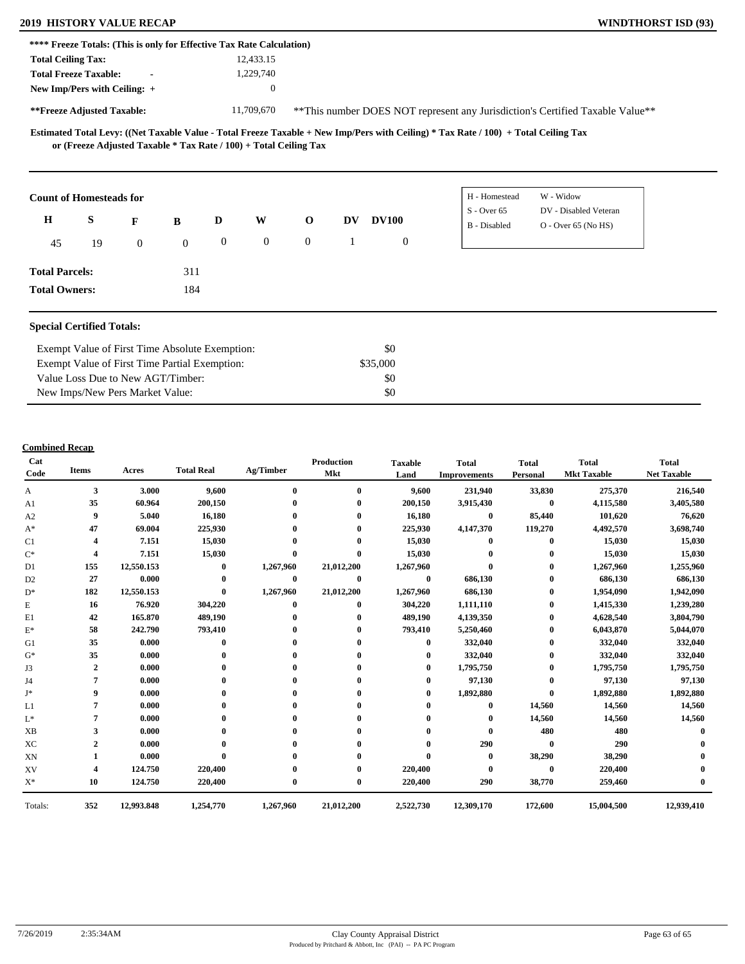### **2019 HISTORY VALUE RECAP WINDTHORST ISD (93)**

| **** Freeze Totals: (This is only for Effective Tax Rate Calculation) |                                                                                                     |                |              |                  |                |              |    |              |                |               |                                                                               |  |
|-----------------------------------------------------------------------|-----------------------------------------------------------------------------------------------------|----------------|--------------|------------------|----------------|--------------|----|--------------|----------------|---------------|-------------------------------------------------------------------------------|--|
| <b>Total Ceiling Tax:</b>                                             |                                                                                                     |                |              |                  | 12,433.15      |              |    |              |                |               |                                                                               |  |
|                                                                       | <b>Total Freeze Taxable:</b>                                                                        | $\blacksquare$ |              |                  | 1,229,740      |              |    |              |                |               |                                                                               |  |
|                                                                       | New Imp/Pers with Ceiling: +                                                                        |                |              |                  | $\overline{0}$ |              |    |              |                |               |                                                                               |  |
|                                                                       | **Freeze Adjusted Taxable:                                                                          |                |              |                  | 11,709,670     |              |    |              |                |               | **This number DOES NOT represent any Jurisdiction's Certified Taxable Value** |  |
|                                                                       | or (Freeze Adjusted Taxable * Tax Rate / 100) + Total Ceiling Tax<br><b>Count of Homesteads for</b> |                |              |                  |                |              |    |              |                | H - Homestead | W - Widow                                                                     |  |
| $\mathbf H$                                                           | S                                                                                                   | F              | B            | D                | W              | $\mathbf{O}$ | DV | <b>DV100</b> |                | $S - Over 65$ | DV - Disabled Veteran                                                         |  |
|                                                                       |                                                                                                     |                |              |                  |                |              |    |              |                | B - Disabled  | $O -$ Over 65 (No HS)                                                         |  |
| 45                                                                    | 19                                                                                                  | $\overline{0}$ | $\mathbf{0}$ | $\boldsymbol{0}$ | $\overline{0}$ | $\theta$     |    |              | $\overline{0}$ |               |                                                                               |  |
| <b>Total Parcels:</b>                                                 |                                                                                                     |                | 311          |                  |                |              |    |              |                |               |                                                                               |  |
| <b>Total Owners:</b>                                                  |                                                                                                     |                | 184          |                  |                |              |    |              |                |               |                                                                               |  |

#### **Special Certified Totals:**

| Exempt Value of First Time Absolute Exemption: | \$0      |  |
|------------------------------------------------|----------|--|
| Exempt Value of First Time Partial Exemption:  | \$35,000 |  |
| Value Loss Due to New AGT/Timber:              | - \$0    |  |
| New Imps/New Pers Market Value:                | \$0      |  |

| Cat<br>Code    | <b>Items</b>   | Acres      | <b>Total Real</b> | Ag/Timber    | <b>Production</b><br><b>Mkt</b> | <b>Taxable</b><br>Land | <b>Total</b><br><b>Improvements</b> | <b>Total</b><br>Personal | <b>Total</b><br><b>Mkt Taxable</b> | <b>Total</b><br><b>Net Taxable</b> |
|----------------|----------------|------------|-------------------|--------------|---------------------------------|------------------------|-------------------------------------|--------------------------|------------------------------------|------------------------------------|
| А              | 3<br>3.000     |            | 9,600             | $\mathbf{0}$ | $\mathbf{0}$                    | 9,600                  | 231,940                             | 33,830                   | 275,370                            | 216,540                            |
| A1             | 35             | 60.964     | 200,150           |              |                                 | 200,150                | 3,915,430                           | $\bf{0}$                 | 4,115,580                          | 3,405,580                          |
| A2             | 9              | 5.040      | 16,180            |              |                                 | 16,180                 | $\bf{0}$                            | 85,440                   | 101,620                            | 76,620                             |
| $A^*$          | 47             | 69.004     | 225,930           |              |                                 | 225,930                | 4,147,370                           | 119,270                  | 4,492,570                          | 3,698,740                          |
| C1             | 4              | 7.151      | 15,030            |              |                                 | 15,030                 |                                     | 0                        | 15,030                             | 15,030                             |
| $C^*$          | 4              | 7.151      | 15,030            | $\mathbf 0$  |                                 | 15,030                 |                                     | 0                        | 15,030                             | 15,030                             |
| D1             | 155            | 12,550.153 | $\bf{0}$          | 1,267,960    | 21,012,200                      | 1,267,960              | $\mathbf{0}$                        | $\bf{0}$                 | 1,267,960                          | 1,255,960                          |
| D <sub>2</sub> | 27             | 0.000      | $\bf{0}$          | $\bf{0}$     | $\bf{0}$                        | $\bf{0}$               | 686,130                             | 0                        | 686,130                            | 686,130                            |
| $D^*$          | 182            | 12,550.153 | $\mathbf{0}$      | 1,267,960    | 21,012,200                      | 1,267,960              | 686,130                             |                          | 1,954,090                          | 1,942,090                          |
| E              | 16             | 76.920     | 304,220           | $\mathbf{0}$ | 0                               | 304,220                | 1,111,110                           | $\bf{0}$                 | 1,415,330                          | 1,239,280                          |
| E1             | 42             | 165.870    | 489,190           |              |                                 | 489,190                | 4,139,350                           | 0                        | 4,628,540                          | 3,804,790                          |
| $\mathbf{E}^*$ | 58             | 242.790    | 793,410           |              |                                 | 793,410                | 5,250,460                           | $\bf{0}$                 | 6,043,870                          | 5,044,070                          |
| G1             | 35             | 0.000      | 0                 |              |                                 | $\mathbf{0}$           | 332,040                             | 0                        | 332,040                            | 332,040                            |
| $G^*$          | 35             | 0.000      |                   |              |                                 |                        | 332,040                             |                          | 332,040                            | 332,040                            |
| J3             | $\overline{2}$ | 0.000      |                   |              |                                 | $_{0}$                 | 1,795,750                           |                          | 1,795,750                          | 1,795,750                          |
| J4             | 7              | 0.000      |                   |              |                                 |                        | 97,130                              | 0                        | 97,130                             | 97,130                             |
| $J^*$          | 9              | 0.000      |                   |              |                                 |                        | 1,892,880                           | $\bf{0}$                 | 1,892,880                          | 1,892,880                          |
| L1             |                | 0.000      |                   |              |                                 |                        | $\bf{0}$                            | 14,560                   | 14,560                             | 14,560                             |
| $L^*$          |                | 0.000      |                   |              |                                 |                        | $\bf{0}$                            | 14,560                   | 14,560                             | 14,560                             |
| XB             | 3              | 0.000      |                   |              |                                 |                        | $\mathbf 0$                         | 480                      | 480                                |                                    |
| XC             | $\overline{2}$ | 0.000      |                   |              |                                 |                        | 290                                 | $\bf{0}$                 | 290                                |                                    |
| XN             |                | 0.000      |                   |              |                                 |                        | $\bf{0}$                            | 38,290                   | 38,290                             |                                    |
| XV             | 4              | 124.750    | 220,400           |              |                                 | 220,400                |                                     | $\mathbf{0}$             | 220,400                            |                                    |
| $X^*$          | 10             | 124.750    | 220,400           | $\mathbf 0$  |                                 | 220,400                | 290                                 | 38,770                   | 259,460                            |                                    |
| Totals:        | 352            | 12,993.848 | 1,254,770         | 1,267,960    | 21,012,200                      | 2,522,730              | 12,309,170                          | 172,600                  | 15,004,500                         | 12,939,410                         |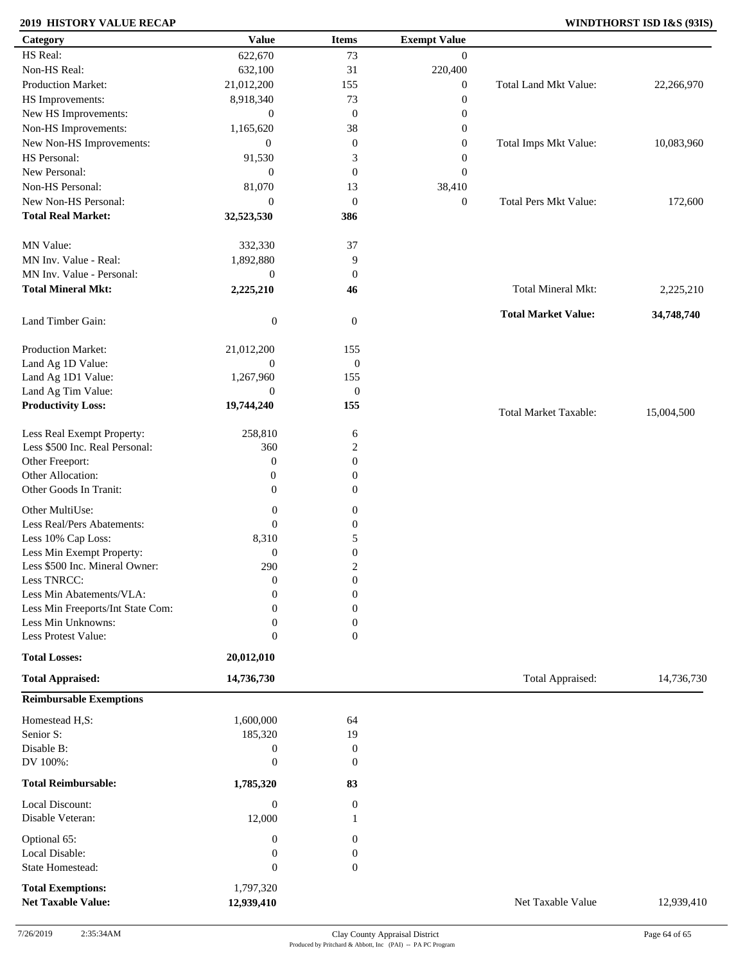### **2019 HISTORY VALUE RECAP WINDTHORST ISD I&S (93IS)**

| Category                          | <b>Value</b>     | <b>Items</b>     | <b>Exempt Value</b> |                              |            |
|-----------------------------------|------------------|------------------|---------------------|------------------------------|------------|
| HS Real:                          | 622,670          | 73               | $\mathbf{0}$        |                              |            |
| Non-HS Real:                      | 632,100          | 31               | 220,400             |                              |            |
| Production Market:                | 21,012,200       | 155              | $\boldsymbol{0}$    | Total Land Mkt Value:        | 22,266,970 |
| HS Improvements:                  | 8,918,340        | 73               | $\boldsymbol{0}$    |                              |            |
| New HS Improvements:              | $\mathbf{0}$     | $\boldsymbol{0}$ | $\boldsymbol{0}$    |                              |            |
| Non-HS Improvements:              | 1,165,620        | 38               | $\boldsymbol{0}$    |                              |            |
| New Non-HS Improvements:          | $\mathbf{0}$     | $\boldsymbol{0}$ | $\boldsymbol{0}$    | Total Imps Mkt Value:        | 10,083,960 |
| HS Personal:                      | 91,530           | 3                | $\boldsymbol{0}$    |                              |            |
| New Personal:                     | $\mathbf{0}$     | $\boldsymbol{0}$ | $\boldsymbol{0}$    |                              |            |
| Non-HS Personal:                  | 81,070           |                  | 38,410              |                              |            |
| New Non-HS Personal:              |                  | 13               |                     |                              |            |
|                                   | $\mathbf{0}$     | $\mathbf{0}$     | $\boldsymbol{0}$    | <b>Total Pers Mkt Value:</b> | 172,600    |
| <b>Total Real Market:</b>         | 32,523,530       | 386              |                     |                              |            |
| MN Value:                         | 332,330          | 37               |                     |                              |            |
| MN Inv. Value - Real:             | 1,892,880        | 9                |                     |                              |            |
| MN Inv. Value - Personal:         |                  |                  |                     |                              |            |
|                                   | $\boldsymbol{0}$ | $\boldsymbol{0}$ |                     |                              |            |
| <b>Total Mineral Mkt:</b>         | 2,225,210        | 46               |                     | Total Mineral Mkt:           | 2,225,210  |
| Land Timber Gain:                 | $\boldsymbol{0}$ | $\mathbf{0}$     |                     | <b>Total Market Value:</b>   | 34,748,740 |
|                                   |                  |                  |                     |                              |            |
| Production Market:                | 21,012,200       | 155              |                     |                              |            |
| Land Ag 1D Value:                 | $\boldsymbol{0}$ | $\boldsymbol{0}$ |                     |                              |            |
| Land Ag 1D1 Value:                | 1,267,960        | 155              |                     |                              |            |
| Land Ag Tim Value:                | $\mathbf{0}$     | $\boldsymbol{0}$ |                     |                              |            |
| <b>Productivity Loss:</b>         | 19,744,240       | 155              |                     | <b>Total Market Taxable:</b> | 15,004,500 |
| Less Real Exempt Property:        | 258,810          | 6                |                     |                              |            |
| Less \$500 Inc. Real Personal:    | 360              | $\overline{c}$   |                     |                              |            |
| Other Freeport:                   | $\boldsymbol{0}$ | $\boldsymbol{0}$ |                     |                              |            |
| Other Allocation:                 | $\boldsymbol{0}$ | $\boldsymbol{0}$ |                     |                              |            |
| Other Goods In Tranit:            | $\boldsymbol{0}$ | $\mathbf{0}$     |                     |                              |            |
|                                   |                  |                  |                     |                              |            |
| Other MultiUse:                   | $\boldsymbol{0}$ | $\boldsymbol{0}$ |                     |                              |            |
| Less Real/Pers Abatements:        | $\mathbf{0}$     | $\boldsymbol{0}$ |                     |                              |            |
| Less 10% Cap Loss:                | 8,310            | 5                |                     |                              |            |
| Less Min Exempt Property:         | $\boldsymbol{0}$ | $\boldsymbol{0}$ |                     |                              |            |
| Less \$500 Inc. Mineral Owner:    | 290              | $\boldsymbol{2}$ |                     |                              |            |
| Less TNRCC:                       | $\mathbf{0}$     | $\boldsymbol{0}$ |                     |                              |            |
| Less Min Abatements/VLA:          | $\mathbf{0}$     | $\boldsymbol{0}$ |                     |                              |            |
| Less Min Freeports/Int State Com: | 0                | $\Omega$         |                     |                              |            |
| Less Min Unknowns:                | 0                | 0                |                     |                              |            |
| Less Protest Value:               | $\boldsymbol{0}$ | $\overline{0}$   |                     |                              |            |
| <b>Total Losses:</b>              | 20,012,010       |                  |                     |                              |            |
| <b>Total Appraised:</b>           | 14,736,730       |                  |                     | Total Appraised:             | 14,736,730 |
| <b>Reimbursable Exemptions</b>    |                  |                  |                     |                              |            |
| Homestead H,S:                    | 1,600,000        | 64               |                     |                              |            |
| Senior S:                         | 185,320          | 19               |                     |                              |            |
| Disable B:                        | $\boldsymbol{0}$ | $\boldsymbol{0}$ |                     |                              |            |
| DV 100%:                          | $\boldsymbol{0}$ | $\mathbf{0}$     |                     |                              |            |
|                                   |                  |                  |                     |                              |            |
| <b>Total Reimbursable:</b>        | 1,785,320        | 83               |                     |                              |            |
| Local Discount:                   | $\boldsymbol{0}$ | $\boldsymbol{0}$ |                     |                              |            |
| Disable Veteran:                  | 12,000           |                  |                     |                              |            |
| Optional 65:                      | $\boldsymbol{0}$ | $\mathbf{0}$     |                     |                              |            |
| Local Disable:                    | $\boldsymbol{0}$ | $\boldsymbol{0}$ |                     |                              |            |
| State Homestead:                  | $\mathbf{0}$     | $\boldsymbol{0}$ |                     |                              |            |
|                                   |                  |                  |                     |                              |            |
| <b>Total Exemptions:</b>          | 1,797,320        |                  |                     |                              |            |
| <b>Net Taxable Value:</b>         | 12,939,410       |                  |                     | Net Taxable Value            | 12,939,410 |